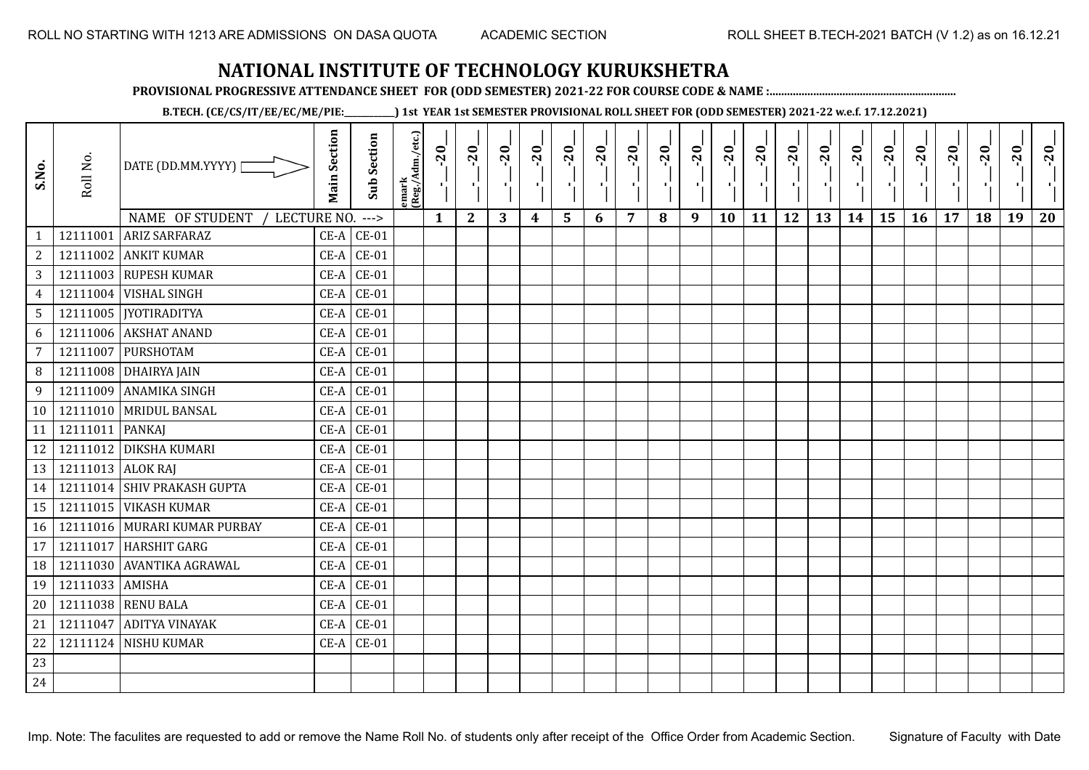**PROVISIONAL PROGRESSIVE ATTENDANCE SHEET FOR (ODD SEMESTER) 2021-22 FOR COURSE CODE & NAME :................................................................**

**B.TECH. (CE/CS/IT/EE/EC/ME/PIE:\_\_\_\_\_\_\_\_\_\_\_\_) 1st YEAR 1st SEMESTER PROVISIONAL ROLL SHEET FOR (ODD SEMESTER) 2021-22 w.e.f. 17.12.2021)**

| S.No.           | Roll No.          | DATE (DD.MM.YYYY) [              | <b>Main Section</b> | <b>Sub Section</b> | emark<br> (Reg./Adm./etc.) | $-20$ | $-20$<br>Δi  | $-20$ | $-20$<br>τj | $-20$<br>۱, | $-20$<br>л. | $-20$<br>π÷    | $-20$ | $-20$<br>- 1 | $-20$<br>٠, | $-20$ | $-20$<br>πt | $-20$<br>로 | $-20$<br>$\blacksquare$ | $-20$ | $-20$<br>$\mathcal{F}_{\mathbf{L}^{\prime}}$ | $-20$ | $-20$ | $-20$<br>$\mathcal{F}_\mathbf{r}$ | $-20$ |
|-----------------|-------------------|----------------------------------|---------------------|--------------------|----------------------------|-------|--------------|-------|-------------|-------------|-------------|----------------|-------|--------------|-------------|-------|-------------|------------|-------------------------|-------|----------------------------------------------|-------|-------|-----------------------------------|-------|
|                 |                   | NAME OF STUDENT /<br>LECTURE NO. |                     | $--->$             |                            | 1     | $\mathbf{2}$ | 3     | 4           | 5           | 6           | $\overline{7}$ | 8     | 9            | 10          | 11    | 12          | 13         | 14                      | 15    | 16                                           | 17    | 18    | 19                                | 20    |
| $\mathbf{1}$    | 12111001          | <b>ARIZ SARFARAZ</b>             | CE-A                | $CE-01$            |                            |       |              |       |             |             |             |                |       |              |             |       |             |            |                         |       |                                              |       |       |                                   |       |
| $\sqrt{2}$      |                   | 12111002 ANKIT KUMAR             | $CE-A$              | $CE-01$            |                            |       |              |       |             |             |             |                |       |              |             |       |             |            |                         |       |                                              |       |       |                                   |       |
| 3               |                   | 12111003 RUPESH KUMAR            | $CE-A$              | $CE-01$            |                            |       |              |       |             |             |             |                |       |              |             |       |             |            |                         |       |                                              |       |       |                                   |       |
| $\overline{4}$  |                   | 12111004 VISHAL SINGH            | CE-A                | $CE-01$            |                            |       |              |       |             |             |             |                |       |              |             |       |             |            |                         |       |                                              |       |       |                                   |       |
| $5\phantom{.}$  |                   | 12111005   JYOTIRADITYA          | $CE-A$              | $CE-01$            |                            |       |              |       |             |             |             |                |       |              |             |       |             |            |                         |       |                                              |       |       |                                   |       |
| 6               |                   | 12111006 AKSHAT ANAND            | $CE-A$              | $CE-01$            |                            |       |              |       |             |             |             |                |       |              |             |       |             |            |                         |       |                                              |       |       |                                   |       |
| $7\overline{ }$ |                   | 12111007 PURSHOTAM               | $CE-A$              | $CE-01$            |                            |       |              |       |             |             |             |                |       |              |             |       |             |            |                         |       |                                              |       |       |                                   |       |
| 8               |                   | 12111008 DHAIRYA JAIN            | $CE-A$              | $CE-01$            |                            |       |              |       |             |             |             |                |       |              |             |       |             |            |                         |       |                                              |       |       |                                   |       |
| 9               |                   | 12111009 ANAMIKA SINGH           | $CE-A$              | $CE-01$            |                            |       |              |       |             |             |             |                |       |              |             |       |             |            |                         |       |                                              |       |       |                                   |       |
| 10 <sup>1</sup> |                   | 12111010 MRIDUL BANSAL           |                     | $CE-A$ $CE-01$     |                            |       |              |       |             |             |             |                |       |              |             |       |             |            |                         |       |                                              |       |       |                                   |       |
| 11              | 12111011   PANKAJ |                                  | $CE-A$              | $CE-01$            |                            |       |              |       |             |             |             |                |       |              |             |       |             |            |                         |       |                                              |       |       |                                   |       |
| 12              |                   | 12111012 DIKSHA KUMARI           | $CE-A$              | $CE-01$            |                            |       |              |       |             |             |             |                |       |              |             |       |             |            |                         |       |                                              |       |       |                                   |       |
| 13              | 12111013 ALOK RAJ |                                  | $CE-A$              | $CE-01$            |                            |       |              |       |             |             |             |                |       |              |             |       |             |            |                         |       |                                              |       |       |                                   |       |
| 14              |                   | 12111014 SHIV PRAKASH GUPTA      | $CE-A$              | $CE-01$            |                            |       |              |       |             |             |             |                |       |              |             |       |             |            |                         |       |                                              |       |       |                                   |       |
| 15              |                   | 12111015 VIKASH KUMAR            | CE-A                | $CE-01$            |                            |       |              |       |             |             |             |                |       |              |             |       |             |            |                         |       |                                              |       |       |                                   |       |
| 16              |                   | 12111016 MURARI KUMAR PURBAY     | $CE-A$              | $CE-01$            |                            |       |              |       |             |             |             |                |       |              |             |       |             |            |                         |       |                                              |       |       |                                   |       |
| 17              |                   | 12111017 HARSHIT GARG            | $CE-A$              | $CE-01$            |                            |       |              |       |             |             |             |                |       |              |             |       |             |            |                         |       |                                              |       |       |                                   |       |
| 18              |                   | 12111030 AVANTIKA AGRAWAL        | $CE-A$              | $CE-01$            |                            |       |              |       |             |             |             |                |       |              |             |       |             |            |                         |       |                                              |       |       |                                   |       |
| 19              | 12111033 AMISHA   |                                  | $CE-A$              | $CE-01$            |                            |       |              |       |             |             |             |                |       |              |             |       |             |            |                         |       |                                              |       |       |                                   |       |
| 20              |                   | 12111038 RENU BALA               | $CE-A$              | $CE-01$            |                            |       |              |       |             |             |             |                |       |              |             |       |             |            |                         |       |                                              |       |       |                                   |       |
| 21              |                   | 12111047 ADITYA VINAYAK          | $CE-A$              | $CE-01$            |                            |       |              |       |             |             |             |                |       |              |             |       |             |            |                         |       |                                              |       |       |                                   |       |
| 22              |                   | 12111124   NISHU KUMAR           | CE-A                | $CE-01$            |                            |       |              |       |             |             |             |                |       |              |             |       |             |            |                         |       |                                              |       |       |                                   |       |
| 23              |                   |                                  |                     |                    |                            |       |              |       |             |             |             |                |       |              |             |       |             |            |                         |       |                                              |       |       |                                   |       |
| 24              |                   |                                  |                     |                    |                            |       |              |       |             |             |             |                |       |              |             |       |             |            |                         |       |                                              |       |       |                                   |       |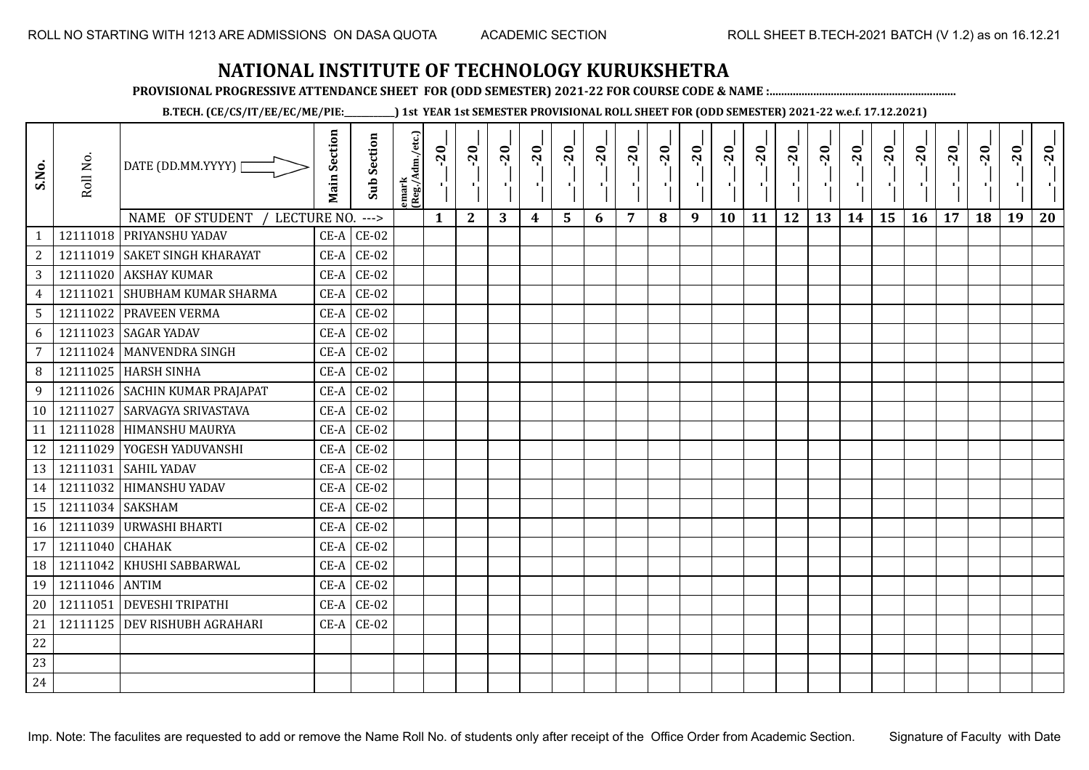**PROVISIONAL PROGRESSIVE ATTENDANCE SHEET FOR (ODD SEMESTER) 2021-22 FOR COURSE CODE & NAME :................................................................**

**B.TECH. (CE/CS/IT/EE/EC/ME/PIE:\_\_\_\_\_\_\_\_\_\_\_\_) 1st YEAR 1st SEMESTER PROVISIONAL ROLL SHEET FOR (ODD SEMESTER) 2021-22 w.e.f. 17.12.2021)**

| S.No.           | Roll No.         | DATE (DD.MM.YYYY)  <br>NAME OF STUDENT /<br>LECTURE NO. | <b>Main Section</b> | <b>Sub Section</b><br>$--->$ | emark<br>(Reg./Adm./etc.) | $-20$<br>$\mathbf{1}$ | $-20$<br>π÷<br>$\mathbf{2}$ | $-20$<br>πt<br>3 | $-20$<br>π÷<br>4 | $-20$<br>- 1<br>5 | $-20$<br>п.<br>6 | $-20$<br>$\overline{7}$ | $-20$<br>8 | $-20$<br>π÷<br>9 | $-20$<br>×,<br>10 | $-20$<br>τj<br>11 | $-20$<br>π÷<br>12 | $-20$<br>٠.<br>13 | $-20$<br>$\blacksquare$<br>14 | $-20$<br>۱,<br>15 | $-20$<br>л÷,<br>16 | $-20$<br>17 | $-20$<br>18 | $-20$<br>×.<br>19 | $-20$<br>20 |
|-----------------|------------------|---------------------------------------------------------|---------------------|------------------------------|---------------------------|-----------------------|-----------------------------|------------------|------------------|-------------------|------------------|-------------------------|------------|------------------|-------------------|-------------------|-------------------|-------------------|-------------------------------|-------------------|--------------------|-------------|-------------|-------------------|-------------|
| $\mathbf{1}$    |                  | 12111018 PRIYANSHU YADAV                                | $CE-A$              | $CE-02$                      |                           |                       |                             |                  |                  |                   |                  |                         |            |                  |                   |                   |                   |                   |                               |                   |                    |             |             |                   |             |
| $\overline{c}$  |                  | 12111019 SAKET SINGH KHARAYAT                           | $CE-A$              | $CE-02$                      |                           |                       |                             |                  |                  |                   |                  |                         |            |                  |                   |                   |                   |                   |                               |                   |                    |             |             |                   |             |
| 3               |                  | 12111020 AKSHAY KUMAR                                   | $CE-A$              | $CE-02$                      |                           |                       |                             |                  |                  |                   |                  |                         |            |                  |                   |                   |                   |                   |                               |                   |                    |             |             |                   |             |
| $\overline{4}$  | 12111021         | <b>SHUBHAM KUMAR SHARMA</b>                             | $CE-A$              | $CE-02$                      |                           |                       |                             |                  |                  |                   |                  |                         |            |                  |                   |                   |                   |                   |                               |                   |                    |             |             |                   |             |
| $5\phantom{.0}$ |                  | 12111022 PRAVEEN VERMA                                  | $CE-A$              | $CE-02$                      |                           |                       |                             |                  |                  |                   |                  |                         |            |                  |                   |                   |                   |                   |                               |                   |                    |             |             |                   |             |
| 6               | 12111023         | <b>SAGAR YADAV</b>                                      | $CE-A$              | $CE-02$                      |                           |                       |                             |                  |                  |                   |                  |                         |            |                  |                   |                   |                   |                   |                               |                   |                    |             |             |                   |             |
| $\overline{7}$  | 12111024         | <b>MANVENDRA SINGH</b>                                  | $CE-A$              | $CE-02$                      |                           |                       |                             |                  |                  |                   |                  |                         |            |                  |                   |                   |                   |                   |                               |                   |                    |             |             |                   |             |
| 8               |                  | 12111025 HARSH SINHA                                    | $CE-A$              | $CE-02$                      |                           |                       |                             |                  |                  |                   |                  |                         |            |                  |                   |                   |                   |                   |                               |                   |                    |             |             |                   |             |
| 9               |                  | 12111026 SACHIN KUMAR PRAJAPAT                          | $CE-A$              | $CE-02$                      |                           |                       |                             |                  |                  |                   |                  |                         |            |                  |                   |                   |                   |                   |                               |                   |                    |             |             |                   |             |
| 10              | 12111027         | <b>SARVAGYA SRIVASTAVA</b>                              |                     | $CE-A$ $CE-02$               |                           |                       |                             |                  |                  |                   |                  |                         |            |                  |                   |                   |                   |                   |                               |                   |                    |             |             |                   |             |
| 11              | 12111028         | <b>HIMANSHU MAURYA</b>                                  | $CE-A$              | $CE-02$                      |                           |                       |                             |                  |                  |                   |                  |                         |            |                  |                   |                   |                   |                   |                               |                   |                    |             |             |                   |             |
| 12              |                  | 12111029 YOGESH YADUVANSHI                              | $CE-A$              | $CE-02$                      |                           |                       |                             |                  |                  |                   |                  |                         |            |                  |                   |                   |                   |                   |                               |                   |                    |             |             |                   |             |
| 13              | 12111031         | <b>SAHIL YADAV</b>                                      | $CE-A$              | $CE-02$                      |                           |                       |                             |                  |                  |                   |                  |                         |            |                  |                   |                   |                   |                   |                               |                   |                    |             |             |                   |             |
| 14              |                  | 12111032 HIMANSHU YADAV                                 | $CE-A$              | $CE-02$                      |                           |                       |                             |                  |                  |                   |                  |                         |            |                  |                   |                   |                   |                   |                               |                   |                    |             |             |                   |             |
| 15              | 12111034 SAKSHAM |                                                         | $CE-A$              | $CE-02$                      |                           |                       |                             |                  |                  |                   |                  |                         |            |                  |                   |                   |                   |                   |                               |                   |                    |             |             |                   |             |
| 16              |                  | 12111039 URWASHI BHARTI                                 | $CE-A$              | $CE-02$                      |                           |                       |                             |                  |                  |                   |                  |                         |            |                  |                   |                   |                   |                   |                               |                   |                    |             |             |                   |             |
| 17              | 12111040         | <b>CHAHAK</b>                                           | $CE-A$              | $CE-02$                      |                           |                       |                             |                  |                  |                   |                  |                         |            |                  |                   |                   |                   |                   |                               |                   |                    |             |             |                   |             |
| 18              | 12111042         | KHUSHI SABBARWAL                                        | $CE-A$              | $CE-02$                      |                           |                       |                             |                  |                  |                   |                  |                         |            |                  |                   |                   |                   |                   |                               |                   |                    |             |             |                   |             |
| 19              | 12111046 ANTIM   |                                                         | $CE-A$              | $CE-02$                      |                           |                       |                             |                  |                  |                   |                  |                         |            |                  |                   |                   |                   |                   |                               |                   |                    |             |             |                   |             |
| 20              | 12111051         | <b>DEVESHI TRIPATHI</b>                                 | $CE-A$              | $CE-02$                      |                           |                       |                             |                  |                  |                   |                  |                         |            |                  |                   |                   |                   |                   |                               |                   |                    |             |             |                   |             |
| 21              |                  | 12111125 DEV RISHUBH AGRAHARI                           | $CE-A$              | $CE-02$                      |                           |                       |                             |                  |                  |                   |                  |                         |            |                  |                   |                   |                   |                   |                               |                   |                    |             |             |                   |             |
| 22              |                  |                                                         |                     |                              |                           |                       |                             |                  |                  |                   |                  |                         |            |                  |                   |                   |                   |                   |                               |                   |                    |             |             |                   |             |
| 23              |                  |                                                         |                     |                              |                           |                       |                             |                  |                  |                   |                  |                         |            |                  |                   |                   |                   |                   |                               |                   |                    |             |             |                   |             |
| 24              |                  |                                                         |                     |                              |                           |                       |                             |                  |                  |                   |                  |                         |            |                  |                   |                   |                   |                   |                               |                   |                    |             |             |                   |             |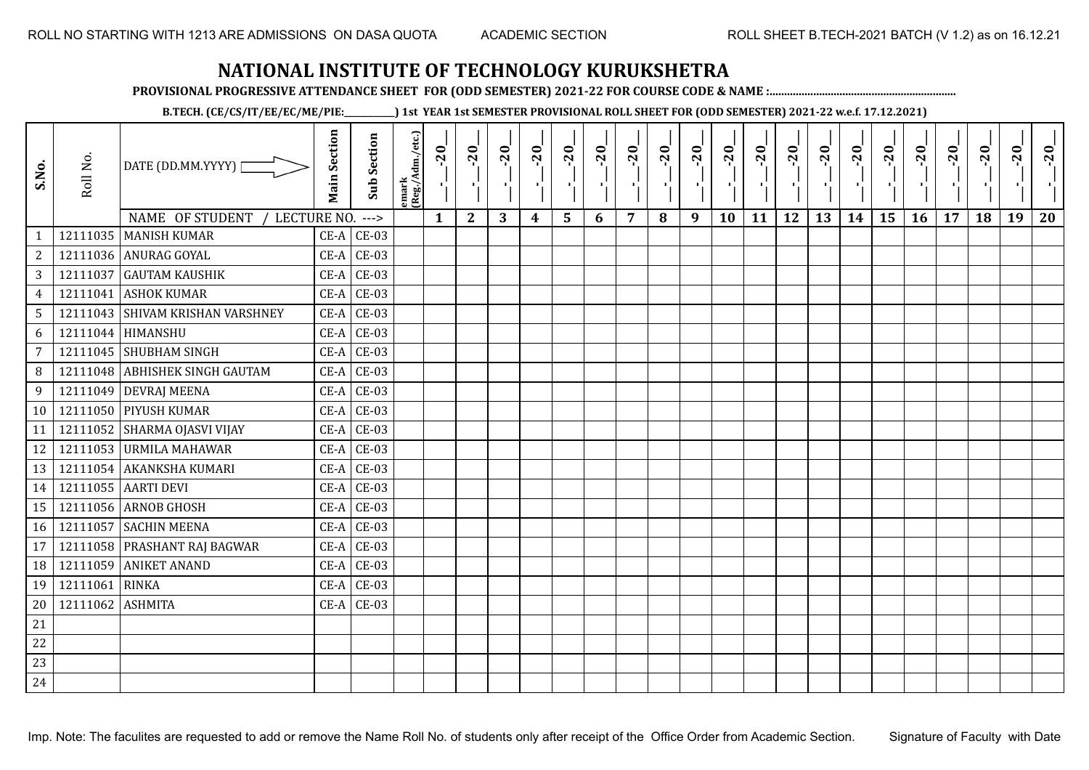**PROVISIONAL PROGRESSIVE ATTENDANCE SHEET FOR (ODD SEMESTER) 2021-22 FOR COURSE CODE & NAME :................................................................**

**B.TECH. (CE/CS/IT/EE/EC/ME/PIE:\_\_\_\_\_\_\_\_\_\_\_\_) 1st YEAR 1st SEMESTER PROVISIONAL ROLL SHEET FOR (ODD SEMESTER) 2021-22 w.e.f. 17.12.2021)**

| S.No.          | Roll No.         | DATE (DD.MM.YYYY) [<br>NAME OF STUDENT<br>/ LECTURE NO. | <b>Main Section</b> | Sub Section<br>$--->$ | emark<br>(Reg./Adm./etc.) | $-20$<br>$\mathbf{r}_{\mathrm{L}}^{\mathrm{r}}$<br>$\mathbf{1}$ | $-20$<br>тļ,<br>$\mathbf{2}$ | $-20$<br>чj<br>3 | $-20$<br>- 1<br>$\boldsymbol{4}$ | $-20$<br>٠,<br>5 | $-20$<br>п.<br>6 | $-20$<br>×.<br>$\overline{7}$ | $-20$<br>8 | $-20$<br>- 1<br>9 | $-20$<br>٠,<br>10 | $-20$<br>тļ<br>11 | $-20$<br>-97<br>12 | $-20$<br>국문<br>13 | $-20$<br>$\mathbf{L}$<br>14 | $-20$<br>۱,<br>15 | $-20$<br>Π.<br>16 | $-20$<br>п,<br>17 | $-20$<br>18 | $-20$<br>×.<br>19 | $-20$<br>20 |
|----------------|------------------|---------------------------------------------------------|---------------------|-----------------------|---------------------------|-----------------------------------------------------------------|------------------------------|------------------|----------------------------------|------------------|------------------|-------------------------------|------------|-------------------|-------------------|-------------------|--------------------|-------------------|-----------------------------|-------------------|-------------------|-------------------|-------------|-------------------|-------------|
| $\mathbf{1}$   |                  | 12111035 MANISH KUMAR                                   |                     | $CE-A$ $CE-03$        |                           |                                                                 |                              |                  |                                  |                  |                  |                               |            |                   |                   |                   |                    |                   |                             |                   |                   |                   |             |                   |             |
| $\overline{a}$ |                  | 12111036 ANURAG GOYAL                                   | $CE-A$              | <b>CE-03</b>          |                           |                                                                 |                              |                  |                                  |                  |                  |                               |            |                   |                   |                   |                    |                   |                             |                   |                   |                   |             |                   |             |
| $\mathbf{3}$   | 12111037         | <b>GAUTAM KAUSHIK</b>                                   | $CE-A$              | $CE-03$               |                           |                                                                 |                              |                  |                                  |                  |                  |                               |            |                   |                   |                   |                    |                   |                             |                   |                   |                   |             |                   |             |
| 4              | 12111041         | <b>ASHOK KUMAR</b>                                      | $CE-A$              | $CE-03$               |                           |                                                                 |                              |                  |                                  |                  |                  |                               |            |                   |                   |                   |                    |                   |                             |                   |                   |                   |             |                   |             |
| 5              | 12111043         | <b>SHIVAM KRISHAN VARSHNEY</b>                          | $CE-A$              | $CE-03$               |                           |                                                                 |                              |                  |                                  |                  |                  |                               |            |                   |                   |                   |                    |                   |                             |                   |                   |                   |             |                   |             |
| 6              |                  | 12111044 HIMANSHU                                       | $CE-A$              | $CE-03$               |                           |                                                                 |                              |                  |                                  |                  |                  |                               |            |                   |                   |                   |                    |                   |                             |                   |                   |                   |             |                   |             |
| $\overline{7}$ |                  | 12111045 SHUBHAM SINGH                                  | $CE-A$              | $CE-03$               |                           |                                                                 |                              |                  |                                  |                  |                  |                               |            |                   |                   |                   |                    |                   |                             |                   |                   |                   |             |                   |             |
| 8              |                  | 12111048 ABHISHEK SINGH GAUTAM                          | $CE-A$              | $CE-03$               |                           |                                                                 |                              |                  |                                  |                  |                  |                               |            |                   |                   |                   |                    |                   |                             |                   |                   |                   |             |                   |             |
| 9              |                  | 12111049 DEVRAJ MEENA                                   |                     | $CE-A$ $CE-03$        |                           |                                                                 |                              |                  |                                  |                  |                  |                               |            |                   |                   |                   |                    |                   |                             |                   |                   |                   |             |                   |             |
| 10             |                  | 12111050 PIYUSH KUMAR                                   | $CE-A$              | $CE-03$               |                           |                                                                 |                              |                  |                                  |                  |                  |                               |            |                   |                   |                   |                    |                   |                             |                   |                   |                   |             |                   |             |
| 11             |                  | 12111052 SHARMA OJASVI VIJAY                            | $CE-A$              | $CE-03$               |                           |                                                                 |                              |                  |                                  |                  |                  |                               |            |                   |                   |                   |                    |                   |                             |                   |                   |                   |             |                   |             |
| 12             |                  | 12111053 URMILA MAHAWAR                                 | $CE-A$              | <b>CE-03</b>          |                           |                                                                 |                              |                  |                                  |                  |                  |                               |            |                   |                   |                   |                    |                   |                             |                   |                   |                   |             |                   |             |
| 13             |                  | 12111054 AKANKSHA KUMARI                                | $CE-A$              | $CE-03$               |                           |                                                                 |                              |                  |                                  |                  |                  |                               |            |                   |                   |                   |                    |                   |                             |                   |                   |                   |             |                   |             |
| 14             |                  | 12111055 AARTI DEVI                                     | $CE-A$              | $CE-03$               |                           |                                                                 |                              |                  |                                  |                  |                  |                               |            |                   |                   |                   |                    |                   |                             |                   |                   |                   |             |                   |             |
| 15             |                  | 12111056 ARNOB GHOSH                                    | $CE-A$              | $CE-03$               |                           |                                                                 |                              |                  |                                  |                  |                  |                               |            |                   |                   |                   |                    |                   |                             |                   |                   |                   |             |                   |             |
| 16             | 12111057         | <b>SACHIN MEENA</b>                                     | $CE-A$              | <b>CE-03</b>          |                           |                                                                 |                              |                  |                                  |                  |                  |                               |            |                   |                   |                   |                    |                   |                             |                   |                   |                   |             |                   |             |
| 17             |                  | 12111058 PRASHANT RAJ BAGWAR                            | $CE-A$              | $CE-03$               |                           |                                                                 |                              |                  |                                  |                  |                  |                               |            |                   |                   |                   |                    |                   |                             |                   |                   |                   |             |                   |             |
| 18             | 12111059         | <b>ANIKET ANAND</b>                                     | $CE-A$              | $CE-03$               |                           |                                                                 |                              |                  |                                  |                  |                  |                               |            |                   |                   |                   |                    |                   |                             |                   |                   |                   |             |                   |             |
| 19             | 12111061         | <b>RINKA</b>                                            | $CE-A$              | $CE-03$               |                           |                                                                 |                              |                  |                                  |                  |                  |                               |            |                   |                   |                   |                    |                   |                             |                   |                   |                   |             |                   |             |
| 20             | 12111062 ASHMITA |                                                         |                     | $CE-A$ $CE-03$        |                           |                                                                 |                              |                  |                                  |                  |                  |                               |            |                   |                   |                   |                    |                   |                             |                   |                   |                   |             |                   |             |
| 21             |                  |                                                         |                     |                       |                           |                                                                 |                              |                  |                                  |                  |                  |                               |            |                   |                   |                   |                    |                   |                             |                   |                   |                   |             |                   |             |
| 22             |                  |                                                         |                     |                       |                           |                                                                 |                              |                  |                                  |                  |                  |                               |            |                   |                   |                   |                    |                   |                             |                   |                   |                   |             |                   |             |
| 23             |                  |                                                         |                     |                       |                           |                                                                 |                              |                  |                                  |                  |                  |                               |            |                   |                   |                   |                    |                   |                             |                   |                   |                   |             |                   |             |
| 24             |                  |                                                         |                     |                       |                           |                                                                 |                              |                  |                                  |                  |                  |                               |            |                   |                   |                   |                    |                   |                             |                   |                   |                   |             |                   |             |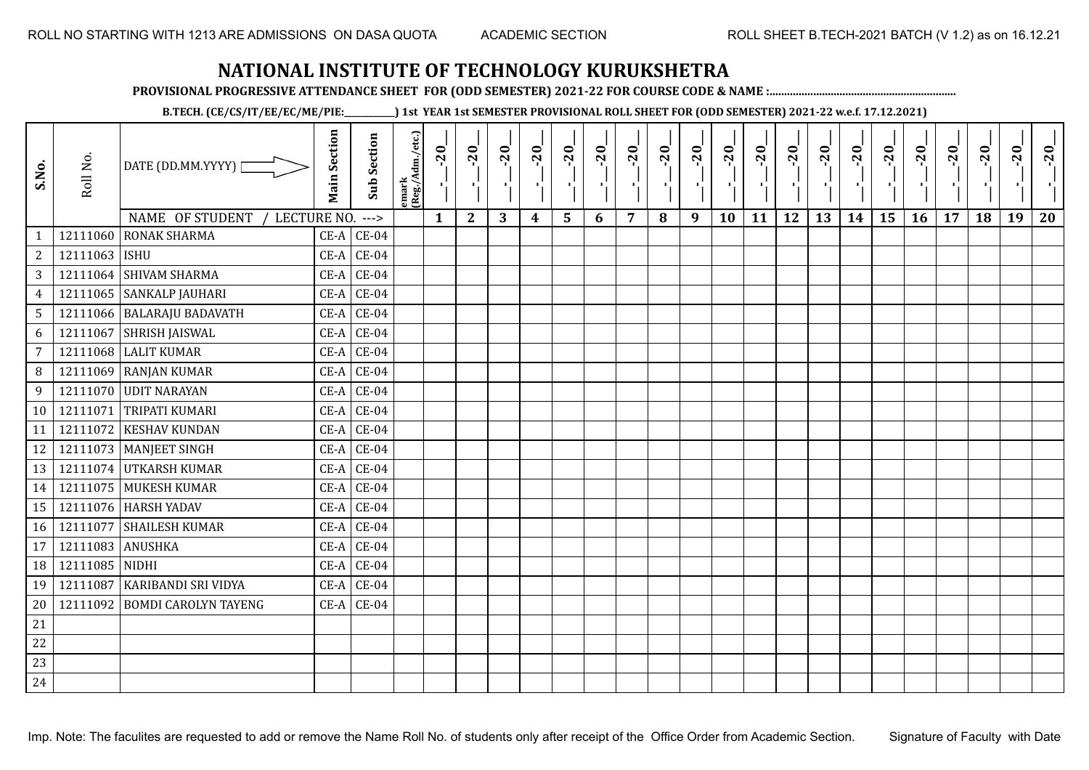**PROVISIONAL PROGRESSIVE ATTENDANCE SHEET FOR (ODD SEMESTER) 2021-22 FOR COURSE CODE & NAME :................................................................**

**B.TECH. (CE/CS/IT/EE/EC/ME/PIE:\_\_\_\_\_\_\_\_\_\_\_\_) 1st YEAR 1st SEMESTER PROVISIONAL ROLL SHEET FOR (ODD SEMESTER) 2021-22 w.e.f. 17.12.2021)**

| S.No.           | Roll No.      | DATE (DD.MM.YYYY)<br>NAME OF STUDENT<br>LECTURE NO. | <b>Main Section</b> | <b>Sub Section</b><br>$--->$ | emark<br>(Reg./Adm./etc.) | $-20$<br>$\mathbf{1}$ | $-20$<br>π÷<br>$\mathbf{2}$ | $-20$<br>л÷.<br>3 | $-20$<br>π÷<br>$\boldsymbol{4}$ | $-20$<br>ъJ<br>5 | $-20$<br>$\blacksquare$ | $-20$<br>7 | $-20$ | $-20$<br>$\mathbf{L}$<br>9 | $-20$<br>л,<br>10 | $-20$<br>шj<br>11 | $-20$<br>π÷<br>12 | $-20$<br>로<br>13 | $-20$<br>$\blacksquare$<br>14 | $-20$<br>ا .<br>ا<br>15 | $-20$<br>к.<br>16 | $-20$<br>17 | $-20$<br>18 | $-20$<br>л.<br>19 | $-20$<br>20 |
|-----------------|---------------|-----------------------------------------------------|---------------------|------------------------------|---------------------------|-----------------------|-----------------------------|-------------------|---------------------------------|------------------|-------------------------|------------|-------|----------------------------|-------------------|-------------------|-------------------|------------------|-------------------------------|-------------------------|-------------------|-------------|-------------|-------------------|-------------|
| $\mathbf{1}$    | 12111060      | <b>RONAK SHARMA</b>                                 | $CE-A$              | $CE-04$                      |                           |                       |                             |                   |                                 |                  | 6                       |            | 8     |                            |                   |                   |                   |                  |                               |                         |                   |             |             |                   |             |
| $\overline{c}$  | 12111063 ISHU |                                                     | $CE-A$              | $CE-04$                      |                           |                       |                             |                   |                                 |                  |                         |            |       |                            |                   |                   |                   |                  |                               |                         |                   |             |             |                   |             |
| 3               |               | 12111064 SHIVAM SHARMA                              | $CE-A$              | $CE-04$                      |                           |                       |                             |                   |                                 |                  |                         |            |       |                            |                   |                   |                   |                  |                               |                         |                   |             |             |                   |             |
| $\overline{4}$  |               | 12111065 SANKALP JAUHARI                            | $CE-A$              | $CE-04$                      |                           |                       |                             |                   |                                 |                  |                         |            |       |                            |                   |                   |                   |                  |                               |                         |                   |             |             |                   |             |
| $5\overline{)}$ |               | 12111066   BALARAJU BADAVATH                        | $CE-A$              | $CE-04$                      |                           |                       |                             |                   |                                 |                  |                         |            |       |                            |                   |                   |                   |                  |                               |                         |                   |             |             |                   |             |
| 6               | 12111067      | <b>SHRISH JAISWAL</b>                               | $CE-A$              | $CE-04$                      |                           |                       |                             |                   |                                 |                  |                         |            |       |                            |                   |                   |                   |                  |                               |                         |                   |             |             |                   |             |
| 7               | 12111068      | <b>LALIT KUMAR</b>                                  | $CE-A$              | $CE-04$                      |                           |                       |                             |                   |                                 |                  |                         |            |       |                            |                   |                   |                   |                  |                               |                         |                   |             |             |                   |             |
| 8               |               | 12111069 RANJAN KUMAR                               | $CE-A$              | $CE-04$                      |                           |                       |                             |                   |                                 |                  |                         |            |       |                            |                   |                   |                   |                  |                               |                         |                   |             |             |                   |             |
| 9               |               | 12111070 UDIT NARAYAN                               | $CE-A$              | $CE-04$                      |                           |                       |                             |                   |                                 |                  |                         |            |       |                            |                   |                   |                   |                  |                               |                         |                   |             |             |                   |             |
| 10              | 12111071      | <b>TRIPATI KUMARI</b>                               |                     | $CE-A$ $CE-04$               |                           |                       |                             |                   |                                 |                  |                         |            |       |                            |                   |                   |                   |                  |                               |                         |                   |             |             |                   |             |
| 11              | 12111072      | <b>KESHAV KUNDAN</b>                                | $CE-A$              | $CE-04$                      |                           |                       |                             |                   |                                 |                  |                         |            |       |                            |                   |                   |                   |                  |                               |                         |                   |             |             |                   |             |
| 12              |               | 12111073   MANJEET SINGH                            | $CE-A$              | $CE-04$                      |                           |                       |                             |                   |                                 |                  |                         |            |       |                            |                   |                   |                   |                  |                               |                         |                   |             |             |                   |             |
| 13              |               | 12111074 UTKARSH KUMAR                              | $CE-A$              | $CE-04$                      |                           |                       |                             |                   |                                 |                  |                         |            |       |                            |                   |                   |                   |                  |                               |                         |                   |             |             |                   |             |
| 14              |               | 12111075 MUKESH KUMAR                               | $CE-A$              | $CE-04$                      |                           |                       |                             |                   |                                 |                  |                         |            |       |                            |                   |                   |                   |                  |                               |                         |                   |             |             |                   |             |
| 15              |               | 12111076 HARSH YADAV                                | $CE-A$              | $CE-04$                      |                           |                       |                             |                   |                                 |                  |                         |            |       |                            |                   |                   |                   |                  |                               |                         |                   |             |             |                   |             |
| 16              | 12111077      | <b>SHAILESH KUMAR</b>                               | $CE-A$              | $CE-04$                      |                           |                       |                             |                   |                                 |                  |                         |            |       |                            |                   |                   |                   |                  |                               |                         |                   |             |             |                   |             |
| 17              | 12111083      | <b>ANUSHKA</b>                                      | $CE-A$              | $CE-04$                      |                           |                       |                             |                   |                                 |                  |                         |            |       |                            |                   |                   |                   |                  |                               |                         |                   |             |             |                   |             |
| 18              | 12111085      | <b>NIDHI</b>                                        | $CE-A$              | $CE-04$                      |                           |                       |                             |                   |                                 |                  |                         |            |       |                            |                   |                   |                   |                  |                               |                         |                   |             |             |                   |             |
| 19              | 12111087      | KARIBANDI SRI VIDYA                                 | $CE-A$              | $CE-04$                      |                           |                       |                             |                   |                                 |                  |                         |            |       |                            |                   |                   |                   |                  |                               |                         |                   |             |             |                   |             |
| 20              | 12111092      | <b>BOMDI CAROLYN TAYENG</b>                         |                     | $CE-A$ $CE-04$               |                           |                       |                             |                   |                                 |                  |                         |            |       |                            |                   |                   |                   |                  |                               |                         |                   |             |             |                   |             |
| 21              |               |                                                     |                     |                              |                           |                       |                             |                   |                                 |                  |                         |            |       |                            |                   |                   |                   |                  |                               |                         |                   |             |             |                   |             |
| 22              |               |                                                     |                     |                              |                           |                       |                             |                   |                                 |                  |                         |            |       |                            |                   |                   |                   |                  |                               |                         |                   |             |             |                   |             |
| 23              |               |                                                     |                     |                              |                           |                       |                             |                   |                                 |                  |                         |            |       |                            |                   |                   |                   |                  |                               |                         |                   |             |             |                   |             |
| 24              |               |                                                     |                     |                              |                           |                       |                             |                   |                                 |                  |                         |            |       |                            |                   |                   |                   |                  |                               |                         |                   |             |             |                   |             |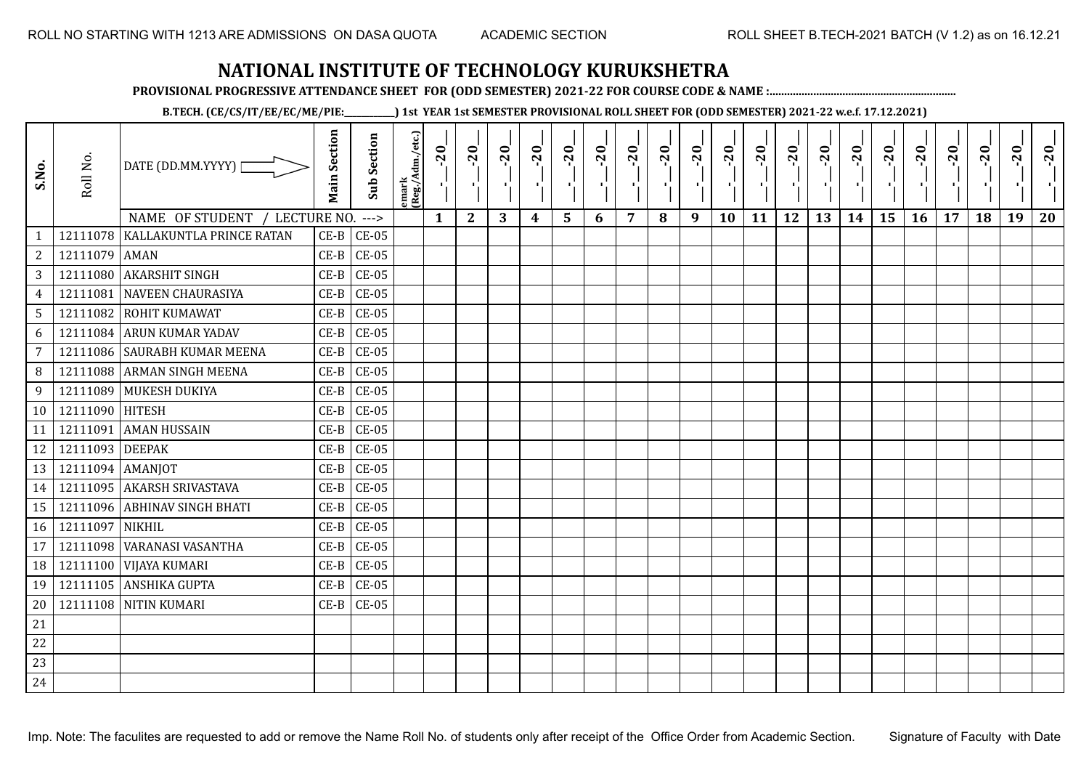**PROVISIONAL PROGRESSIVE ATTENDANCE SHEET FOR (ODD SEMESTER) 2021-22 FOR COURSE CODE & NAME :................................................................**

**B.TECH. (CE/CS/IT/EE/EC/ME/PIE:\_\_\_\_\_\_\_\_\_\_\_\_) 1st YEAR 1st SEMESTER PROVISIONAL ROLL SHEET FOR (ODD SEMESTER) 2021-22 w.e.f. 17.12.2021)**

| S.No.           | Roll No.         | DATE (DD.MM.YYYY) [<br>NAME OF STUDENT / LECTURE NO. | <b>Main Section</b> | <b>Sub Section</b><br>$--->$ | emark<br> (Reg./Adm./etc.) | $-20$<br>ч.<br>$\mathbf{1}$ | $-20$<br>×.<br>$\mathbf{2}$ | $-20$<br>л.,<br>3 | $-20$<br>шļ<br>$\boldsymbol{4}$ | $-20$<br>٠,<br>5 | $-20$<br>п.<br>6 | $-20$<br>π÷<br>7 | $-20$ | $-20$<br>- 1<br>9 | $-20$<br>×,<br>10 | $-20$<br>πt<br>11 | $-20$<br>п.,<br>12 | $-20$<br>чļ.<br>13 | $-20$<br>-11<br>14 | $-20$<br>٠,<br>15 | $-20$<br>л÷.<br>16 | $-20$<br>$\blacksquare$<br>17 | $-20$<br>18 | $-20$<br>×.<br>19 | $-20$<br>пŀ.<br>20 |
|-----------------|------------------|------------------------------------------------------|---------------------|------------------------------|----------------------------|-----------------------------|-----------------------------|-------------------|---------------------------------|------------------|------------------|------------------|-------|-------------------|-------------------|-------------------|--------------------|--------------------|--------------------|-------------------|--------------------|-------------------------------|-------------|-------------------|--------------------|
| $\mathbf{1}$    | 12111078         | KALLAKUNTLA PRINCE RATAN                             | $CE-B$              | $CE-05$                      |                            |                             |                             |                   |                                 |                  |                  |                  | 8     |                   |                   |                   |                    |                    |                    |                   |                    |                               |             |                   |                    |
| $\overline{a}$  | 12111079         | <b>AMAN</b>                                          | $CE-B$              | $CE-05$                      |                            |                             |                             |                   |                                 |                  |                  |                  |       |                   |                   |                   |                    |                    |                    |                   |                    |                               |             |                   |                    |
| $\mathbf{3}$    | 12111080         | <b>AKARSHIT SINGH</b>                                | $CE-B$              | $CE-05$                      |                            |                             |                             |                   |                                 |                  |                  |                  |       |                   |                   |                   |                    |                    |                    |                   |                    |                               |             |                   |                    |
| 4               | 12111081         | <b>NAVEEN CHAURASIYA</b>                             | $CE-B$              | $CE-05$                      |                            |                             |                             |                   |                                 |                  |                  |                  |       |                   |                   |                   |                    |                    |                    |                   |                    |                               |             |                   |                    |
| $5\phantom{.0}$ | 12111082         | <b>ROHIT KUMAWAT</b>                                 | $CE-B$              | $CE-05$                      |                            |                             |                             |                   |                                 |                  |                  |                  |       |                   |                   |                   |                    |                    |                    |                   |                    |                               |             |                   |                    |
| 6               | 12111084         | <b>ARUN KUMAR YADAV</b>                              | $CE-B$              | $CE-05$                      |                            |                             |                             |                   |                                 |                  |                  |                  |       |                   |                   |                   |                    |                    |                    |                   |                    |                               |             |                   |                    |
| $\overline{7}$  |                  | 12111086 SAURABH KUMAR MEENA                         | $CE-B$              | $CE-05$                      |                            |                             |                             |                   |                                 |                  |                  |                  |       |                   |                   |                   |                    |                    |                    |                   |                    |                               |             |                   |                    |
| 8               |                  | 12111088 ARMAN SINGH MEENA                           | $CE-B$              | $CE-05$                      |                            |                             |                             |                   |                                 |                  |                  |                  |       |                   |                   |                   |                    |                    |                    |                   |                    |                               |             |                   |                    |
| 9               |                  | 12111089 MUKESH DUKIYA                               | $CE-B$              | $CE-05$                      |                            |                             |                             |                   |                                 |                  |                  |                  |       |                   |                   |                   |                    |                    |                    |                   |                    |                               |             |                   |                    |
| 10              | 12111090 HITESH  |                                                      | $CE-B$              | $CE-05$                      |                            |                             |                             |                   |                                 |                  |                  |                  |       |                   |                   |                   |                    |                    |                    |                   |                    |                               |             |                   |                    |
| 11              | 12111091         | <b>AMAN HUSSAIN</b>                                  | $CE-B$              | $CE-05$                      |                            |                             |                             |                   |                                 |                  |                  |                  |       |                   |                   |                   |                    |                    |                    |                   |                    |                               |             |                   |                    |
| 12              | 12111093 DEEPAK  |                                                      | $CE-B$              | $CE-05$                      |                            |                             |                             |                   |                                 |                  |                  |                  |       |                   |                   |                   |                    |                    |                    |                   |                    |                               |             |                   |                    |
| 13              | 12111094 AMANJOT |                                                      | $CE-B$              | $CE-05$                      |                            |                             |                             |                   |                                 |                  |                  |                  |       |                   |                   |                   |                    |                    |                    |                   |                    |                               |             |                   |                    |
| 14              |                  | 12111095 AKARSH SRIVASTAVA                           | $CE-B$              | $CE-05$                      |                            |                             |                             |                   |                                 |                  |                  |                  |       |                   |                   |                   |                    |                    |                    |                   |                    |                               |             |                   |                    |
| 15              | 12111096         | <b>ABHINAV SINGH BHATI</b>                           | $CE-B$              | $CE-05$                      |                            |                             |                             |                   |                                 |                  |                  |                  |       |                   |                   |                   |                    |                    |                    |                   |                    |                               |             |                   |                    |
| 16              | 12111097         | <b>NIKHIL</b>                                        | $CE-B$              | $CE-05$                      |                            |                             |                             |                   |                                 |                  |                  |                  |       |                   |                   |                   |                    |                    |                    |                   |                    |                               |             |                   |                    |
| 17              | 12111098         | VARANASI VASANTHA                                    | $CE-B$              | $CE-05$                      |                            |                             |                             |                   |                                 |                  |                  |                  |       |                   |                   |                   |                    |                    |                    |                   |                    |                               |             |                   |                    |
| 18              | 12111100         | <b>VIJAYA KUMARI</b>                                 | $CE-B$              | $CE-05$                      |                            |                             |                             |                   |                                 |                  |                  |                  |       |                   |                   |                   |                    |                    |                    |                   |                    |                               |             |                   |                    |
| 19              |                  | 12111105 ANSHIKA GUPTA                               | $CE-B$              | $CE-05$                      |                            |                             |                             |                   |                                 |                  |                  |                  |       |                   |                   |                   |                    |                    |                    |                   |                    |                               |             |                   |                    |
| 20              |                  | 12111108 NITIN KUMARI                                | $CE-B$              | $CE-05$                      |                            |                             |                             |                   |                                 |                  |                  |                  |       |                   |                   |                   |                    |                    |                    |                   |                    |                               |             |                   |                    |
| 21              |                  |                                                      |                     |                              |                            |                             |                             |                   |                                 |                  |                  |                  |       |                   |                   |                   |                    |                    |                    |                   |                    |                               |             |                   |                    |
| 22              |                  |                                                      |                     |                              |                            |                             |                             |                   |                                 |                  |                  |                  |       |                   |                   |                   |                    |                    |                    |                   |                    |                               |             |                   |                    |
| 23              |                  |                                                      |                     |                              |                            |                             |                             |                   |                                 |                  |                  |                  |       |                   |                   |                   |                    |                    |                    |                   |                    |                               |             |                   |                    |
| 24              |                  |                                                      |                     |                              |                            |                             |                             |                   |                                 |                  |                  |                  |       |                   |                   |                   |                    |                    |                    |                   |                    |                               |             |                   |                    |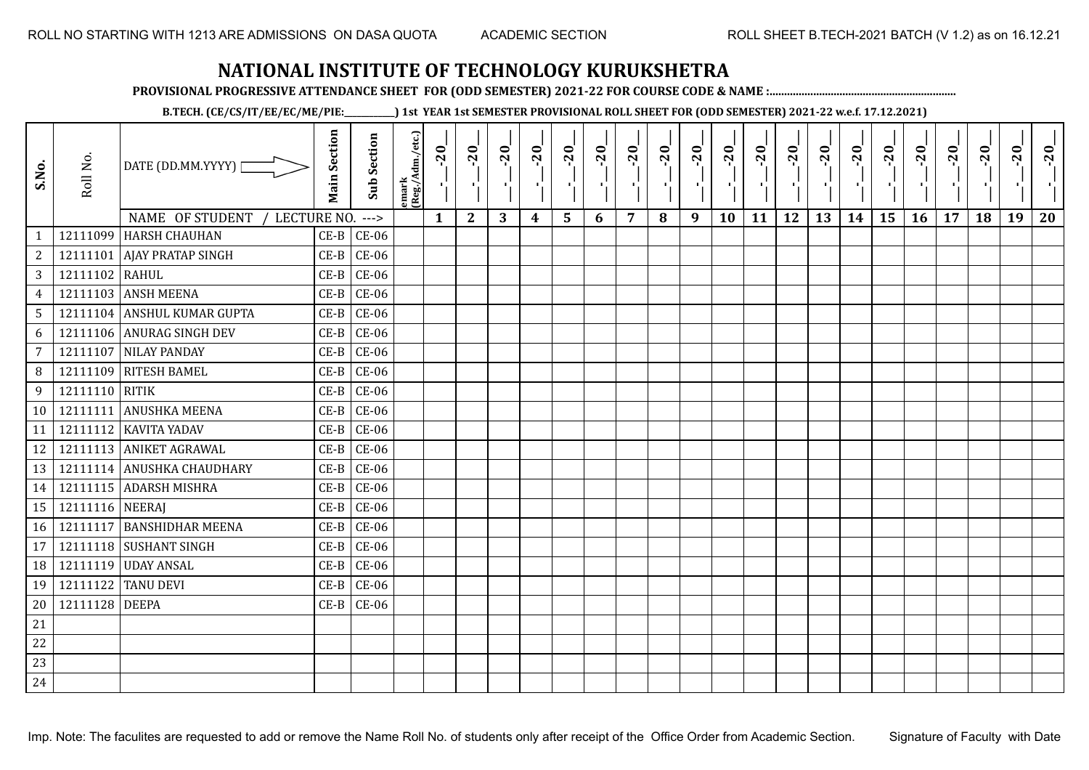**PROVISIONAL PROGRESSIVE ATTENDANCE SHEET FOR (ODD SEMESTER) 2021-22 FOR COURSE CODE & NAME :................................................................**

**B.TECH. (CE/CS/IT/EE/EC/ME/PIE:\_\_\_\_\_\_\_\_\_\_\_\_) 1st YEAR 1st SEMESTER PROVISIONAL ROLL SHEET FOR (ODD SEMESTER) 2021-22 w.e.f. 17.12.2021)**

| S.No.           | Roll No.        | DATE (DD.MM.YYYY) [           | <b>Main Section</b> | <b>Sub Section</b> | emark<br>(Reg./Adm./etc.) | $-1$ $-10$   | $-20$<br>٠,  | $-20$<br>π÷ | $-20$<br>лj | $-20$<br>ا .<br>ا | $-20$<br>л., | $-20$<br>шj | $-20$ | $-20$<br>- 1 | $-20$<br>٠, | $-20$<br>- 11 | $-20$<br>шĵ | $-20$<br>로 | $-20$<br>$\blacksquare$ | $-20$<br>국 | $-20$<br>У. | $-20$ | $-20$ | $-20$<br>$\mathcal{F}_1$ . | $-20$ |
|-----------------|-----------------|-------------------------------|---------------------|--------------------|---------------------------|--------------|--------------|-------------|-------------|-------------------|--------------|-------------|-------|--------------|-------------|---------------|-------------|------------|-------------------------|------------|-------------|-------|-------|----------------------------|-------|
|                 |                 | NAME OF STUDENT / LECTURE NO. |                     | $--->$             |                           | $\mathbf{1}$ | $\mathbf{2}$ | 3           | 4           | 5                 | 6            | 7           | 8     | 9            | <b>10</b>   | 11            | 12          | 13         | 14                      | 15         | 16          | 17    | 18    | 19                         | 20    |
|                 |                 | 12111099 HARSH CHAUHAN        | $CE-B$<br>$CE-B$    | $CE-06$            |                           |              |              |             |             |                   |              |             |       |              |             |               |             |            |                         |            |             |       |       |                            |       |
| $\overline{2}$  |                 | 12111101 AJAY PRATAP SINGH    |                     | $CE-06$            |                           |              |              |             |             |                   |              |             |       |              |             |               |             |            |                         |            |             |       |       |                            |       |
| 3 <sup>7</sup>  | 12111102 RAHUL  |                               | $CE-B$              | $CE-06$            |                           |              |              |             |             |                   |              |             |       |              |             |               |             |            |                         |            |             |       |       |                            |       |
| $\overline{4}$  |                 | 12111103 ANSH MEENA           | $CE-B$              | $CE-06$            |                           |              |              |             |             |                   |              |             |       |              |             |               |             |            |                         |            |             |       |       |                            |       |
| 5 <sup>5</sup>  |                 | 12111104 ANSHUL KUMAR GUPTA   | $CE-B$              | $CE-06$            |                           |              |              |             |             |                   |              |             |       |              |             |               |             |            |                         |            |             |       |       |                            |       |
| 6               |                 | 12111106 ANURAG SINGH DEV     | $CE-B$              | <b>CE-06</b>       |                           |              |              |             |             |                   |              |             |       |              |             |               |             |            |                         |            |             |       |       |                            |       |
| $\overline{7}$  |                 | 12111107 NILAY PANDAY         | $CE-B$              | $CE-06$            |                           |              |              |             |             |                   |              |             |       |              |             |               |             |            |                         |            |             |       |       |                            |       |
| 8               |                 | 12111109 RITESH BAMEL         | $CE-B$              | $CE-06$            |                           |              |              |             |             |                   |              |             |       |              |             |               |             |            |                         |            |             |       |       |                            |       |
| 9               | 12111110 RITIK  |                               | $CE-B$              | $CE-06$            |                           |              |              |             |             |                   |              |             |       |              |             |               |             |            |                         |            |             |       |       |                            |       |
| 10 <sup>1</sup> |                 | 12111111 ANUSHKA MEENA        | $CE-B$              | $CE-06$            |                           |              |              |             |             |                   |              |             |       |              |             |               |             |            |                         |            |             |       |       |                            |       |
| 11              |                 | 12111112 KAVITA YADAV         | $CE-B$              | $CE-06$            |                           |              |              |             |             |                   |              |             |       |              |             |               |             |            |                         |            |             |       |       |                            |       |
| 12              |                 | 12111113 ANIKET AGRAWAL       | $CE-B$              | $CE-06$            |                           |              |              |             |             |                   |              |             |       |              |             |               |             |            |                         |            |             |       |       |                            |       |
| 13              |                 | 12111114 ANUSHKA CHAUDHARY    | $CE-B$              | $CE-06$            |                           |              |              |             |             |                   |              |             |       |              |             |               |             |            |                         |            |             |       |       |                            |       |
| 14              |                 | 12111115 ADARSH MISHRA        | $CE-B$              | $CE-06$            |                           |              |              |             |             |                   |              |             |       |              |             |               |             |            |                         |            |             |       |       |                            |       |
| 15              | 12111116 NEERAJ |                               | $CE-B$              | $CE-06$            |                           |              |              |             |             |                   |              |             |       |              |             |               |             |            |                         |            |             |       |       |                            |       |
| 16              |                 | 12111117 BANSHIDHAR MEENA     | $CE-B$              | $CE-06$            |                           |              |              |             |             |                   |              |             |       |              |             |               |             |            |                         |            |             |       |       |                            |       |
| 17 <sup>1</sup> |                 | 12111118 SUSHANT SINGH        | $CE-B$              | $CE-06$            |                           |              |              |             |             |                   |              |             |       |              |             |               |             |            |                         |            |             |       |       |                            |       |
| 18              |                 | 12111119 UDAY ANSAL           | $CE-B$              | $CE-06$            |                           |              |              |             |             |                   |              |             |       |              |             |               |             |            |                         |            |             |       |       |                            |       |
| 19              |                 | 12111122 TANU DEVI            | $CE-B$              | $CE-06$            |                           |              |              |             |             |                   |              |             |       |              |             |               |             |            |                         |            |             |       |       |                            |       |
| 20              | 12111128 DEEPA  |                               | $CE-B$              | $CE-06$            |                           |              |              |             |             |                   |              |             |       |              |             |               |             |            |                         |            |             |       |       |                            |       |
| 21              |                 |                               |                     |                    |                           |              |              |             |             |                   |              |             |       |              |             |               |             |            |                         |            |             |       |       |                            |       |
| 22              |                 |                               |                     |                    |                           |              |              |             |             |                   |              |             |       |              |             |               |             |            |                         |            |             |       |       |                            |       |
| 23              |                 |                               |                     |                    |                           |              |              |             |             |                   |              |             |       |              |             |               |             |            |                         |            |             |       |       |                            |       |
| 24              |                 |                               |                     |                    |                           |              |              |             |             |                   |              |             |       |              |             |               |             |            |                         |            |             |       |       |                            |       |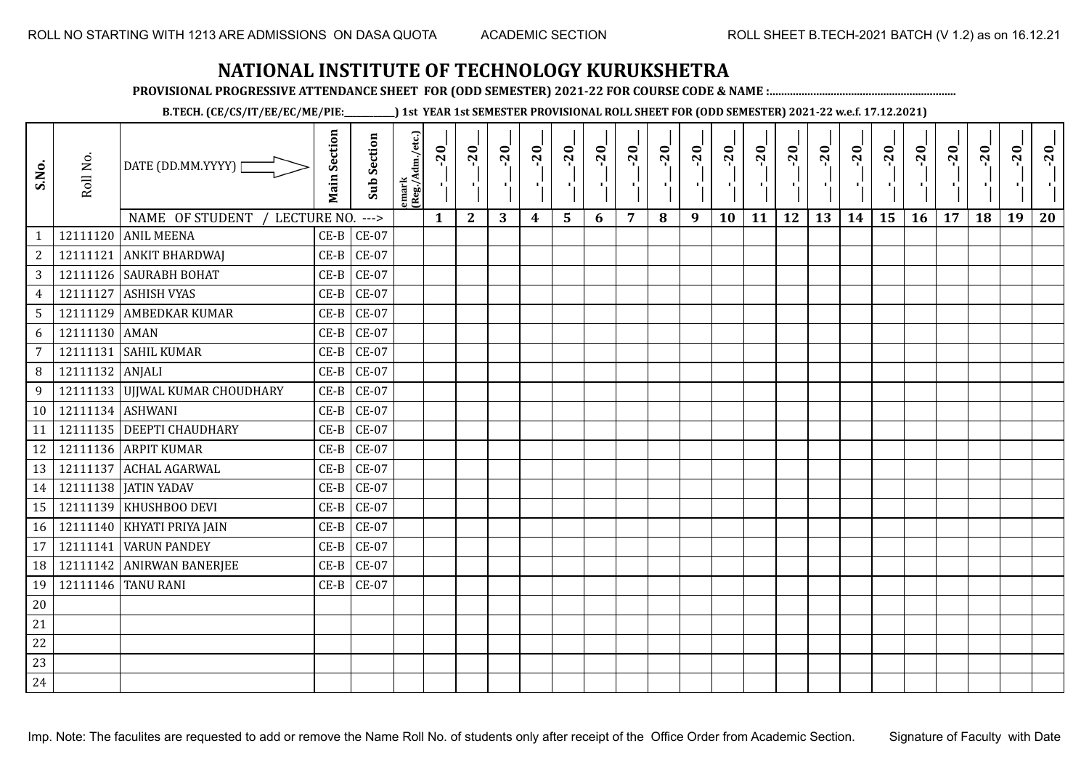**PROVISIONAL PROGRESSIVE ATTENDANCE SHEET FOR (ODD SEMESTER) 2021-22 FOR COURSE CODE & NAME :................................................................**

**B.TECH. (CE/CS/IT/EE/EC/ME/PIE:\_\_\_\_\_\_\_\_\_\_\_\_) 1st YEAR 1st SEMESTER PROVISIONAL ROLL SHEET FOR (ODD SEMESTER) 2021-22 w.e.f. 17.12.2021)**

| S.No.           | Roll No.         | DATE (DD.MM.YYYY) [                                   | <b>Main Section</b> | <b>Sub Section</b> | emark<br>(Reg./Adm./etc.) | $-20$<br>$\frac{1}{1}$ | $-20$<br>$\mathcal{F}_{\mathbf{L}}^{\mathbf{F}}$ | $-20$<br>π÷ | $-20$<br>т.      | $-20$<br>۱, | $-20$<br>хţ. | $-20$<br>-10 | $-20$ | $-20$<br>л. | $-20$<br>Ŀ, | $-20$<br>тļ | $-20$<br>π÷ | $-20$<br>로 | $-20$<br>шj | $-20$<br>۱, | $-20$<br>У. | $-20$ | $-20$ | $-20$<br>×, | $-20$<br>пŀ |
|-----------------|------------------|-------------------------------------------------------|---------------------|--------------------|---------------------------|------------------------|--------------------------------------------------|-------------|------------------|-------------|--------------|--------------|-------|-------------|-------------|-------------|-------------|------------|-------------|-------------|-------------|-------|-------|-------------|-------------|
| $\mathbf{1}$    |                  | NAME OF STUDENT<br>LECTURE NO.<br>12111120 ANIL MEENA | $CE-B$              | $--->$<br>$CE-07$  |                           | $\mathbf{1}$           | $\mathbf{2}$                                     | 3           | $\boldsymbol{4}$ | 5           | 6            | 7            | 8     | 9           | 10          | 11          | 12          | 13         | 14          | 15          | 16          | 17    | 18    | 19          | 20          |
| $\overline{2}$  |                  | 12111121 ANKIT BHARDWAJ                               | $CE-B$              | <b>CE-07</b>       |                           |                        |                                                  |             |                  |             |              |              |       |             |             |             |             |            |             |             |             |       |       |             |             |
| $\mathbf{3}$    |                  | 12111126 SAURABH BOHAT                                | $CE-B$              | <b>CE-07</b>       |                           |                        |                                                  |             |                  |             |              |              |       |             |             |             |             |            |             |             |             |       |       |             |             |
| $\overline{4}$  | 12111127         | <b>ASHISH VYAS</b>                                    | $CE-B$              | CE-07              |                           |                        |                                                  |             |                  |             |              |              |       |             |             |             |             |            |             |             |             |       |       |             |             |
| 5 <sup>5</sup>  |                  | 12111129 AMBEDKAR KUMAR                               | $CE-B$              | $CE-07$            |                           |                        |                                                  |             |                  |             |              |              |       |             |             |             |             |            |             |             |             |       |       |             |             |
| 6               | 12111130 AMAN    |                                                       | $CE-B$              | <b>CE-07</b>       |                           |                        |                                                  |             |                  |             |              |              |       |             |             |             |             |            |             |             |             |       |       |             |             |
| $\overline{7}$  | 12111131         | <b>SAHIL KUMAR</b>                                    | $CE-B$              | <b>CE-07</b>       |                           |                        |                                                  |             |                  |             |              |              |       |             |             |             |             |            |             |             |             |       |       |             |             |
| 8               | 12111132 ANJALI  |                                                       | $CE-B$              | <b>CE-07</b>       |                           |                        |                                                  |             |                  |             |              |              |       |             |             |             |             |            |             |             |             |       |       |             |             |
| $\overline{9}$  |                  | 12111133 UJJWAL KUMAR CHOUDHARY                       | $CE-B$              | <b>CE-07</b>       |                           |                        |                                                  |             |                  |             |              |              |       |             |             |             |             |            |             |             |             |       |       |             |             |
| 10 <sup>1</sup> | 12111134 ASHWANI |                                                       | $CE-B$              | <b>CE-07</b>       |                           |                        |                                                  |             |                  |             |              |              |       |             |             |             |             |            |             |             |             |       |       |             |             |
| 11              |                  | 12111135 DEEPTI CHAUDHARY                             | $CE-B$              | <b>CE-07</b>       |                           |                        |                                                  |             |                  |             |              |              |       |             |             |             |             |            |             |             |             |       |       |             |             |
| 12              |                  | 12111136 ARPIT KUMAR                                  | $CE-B$              | $CE-07$            |                           |                        |                                                  |             |                  |             |              |              |       |             |             |             |             |            |             |             |             |       |       |             |             |
| 13              |                  | 12111137 ACHAL AGARWAL                                | $CE-B$              | CE-07              |                           |                        |                                                  |             |                  |             |              |              |       |             |             |             |             |            |             |             |             |       |       |             |             |
| 14              |                  | 12111138   JATIN YADAV                                | $CE-B$              | <b>CE-07</b>       |                           |                        |                                                  |             |                  |             |              |              |       |             |             |             |             |            |             |             |             |       |       |             |             |
| 15              |                  | 12111139 KHUSHBOO DEVI                                | $CE-B$              | <b>CE-07</b>       |                           |                        |                                                  |             |                  |             |              |              |       |             |             |             |             |            |             |             |             |       |       |             |             |
| 16              |                  | 12111140 KHYATI PRIYA JAIN                            | $CE-B$              | $CE-07$            |                           |                        |                                                  |             |                  |             |              |              |       |             |             |             |             |            |             |             |             |       |       |             |             |
| 17              |                  | 12111141 VARUN PANDEY                                 | $CE-B$              | $CE-07$            |                           |                        |                                                  |             |                  |             |              |              |       |             |             |             |             |            |             |             |             |       |       |             |             |
| 18              |                  | 12111142 ANIRWAN BANERJEE                             | $CE-B$              | <b>CE-07</b>       |                           |                        |                                                  |             |                  |             |              |              |       |             |             |             |             |            |             |             |             |       |       |             |             |
| 19              |                  | 12111146 TANU RANI                                    | $CE-B$              | CE-07              |                           |                        |                                                  |             |                  |             |              |              |       |             |             |             |             |            |             |             |             |       |       |             |             |
| $20\,$          |                  |                                                       |                     |                    |                           |                        |                                                  |             |                  |             |              |              |       |             |             |             |             |            |             |             |             |       |       |             |             |
| $21\,$          |                  |                                                       |                     |                    |                           |                        |                                                  |             |                  |             |              |              |       |             |             |             |             |            |             |             |             |       |       |             |             |
| 22              |                  |                                                       |                     |                    |                           |                        |                                                  |             |                  |             |              |              |       |             |             |             |             |            |             |             |             |       |       |             |             |
| 23              |                  |                                                       |                     |                    |                           |                        |                                                  |             |                  |             |              |              |       |             |             |             |             |            |             |             |             |       |       |             |             |
| 24              |                  |                                                       |                     |                    |                           |                        |                                                  |             |                  |             |              |              |       |             |             |             |             |            |             |             |             |       |       |             |             |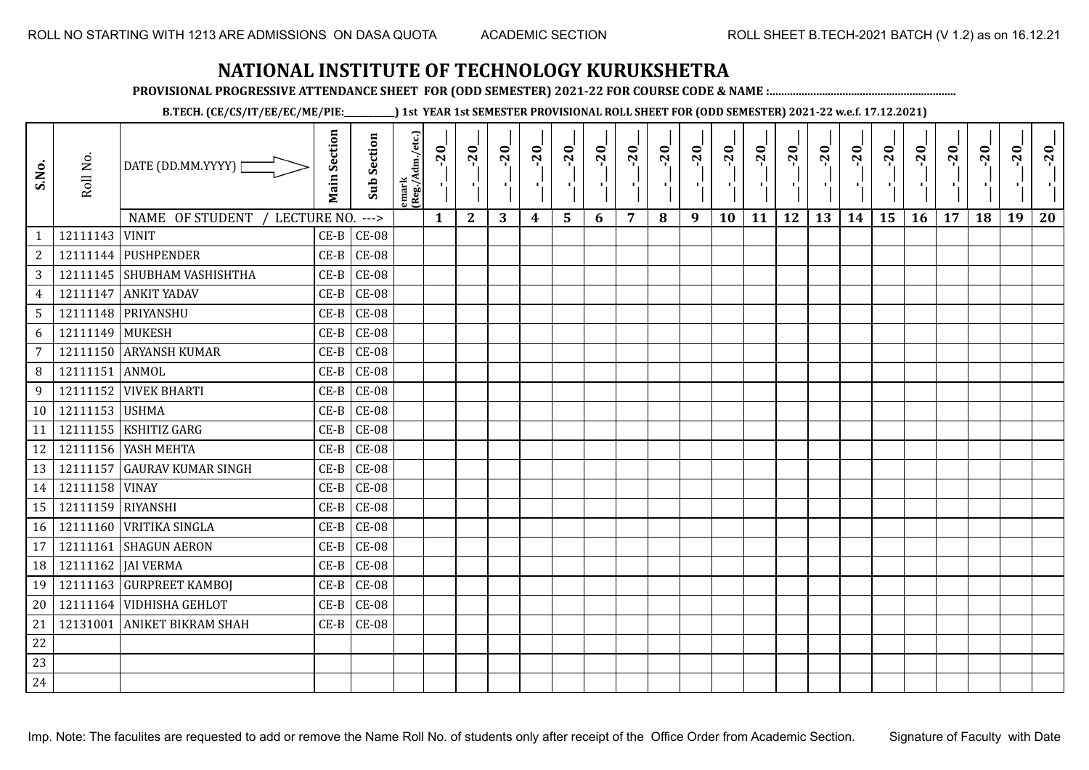**PROVISIONAL PROGRESSIVE ATTENDANCE SHEET FOR (ODD SEMESTER) 2021-22 FOR COURSE CODE & NAME :................................................................**

**B.TECH. (CE/CS/IT/EE/EC/ME/PIE:\_\_\_\_\_\_\_\_\_\_\_\_) 1st YEAR 1st SEMESTER PROVISIONAL ROLL SHEET FOR (ODD SEMESTER) 2021-22 w.e.f. 17.12.2021)**

| S.No.           | Roll No.          | DATE (DD.MM.YYYY) [<br>NAME OF STUDENT /<br>LECTURE NO. | <b>Main Section</b> | <b>Sub Section</b><br>$--->$ | emark<br>(Reg./Adm./etc.) | $-20$<br>莹<br>$\mathbf{1}$ | $-20$<br>-9<br>$\mathbf{2}$ | $-20$<br>3 | $-20$<br>$\blacksquare$<br>4 | $-20$<br>÷,<br>5 | $-20$<br>- 10<br>6 | $-20$<br>п,<br>7 | $-20$<br>×,<br>8 | $-20$<br>$\mathcal{F}_{\mathbf{p}}$<br>9 | $-20$<br>п.<br>10 | $-20$<br>-91<br>11 | $-20$<br>π÷<br>12 | $-20$<br>×.<br>13 | $-20$<br>Æ.<br>14 | $-20$<br>л÷,<br>15 | $-20$<br>π÷<br>16 | $-20$<br>$\mathbf{r}$<br>17 | $-20$<br>۱,<br>18 | $-20$<br>$\mathbf{r}$<br>19 | $-20$<br>20 |
|-----------------|-------------------|---------------------------------------------------------|---------------------|------------------------------|---------------------------|----------------------------|-----------------------------|------------|------------------------------|------------------|--------------------|------------------|------------------|------------------------------------------|-------------------|--------------------|-------------------|-------------------|-------------------|--------------------|-------------------|-----------------------------|-------------------|-----------------------------|-------------|
| $\mathbf{1}$    | 12111143 VINIT    |                                                         | $CE-B$              | $CE-08$                      |                           |                            |                             |            |                              |                  |                    |                  |                  |                                          |                   |                    |                   |                   |                   |                    |                   |                             |                   |                             |             |
| $\mathbf{2}$    |                   | 12111144 PUSHPENDER                                     | $CE-B$              | $CE-08$                      |                           |                            |                             |            |                              |                  |                    |                  |                  |                                          |                   |                    |                   |                   |                   |                    |                   |                             |                   |                             |             |
| 3               |                   | 12111145 SHUBHAM VASHISHTHA                             | $CE-B$              | $CE-08$                      |                           |                            |                             |            |                              |                  |                    |                  |                  |                                          |                   |                    |                   |                   |                   |                    |                   |                             |                   |                             |             |
| $\overline{4}$  | 12111147          | <b>ANKIT YADAV</b>                                      | $CE-B$              | $CE-08$                      |                           |                            |                             |            |                              |                  |                    |                  |                  |                                          |                   |                    |                   |                   |                   |                    |                   |                             |                   |                             |             |
| $5\overline{)}$ |                   | 12111148 PRIYANSHU                                      | $CE-B$              | $CE-08$                      |                           |                            |                             |            |                              |                  |                    |                  |                  |                                          |                   |                    |                   |                   |                   |                    |                   |                             |                   |                             |             |
| 6               | 12111149 MUKESH   |                                                         | $CE-B$              | $CE-08$                      |                           |                            |                             |            |                              |                  |                    |                  |                  |                                          |                   |                    |                   |                   |                   |                    |                   |                             |                   |                             |             |
| $\overline{7}$  |                   | 12111150 ARYANSH KUMAR                                  | $CE-B$              | $CE-08$                      |                           |                            |                             |            |                              |                  |                    |                  |                  |                                          |                   |                    |                   |                   |                   |                    |                   |                             |                   |                             |             |
| 8               | 12111151          | ANMOL                                                   | $CE-B$              | $CE-08$                      |                           |                            |                             |            |                              |                  |                    |                  |                  |                                          |                   |                    |                   |                   |                   |                    |                   |                             |                   |                             |             |
| 9               | 12111152          | <b>VIVEK BHARTI</b>                                     | $CE-B$              | $CE-08$                      |                           |                            |                             |            |                              |                  |                    |                  |                  |                                          |                   |                    |                   |                   |                   |                    |                   |                             |                   |                             |             |
| 10              | 12111153 USHMA    |                                                         | $CE-B$              | $CE-08$                      |                           |                            |                             |            |                              |                  |                    |                  |                  |                                          |                   |                    |                   |                   |                   |                    |                   |                             |                   |                             |             |
| 11              | 12111155          | <b>KSHITIZ GARG</b>                                     | $CE-B$              | $CE-08$                      |                           |                            |                             |            |                              |                  |                    |                  |                  |                                          |                   |                    |                   |                   |                   |                    |                   |                             |                   |                             |             |
| 12              |                   | 12111156 YASH MEHTA                                     | $CE-B$              | $CE-08$                      |                           |                            |                             |            |                              |                  |                    |                  |                  |                                          |                   |                    |                   |                   |                   |                    |                   |                             |                   |                             |             |
| 13              | 12111157          | <b>GAURAV KUMAR SINGH</b>                               | $CE-B$              | $CE-08$                      |                           |                            |                             |            |                              |                  |                    |                  |                  |                                          |                   |                    |                   |                   |                   |                    |                   |                             |                   |                             |             |
| 14              | 12111158 VINAY    |                                                         | $CE-B$              | $CE-08$                      |                           |                            |                             |            |                              |                  |                    |                  |                  |                                          |                   |                    |                   |                   |                   |                    |                   |                             |                   |                             |             |
| 15              | 12111159 RIYANSHI |                                                         | $CE-B$              | $CE-08$                      |                           |                            |                             |            |                              |                  |                    |                  |                  |                                          |                   |                    |                   |                   |                   |                    |                   |                             |                   |                             |             |
| 16              |                   | 12111160 VRITIKA SINGLA                                 | $CE-B$              | $CE-08$                      |                           |                            |                             |            |                              |                  |                    |                  |                  |                                          |                   |                    |                   |                   |                   |                    |                   |                             |                   |                             |             |
| 17              | 12111161          | <b>SHAGUN AERON</b>                                     | $CE-B$              | $CE-08$                      |                           |                            |                             |            |                              |                  |                    |                  |                  |                                          |                   |                    |                   |                   |                   |                    |                   |                             |                   |                             |             |
| 18              |                   | 12111162 JAI VERMA                                      | $CE-B$              | $CE-08$                      |                           |                            |                             |            |                              |                  |                    |                  |                  |                                          |                   |                    |                   |                   |                   |                    |                   |                             |                   |                             |             |
| 19              |                   | 12111163 GURPREET KAMBOI                                | $CE-B$              | $CE-08$                      |                           |                            |                             |            |                              |                  |                    |                  |                  |                                          |                   |                    |                   |                   |                   |                    |                   |                             |                   |                             |             |
| 20              |                   | 12111164 VIDHISHA GEHLOT                                | $CE-B$              | $CE-08$                      |                           |                            |                             |            |                              |                  |                    |                  |                  |                                          |                   |                    |                   |                   |                   |                    |                   |                             |                   |                             |             |
| 21              | 12131001          | <b>ANIKET BIKRAM SHAH</b>                               | $CE-B$              | $CE-08$                      |                           |                            |                             |            |                              |                  |                    |                  |                  |                                          |                   |                    |                   |                   |                   |                    |                   |                             |                   |                             |             |
| 22              |                   |                                                         |                     |                              |                           |                            |                             |            |                              |                  |                    |                  |                  |                                          |                   |                    |                   |                   |                   |                    |                   |                             |                   |                             |             |
| 23              |                   |                                                         |                     |                              |                           |                            |                             |            |                              |                  |                    |                  |                  |                                          |                   |                    |                   |                   |                   |                    |                   |                             |                   |                             |             |
| 24              |                   |                                                         |                     |                              |                           |                            |                             |            |                              |                  |                    |                  |                  |                                          |                   |                    |                   |                   |                   |                    |                   |                             |                   |                             |             |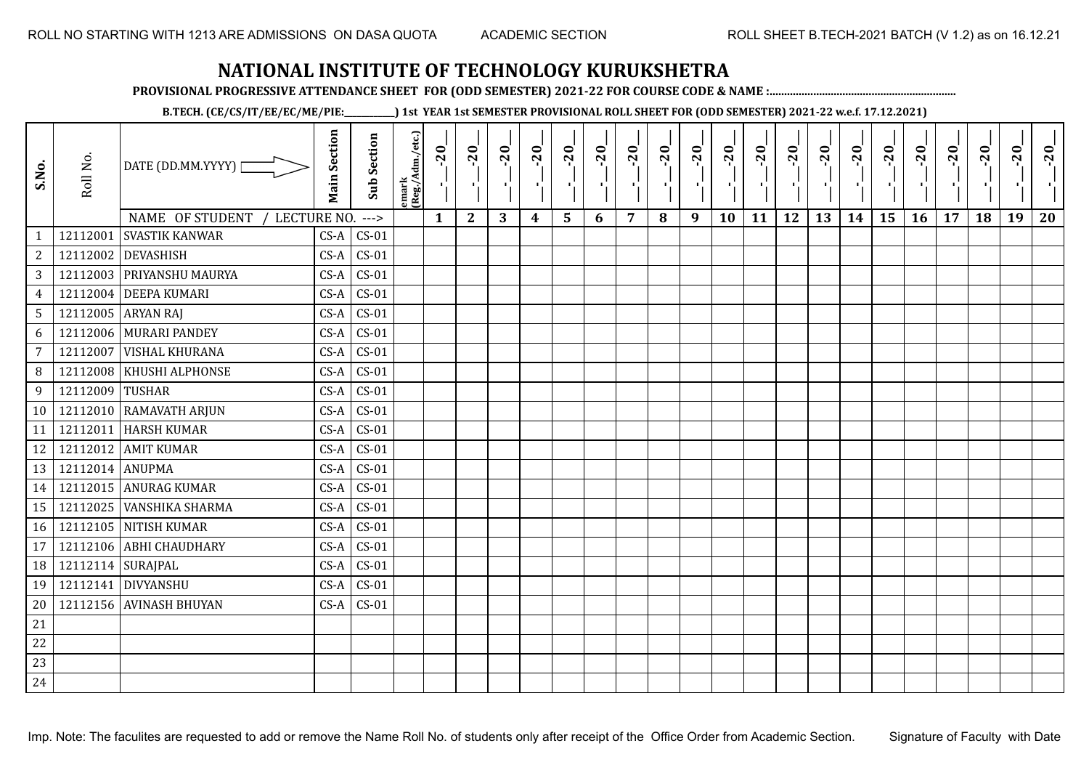**PROVISIONAL PROGRESSIVE ATTENDANCE SHEET FOR (ODD SEMESTER) 2021-22 FOR COURSE CODE & NAME :................................................................**

**B.TECH. (CE/CS/IT/EE/EC/ME/PIE:\_\_\_\_\_\_\_\_\_\_\_\_) 1st YEAR 1st SEMESTER PROVISIONAL ROLL SHEET FOR (ODD SEMESTER) 2021-22 w.e.f. 17.12.2021)**

| S.No.           | Roll No.            | DATE (DD.MM.YYYY)              | <b>Main Section</b> | <b>Sub Section</b> | emark<br> (Reg./Adm./etc.) | $-20$        | $-20$<br>×.  | $-20$<br>л. | $-20$ | $-20$<br>л. | $-20$ | $-20$ | $-20$ | $-20$<br>π÷ | $-20$<br>л, | $-20$ | $-20$<br>πī | $-20$ | $-20$ | $-20$<br>۱, | $-20$ | $-20$ | $-20$ | $-20$<br>ч. | $-20$ |
|-----------------|---------------------|--------------------------------|---------------------|--------------------|----------------------------|--------------|--------------|-------------|-------|-------------|-------|-------|-------|-------------|-------------|-------|-------------|-------|-------|-------------|-------|-------|-------|-------------|-------|
|                 |                     | NAME OF STUDENT<br>LECTURE NO. |                     | $--->$             |                            | $\mathbf{1}$ | $\mathbf{2}$ | 3           | 4     | 5           | 6     | 7     | 8     | 9           | 10          | 11    | 12          | 13    | 14    | 15          | 16    | 17    | 18    | 19          | 20    |
| $\mathbf{1}$    | 12112001            | <b>SVASTIK KANWAR</b>          | $CS-A$              | $CS-01$            |                            |              |              |             |       |             |       |       |       |             |             |       |             |       |       |             |       |       |       |             |       |
| $\overline{c}$  | 12112002            | <b>DEVASHISH</b>               | $CS-A$              | $CS-01$            |                            |              |              |             |       |             |       |       |       |             |             |       |             |       |       |             |       |       |       |             |       |
| 3               |                     | 12112003 PRIYANSHU MAURYA      | $CS-A$              | $CS-01$            |                            |              |              |             |       |             |       |       |       |             |             |       |             |       |       |             |       |       |       |             |       |
| $\overline{4}$  | 12112004            | <b>DEEPA KUMARI</b>            | $CS-A$              | $CS-01$            |                            |              |              |             |       |             |       |       |       |             |             |       |             |       |       |             |       |       |       |             |       |
| $5\phantom{.0}$ |                     | 12112005 ARYAN RAJ             | $CS-A$              | $CS-01$            |                            |              |              |             |       |             |       |       |       |             |             |       |             |       |       |             |       |       |       |             |       |
| 6               |                     | 12112006 MURARI PANDEY         | $CS-A$              | $CS-01$            |                            |              |              |             |       |             |       |       |       |             |             |       |             |       |       |             |       |       |       |             |       |
| 7               | 12112007            | <b>VISHAL KHURANA</b>          | $CS-A$              | $CS-01$            |                            |              |              |             |       |             |       |       |       |             |             |       |             |       |       |             |       |       |       |             |       |
| 8               | 12112008            | KHUSHI ALPHONSE                | $CS-A$              | $CS-01$            |                            |              |              |             |       |             |       |       |       |             |             |       |             |       |       |             |       |       |       |             |       |
| 9               | 12112009            | <b>TUSHAR</b>                  | $CS-A$              | $CS-01$            |                            |              |              |             |       |             |       |       |       |             |             |       |             |       |       |             |       |       |       |             |       |
| 10              |                     | 12112010 RAMAVATH ARJUN        | $CS-A$              | $CS-01$            |                            |              |              |             |       |             |       |       |       |             |             |       |             |       |       |             |       |       |       |             |       |
| 11              | 12112011            | <b>HARSH KUMAR</b>             | $CS-A$              | $CS-01$            |                            |              |              |             |       |             |       |       |       |             |             |       |             |       |       |             |       |       |       |             |       |
| 12              |                     | 12112012 AMIT KUMAR            | $CS-A$              | $CS-01$            |                            |              |              |             |       |             |       |       |       |             |             |       |             |       |       |             |       |       |       |             |       |
| 13              | 12112014 ANUPMA     |                                | $CS-A$              | $CS-01$            |                            |              |              |             |       |             |       |       |       |             |             |       |             |       |       |             |       |       |       |             |       |
| 14              |                     | 12112015 ANURAG KUMAR          | $CS-A$              | $CS-01$            |                            |              |              |             |       |             |       |       |       |             |             |       |             |       |       |             |       |       |       |             |       |
| 15              | 12112025            | <b>VANSHIKA SHARMA</b>         | $CS-A$              | $CS-01$            |                            |              |              |             |       |             |       |       |       |             |             |       |             |       |       |             |       |       |       |             |       |
| 16              |                     | 12112105 NITISH KUMAR          | $CS-A$              | $CS-01$            |                            |              |              |             |       |             |       |       |       |             |             |       |             |       |       |             |       |       |       |             |       |
| 17              | 12112106            | <b>ABHI CHAUDHARY</b>          | $CS-A$              | $CS-01$            |                            |              |              |             |       |             |       |       |       |             |             |       |             |       |       |             |       |       |       |             |       |
| 18              | 12112114   SURAJPAL |                                | $CS-A$              | $CS-01$            |                            |              |              |             |       |             |       |       |       |             |             |       |             |       |       |             |       |       |       |             |       |
| 19              | 12112141            | DIVYANSHU                      | $CS-A$              | $CS-01$            |                            |              |              |             |       |             |       |       |       |             |             |       |             |       |       |             |       |       |       |             |       |
| 20              |                     | 12112156 AVINASH BHUYAN        | $CS-A$              | $CS-01$            |                            |              |              |             |       |             |       |       |       |             |             |       |             |       |       |             |       |       |       |             |       |
| 21              |                     |                                |                     |                    |                            |              |              |             |       |             |       |       |       |             |             |       |             |       |       |             |       |       |       |             |       |
| 22              |                     |                                |                     |                    |                            |              |              |             |       |             |       |       |       |             |             |       |             |       |       |             |       |       |       |             |       |
| 23              |                     |                                |                     |                    |                            |              |              |             |       |             |       |       |       |             |             |       |             |       |       |             |       |       |       |             |       |
| 24              |                     |                                |                     |                    |                            |              |              |             |       |             |       |       |       |             |             |       |             |       |       |             |       |       |       |             |       |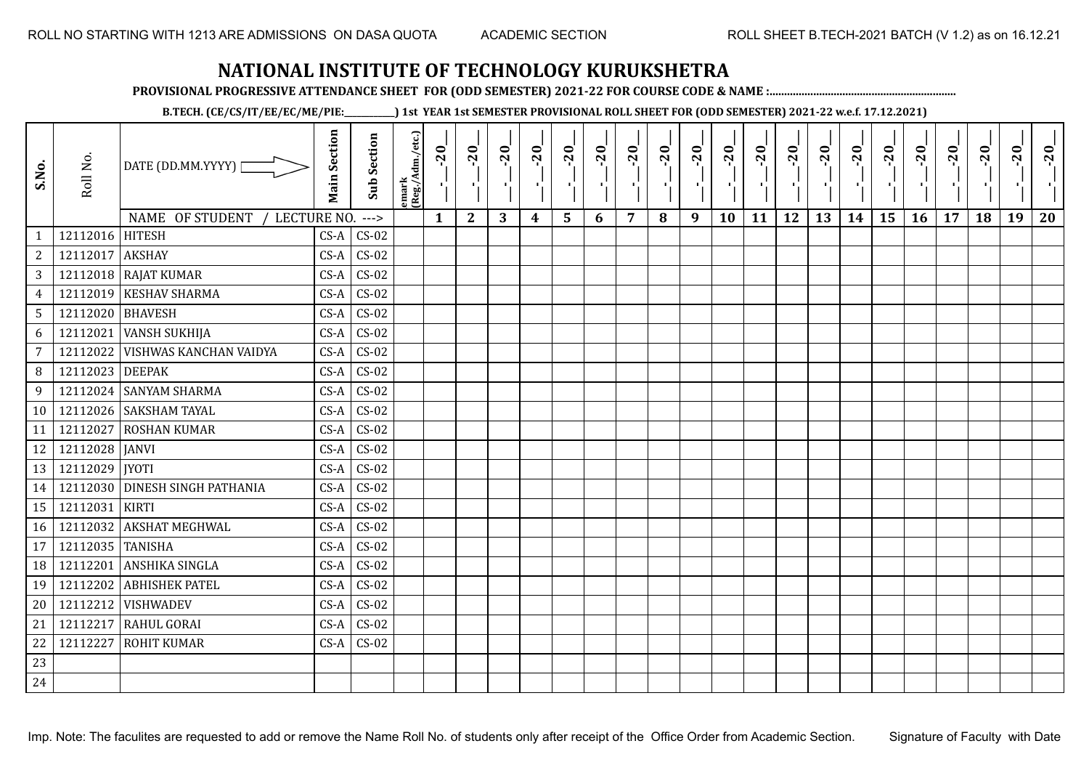**PROVISIONAL PROGRESSIVE ATTENDANCE SHEET FOR (ODD SEMESTER) 2021-22 FOR COURSE CODE & NAME :................................................................**

**B.TECH. (CE/CS/IT/EE/EC/ME/PIE:\_\_\_\_\_\_\_\_\_\_\_\_) 1st YEAR 1st SEMESTER PROVISIONAL ROLL SHEET FOR (ODD SEMESTER) 2021-22 w.e.f. 17.12.2021)**

| S.No.          | Roll No.         | DATE (DD.MM.YYYY)<br>NAME OF STUDENT<br>LECTURE NO. | <b>Main Section</b> | <b>Sub Section</b><br>$--->$ | emark<br>(Reg./Adm./etc.) | $-20$<br>$\mathbf{1}$ | $-20$<br>π÷<br>$\mathbf{2}$ | $-20$<br>л÷.<br>3 | $-20$<br>π÷<br>$\boldsymbol{4}$ | $-20$<br>- 1<br>5 | $-20$<br>6 | $-20$<br>7 | $-20$<br>8 | $-20$<br>π÷<br>9 | $-20$<br>л,<br>10 | $-20$<br>τj<br>11 | $-20$<br>π÷<br>12 | $-20$<br>Æ,<br>13 | $-20$<br>$\blacksquare$<br>14 | $-20$<br>۱,<br>15 | $-20$<br>л÷,<br>16 | $-20$<br>17 | $-20$<br>18 | $-20$<br>×.<br>19 | $-20$<br>20 |
|----------------|------------------|-----------------------------------------------------|---------------------|------------------------------|---------------------------|-----------------------|-----------------------------|-------------------|---------------------------------|-------------------|------------|------------|------------|------------------|-------------------|-------------------|-------------------|-------------------|-------------------------------|-------------------|--------------------|-------------|-------------|-------------------|-------------|
| $\mathbf{1}$   | 12112016 HITESH  |                                                     | $CS-A$              | $CS-02$                      |                           |                       |                             |                   |                                 |                   |            |            |            |                  |                   |                   |                   |                   |                               |                   |                    |             |             |                   |             |
| $\overline{c}$ | 12112017         | <b>AKSHAY</b>                                       | $CS-A$              | $CS-02$                      |                           |                       |                             |                   |                                 |                   |            |            |            |                  |                   |                   |                   |                   |                               |                   |                    |             |             |                   |             |
| 3              |                  | 12112018 RAJAT KUMAR                                | $CS-A$              | $CS-02$                      |                           |                       |                             |                   |                                 |                   |            |            |            |                  |                   |                   |                   |                   |                               |                   |                    |             |             |                   |             |
| $\overline{4}$ | 12112019         | <b>KESHAV SHARMA</b>                                | $CS-A$              | $CS-02$                      |                           |                       |                             |                   |                                 |                   |            |            |            |                  |                   |                   |                   |                   |                               |                   |                    |             |             |                   |             |
| 5              | 12112020 BHAVESH |                                                     | $CS-A$              | $CS-02$                      |                           |                       |                             |                   |                                 |                   |            |            |            |                  |                   |                   |                   |                   |                               |                   |                    |             |             |                   |             |
| 6              | 12112021         | <b>VANSH SUKHIJA</b>                                | $CS-A$              | $CS-02$                      |                           |                       |                             |                   |                                 |                   |            |            |            |                  |                   |                   |                   |                   |                               |                   |                    |             |             |                   |             |
| $\overline{7}$ | 12112022         | VISHWAS KANCHAN VAIDYA                              | $CS-A$              | $CS-02$                      |                           |                       |                             |                   |                                 |                   |            |            |            |                  |                   |                   |                   |                   |                               |                   |                    |             |             |                   |             |
| 8              | 12112023         | <b>DEEPAK</b>                                       | $CS-A$              | $CS-02$                      |                           |                       |                             |                   |                                 |                   |            |            |            |                  |                   |                   |                   |                   |                               |                   |                    |             |             |                   |             |
| 9              | 12112024         | <b>SANYAM SHARMA</b>                                | $CS-A$              | $CS-02$                      |                           |                       |                             |                   |                                 |                   |            |            |            |                  |                   |                   |                   |                   |                               |                   |                    |             |             |                   |             |
| 10             |                  | 12112026 SAKSHAM TAYAL                              | $CS-A$              | $CS-02$                      |                           |                       |                             |                   |                                 |                   |            |            |            |                  |                   |                   |                   |                   |                               |                   |                    |             |             |                   |             |
| 11             | 12112027         | <b>ROSHAN KUMAR</b>                                 | $CS-A$              | $CS-02$                      |                           |                       |                             |                   |                                 |                   |            |            |            |                  |                   |                   |                   |                   |                               |                   |                    |             |             |                   |             |
| 12             | 12112028 JANVI   |                                                     | $CS-A$              | $CS-02$                      |                           |                       |                             |                   |                                 |                   |            |            |            |                  |                   |                   |                   |                   |                               |                   |                    |             |             |                   |             |
| 13             | 12112029   JYOTI |                                                     | $CS-A$              | $CS-02$                      |                           |                       |                             |                   |                                 |                   |            |            |            |                  |                   |                   |                   |                   |                               |                   |                    |             |             |                   |             |
| 14             |                  | 12112030 DINESH SINGH PATHANIA                      | $CS-A$              | $CS-02$                      |                           |                       |                             |                   |                                 |                   |            |            |            |                  |                   |                   |                   |                   |                               |                   |                    |             |             |                   |             |
| 15             | 12112031         | <b>KIRTI</b>                                        | $CS-A$              | $CS-02$                      |                           |                       |                             |                   |                                 |                   |            |            |            |                  |                   |                   |                   |                   |                               |                   |                    |             |             |                   |             |
| 16             | 12112032         | <b>AKSHAT MEGHWAL</b>                               | $CS-A$              | $CS-02$                      |                           |                       |                             |                   |                                 |                   |            |            |            |                  |                   |                   |                   |                   |                               |                   |                    |             |             |                   |             |
| 17             | 12112035 TANISHA |                                                     | $CS-A$              | $CS-02$                      |                           |                       |                             |                   |                                 |                   |            |            |            |                  |                   |                   |                   |                   |                               |                   |                    |             |             |                   |             |
| 18             | 12112201         | ANSHIKA SINGLA                                      | $CS-A$              | $CS-02$                      |                           |                       |                             |                   |                                 |                   |            |            |            |                  |                   |                   |                   |                   |                               |                   |                    |             |             |                   |             |
| 19             | 12112202         | <b>ABHISHEK PATEL</b>                               | $CS-A$              | $CS-02$                      |                           |                       |                             |                   |                                 |                   |            |            |            |                  |                   |                   |                   |                   |                               |                   |                    |             |             |                   |             |
| 20             | 12112212         | <b>VISHWADEV</b>                                    | $CS-A$              | $CS-02$                      |                           |                       |                             |                   |                                 |                   |            |            |            |                  |                   |                   |                   |                   |                               |                   |                    |             |             |                   |             |
| 21             | 12112217         | <b>RAHUL GORAI</b>                                  | $CS-A$              | $CS-02$                      |                           |                       |                             |                   |                                 |                   |            |            |            |                  |                   |                   |                   |                   |                               |                   |                    |             |             |                   |             |
| 22             | 12112227         | <b>ROHIT KUMAR</b>                                  | $CS-A$              | $CS-02$                      |                           |                       |                             |                   |                                 |                   |            |            |            |                  |                   |                   |                   |                   |                               |                   |                    |             |             |                   |             |
| 23             |                  |                                                     |                     |                              |                           |                       |                             |                   |                                 |                   |            |            |            |                  |                   |                   |                   |                   |                               |                   |                    |             |             |                   |             |
| 24             |                  |                                                     |                     |                              |                           |                       |                             |                   |                                 |                   |            |            |            |                  |                   |                   |                   |                   |                               |                   |                    |             |             |                   |             |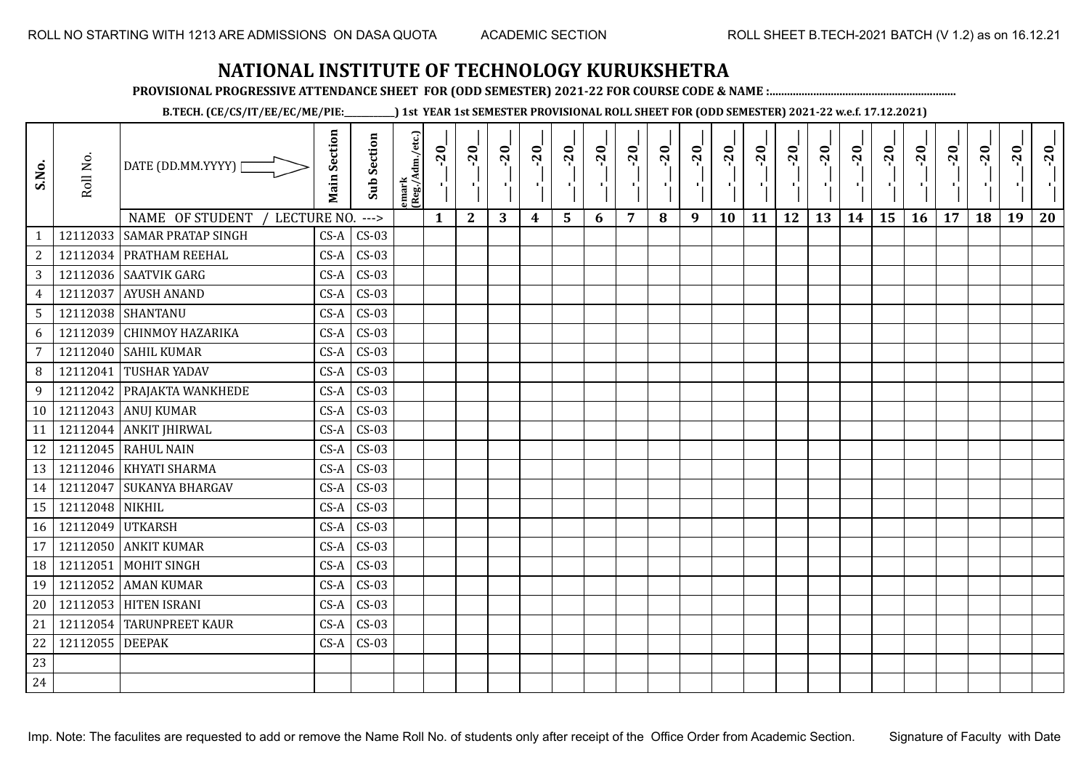**PROVISIONAL PROGRESSIVE ATTENDANCE SHEET FOR (ODD SEMESTER) 2021-22 FOR COURSE CODE & NAME :................................................................**

**B.TECH. (CE/CS/IT/EE/EC/ME/PIE:\_\_\_\_\_\_\_\_\_\_\_\_) 1st YEAR 1st SEMESTER PROVISIONAL ROLL SHEET FOR (ODD SEMESTER) 2021-22 w.e.f. 17.12.2021)**

| S.No.          | Roll No.         | DATE (DD.MM.YYYY) [            | <b>Main Section</b> | <b>Sub Section</b> | emark<br> (Reg./Adm./etc.) | $-20$<br>- C 1 | $-20$        | $-20$ | $-20$ | $-20$          | $-20$<br>$\mathbf{r}$ | $-20$ | $-20$ | $-20$<br>π÷ | $-20$<br>л, | $-20$ | $-20$<br>$\mathbf{r}$ | $-20$ | $-20$<br>$\mathbf{r}$ | $-20$<br>٠, | $-20$<br>п÷ | $-20$ | $-20$ | $-20$<br>×. | $-20$ |
|----------------|------------------|--------------------------------|---------------------|--------------------|----------------------------|----------------|--------------|-------|-------|----------------|-----------------------|-------|-------|-------------|-------------|-------|-----------------------|-------|-----------------------|-------------|-------------|-------|-------|-------------|-------|
|                |                  | NAME OF STUDENT<br>LECTURE NO. |                     | $--->$             |                            | $\mathbf{1}$   | $\mathbf{2}$ | 3     | 4     | $5\phantom{1}$ | 6                     | 7     | 8     | 9           | 10          | 11    | 12                    | 13    | 14                    | 15          | 16          | 17    | 18    | 19          | 20    |
| $\mathbf{1}$   | 12112033         | <b>SAMAR PRATAP SINGH</b>      | $CS-A$              | $CS-03$            |                            |                |              |       |       |                |                       |       |       |             |             |       |                       |       |                       |             |             |       |       |             |       |
| $\sqrt{2}$     |                  | 12112034 PRATHAM REEHAL        | $CS-A$              | $CS-03$            |                            |                |              |       |       |                |                       |       |       |             |             |       |                       |       |                       |             |             |       |       |             |       |
| $\sqrt{3}$     |                  | 12112036 SAATVIK GARG          | $CS-A$              | $CS-03$            |                            |                |              |       |       |                |                       |       |       |             |             |       |                       |       |                       |             |             |       |       |             |       |
| $\overline{4}$ | 12112037         | <b>AYUSH ANAND</b>             | $CS-A$              | $CS-03$            |                            |                |              |       |       |                |                       |       |       |             |             |       |                       |       |                       |             |             |       |       |             |       |
| $\sqrt{5}$     |                  | 12112038 SHANTANU              | $CS-A$              | $CS-03$            |                            |                |              |       |       |                |                       |       |       |             |             |       |                       |       |                       |             |             |       |       |             |       |
| 6              | 12112039         | <b>CHINMOY HAZARIKA</b>        | CS-A                | $CS-03$            |                            |                |              |       |       |                |                       |       |       |             |             |       |                       |       |                       |             |             |       |       |             |       |
| $\overline{7}$ | 12112040         | <b>SAHIL KUMAR</b>             | CS-A                | $CS-03$            |                            |                |              |       |       |                |                       |       |       |             |             |       |                       |       |                       |             |             |       |       |             |       |
| 8              | 12112041         | <b>TUSHAR YADAV</b>            | $CS-A$              | $CS-03$            |                            |                |              |       |       |                |                       |       |       |             |             |       |                       |       |                       |             |             |       |       |             |       |
| 9              |                  | 12112042 PRAJAKTA WANKHEDE     | $CS-A$              | $CS-03$            |                            |                |              |       |       |                |                       |       |       |             |             |       |                       |       |                       |             |             |       |       |             |       |
|                |                  | 10   12112043   ANUJ KUMAR     | $CS-A$              | $CS-03$            |                            |                |              |       |       |                |                       |       |       |             |             |       |                       |       |                       |             |             |       |       |             |       |
| 11             |                  | 12112044 ANKIT JHIRWAL         | $CS-A$              | $CS-03$            |                            |                |              |       |       |                |                       |       |       |             |             |       |                       |       |                       |             |             |       |       |             |       |
| 12             |                  | 12112045 RAHUL NAIN            | $CS-A$              | $CS-03$            |                            |                |              |       |       |                |                       |       |       |             |             |       |                       |       |                       |             |             |       |       |             |       |
| 13             |                  | 12112046   KHYATI SHARMA       | $CS-A$              | $CS-03$            |                            |                |              |       |       |                |                       |       |       |             |             |       |                       |       |                       |             |             |       |       |             |       |
| 14             | 12112047         | <b>SUKANYA BHARGAV</b>         | $CS-A$              | $CS-03$            |                            |                |              |       |       |                |                       |       |       |             |             |       |                       |       |                       |             |             |       |       |             |       |
| 15             | 12112048 NIKHIL  |                                | $CS-A$              | $CS-03$            |                            |                |              |       |       |                |                       |       |       |             |             |       |                       |       |                       |             |             |       |       |             |       |
| 16             | 12112049 UTKARSH |                                | $CS-A$              | $CS-03$            |                            |                |              |       |       |                |                       |       |       |             |             |       |                       |       |                       |             |             |       |       |             |       |
| 17             | 12112050         | <b>ANKIT KUMAR</b>             | CS-A                | $CS-03$            |                            |                |              |       |       |                |                       |       |       |             |             |       |                       |       |                       |             |             |       |       |             |       |
| 18             | 12112051         | <b>MOHIT SINGH</b>             | CS-A                | $CS-03$            |                            |                |              |       |       |                |                       |       |       |             |             |       |                       |       |                       |             |             |       |       |             |       |
| 19             | 12112052         | <b>AMAN KUMAR</b>              | $CS-A$              | $CS-03$            |                            |                |              |       |       |                |                       |       |       |             |             |       |                       |       |                       |             |             |       |       |             |       |
| 20             | 12112053         | <b>HITEN ISRANI</b>            | $CS-A$              | $CS-03$            |                            |                |              |       |       |                |                       |       |       |             |             |       |                       |       |                       |             |             |       |       |             |       |
| 21             |                  | 12112054 TARUNPREET KAUR       | $CS-A$              | $CS-03$            |                            |                |              |       |       |                |                       |       |       |             |             |       |                       |       |                       |             |             |       |       |             |       |
| 22             | 12112055         | <b>DEEPAK</b>                  | $CS-A$              | $CS-03$            |                            |                |              |       |       |                |                       |       |       |             |             |       |                       |       |                       |             |             |       |       |             |       |
| 23             |                  |                                |                     |                    |                            |                |              |       |       |                |                       |       |       |             |             |       |                       |       |                       |             |             |       |       |             |       |
| 24             |                  |                                |                     |                    |                            |                |              |       |       |                |                       |       |       |             |             |       |                       |       |                       |             |             |       |       |             |       |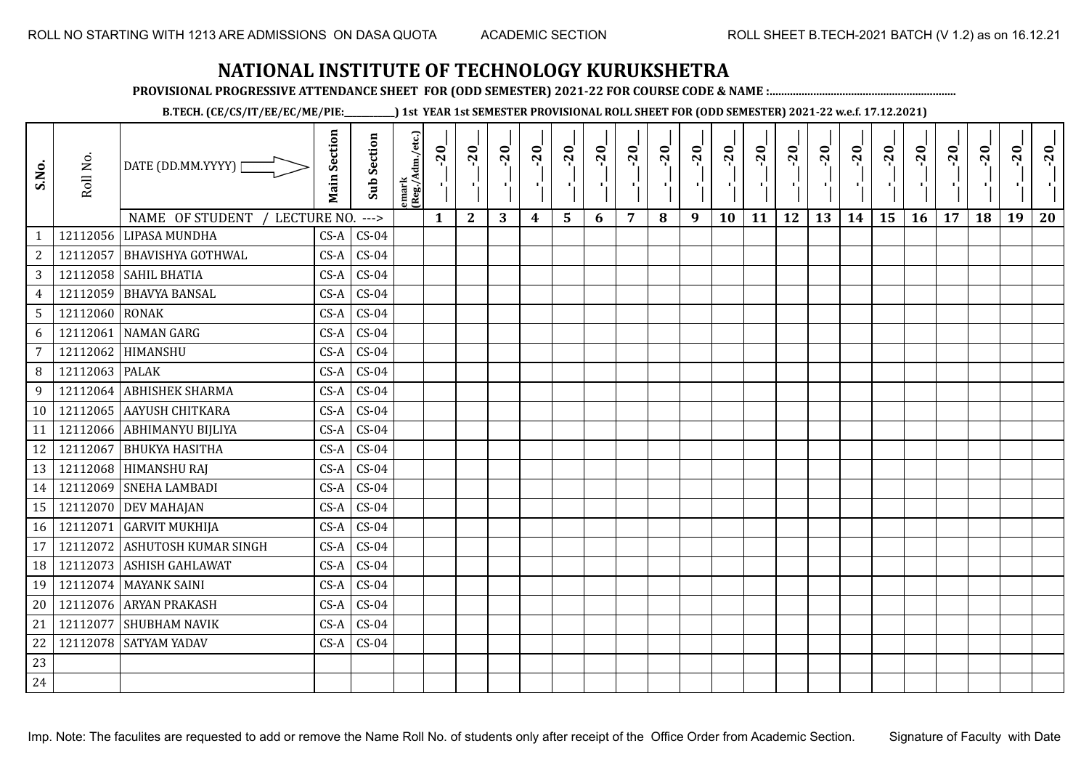**PROVISIONAL PROGRESSIVE ATTENDANCE SHEET FOR (ODD SEMESTER) 2021-22 FOR COURSE CODE & NAME :................................................................**

**B.TECH. (CE/CS/IT/EE/EC/ME/PIE:\_\_\_\_\_\_\_\_\_\_\_\_) 1st YEAR 1st SEMESTER PROVISIONAL ROLL SHEET FOR (ODD SEMESTER) 2021-22 w.e.f. 17.12.2021)**

| S.No.           | Roll No.       | DATE (DD.MM.YYYY)  <br>NAME OF STUDENT<br>LECTURE NO. | <b>Main Section</b> | <b>Sub Section</b><br>$--->$ | emark<br> (Reg./Adm./etc.) | $-20$<br>$\mathbf{1}$ | $-20$<br>π÷<br>$\mathbf{2}$ | $-20$<br>π÷<br>3 | $-20$<br>π÷<br>4 | $-20$<br>- 1<br>5 | $-20$<br>п.<br>6 | $-20$<br>7 | $-20$<br>8 | $-20$<br>$\mathbf{L}$<br>9 | $-20$<br>л,<br>10 | $-20$<br>шj<br>11 | $-20$<br>π÷<br>12 | $-20$<br>로<br>13 | $-20$<br>$\blacksquare$<br>14 | $-20$<br>۱,<br>15 | $-20$<br>-96<br>16 | $-20$<br>17 | $-20$<br>18 | $-20$<br>×.<br>19 | $-20$<br>20 |
|-----------------|----------------|-------------------------------------------------------|---------------------|------------------------------|----------------------------|-----------------------|-----------------------------|------------------|------------------|-------------------|------------------|------------|------------|----------------------------|-------------------|-------------------|-------------------|------------------|-------------------------------|-------------------|--------------------|-------------|-------------|-------------------|-------------|
| $\mathbf{1}$    |                | 12112056 LIPASA MUNDHA                                | $CS-A$              | $CS-04$                      |                            |                       |                             |                  |                  |                   |                  |            |            |                            |                   |                   |                   |                  |                               |                   |                    |             |             |                   |             |
| $\overline{c}$  | 12112057       | <b>BHAVISHYA GOTHWAL</b>                              | $CS-A$              | $CS-04$                      |                            |                       |                             |                  |                  |                   |                  |            |            |                            |                   |                   |                   |                  |                               |                   |                    |             |             |                   |             |
| 3               |                | 12112058 SAHIL BHATIA                                 | $CS-A$              | $CS-04$                      |                            |                       |                             |                  |                  |                   |                  |            |            |                            |                   |                   |                   |                  |                               |                   |                    |             |             |                   |             |
| $\overline{4}$  | 12112059       | <b>BHAVYA BANSAL</b>                                  | $CS-A$              | $CS-04$                      |                            |                       |                             |                  |                  |                   |                  |            |            |                            |                   |                   |                   |                  |                               |                   |                    |             |             |                   |             |
| $5\overline{)}$ | 12112060 RONAK |                                                       | $CS-A$              | $CS-04$                      |                            |                       |                             |                  |                  |                   |                  |            |            |                            |                   |                   |                   |                  |                               |                   |                    |             |             |                   |             |
| 6               | 12112061       | <b>NAMAN GARG</b>                                     | $CS-A$              | $CS-04$                      |                            |                       |                             |                  |                  |                   |                  |            |            |                            |                   |                   |                   |                  |                               |                   |                    |             |             |                   |             |
| 7               | 12112062       | HIMANSHU                                              | $CS-A$              | $CS-04$                      |                            |                       |                             |                  |                  |                   |                  |            |            |                            |                   |                   |                   |                  |                               |                   |                    |             |             |                   |             |
| 8               | 12112063       | <b>PALAK</b>                                          | $CS-A$              | $CS-04$                      |                            |                       |                             |                  |                  |                   |                  |            |            |                            |                   |                   |                   |                  |                               |                   |                    |             |             |                   |             |
| 9               | 12112064       | <b>ABHISHEK SHARMA</b>                                | $CS-A$              | $CS-04$                      |                            |                       |                             |                  |                  |                   |                  |            |            |                            |                   |                   |                   |                  |                               |                   |                    |             |             |                   |             |
| 10              |                | 12112065 AAYUSH CHITKARA                              | $CS-A$              | $CS-04$                      |                            |                       |                             |                  |                  |                   |                  |            |            |                            |                   |                   |                   |                  |                               |                   |                    |             |             |                   |             |
| 11              |                | 12112066 ABHIMANYU BIJLIYA                            | $CS-A$              | $CS-04$                      |                            |                       |                             |                  |                  |                   |                  |            |            |                            |                   |                   |                   |                  |                               |                   |                    |             |             |                   |             |
| 12              | 12112067       | <b>BHUKYA HASITHA</b>                                 | $CS-A$              | $CS-04$                      |                            |                       |                             |                  |                  |                   |                  |            |            |                            |                   |                   |                   |                  |                               |                   |                    |             |             |                   |             |
| 13              |                | 12112068 HIMANSHU RAJ                                 | $CS-A$              | $CS-04$                      |                            |                       |                             |                  |                  |                   |                  |            |            |                            |                   |                   |                   |                  |                               |                   |                    |             |             |                   |             |
| 14              |                | 12112069 SNEHA LAMBADI                                | $CS-A$              | $CS-04$                      |                            |                       |                             |                  |                  |                   |                  |            |            |                            |                   |                   |                   |                  |                               |                   |                    |             |             |                   |             |
| 15              | 12112070       | <b>DEV MAHAJAN</b>                                    | $CS-A$              | $CS-04$                      |                            |                       |                             |                  |                  |                   |                  |            |            |                            |                   |                   |                   |                  |                               |                   |                    |             |             |                   |             |
| 16              | 12112071       | <b>GARVIT MUKHIJA</b>                                 | $CS-A$              | $CS-04$                      |                            |                       |                             |                  |                  |                   |                  |            |            |                            |                   |                   |                   |                  |                               |                   |                    |             |             |                   |             |
| 17              | 12112072       | <b>ASHUTOSH KUMAR SINGH</b>                           | $CS-A$              | $CS-04$                      |                            |                       |                             |                  |                  |                   |                  |            |            |                            |                   |                   |                   |                  |                               |                   |                    |             |             |                   |             |
| 18              | 12112073       | <b>ASHISH GAHLAWAT</b>                                | $CS-A$              | $CS-04$                      |                            |                       |                             |                  |                  |                   |                  |            |            |                            |                   |                   |                   |                  |                               |                   |                    |             |             |                   |             |
| 19              |                | 12112074 MAYANK SAINI                                 | $CS-A$              | $CS-04$                      |                            |                       |                             |                  |                  |                   |                  |            |            |                            |                   |                   |                   |                  |                               |                   |                    |             |             |                   |             |
| 20              |                | 12112076 ARYAN PRAKASH                                | $CS-A$              | $CS-04$                      |                            |                       |                             |                  |                  |                   |                  |            |            |                            |                   |                   |                   |                  |                               |                   |                    |             |             |                   |             |
| 21              | 12112077       | <b>SHUBHAM NAVIK</b>                                  | $CS-A$              | $CS-04$                      |                            |                       |                             |                  |                  |                   |                  |            |            |                            |                   |                   |                   |                  |                               |                   |                    |             |             |                   |             |
| 22              |                | 12112078 SATYAM YADAV                                 | $CS-A$              | $CS-04$                      |                            |                       |                             |                  |                  |                   |                  |            |            |                            |                   |                   |                   |                  |                               |                   |                    |             |             |                   |             |
| 23              |                |                                                       |                     |                              |                            |                       |                             |                  |                  |                   |                  |            |            |                            |                   |                   |                   |                  |                               |                   |                    |             |             |                   |             |
| 24              |                |                                                       |                     |                              |                            |                       |                             |                  |                  |                   |                  |            |            |                            |                   |                   |                   |                  |                               |                   |                    |             |             |                   |             |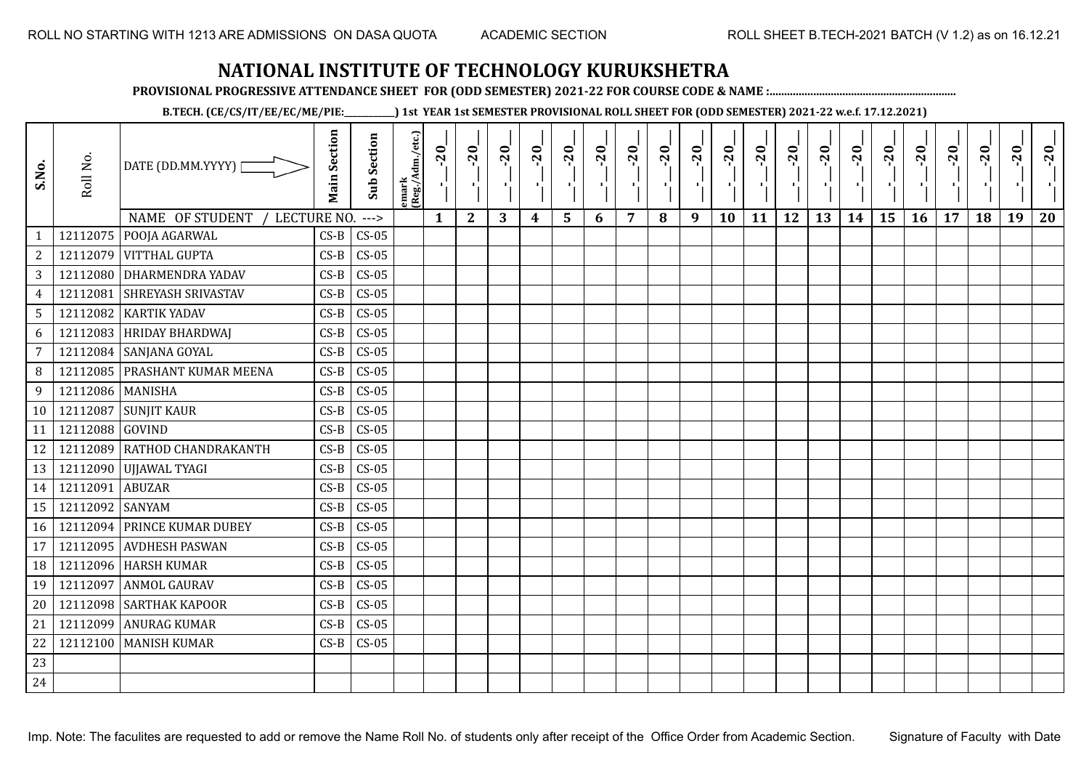**PROVISIONAL PROGRESSIVE ATTENDANCE SHEET FOR (ODD SEMESTER) 2021-22 FOR COURSE CODE & NAME :................................................................**

**B.TECH. (CE/CS/IT/EE/EC/ME/PIE:\_\_\_\_\_\_\_\_\_\_\_\_) 1st YEAR 1st SEMESTER PROVISIONAL ROLL SHEET FOR (ODD SEMESTER) 2021-22 w.e.f. 17.12.2021)**

| S.No.            | Roll No.         | DATE (DD.MM.YYYY) [            | <b>Main Section</b> | <b>Sub Section</b> | emark<br> (Reg./Adm./etc.) | $-20$<br>$\mathcal{F}_1$ : | $-20$        | $-20$ | $-20$ | $-20$ | $-20$<br>π÷ | $-20$ | $-20$ | $-20$<br>π÷ | $-20$<br>л, | $-20$ | $-20$ | $-20$ | $-20$<br>$\blacksquare$ | $-20$ | $-20$ | $-20$ | $-20$ | $-20$<br>ч. | $-20$ |
|------------------|------------------|--------------------------------|---------------------|--------------------|----------------------------|----------------------------|--------------|-------|-------|-------|-------------|-------|-------|-------------|-------------|-------|-------|-------|-------------------------|-------|-------|-------|-------|-------------|-------|
|                  |                  | NAME OF STUDENT<br>LECTURE NO. |                     | $--->$             |                            | $\mathbf{1}$               | $\mathbf{2}$ | 3     | 4     | 5     | 6           | 7     | 8     | 9           | 10          | 11    | 12    | 13    | 14                      | 15    | 16    | 17    | 18    | 19          | 20    |
|                  | 12112075         | POOJA AGARWAL                  | $CS-B$              | $CS-05$            |                            |                            |              |       |       |       |             |       |       |             |             |       |       |       |                         |       |       |       |       |             |       |
| $\boldsymbol{2}$ | 12112079         | <b>VITTHAL GUPTA</b>           | $CS-B$              | $CS-05$            |                            |                            |              |       |       |       |             |       |       |             |             |       |       |       |                         |       |       |       |       |             |       |
| 3                |                  | 12112080 DHARMENDRA YADAV      | $CS-B$              | $CS-05$            |                            |                            |              |       |       |       |             |       |       |             |             |       |       |       |                         |       |       |       |       |             |       |
| $\overline{4}$   | 12112081         | <b>SHREYASH SRIVASTAV</b>      | $CS-B$              | $CS-05$            |                            |                            |              |       |       |       |             |       |       |             |             |       |       |       |                         |       |       |       |       |             |       |
| $\sqrt{5}$       |                  | 12112082 KARTIK YADAV          | $CS-B$              | $CS-05$            |                            |                            |              |       |       |       |             |       |       |             |             |       |       |       |                         |       |       |       |       |             |       |
| $\boldsymbol{6}$ | 12112083         | <b>HRIDAY BHARDWAJ</b>         | $CS-B$              | $CS-05$            |                            |                            |              |       |       |       |             |       |       |             |             |       |       |       |                         |       |       |       |       |             |       |
| $\overline{7}$   | 12112084         | SANJANA GOYAL                  | $CS-B$              | $CS-05$            |                            |                            |              |       |       |       |             |       |       |             |             |       |       |       |                         |       |       |       |       |             |       |
| 8                | 12112085         | <b>PRASHANT KUMAR MEENA</b>    | $CS-B$              | $CS-05$            |                            |                            |              |       |       |       |             |       |       |             |             |       |       |       |                         |       |       |       |       |             |       |
| 9                | 12112086 MANISHA |                                | $CS-B$              | $CS-05$            |                            |                            |              |       |       |       |             |       |       |             |             |       |       |       |                         |       |       |       |       |             |       |
| 10 <sup>1</sup>  | 12112087         | <b>SUNJIT KAUR</b>             | $CS-B$              | $CS-05$            |                            |                            |              |       |       |       |             |       |       |             |             |       |       |       |                         |       |       |       |       |             |       |
| 11               | 12112088 GOVIND  |                                | $CS-B$              | $CS-05$            |                            |                            |              |       |       |       |             |       |       |             |             |       |       |       |                         |       |       |       |       |             |       |
| 12               | 12112089         | <b>RATHOD CHANDRAKANTH</b>     | $CS-B$              | $CS-05$            |                            |                            |              |       |       |       |             |       |       |             |             |       |       |       |                         |       |       |       |       |             |       |
| 13               |                  | 12112090 UJJAWAL TYAGI         | $CS-B$              | $CS-05$            |                            |                            |              |       |       |       |             |       |       |             |             |       |       |       |                         |       |       |       |       |             |       |
| 14               | 12112091         | <b>ABUZAR</b>                  | $CS-B$              | $CS-05$            |                            |                            |              |       |       |       |             |       |       |             |             |       |       |       |                         |       |       |       |       |             |       |
| 15               | 12112092         | <b>SANYAM</b>                  | $CS-B$              | $CS-05$            |                            |                            |              |       |       |       |             |       |       |             |             |       |       |       |                         |       |       |       |       |             |       |
| 16               |                  | 12112094 PRINCE KUMAR DUBEY    | $CS-B$              | $CS-05$            |                            |                            |              |       |       |       |             |       |       |             |             |       |       |       |                         |       |       |       |       |             |       |
| 17               | 12112095         | <b>AVDHESH PASWAN</b>          | $CS-B$              | $CS-05$            |                            |                            |              |       |       |       |             |       |       |             |             |       |       |       |                         |       |       |       |       |             |       |
| 18               |                  | 12112096 HARSH KUMAR           | $CS-B$              | $CS-05$            |                            |                            |              |       |       |       |             |       |       |             |             |       |       |       |                         |       |       |       |       |             |       |
| 19               | 12112097         | <b>ANMOL GAURAV</b>            | $CS-B$              | $CS-05$            |                            |                            |              |       |       |       |             |       |       |             |             |       |       |       |                         |       |       |       |       |             |       |
| 20               | 12112098         | <b>SARTHAK KAPOOR</b>          | $CS-B$              | $CS-05$            |                            |                            |              |       |       |       |             |       |       |             |             |       |       |       |                         |       |       |       |       |             |       |
| 21               | 12112099         | <b>ANURAG KUMAR</b>            | $CS-B$              | $CS-05$            |                            |                            |              |       |       |       |             |       |       |             |             |       |       |       |                         |       |       |       |       |             |       |
| 22               | 12112100         | <b>MANISH KUMAR</b>            | $CS-B$              | $CS-05$            |                            |                            |              |       |       |       |             |       |       |             |             |       |       |       |                         |       |       |       |       |             |       |
| 23               |                  |                                |                     |                    |                            |                            |              |       |       |       |             |       |       |             |             |       |       |       |                         |       |       |       |       |             |       |
| 24               |                  |                                |                     |                    |                            |                            |              |       |       |       |             |       |       |             |             |       |       |       |                         |       |       |       |       |             |       |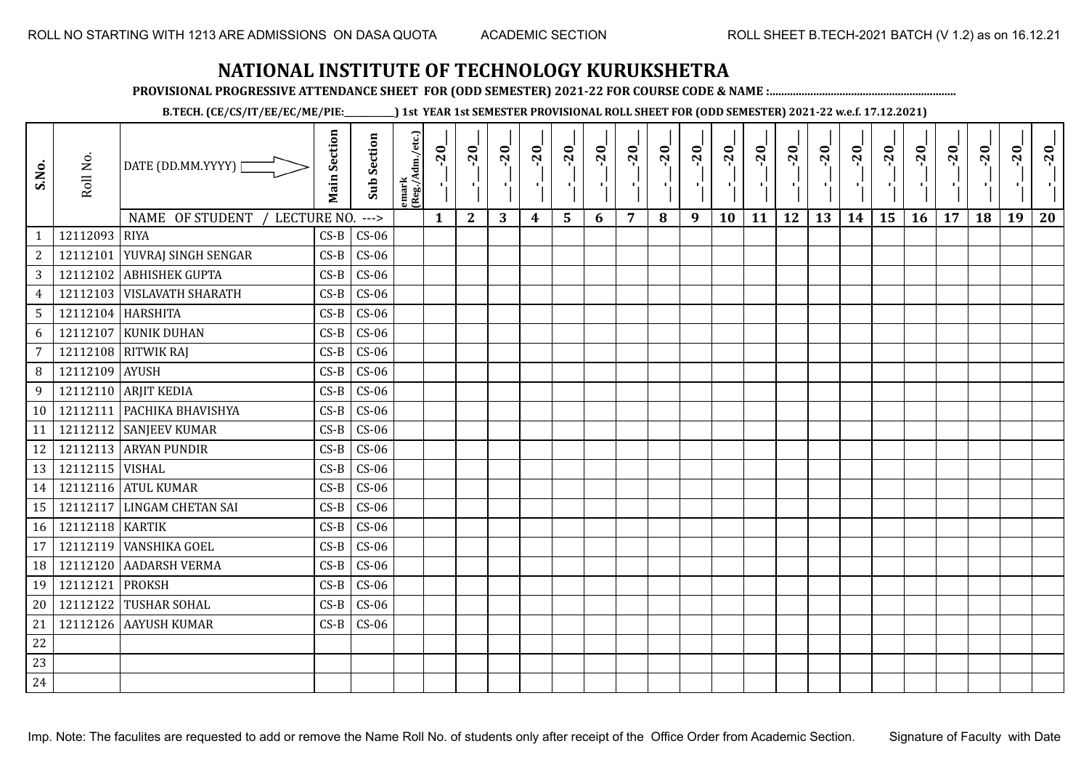**PROVISIONAL PROGRESSIVE ATTENDANCE SHEET FOR (ODD SEMESTER) 2021-22 FOR COURSE CODE & NAME :................................................................**

**B.TECH. (CE/CS/IT/EE/EC/ME/PIE:\_\_\_\_\_\_\_\_\_\_\_\_) 1st YEAR 1st SEMESTER PROVISIONAL ROLL SHEET FOR (ODD SEMESTER) 2021-22 w.e.f. 17.12.2021)**

| S.No.           | Roll No.          | DATE (DD.MM.YYYY)              | <b>Main Section</b> | <b>Sub Section</b> | emark<br> (Reg./Adm./etc.) | $-20$<br>$\mathcal{F}_1$ . | $-20$        | $-20$<br>$\mathbf{H}_{\mathbf{A}}$ . | $-20$ | $-20$ | $-20$<br>π÷ | $-20$ | $-20$<br>л. | $-20$<br>Œ. | $-20$<br>л. | $-20$ | $-20$ | $-20$ | $-20$ | $-20$<br>$\mathcal{F}_{\mathbf{L}}$ | $-20$<br>٠. | $-20$<br>п. | $-20$ | $-20$ | $-20$ |
|-----------------|-------------------|--------------------------------|---------------------|--------------------|----------------------------|----------------------------|--------------|--------------------------------------|-------|-------|-------------|-------|-------------|-------------|-------------|-------|-------|-------|-------|-------------------------------------|-------------|-------------|-------|-------|-------|
|                 |                   | NAME OF STUDENT<br>LECTURE NO. |                     | $--->$             |                            | $\mathbf{1}$               | $\mathbf{2}$ | 3                                    | 4     | 5     | 6           | 7     | 8           | 9           | 10          | 11    | 12    | 13    | 14    | 15                                  | <b>16</b>   | 17          | 18    | 19    | 20    |
| $\mathbf{1}$    | 12112093          | <b>RIYA</b>                    | $CS-B$              | $CS-06$            |                            |                            |              |                                      |       |       |             |       |             |             |             |       |       |       |       |                                     |             |             |       |       |       |
| $\mathbf{2}$    | 12112101          | YUVRAJ SINGH SENGAR            | $CS-B$              | $CS-06$            |                            |                            |              |                                      |       |       |             |       |             |             |             |       |       |       |       |                                     |             |             |       |       |       |
| 3               |                   | 12112102 ABHISHEK GUPTA        | $CS-B$              | $CS-06$            |                            |                            |              |                                      |       |       |             |       |             |             |             |       |       |       |       |                                     |             |             |       |       |       |
| $\overline{4}$  | 12112103          | <b>VISLAVATH SHARATH</b>       | $CS-B$              | $CS-06$            |                            |                            |              |                                      |       |       |             |       |             |             |             |       |       |       |       |                                     |             |             |       |       |       |
| $5\phantom{.0}$ | 12112104 HARSHITA |                                | $CS-B$              | $CS-06$            |                            |                            |              |                                      |       |       |             |       |             |             |             |       |       |       |       |                                     |             |             |       |       |       |
| 6               | 12112107          | <b>KUNIK DUHAN</b>             | $CS-B$              | $CS-06$            |                            |                            |              |                                      |       |       |             |       |             |             |             |       |       |       |       |                                     |             |             |       |       |       |
| $7\overline{ }$ |                   | 12112108 RITWIK RAJ            | $CS-B$              | $CS-06$            |                            |                            |              |                                      |       |       |             |       |             |             |             |       |       |       |       |                                     |             |             |       |       |       |
| 8               | 12112109          | <b>AYUSH</b>                   | $CS-B$              | $CS-06$            |                            |                            |              |                                      |       |       |             |       |             |             |             |       |       |       |       |                                     |             |             |       |       |       |
| 9               |                   | 12112110 ARJIT KEDIA           | $CS-B$              | $CS-06$            |                            |                            |              |                                      |       |       |             |       |             |             |             |       |       |       |       |                                     |             |             |       |       |       |
| 10              |                   | 12112111 PACHIKA BHAVISHYA     | $CS-B$              | $CS-06$            |                            |                            |              |                                      |       |       |             |       |             |             |             |       |       |       |       |                                     |             |             |       |       |       |
| 11              |                   | 12112112 SANJEEV KUMAR         | $CS-B$              | $CS-06$            |                            |                            |              |                                      |       |       |             |       |             |             |             |       |       |       |       |                                     |             |             |       |       |       |
| 12              |                   | 12112113 ARYAN PUNDIR          | $CS-B$              | $CS-06$            |                            |                            |              |                                      |       |       |             |       |             |             |             |       |       |       |       |                                     |             |             |       |       |       |
| 13              | 12112115   VISHAL |                                | $CS-B$              | $CS-06$            |                            |                            |              |                                      |       |       |             |       |             |             |             |       |       |       |       |                                     |             |             |       |       |       |
| 14              |                   | 12112116 ATUL KUMAR            | $CS-B$              | $CS-06$            |                            |                            |              |                                      |       |       |             |       |             |             |             |       |       |       |       |                                     |             |             |       |       |       |
| 15              | 12112117          | <b>LINGAM CHETAN SAI</b>       | $CS-B$              | $CS-06$            |                            |                            |              |                                      |       |       |             |       |             |             |             |       |       |       |       |                                     |             |             |       |       |       |
| 16              | 12112118 KARTIK   |                                | $CS-B$              | $CS-06$            |                            |                            |              |                                      |       |       |             |       |             |             |             |       |       |       |       |                                     |             |             |       |       |       |
| 17              | 12112119          | <b>VANSHIKA GOEL</b>           | $CS-B$              | $CS-06$            |                            |                            |              |                                      |       |       |             |       |             |             |             |       |       |       |       |                                     |             |             |       |       |       |
| 18              | 12112120          | AADARSH VERMA                  | $CS-B$              | $CS-06$            |                            |                            |              |                                      |       |       |             |       |             |             |             |       |       |       |       |                                     |             |             |       |       |       |
| 19              | 12112121          | <b>PROKSH</b>                  | $CS-B$              | $CS-06$            |                            |                            |              |                                      |       |       |             |       |             |             |             |       |       |       |       |                                     |             |             |       |       |       |
| 20              | 12112122          | <b>TUSHAR SOHAL</b>            | $CS-B$              | $CS-06$            |                            |                            |              |                                      |       |       |             |       |             |             |             |       |       |       |       |                                     |             |             |       |       |       |
| 21              | 12112126          | <b>AAYUSH KUMAR</b>            | $CS-B$              | $CS-06$            |                            |                            |              |                                      |       |       |             |       |             |             |             |       |       |       |       |                                     |             |             |       |       |       |
| 22              |                   |                                |                     |                    |                            |                            |              |                                      |       |       |             |       |             |             |             |       |       |       |       |                                     |             |             |       |       |       |
| 23              |                   |                                |                     |                    |                            |                            |              |                                      |       |       |             |       |             |             |             |       |       |       |       |                                     |             |             |       |       |       |
| 24              |                   |                                |                     |                    |                            |                            |              |                                      |       |       |             |       |             |             |             |       |       |       |       |                                     |             |             |       |       |       |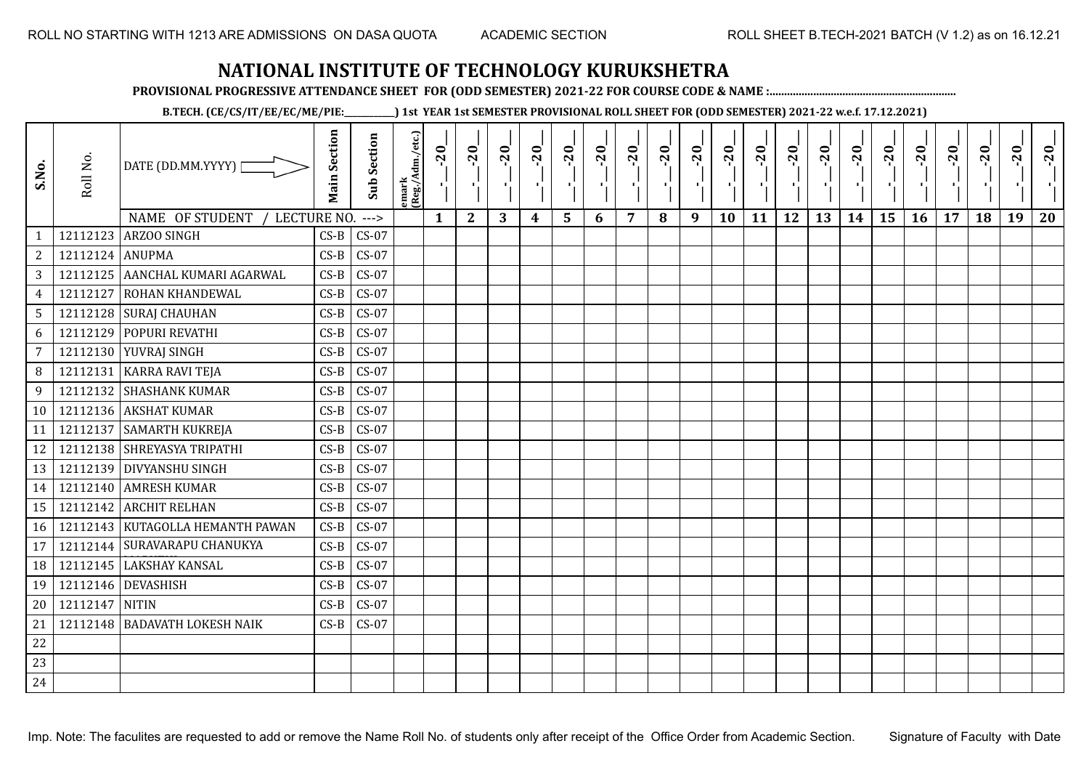**PROVISIONAL PROGRESSIVE ATTENDANCE SHEET FOR (ODD SEMESTER) 2021-22 FOR COURSE CODE & NAME :................................................................**

**B.TECH. (CE/CS/IT/EE/EC/ME/PIE:\_\_\_\_\_\_\_\_\_\_\_\_) 1st YEAR 1st SEMESTER PROVISIONAL ROLL SHEET FOR (ODD SEMESTER) 2021-22 w.e.f. 17.12.2021)**

| S.No.          | Roll No. | DATE (DD.MM.YYYY)<br>NAME OF STUDENT<br>LECTURE NO. | <b>Main Section</b> | <b>Sub Section</b><br>$---$ | emark<br>(Reg./Adm./etc.) | $-20$<br>$\mathbf{1}$ | $-20$<br>$\mathbf{2}$ | $-20$<br>3 | $-20$<br>4 | $-20$<br>5 | $-20$<br>л.<br>6 | $-20$<br>7 | $-20$<br>л.<br>8 | $-20$<br>9 | $-20$<br>10 | $-20$<br>11 | $-20$<br>12 | $-20$<br>13 | $-20$<br>14 | $-20$<br>л,<br>15 | $-20$<br><b>16</b> | $-20$<br>17 | $-20$<br>18 | $-20$<br>19 | $-20$<br>20 |
|----------------|----------|-----------------------------------------------------|---------------------|-----------------------------|---------------------------|-----------------------|-----------------------|------------|------------|------------|------------------|------------|------------------|------------|-------------|-------------|-------------|-------------|-------------|-------------------|--------------------|-------------|-------------|-------------|-------------|
| 1              | 12112123 | ARZOO SINGH                                         | $CS-B$              | $CS-07$                     |                           |                       |                       |            |            |            |                  |            |                  |            |             |             |             |             |             |                   |                    |             |             |             |             |
| $\sqrt{2}$     | 12112124 | <b>ANUPMA</b>                                       | $CS-B$              | $CS-07$                     |                           |                       |                       |            |            |            |                  |            |                  |            |             |             |             |             |             |                   |                    |             |             |             |             |
| $\sqrt{3}$     |          | 12112125 AANCHAL KUMARI AGARWAL                     | $CS-B$              | $CS-07$                     |                           |                       |                       |            |            |            |                  |            |                  |            |             |             |             |             |             |                   |                    |             |             |             |             |
| $\overline{4}$ | 12112127 | <b>ROHAN KHANDEWAL</b>                              | $CS-B$              | $CS-07$                     |                           |                       |                       |            |            |            |                  |            |                  |            |             |             |             |             |             |                   |                    |             |             |             |             |
| $\mathsf S$    |          | 12112128 SURAJ CHAUHAN                              | $CS-B$              | $CS-07$                     |                           |                       |                       |            |            |            |                  |            |                  |            |             |             |             |             |             |                   |                    |             |             |             |             |
| 6              | 12112129 | POPURI REVATHI                                      | $CS-B$              | $CS-07$                     |                           |                       |                       |            |            |            |                  |            |                  |            |             |             |             |             |             |                   |                    |             |             |             |             |
| $\overline{7}$ | 12112130 | YUVRAJ SINGH                                        | $CS-B$              | $CS-07$                     |                           |                       |                       |            |            |            |                  |            |                  |            |             |             |             |             |             |                   |                    |             |             |             |             |
| 8              | 12112131 | <b>KARRA RAVI TEJA</b>                              | $CS-B$              | $CS-07$                     |                           |                       |                       |            |            |            |                  |            |                  |            |             |             |             |             |             |                   |                    |             |             |             |             |
| 9              | 12112132 | <b>SHASHANK KUMAR</b>                               | $CS-B$              | $CS-07$                     |                           |                       |                       |            |            |            |                  |            |                  |            |             |             |             |             |             |                   |                    |             |             |             |             |
| 10             |          | 12112136 AKSHAT KUMAR                               | $CS-B$              | $CS-07$                     |                           |                       |                       |            |            |            |                  |            |                  |            |             |             |             |             |             |                   |                    |             |             |             |             |
| 11             | 12112137 | <b>SAMARTH KUKREJA</b>                              | $CS-B$              | $CS-07$                     |                           |                       |                       |            |            |            |                  |            |                  |            |             |             |             |             |             |                   |                    |             |             |             |             |
| 12             |          | 12112138 SHREYASYA TRIPATHI                         | $CS-B$              | $CS-07$                     |                           |                       |                       |            |            |            |                  |            |                  |            |             |             |             |             |             |                   |                    |             |             |             |             |
| 13             | 12112139 | <b>DIVYANSHU SINGH</b>                              | $CS-B$              | $CS-07$                     |                           |                       |                       |            |            |            |                  |            |                  |            |             |             |             |             |             |                   |                    |             |             |             |             |
| 14             |          | 12112140 AMRESH KUMAR                               | $CS-B$              | $CS-07$                     |                           |                       |                       |            |            |            |                  |            |                  |            |             |             |             |             |             |                   |                    |             |             |             |             |
| 15             | 12112142 | <b>ARCHIT RELHAN</b>                                | $CS-B$              | $CS-07$                     |                           |                       |                       |            |            |            |                  |            |                  |            |             |             |             |             |             |                   |                    |             |             |             |             |
| 16             |          | 12112143 KUTAGOLLA HEMANTH PAWAN                    | $CS-B$              | $CS-07$                     |                           |                       |                       |            |            |            |                  |            |                  |            |             |             |             |             |             |                   |                    |             |             |             |             |
| 17             | 12112144 | <b>SURAVARAPU CHANUKYA</b>                          | $CS-B$              | $CS-07$                     |                           |                       |                       |            |            |            |                  |            |                  |            |             |             |             |             |             |                   |                    |             |             |             |             |
| 18             | 12112145 | <b>LAKSHAY KANSAL</b>                               | $CS-B$              | $CS-07$                     |                           |                       |                       |            |            |            |                  |            |                  |            |             |             |             |             |             |                   |                    |             |             |             |             |
| 19             |          | 12112146 DEVASHISH                                  | $CS-B$              | $CS-07$                     |                           |                       |                       |            |            |            |                  |            |                  |            |             |             |             |             |             |                   |                    |             |             |             |             |
| 20             | 12112147 | <b>NITIN</b>                                        | $CS-B$              | $CS-07$                     |                           |                       |                       |            |            |            |                  |            |                  |            |             |             |             |             |             |                   |                    |             |             |             |             |
| 21             | 12112148 | <b>BADAVATH LOKESH NAIK</b>                         | $CS-B$              | $CS-07$                     |                           |                       |                       |            |            |            |                  |            |                  |            |             |             |             |             |             |                   |                    |             |             |             |             |
| 22             |          |                                                     |                     |                             |                           |                       |                       |            |            |            |                  |            |                  |            |             |             |             |             |             |                   |                    |             |             |             |             |
| 23             |          |                                                     |                     |                             |                           |                       |                       |            |            |            |                  |            |                  |            |             |             |             |             |             |                   |                    |             |             |             |             |
| 24             |          |                                                     |                     |                             |                           |                       |                       |            |            |            |                  |            |                  |            |             |             |             |             |             |                   |                    |             |             |             |             |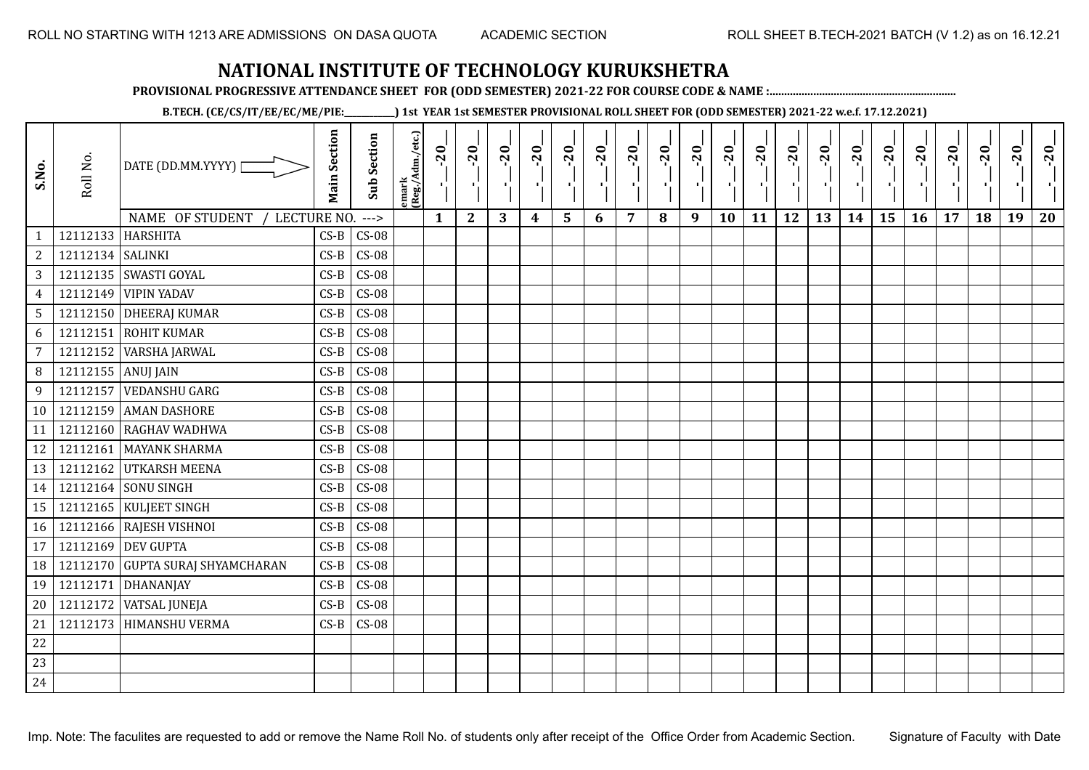**PROVISIONAL PROGRESSIVE ATTENDANCE SHEET FOR (ODD SEMESTER) 2021-22 FOR COURSE CODE & NAME :................................................................**

**B.TECH. (CE/CS/IT/EE/EC/ME/PIE:\_\_\_\_\_\_\_\_\_\_\_\_) 1st YEAR 1st SEMESTER PROVISIONAL ROLL SHEET FOR (ODD SEMESTER) 2021-22 w.e.f. 17.12.2021)**

| S.No.            | Roll No.         | DATE (DD.MM.YYYY) [              | <b>Main Section</b> | <b>Sub Section</b> | emark<br> (Reg./Adm./etc.) | $-20$<br>$\mathcal{F}_1$ : | $-20$        | $-20$ | $-20$ | $-20$ | $-20$<br>π÷ | $-20$ | $-20$ | $-20$<br>π÷ | $-20$<br>л, | $-20$ | $-20$ | $-20$ | $-20$<br>$\blacksquare$ | $-20$<br>٠, | $-20$ | $-20$ | $-20$ | $-20$<br>×í. | $-20$ |
|------------------|------------------|----------------------------------|---------------------|--------------------|----------------------------|----------------------------|--------------|-------|-------|-------|-------------|-------|-------|-------------|-------------|-------|-------|-------|-------------------------|-------------|-------|-------|-------|--------------|-------|
|                  |                  | NAME OF STUDENT<br>LECTURE NO.   |                     | $--->$             |                            | $\mathbf{1}$               | $\mathbf{2}$ | 3     | 4     | 5     | 6           | 7     | 8     | 9           | 10          | 11    | 12    | 13    | 14                      | 15          | 16    | 17    | 18    | 19           | 20    |
|                  | 12112133         | <b>HARSHITA</b>                  | $CS-B$              | $CS-08$            |                            |                            |              |       |       |       |             |       |       |             |             |       |       |       |                         |             |       |       |       |              |       |
| $\boldsymbol{2}$ | 12112134 SALINKI |                                  | $CS-B$              | $CS-08$            |                            |                            |              |       |       |       |             |       |       |             |             |       |       |       |                         |             |       |       |       |              |       |
| $\mathbf{3}$     | 12112135         | SWASTI GOYAL                     | $CS-B$              | $CS-08$            |                            |                            |              |       |       |       |             |       |       |             |             |       |       |       |                         |             |       |       |       |              |       |
| $\overline{4}$   | 12112149         | <b>VIPIN YADAV</b>               | $CS-B$              | $CS-08$            |                            |                            |              |       |       |       |             |       |       |             |             |       |       |       |                         |             |       |       |       |              |       |
| $\sqrt{5}$       |                  | 12112150 DHEERAJ KUMAR           | $CS-B$              | $CS-08$            |                            |                            |              |       |       |       |             |       |       |             |             |       |       |       |                         |             |       |       |       |              |       |
| $\sqrt{6}$       | 12112151         | <b>ROHIT KUMAR</b>               | $CS-B$              | $CS-08$            |                            |                            |              |       |       |       |             |       |       |             |             |       |       |       |                         |             |       |       |       |              |       |
| $\overline{7}$   | 12112152         | <b>VARSHA JARWAL</b>             | $CS-B$              | $CS-08$            |                            |                            |              |       |       |       |             |       |       |             |             |       |       |       |                         |             |       |       |       |              |       |
| $\, 8$           | 12112155         | <b>ANUJ JAIN</b>                 | $CS-B$              | $CS-08$            |                            |                            |              |       |       |       |             |       |       |             |             |       |       |       |                         |             |       |       |       |              |       |
| 9                | 12112157         | <b>VEDANSHU GARG</b>             | $CS-B$              | $CS-08$            |                            |                            |              |       |       |       |             |       |       |             |             |       |       |       |                         |             |       |       |       |              |       |
| 10               | 12112159         | <b>AMAN DASHORE</b>              | $CS-B$              | $CS-08$            |                            |                            |              |       |       |       |             |       |       |             |             |       |       |       |                         |             |       |       |       |              |       |
| 11               | 12112160         | <b>RAGHAV WADHWA</b>             | $CS-B$              | $CS-08$            |                            |                            |              |       |       |       |             |       |       |             |             |       |       |       |                         |             |       |       |       |              |       |
| 12               | 12112161         | <b>MAYANK SHARMA</b>             | $CS-B$              | $CS-08$            |                            |                            |              |       |       |       |             |       |       |             |             |       |       |       |                         |             |       |       |       |              |       |
| 13               |                  | 12112162 UTKARSH MEENA           | $CS-B$              | $CS-08$            |                            |                            |              |       |       |       |             |       |       |             |             |       |       |       |                         |             |       |       |       |              |       |
| 14               |                  | 12112164 SONU SINGH              | $CS-B$              | $CS-08$            |                            |                            |              |       |       |       |             |       |       |             |             |       |       |       |                         |             |       |       |       |              |       |
| 15               |                  | 12112165   KULJEET SINGH         | $CS-B$              | $CS-08$            |                            |                            |              |       |       |       |             |       |       |             |             |       |       |       |                         |             |       |       |       |              |       |
| 16               |                  | 12112166 RAJESH VISHNOI          | $CS-B$              | $CS-08$            |                            |                            |              |       |       |       |             |       |       |             |             |       |       |       |                         |             |       |       |       |              |       |
| 17               |                  | 12112169 DEV GUPTA               | $CS-B$              | $CS-08$            |                            |                            |              |       |       |       |             |       |       |             |             |       |       |       |                         |             |       |       |       |              |       |
| 18               |                  | 12112170 GUPTA SURAJ SHYAMCHARAN | $CS-B$              | $CS-08$            |                            |                            |              |       |       |       |             |       |       |             |             |       |       |       |                         |             |       |       |       |              |       |
| 19               | 12112171         | DHANANJAY                        | $CS-B$              | $CS-08$            |                            |                            |              |       |       |       |             |       |       |             |             |       |       |       |                         |             |       |       |       |              |       |
| 20               | 12112172         | <b>VATSAL JUNEJA</b>             | $CS-B$              | $CS-08$            |                            |                            |              |       |       |       |             |       |       |             |             |       |       |       |                         |             |       |       |       |              |       |
| 21               | 12112173         | <b>HIMANSHU VERMA</b>            | $CS-B$              | $CS-08$            |                            |                            |              |       |       |       |             |       |       |             |             |       |       |       |                         |             |       |       |       |              |       |
| 22               |                  |                                  |                     |                    |                            |                            |              |       |       |       |             |       |       |             |             |       |       |       |                         |             |       |       |       |              |       |
| 23               |                  |                                  |                     |                    |                            |                            |              |       |       |       |             |       |       |             |             |       |       |       |                         |             |       |       |       |              |       |
| 24               |                  |                                  |                     |                    |                            |                            |              |       |       |       |             |       |       |             |             |       |       |       |                         |             |       |       |       |              |       |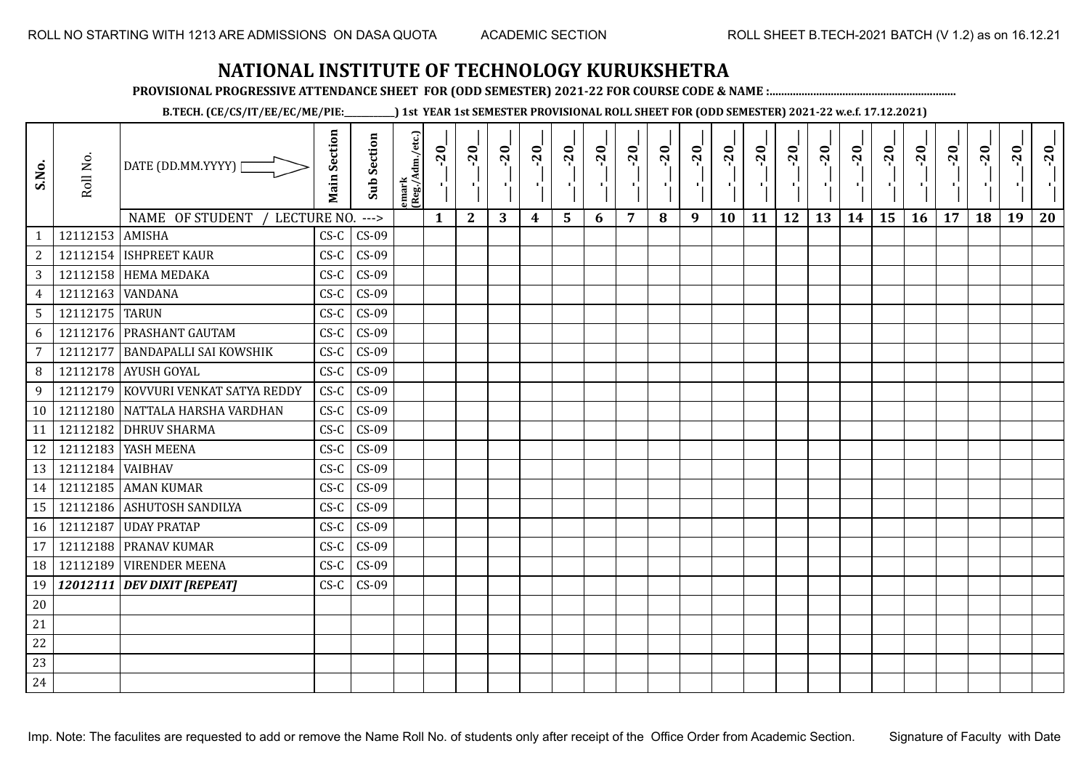**PROVISIONAL PROGRESSIVE ATTENDANCE SHEET FOR (ODD SEMESTER) 2021-22 FOR COURSE CODE & NAME :................................................................**

**B.TECH. (CE/CS/IT/EE/EC/ME/PIE:\_\_\_\_\_\_\_\_\_\_\_\_) 1st YEAR 1st SEMESTER PROVISIONAL ROLL SHEET FOR (ODD SEMESTER) 2021-22 w.e.f. 17.12.2021)**

| S.No.                          | Roll No.       | DATE (DD.MM.YYYY)                               | <b>Main Section</b> | <b>Sub Section</b> | emark<br> Reg./Adm./etc.) | $-20$<br>$\mathcal{F}_{\mathbf{L}}$ | $-20$        | $-20$ | $-20$ | $-20$          | $-20$<br>٠ | $-20$ | $-20$<br>л. | $-20$ | $-20$ | $-20$ | $-20$ | $-20$ | $-20$ | $-20$<br>л, | $-20$ | $-20$ | $-20$ | $-20$ | $-20$ |
|--------------------------------|----------------|-------------------------------------------------|---------------------|--------------------|---------------------------|-------------------------------------|--------------|-------|-------|----------------|------------|-------|-------------|-------|-------|-------|-------|-------|-------|-------------|-------|-------|-------|-------|-------|
|                                | 12112153       | NAME OF STUDENT<br>LECTURE NO.<br><b>AMISHA</b> | $CS-C$              | $---$<br>$CS-09$   |                           | $\mathbf{1}$                        | $\mathbf{2}$ | 3     | 4     | $5\phantom{1}$ | 6          | 7     | 8           | 9     | 10    | 11    | 12    | 13    | 14    | 15          | 16    | 17    | 18    | 19    | 20    |
| $\mathbf{1}$<br>$\overline{c}$ | 12112154       | <b>ISHPREET KAUR</b>                            | $CS-C$              | $CS-09$            |                           |                                     |              |       |       |                |            |       |             |       |       |       |       |       |       |             |       |       |       |       |       |
| $\mathbf{3}$                   |                | 12112158 HEMA MEDAKA                            | $CS-C$              | $CS-09$            |                           |                                     |              |       |       |                |            |       |             |       |       |       |       |       |       |             |       |       |       |       |       |
|                                | 12112163       |                                                 |                     |                    |                           |                                     |              |       |       |                |            |       |             |       |       |       |       |       |       |             |       |       |       |       |       |
| $\overline{4}$                 | 12112175 TARUN | <b>VANDANA</b>                                  | $CS-C$              | $CS-09$            |                           |                                     |              |       |       |                |            |       |             |       |       |       |       |       |       |             |       |       |       |       |       |
| $5\phantom{.0}$                |                | PRASHANT GAUTAM                                 | $CS-C$              | $CS-09$<br>$CS-09$ |                           |                                     |              |       |       |                |            |       |             |       |       |       |       |       |       |             |       |       |       |       |       |
| 6                              | 12112176       |                                                 | $CS-C$              |                    |                           |                                     |              |       |       |                |            |       |             |       |       |       |       |       |       |             |       |       |       |       |       |
| 7                              | 12112177       | <b>BANDAPALLI SAI KOWSHIK</b>                   | $CS-C$              | $CS-09$            |                           |                                     |              |       |       |                |            |       |             |       |       |       |       |       |       |             |       |       |       |       |       |
| 8                              |                | 12112178 AYUSH GOYAL                            | $CS-C$              | $CS-09$            |                           |                                     |              |       |       |                |            |       |             |       |       |       |       |       |       |             |       |       |       |       |       |
| 9                              | 12112179       | KOVVURI VENKAT SATYA REDDY                      | $CS-C$              | $CS-09$            |                           |                                     |              |       |       |                |            |       |             |       |       |       |       |       |       |             |       |       |       |       |       |
| 10                             |                | 12112180 NATTALA HARSHA VARDHAN                 | $CS-C$              | $CS-09$            |                           |                                     |              |       |       |                |            |       |             |       |       |       |       |       |       |             |       |       |       |       |       |
| 11                             | 12112182       | <b>DHRUV SHARMA</b>                             | $CS-C$              | $CS-09$            |                           |                                     |              |       |       |                |            |       |             |       |       |       |       |       |       |             |       |       |       |       |       |
| 12                             |                | 12112183   YASH MEENA                           | $CS-C$              | $CS-09$            |                           |                                     |              |       |       |                |            |       |             |       |       |       |       |       |       |             |       |       |       |       |       |
| 13                             | 12112184       | <b>VAIBHAV</b>                                  | $CS-C$              | $CS-09$            |                           |                                     |              |       |       |                |            |       |             |       |       |       |       |       |       |             |       |       |       |       |       |
| 14                             |                | 12112185 AMAN KUMAR                             | $CS-C$              | $CS-09$            |                           |                                     |              |       |       |                |            |       |             |       |       |       |       |       |       |             |       |       |       |       |       |
| 15                             | 12112186       | <b>ASHUTOSH SANDILYA</b>                        | $CS-C$              | $CS-09$            |                           |                                     |              |       |       |                |            |       |             |       |       |       |       |       |       |             |       |       |       |       |       |
| 16                             | 12112187       | <b>UDAY PRATAP</b>                              | $CS-C$              | $CS-09$            |                           |                                     |              |       |       |                |            |       |             |       |       |       |       |       |       |             |       |       |       |       |       |
| 17                             | 12112188       | PRANAV KUMAR                                    | $CS-C$              | $CS-09$            |                           |                                     |              |       |       |                |            |       |             |       |       |       |       |       |       |             |       |       |       |       |       |
| 18                             | 12112189       | <b>VIRENDER MEENA</b>                           | $CS-C$              | $CS-09$            |                           |                                     |              |       |       |                |            |       |             |       |       |       |       |       |       |             |       |       |       |       |       |
| 19                             |                | 12012111 DEV DIXIT [REPEAT]                     | $CS-C$              | $CS-09$            |                           |                                     |              |       |       |                |            |       |             |       |       |       |       |       |       |             |       |       |       |       |       |
| 20                             |                |                                                 |                     |                    |                           |                                     |              |       |       |                |            |       |             |       |       |       |       |       |       |             |       |       |       |       |       |
| 21                             |                |                                                 |                     |                    |                           |                                     |              |       |       |                |            |       |             |       |       |       |       |       |       |             |       |       |       |       |       |
| 22                             |                |                                                 |                     |                    |                           |                                     |              |       |       |                |            |       |             |       |       |       |       |       |       |             |       |       |       |       |       |
| 23                             |                |                                                 |                     |                    |                           |                                     |              |       |       |                |            |       |             |       |       |       |       |       |       |             |       |       |       |       |       |
| 24                             |                |                                                 |                     |                    |                           |                                     |              |       |       |                |            |       |             |       |       |       |       |       |       |             |       |       |       |       |       |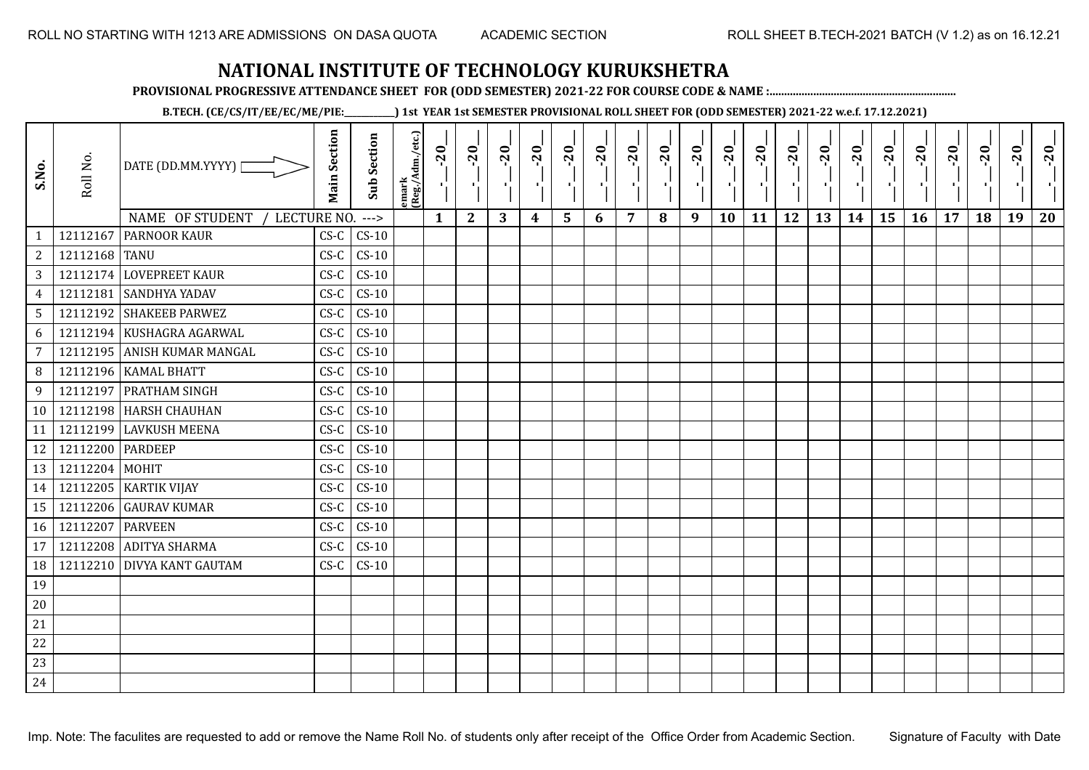**PROVISIONAL PROGRESSIVE ATTENDANCE SHEET FOR (ODD SEMESTER) 2021-22 FOR COURSE CODE & NAME :................................................................**

**B.TECH. (CE/CS/IT/EE/EC/ME/PIE:\_\_\_\_\_\_\_\_\_\_\_\_) 1st YEAR 1st SEMESTER PROVISIONAL ROLL SHEET FOR (ODD SEMESTER) 2021-22 w.e.f. 17.12.2021)**

| S.No.          | Roll No.         | DATE (DD.MM.YYYY) [<br>NAME OF STUDENT<br>LECTURE NO. | <b>Main Section</b> | <b>Sub Section</b>       | emark<br> (Reg./Adm./etc.) | $-20$<br>로   | $-20$<br>$\mathcal{F}_1^{\mathcal{F}}$ | $-20$<br>ш<br>3 | $-20$<br>τj | $-20$<br>۰, | $-20$<br>л., | $-20$<br>- 1 | $-20$ | $-20$<br>л. | $-20$<br>٠ | $-20$<br>τj | $-20$<br>τj<br>12 | $-20$<br>Æ, | $-20$<br>H) | $-20$<br>٠, | $-20$<br>$\mathcal{F}_1$ . | $-20$ | $-20$ | $-20$<br>×,<br>19 | $-20$<br>пŀ<br>20 |
|----------------|------------------|-------------------------------------------------------|---------------------|--------------------------|----------------------------|--------------|----------------------------------------|-----------------|-------------|-------------|--------------|--------------|-------|-------------|------------|-------------|-------------------|-------------|-------------|-------------|----------------------------|-------|-------|-------------------|-------------------|
| $\mathbf{1}$   | 12112167         | <b>PARNOOR KAUR</b>                                   | $CS-C$              | $\rightarrow$<br>$CS-10$ |                            | $\mathbf{1}$ | $\mathbf{2}$                           |                 | 4           | 5           | 6            | 7            | 8     | 9           | 10         | 11          |                   | 13          | 14          | 15          | 16                         | 17    | 18    |                   |                   |
| $\overline{2}$ | 12112168 TANU    |                                                       | $CS-C$              | $CS-10$                  |                            |              |                                        |                 |             |             |              |              |       |             |            |             |                   |             |             |             |                            |       |       |                   |                   |
| $\mathbf{3}$   |                  | 12112174 LOVEPREET KAUR                               | $CS-C$              | $CS-10$                  |                            |              |                                        |                 |             |             |              |              |       |             |            |             |                   |             |             |             |                            |       |       |                   |                   |
| $\overline{4}$ |                  | 12112181 SANDHYA YADAV                                | $CS-C$              | $CS-10$                  |                            |              |                                        |                 |             |             |              |              |       |             |            |             |                   |             |             |             |                            |       |       |                   |                   |
| 5 <sup>5</sup> |                  | 12112192 SHAKEEB PARWEZ                               | $CS-C$              | $CS-10$                  |                            |              |                                        |                 |             |             |              |              |       |             |            |             |                   |             |             |             |                            |       |       |                   |                   |
| 6              |                  | 12112194 KUSHAGRA AGARWAL                             | $CS-C$              | $CS-10$                  |                            |              |                                        |                 |             |             |              |              |       |             |            |             |                   |             |             |             |                            |       |       |                   |                   |
| $\overline{7}$ |                  | 12112195 ANISH KUMAR MANGAL                           | $CS-C$              | $CS-10$                  |                            |              |                                        |                 |             |             |              |              |       |             |            |             |                   |             |             |             |                            |       |       |                   |                   |
| 8              |                  | 12112196 KAMAL BHATT                                  | $CS-C$              | $CS-10$                  |                            |              |                                        |                 |             |             |              |              |       |             |            |             |                   |             |             |             |                            |       |       |                   |                   |
| 9              |                  | 12112197 PRATHAM SINGH                                | $CS-C$              | $CS-10$                  |                            |              |                                        |                 |             |             |              |              |       |             |            |             |                   |             |             |             |                            |       |       |                   |                   |
| 10             |                  | 12112198 HARSH CHAUHAN                                | $CS-C$              | $CS-10$                  |                            |              |                                        |                 |             |             |              |              |       |             |            |             |                   |             |             |             |                            |       |       |                   |                   |
| 11             |                  | 12112199 LAVKUSH MEENA                                | $CS-C$              | $CS-10$                  |                            |              |                                        |                 |             |             |              |              |       |             |            |             |                   |             |             |             |                            |       |       |                   |                   |
| 12             | 12112200 PARDEEP |                                                       | $CS-C$              | $CS-10$                  |                            |              |                                        |                 |             |             |              |              |       |             |            |             |                   |             |             |             |                            |       |       |                   |                   |
| 13             | 12112204 MOHIT   |                                                       | $CS-C$              | $CS-10$                  |                            |              |                                        |                 |             |             |              |              |       |             |            |             |                   |             |             |             |                            |       |       |                   |                   |
| 14             |                  | 12112205 KARTIK VIJAY                                 | $CS-C$              | $CS-10$                  |                            |              |                                        |                 |             |             |              |              |       |             |            |             |                   |             |             |             |                            |       |       |                   |                   |
| 15             |                  | 12112206 GAURAV KUMAR                                 | $CS-C$              | $CS-10$                  |                            |              |                                        |                 |             |             |              |              |       |             |            |             |                   |             |             |             |                            |       |       |                   |                   |
| 16             | 12112207         | <b>PARVEEN</b>                                        | $CS-C$              | $CS-10$                  |                            |              |                                        |                 |             |             |              |              |       |             |            |             |                   |             |             |             |                            |       |       |                   |                   |
| 17             |                  | 12112208 ADITYA SHARMA                                | $CS-C$              | $CS-10$                  |                            |              |                                        |                 |             |             |              |              |       |             |            |             |                   |             |             |             |                            |       |       |                   |                   |
| 18             |                  | 12112210 DIVYA KANT GAUTAM                            | $CS-C$              | $CS-10$                  |                            |              |                                        |                 |             |             |              |              |       |             |            |             |                   |             |             |             |                            |       |       |                   |                   |
| 19             |                  |                                                       |                     |                          |                            |              |                                        |                 |             |             |              |              |       |             |            |             |                   |             |             |             |                            |       |       |                   |                   |
| $20\,$         |                  |                                                       |                     |                          |                            |              |                                        |                 |             |             |              |              |       |             |            |             |                   |             |             |             |                            |       |       |                   |                   |
| 21             |                  |                                                       |                     |                          |                            |              |                                        |                 |             |             |              |              |       |             |            |             |                   |             |             |             |                            |       |       |                   |                   |
| 22             |                  |                                                       |                     |                          |                            |              |                                        |                 |             |             |              |              |       |             |            |             |                   |             |             |             |                            |       |       |                   |                   |
| 23             |                  |                                                       |                     |                          |                            |              |                                        |                 |             |             |              |              |       |             |            |             |                   |             |             |             |                            |       |       |                   |                   |
| 24             |                  |                                                       |                     |                          |                            |              |                                        |                 |             |             |              |              |       |             |            |             |                   |             |             |             |                            |       |       |                   |                   |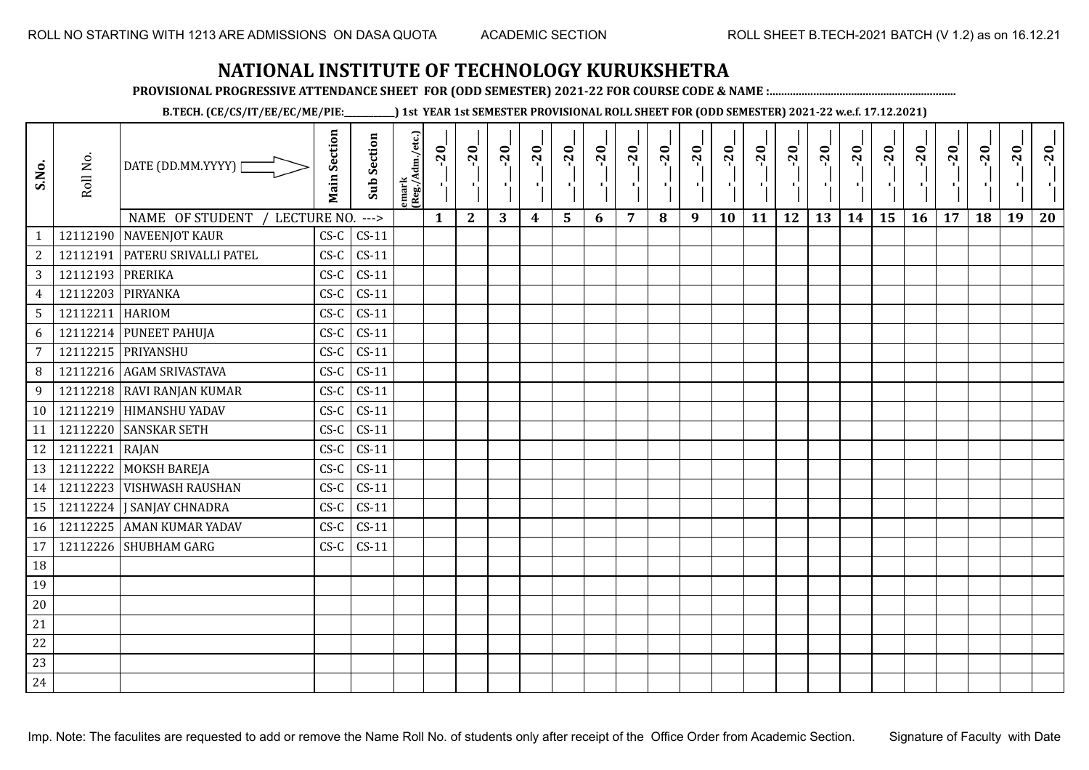**PROVISIONAL PROGRESSIVE ATTENDANCE SHEET FOR (ODD SEMESTER) 2021-22 FOR COURSE CODE & NAME :................................................................**

**B.TECH. (CE/CS/IT/EE/EC/ME/PIE:\_\_\_\_\_\_\_\_\_\_\_\_) 1st YEAR 1st SEMESTER PROVISIONAL ROLL SHEET FOR (ODD SEMESTER) 2021-22 w.e.f. 17.12.2021)**

| S.No.           | Roll No.          | DATE (DD.MM.YYYY)                | <b>Main Section</b> | <b>Sub Section</b> | emark<br> (Reg./Adm./etc.) | $-20$<br>$\mathcal{F}_{\mathbf{L}}$ . | $-20$<br>л.  | $-20$<br>л. | $-20$            | $-20$<br>л. | $-20$<br>ТĪ. | $-20$          | $-20$<br>- 1 | $-20$<br>- 10 | $-20$<br>л, | $-20$ | $-20$ | $-20$ | $-20$<br>-11 | $-20$<br>÷. | $-20$<br>л. | $-20$<br>п. | $-20$ | $-20$ | $-20$ |
|-----------------|-------------------|----------------------------------|---------------------|--------------------|----------------------------|---------------------------------------|--------------|-------------|------------------|-------------|--------------|----------------|--------------|---------------|-------------|-------|-------|-------|--------------|-------------|-------------|-------------|-------|-------|-------|
|                 |                   | NAME OF STUDENT<br>LECTURE NO.   |                     | $--->$             |                            | $\mathbf{1}$                          | $\mathbf{2}$ | 3           | $\boldsymbol{4}$ | 5           | 6            | $\overline{7}$ | 8            | 9             | 10          | 11    | 12    | 13    | 14           | 15          | 16          | 17          | 18    | 19    | 20    |
| $\mathbf{1}$    |                   | 12112190 NAVEENJOT KAUR          | $CS-C$              | $CS-11$            |                            |                                       |              |             |                  |             |              |                |              |               |             |       |       |       |              |             |             |             |       |       |       |
| $\overline{2}$  |                   | 12112191   PATERU SRIVALLI PATEL | $CS-C$              | $CS-11$            |                            |                                       |              |             |                  |             |              |                |              |               |             |       |       |       |              |             |             |             |       |       |       |
| $\overline{3}$  | 12112193 PRERIKA  |                                  | $CS-C$              | $CS-11$            |                            |                                       |              |             |                  |             |              |                |              |               |             |       |       |       |              |             |             |             |       |       |       |
| $\overline{4}$  | 12112203 PIRYANKA |                                  | $CS-C$              | $CS-11$            |                            |                                       |              |             |                  |             |              |                |              |               |             |       |       |       |              |             |             |             |       |       |       |
| $5\phantom{.0}$ | 12112211 HARIOM   |                                  | $CS-C$              | $CS-11$            |                            |                                       |              |             |                  |             |              |                |              |               |             |       |       |       |              |             |             |             |       |       |       |
| 6               |                   | 12112214 PUNEET PAHUJA           | $CS-C$              | $CS-11$            |                            |                                       |              |             |                  |             |              |                |              |               |             |       |       |       |              |             |             |             |       |       |       |
| $\overline{7}$  |                   | 12112215 PRIYANSHU               | $CS-C$              | $CS-11$            |                            |                                       |              |             |                  |             |              |                |              |               |             |       |       |       |              |             |             |             |       |       |       |
| 8 <sup>1</sup>  |                   | 12112216 AGAM SRIVASTAVA         | $CS-C$              | $CS-11$            |                            |                                       |              |             |                  |             |              |                |              |               |             |       |       |       |              |             |             |             |       |       |       |
| 9               |                   | 12112218 RAVI RANJAN KUMAR       | $CS-C$              | $CS-11$            |                            |                                       |              |             |                  |             |              |                |              |               |             |       |       |       |              |             |             |             |       |       |       |
| 10 <sup>1</sup> |                   | 12112219 HIMANSHU YADAV          | $CS-C$              | $CS-11$            |                            |                                       |              |             |                  |             |              |                |              |               |             |       |       |       |              |             |             |             |       |       |       |
| 11              |                   | 12112220 SANSKAR SETH            | $CS-C$              | $CS-11$            |                            |                                       |              |             |                  |             |              |                |              |               |             |       |       |       |              |             |             |             |       |       |       |
| 12              | 12112221 RAJAN    |                                  | $CS-C$              | $CS-11$            |                            |                                       |              |             |                  |             |              |                |              |               |             |       |       |       |              |             |             |             |       |       |       |
| 13              |                   | 12112222 MOKSH BAREJA            | $CS-C$              | $CS-11$            |                            |                                       |              |             |                  |             |              |                |              |               |             |       |       |       |              |             |             |             |       |       |       |
| 14              |                   | 12112223 VISHWASH RAUSHAN        | $CS-C$              | $CS-11$            |                            |                                       |              |             |                  |             |              |                |              |               |             |       |       |       |              |             |             |             |       |       |       |
| 15              |                   | 12112224 J SANJAY CHNADRA        | $CS-C$              | $CS-11$            |                            |                                       |              |             |                  |             |              |                |              |               |             |       |       |       |              |             |             |             |       |       |       |
| 16              |                   | 12112225 AMAN KUMAR YADAV        | $CS-C$              | $CS-11$            |                            |                                       |              |             |                  |             |              |                |              |               |             |       |       |       |              |             |             |             |       |       |       |
| 17              |                   | 12112226 SHUBHAM GARG            | $CS-C$              | $CS-11$            |                            |                                       |              |             |                  |             |              |                |              |               |             |       |       |       |              |             |             |             |       |       |       |
| 18              |                   |                                  |                     |                    |                            |                                       |              |             |                  |             |              |                |              |               |             |       |       |       |              |             |             |             |       |       |       |
| 19              |                   |                                  |                     |                    |                            |                                       |              |             |                  |             |              |                |              |               |             |       |       |       |              |             |             |             |       |       |       |
| $20\,$          |                   |                                  |                     |                    |                            |                                       |              |             |                  |             |              |                |              |               |             |       |       |       |              |             |             |             |       |       |       |
| $21\,$          |                   |                                  |                     |                    |                            |                                       |              |             |                  |             |              |                |              |               |             |       |       |       |              |             |             |             |       |       |       |
| 22              |                   |                                  |                     |                    |                            |                                       |              |             |                  |             |              |                |              |               |             |       |       |       |              |             |             |             |       |       |       |
| 23              |                   |                                  |                     |                    |                            |                                       |              |             |                  |             |              |                |              |               |             |       |       |       |              |             |             |             |       |       |       |
| 24              |                   |                                  |                     |                    |                            |                                       |              |             |                  |             |              |                |              |               |             |       |       |       |              |             |             |             |       |       |       |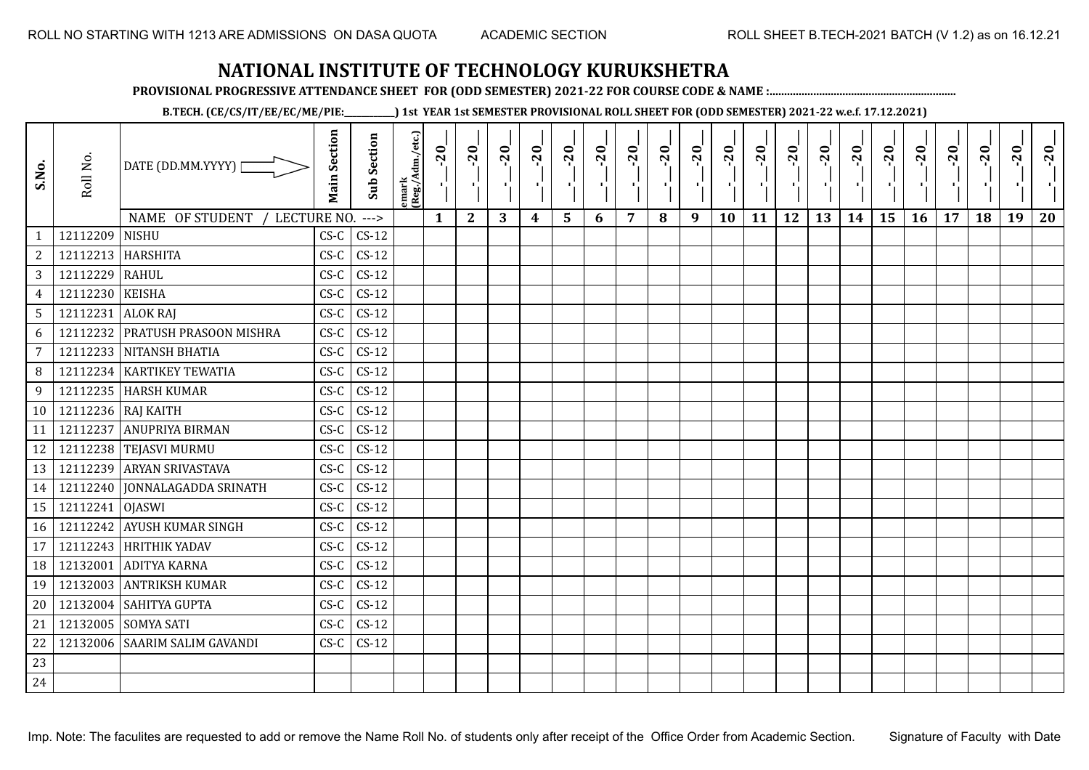**PROVISIONAL PROGRESSIVE ATTENDANCE SHEET FOR (ODD SEMESTER) 2021-22 FOR COURSE CODE & NAME :................................................................**

**B.TECH. (CE/CS/IT/EE/EC/ME/PIE:\_\_\_\_\_\_\_\_\_\_\_\_) 1st YEAR 1st SEMESTER PROVISIONAL ROLL SHEET FOR (ODD SEMESTER) 2021-22 w.e.f. 17.12.2021)**

| S.No.            | Roll No.              | DATE (DD.MM.YYYY) [            | <b>Main Section</b> | <b>Sub Section</b> | emark<br> (Reg./Adm./etc.) | $-20$<br>$\mathcal{F}_1$ . | $-20$        | $-20$ | $-20$ | $-20$ | $-20$<br>π÷ | $-20$ | $-20$ | $-20$<br>π÷ | $-20$<br>л, | $-20$ | $-20$ | $-20$ | $-20$<br>$\blacksquare$ | $-20$<br>Ч, | $-20$ | $-20$ | $-20$ | $-20$<br>к. | $-20$ |
|------------------|-----------------------|--------------------------------|---------------------|--------------------|----------------------------|----------------------------|--------------|-------|-------|-------|-------------|-------|-------|-------------|-------------|-------|-------|-------|-------------------------|-------------|-------|-------|-------|-------------|-------|
|                  |                       | NAME OF STUDENT<br>LECTURE NO. |                     | $--->$             |                            | $\mathbf{1}$               | $\mathbf{2}$ | 3     | 4     | 5     | 6           | 7     | 8     | 9           | <b>10</b>   | 11    | 12    | 13    | 14                      | 15          | 16    | 17    | 18    | 19          | 20    |
| 1                | 12112209              | <b>NISHU</b>                   | $CS-C$              | $CS-12$            |                            |                            |              |       |       |       |             |       |       |             |             |       |       |       |                         |             |       |       |       |             |       |
| $\boldsymbol{2}$ | 12112213              | <b>HARSHITA</b>                | $CS-C$              | $CS-12$            |                            |                            |              |       |       |       |             |       |       |             |             |       |       |       |                         |             |       |       |       |             |       |
| 3                | 12112229              | RAHUL                          | $CS-C$              | $CS-12$            |                            |                            |              |       |       |       |             |       |       |             |             |       |       |       |                         |             |       |       |       |             |       |
| $\overline{4}$   | 12112230              | <b>KEISHA</b>                  | $CS-C$              | $CS-12$            |                            |                            |              |       |       |       |             |       |       |             |             |       |       |       |                         |             |       |       |       |             |       |
| $\sqrt{5}$       | 12112231              | <b>ALOK RAJ</b>                | $CS-C$              | $CS-12$            |                            |                            |              |       |       |       |             |       |       |             |             |       |       |       |                         |             |       |       |       |             |       |
| $\boldsymbol{6}$ | 12112232              | <b>PRATUSH PRASOON MISHRA</b>  | $CS-C$              | $CS-12$            |                            |                            |              |       |       |       |             |       |       |             |             |       |       |       |                         |             |       |       |       |             |       |
| $\overline{7}$   |                       | 12112233 NITANSH BHATIA        | $CS-C$              | $CS-12$            |                            |                            |              |       |       |       |             |       |       |             |             |       |       |       |                         |             |       |       |       |             |       |
| 8                | 12112234              | <b>KARTIKEY TEWATIA</b>        | $CS-C$              | $CS-12$            |                            |                            |              |       |       |       |             |       |       |             |             |       |       |       |                         |             |       |       |       |             |       |
| 9                |                       | 12112235 HARSH KUMAR           | $CS-C$              | $CS-12$            |                            |                            |              |       |       |       |             |       |       |             |             |       |       |       |                         |             |       |       |       |             |       |
|                  | 10 12112236 RAJ KAITH |                                | $CS-C$              | $CS-12$            |                            |                            |              |       |       |       |             |       |       |             |             |       |       |       |                         |             |       |       |       |             |       |
| 11               | 12112237              | <b>ANUPRIYA BIRMAN</b>         | $CS-C$              | $CS-12$            |                            |                            |              |       |       |       |             |       |       |             |             |       |       |       |                         |             |       |       |       |             |       |
| 12               |                       | 12112238 TEJASVI MURMU         | $CS-C$              | $CS-12$            |                            |                            |              |       |       |       |             |       |       |             |             |       |       |       |                         |             |       |       |       |             |       |
| 13               | 12112239              | <b>ARYAN SRIVASTAVA</b>        | $CS-C$              | $CS-12$            |                            |                            |              |       |       |       |             |       |       |             |             |       |       |       |                         |             |       |       |       |             |       |
| 14               |                       | 12112240 JONNALAGADDA SRINATH  | $CS-C$              | $CS-12$            |                            |                            |              |       |       |       |             |       |       |             |             |       |       |       |                         |             |       |       |       |             |       |
| 15               | 12112241              | <b>OJASWI</b>                  | $CS-C$              | $CS-12$            |                            |                            |              |       |       |       |             |       |       |             |             |       |       |       |                         |             |       |       |       |             |       |
| 16               | 12112242              | <b>AYUSH KUMAR SINGH</b>       | $CS-C$              | $CS-12$            |                            |                            |              |       |       |       |             |       |       |             |             |       |       |       |                         |             |       |       |       |             |       |
| 17               | 12112243              | <b>HRITHIK YADAV</b>           | $CS-C$              | $CS-12$            |                            |                            |              |       |       |       |             |       |       |             |             |       |       |       |                         |             |       |       |       |             |       |
| 18               | 12132001              | <b>ADITYA KARNA</b>            | $CS-C$              | $CS-12$            |                            |                            |              |       |       |       |             |       |       |             |             |       |       |       |                         |             |       |       |       |             |       |
| 19               | 12132003              | <b>ANTRIKSH KUMAR</b>          | $CS-C$              | $CS-12$            |                            |                            |              |       |       |       |             |       |       |             |             |       |       |       |                         |             |       |       |       |             |       |
| 20               | 12132004              | <b>SAHITYA GUPTA</b>           | $CS-C$              | $CS-12$            |                            |                            |              |       |       |       |             |       |       |             |             |       |       |       |                         |             |       |       |       |             |       |
| 21               | 12132005              | <b>SOMYA SATI</b>              | $CS-C$              | $CS-12$            |                            |                            |              |       |       |       |             |       |       |             |             |       |       |       |                         |             |       |       |       |             |       |
| 22               | 12132006              | <b>SAARIM SALIM GAVANDI</b>    | $CS-C$              | $CS-12$            |                            |                            |              |       |       |       |             |       |       |             |             |       |       |       |                         |             |       |       |       |             |       |
| 23               |                       |                                |                     |                    |                            |                            |              |       |       |       |             |       |       |             |             |       |       |       |                         |             |       |       |       |             |       |
| 24               |                       |                                |                     |                    |                            |                            |              |       |       |       |             |       |       |             |             |       |       |       |                         |             |       |       |       |             |       |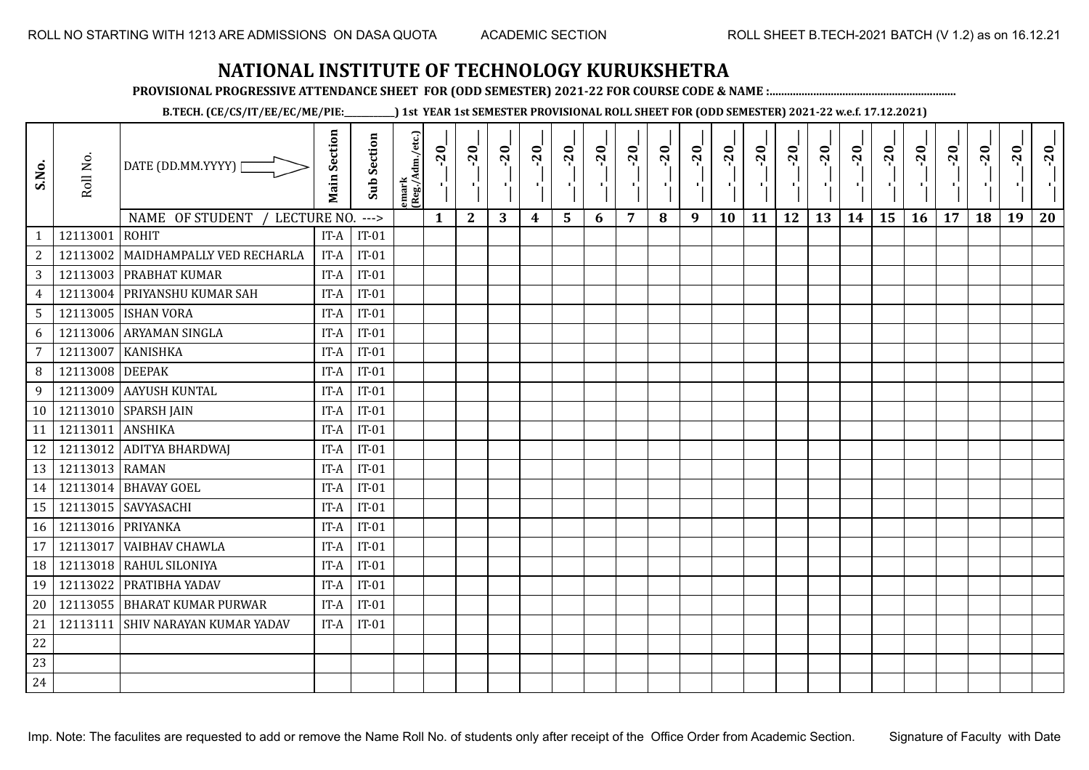**PROVISIONAL PROGRESSIVE ATTENDANCE SHEET FOR (ODD SEMESTER) 2021-22 FOR COURSE CODE & NAME :................................................................**

**B.TECH. (CE/CS/IT/EE/EC/ME/PIE:\_\_\_\_\_\_\_\_\_\_\_\_) 1st YEAR 1st SEMESTER PROVISIONAL ROLL SHEET FOR (ODD SEMESTER) 2021-22 w.e.f. 17.12.2021)**

| S.No.          | Roll No.          | DATE (DD.MM.YYYY)  <br>NAME OF STUDENT<br>LECTURE NO. | <b>Main Section</b> | <b>Sub Section</b><br>$---$ | emark<br> (Reg./Adm./etc.) | $-20$<br>$\mathcal{F}_{\mathbf{p}}$<br>$\mathbf{1}$ | $-20$<br>π÷<br>$\mathbf{2}$ | $-20$<br>$\mathbf{H}_{\mathbf{A}}$<br>3 | $-20$<br>4 | $-20$<br>5 | $-20$<br>$\blacksquare$<br>6 | $-20$<br>7 | $-20$<br>п÷<br>8 | $-20$<br>шĵ<br>9 | $-20$<br>- 1<br>10 | $-20$<br>11 | $-20$<br>$\mathbf{r}$<br>12 | $-20$<br>13 | $-20$<br>шj<br>14 | $-20$<br>٠,<br>15 | $-20$<br>л.<br><b>16</b> | $-20$<br>$\mathbf{I}$<br>17 | $-20$<br>18 | $-20$<br>19 | $-20$<br>20 |
|----------------|-------------------|-------------------------------------------------------|---------------------|-----------------------------|----------------------------|-----------------------------------------------------|-----------------------------|-----------------------------------------|------------|------------|------------------------------|------------|------------------|------------------|--------------------|-------------|-----------------------------|-------------|-------------------|-------------------|--------------------------|-----------------------------|-------------|-------------|-------------|
| $\mathbf{1}$   | 12113001          | <b>ROHIT</b>                                          | IT-A                | $IT-01$                     |                            |                                                     |                             |                                         |            |            |                              |            |                  |                  |                    |             |                             |             |                   |                   |                          |                             |             |             |             |
| $\overline{c}$ | 12113002          | MAIDHAMPALLY VED RECHARLA                             | IT-A                | $IT-01$                     |                            |                                                     |                             |                                         |            |            |                              |            |                  |                  |                    |             |                             |             |                   |                   |                          |                             |             |             |             |
| 3              | 12113003          | <b>PRABHAT KUMAR</b>                                  | IT-A                | $IT-01$                     |                            |                                                     |                             |                                         |            |            |                              |            |                  |                  |                    |             |                             |             |                   |                   |                          |                             |             |             |             |
| $\overline{4}$ | 12113004          | PRIYANSHU KUMAR SAH                                   | IT-A                | $IT-01$                     |                            |                                                     |                             |                                         |            |            |                              |            |                  |                  |                    |             |                             |             |                   |                   |                          |                             |             |             |             |
| 5              | 12113005          | <b>ISHAN VORA</b>                                     | IT-A                | $IT-01$                     |                            |                                                     |                             |                                         |            |            |                              |            |                  |                  |                    |             |                             |             |                   |                   |                          |                             |             |             |             |
| 6              | 12113006          | <b>ARYAMAN SINGLA</b>                                 | IT-A                | $IT-01$                     |                            |                                                     |                             |                                         |            |            |                              |            |                  |                  |                    |             |                             |             |                   |                   |                          |                             |             |             |             |
| 7              | 12113007          | <b>KANISHKA</b>                                       | IT-A                | $IT-01$                     |                            |                                                     |                             |                                         |            |            |                              |            |                  |                  |                    |             |                             |             |                   |                   |                          |                             |             |             |             |
| 8              | 12113008          | <b>DEEPAK</b>                                         | IT-A                | $IT-01$                     |                            |                                                     |                             |                                         |            |            |                              |            |                  |                  |                    |             |                             |             |                   |                   |                          |                             |             |             |             |
| 9              | 12113009          | AAYUSH KUNTAL                                         | IT-A                | $IT-01$                     |                            |                                                     |                             |                                         |            |            |                              |            |                  |                  |                    |             |                             |             |                   |                   |                          |                             |             |             |             |
| 10             |                   | 12113010 SPARSH JAIN                                  | IT-A                | $IT-01$                     |                            |                                                     |                             |                                         |            |            |                              |            |                  |                  |                    |             |                             |             |                   |                   |                          |                             |             |             |             |
| 11             | 12113011          | <b>ANSHIKA</b>                                        | IT-A                | $IT-01$                     |                            |                                                     |                             |                                         |            |            |                              |            |                  |                  |                    |             |                             |             |                   |                   |                          |                             |             |             |             |
| 12             |                   | 12113012 ADITYA BHARDWAJ                              | IT-A                | $IT-01$                     |                            |                                                     |                             |                                         |            |            |                              |            |                  |                  |                    |             |                             |             |                   |                   |                          |                             |             |             |             |
| 13             | 12113013 RAMAN    |                                                       | IT-A                | $IT-01$                     |                            |                                                     |                             |                                         |            |            |                              |            |                  |                  |                    |             |                             |             |                   |                   |                          |                             |             |             |             |
| 14             |                   | 12113014 BHAVAY GOEL                                  | IT-A                | $IT-01$                     |                            |                                                     |                             |                                         |            |            |                              |            |                  |                  |                    |             |                             |             |                   |                   |                          |                             |             |             |             |
| 15             |                   | 12113015 SAVYASACHI                                   | IT-A                | $IT-01$                     |                            |                                                     |                             |                                         |            |            |                              |            |                  |                  |                    |             |                             |             |                   |                   |                          |                             |             |             |             |
| 16             | 12113016 PRIYANKA |                                                       | IT-A                | $IT-01$                     |                            |                                                     |                             |                                         |            |            |                              |            |                  |                  |                    |             |                             |             |                   |                   |                          |                             |             |             |             |
| 17             | 12113017          | VAIBHAV CHAWLA                                        | IT-A                | $IT-01$                     |                            |                                                     |                             |                                         |            |            |                              |            |                  |                  |                    |             |                             |             |                   |                   |                          |                             |             |             |             |
| 18             | 12113018          | RAHUL SILONIYA                                        | IT-A                | $IT-01$                     |                            |                                                     |                             |                                         |            |            |                              |            |                  |                  |                    |             |                             |             |                   |                   |                          |                             |             |             |             |
| 19             | 12113022          | PRATIBHA YADAV                                        | IT-A                | $IT-01$                     |                            |                                                     |                             |                                         |            |            |                              |            |                  |                  |                    |             |                             |             |                   |                   |                          |                             |             |             |             |
| 20             | 12113055          | <b>BHARAT KUMAR PURWAR</b>                            | IT-A                | $IT-01$                     |                            |                                                     |                             |                                         |            |            |                              |            |                  |                  |                    |             |                             |             |                   |                   |                          |                             |             |             |             |
| 21             | 12113111          | SHIV NARAYAN KUMAR YADAV                              | IT-A                | $IT-01$                     |                            |                                                     |                             |                                         |            |            |                              |            |                  |                  |                    |             |                             |             |                   |                   |                          |                             |             |             |             |
| 22             |                   |                                                       |                     |                             |                            |                                                     |                             |                                         |            |            |                              |            |                  |                  |                    |             |                             |             |                   |                   |                          |                             |             |             |             |
| 23             |                   |                                                       |                     |                             |                            |                                                     |                             |                                         |            |            |                              |            |                  |                  |                    |             |                             |             |                   |                   |                          |                             |             |             |             |
| 24             |                   |                                                       |                     |                             |                            |                                                     |                             |                                         |            |            |                              |            |                  |                  |                    |             |                             |             |                   |                   |                          |                             |             |             |             |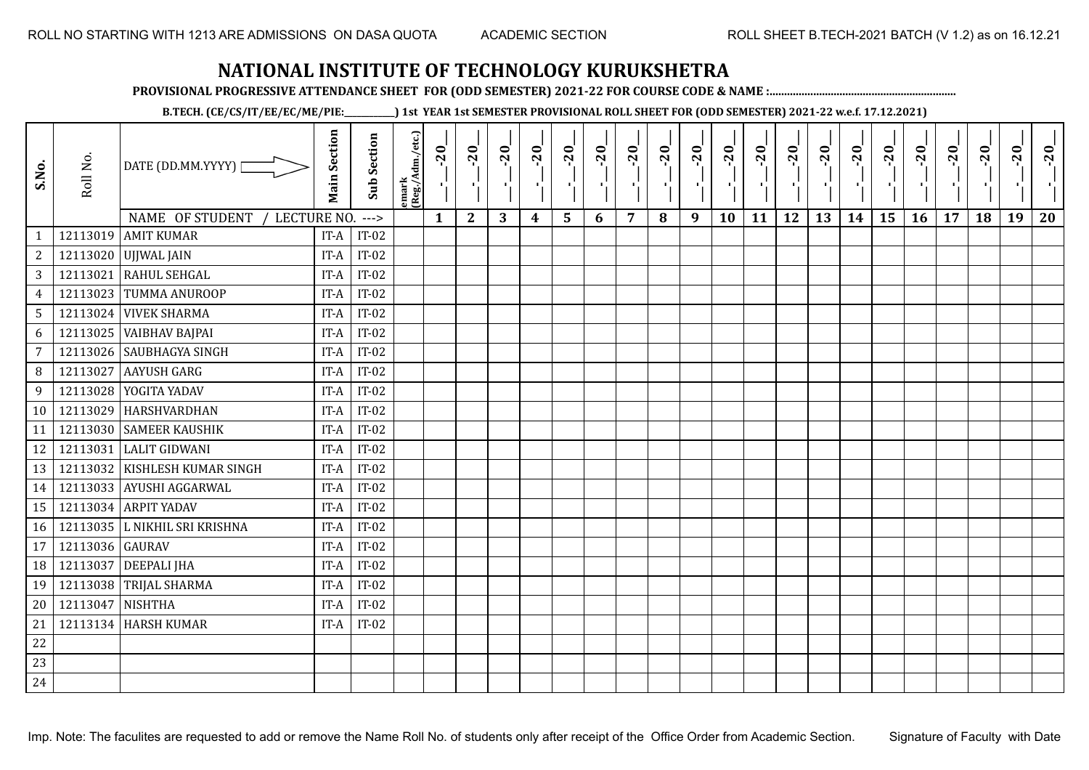**PROVISIONAL PROGRESSIVE ATTENDANCE SHEET FOR (ODD SEMESTER) 2021-22 FOR COURSE CODE & NAME :................................................................**

**B.TECH. (CE/CS/IT/EE/EC/ME/PIE:\_\_\_\_\_\_\_\_\_\_\_\_) 1st YEAR 1st SEMESTER PROVISIONAL ROLL SHEET FOR (ODD SEMESTER) 2021-22 w.e.f. 17.12.2021)**

| S.No.           | Roll No.        | DATE (DD.MM.YYYY)  <br>NAME OF STUDENT<br>LECTURE NO. | <b>Main Section</b> | <b>Sub Section</b><br>$--->$ | emark<br> (Reg./Adm./etc.) | $-20$<br>$\mathbf{1}$ | $-20$<br>π÷<br>$\mathbf{2}$ | $-20$<br>шĵ<br>3 | $-20$<br>π÷<br>$\boldsymbol{4}$ | $-20$<br>лj<br>5 | $-20$<br>п.<br>6 | $-20$<br>7 | $-20$<br>8 | $-20$<br>$\mathbf{L}$<br>9 | $-20$<br>×,<br>10 | $-20$<br>шj<br>11 | $-20$<br>π÷<br>12 | $-20$<br>Æ,<br>13 | $-20$<br>$\blacksquare$<br>14 | $-20$<br>۱,<br>15 | $-20$<br>$\mathcal{F}_{\mathcal{A}}$ .<br>16 | $-20$<br>17 | $-20$<br>18 | $-20$<br>×.<br>19 | $-20$<br>20 |
|-----------------|-----------------|-------------------------------------------------------|---------------------|------------------------------|----------------------------|-----------------------|-----------------------------|------------------|---------------------------------|------------------|------------------|------------|------------|----------------------------|-------------------|-------------------|-------------------|-------------------|-------------------------------|-------------------|----------------------------------------------|-------------|-------------|-------------------|-------------|
| $\mathbf{1}$    |                 | 12113019 AMIT KUMAR                                   | IT-A                | $IT-02$                      |                            |                       |                             |                  |                                 |                  |                  |            |            |                            |                   |                   |                   |                   |                               |                   |                                              |             |             |                   |             |
| $\mathbf{2}$    |                 | 12113020 UJJWAL JAIN                                  | IT-A                | $IT-02$                      |                            |                       |                             |                  |                                 |                  |                  |            |            |                            |                   |                   |                   |                   |                               |                   |                                              |             |             |                   |             |
| 3               | 12113021        | RAHUL SEHGAL                                          | IT-A                | $IT-02$                      |                            |                       |                             |                  |                                 |                  |                  |            |            |                            |                   |                   |                   |                   |                               |                   |                                              |             |             |                   |             |
| $\overline{4}$  | 12113023        | TUMMA ANUROOP                                         | IT-A                | $IT-02$                      |                            |                       |                             |                  |                                 |                  |                  |            |            |                            |                   |                   |                   |                   |                               |                   |                                              |             |             |                   |             |
| $5\phantom{.0}$ |                 | 12113024 VIVEK SHARMA                                 | IT-A                | $IT-02$                      |                            |                       |                             |                  |                                 |                  |                  |            |            |                            |                   |                   |                   |                   |                               |                   |                                              |             |             |                   |             |
| 6               | 12113025        | <b>VAIBHAV BAJPAI</b>                                 | IT-A                | $IT-02$                      |                            |                       |                             |                  |                                 |                  |                  |            |            |                            |                   |                   |                   |                   |                               |                   |                                              |             |             |                   |             |
| $\overline{7}$  | 12113026        | <b>SAUBHAGYA SINGH</b>                                | IT-A                | $IT-02$                      |                            |                       |                             |                  |                                 |                  |                  |            |            |                            |                   |                   |                   |                   |                               |                   |                                              |             |             |                   |             |
| 8               | 12113027        | <b>AAYUSH GARG</b>                                    | IT-A                | $IT-02$                      |                            |                       |                             |                  |                                 |                  |                  |            |            |                            |                   |                   |                   |                   |                               |                   |                                              |             |             |                   |             |
| 9               |                 | 12113028 YOGITA YADAV                                 | IT-A                | $IT-02$                      |                            |                       |                             |                  |                                 |                  |                  |            |            |                            |                   |                   |                   |                   |                               |                   |                                              |             |             |                   |             |
| 10              | 12113029        | HARSHVARDHAN                                          | IT-A                | $IT-02$                      |                            |                       |                             |                  |                                 |                  |                  |            |            |                            |                   |                   |                   |                   |                               |                   |                                              |             |             |                   |             |
| 11              |                 | 12113030 SAMEER KAUSHIK                               | IT-A                | $IT-02$                      |                            |                       |                             |                  |                                 |                  |                  |            |            |                            |                   |                   |                   |                   |                               |                   |                                              |             |             |                   |             |
| 12              |                 | 12113031 LALIT GIDWANI                                | IT-A                | $IT-02$                      |                            |                       |                             |                  |                                 |                  |                  |            |            |                            |                   |                   |                   |                   |                               |                   |                                              |             |             |                   |             |
| 13              |                 | 12113032 KISHLESH KUMAR SINGH                         | IT-A                | $IT-02$                      |                            |                       |                             |                  |                                 |                  |                  |            |            |                            |                   |                   |                   |                   |                               |                   |                                              |             |             |                   |             |
| 14              |                 | 12113033 AYUSHI AGGARWAL                              | IT-A                | $IT-02$                      |                            |                       |                             |                  |                                 |                  |                  |            |            |                            |                   |                   |                   |                   |                               |                   |                                              |             |             |                   |             |
| 15              |                 | 12113034 ARPIT YADAV                                  | IT-A                | $IT-02$                      |                            |                       |                             |                  |                                 |                  |                  |            |            |                            |                   |                   |                   |                   |                               |                   |                                              |             |             |                   |             |
| 16              |                 | 12113035 L NIKHIL SRI KRISHNA                         | IT-A                | $IT-02$                      |                            |                       |                             |                  |                                 |                  |                  |            |            |                            |                   |                   |                   |                   |                               |                   |                                              |             |             |                   |             |
| 17              | 12113036 GAURAV |                                                       | IT-A                | $IT-02$                      |                            |                       |                             |                  |                                 |                  |                  |            |            |                            |                   |                   |                   |                   |                               |                   |                                              |             |             |                   |             |
| 18              | 12113037        | <b>DEEPALI JHA</b>                                    | IT-A                | $IT-02$                      |                            |                       |                             |                  |                                 |                  |                  |            |            |                            |                   |                   |                   |                   |                               |                   |                                              |             |             |                   |             |
| 19              | 12113038        | <b>TRIJAL SHARMA</b>                                  | IT-A                | $IT-02$                      |                            |                       |                             |                  |                                 |                  |                  |            |            |                            |                   |                   |                   |                   |                               |                   |                                              |             |             |                   |             |
| 20              | 12113047        | NISHTHA                                               | IT-A                | $IT-02$                      |                            |                       |                             |                  |                                 |                  |                  |            |            |                            |                   |                   |                   |                   |                               |                   |                                              |             |             |                   |             |
| 21              |                 | 12113134 HARSH KUMAR                                  | IT-A                | $IT-02$                      |                            |                       |                             |                  |                                 |                  |                  |            |            |                            |                   |                   |                   |                   |                               |                   |                                              |             |             |                   |             |
| 22              |                 |                                                       |                     |                              |                            |                       |                             |                  |                                 |                  |                  |            |            |                            |                   |                   |                   |                   |                               |                   |                                              |             |             |                   |             |
| 23              |                 |                                                       |                     |                              |                            |                       |                             |                  |                                 |                  |                  |            |            |                            |                   |                   |                   |                   |                               |                   |                                              |             |             |                   |             |
| 24              |                 |                                                       |                     |                              |                            |                       |                             |                  |                                 |                  |                  |            |            |                            |                   |                   |                   |                   |                               |                   |                                              |             |             |                   |             |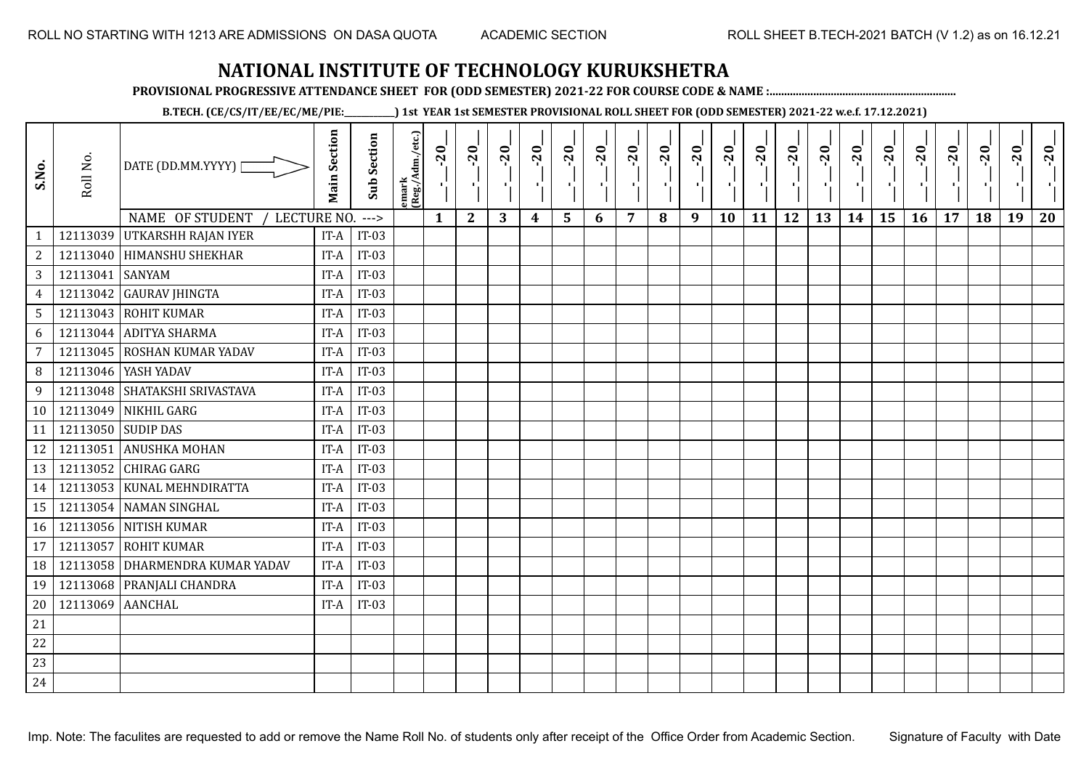**PROVISIONAL PROGRESSIVE ATTENDANCE SHEET FOR (ODD SEMESTER) 2021-22 FOR COURSE CODE & NAME :................................................................**

**B.TECH. (CE/CS/IT/EE/EC/ME/PIE:\_\_\_\_\_\_\_\_\_\_\_\_) 1st YEAR 1st SEMESTER PROVISIONAL ROLL SHEET FOR (ODD SEMESTER) 2021-22 w.e.f. 17.12.2021)**

| S.No.                             | Roll No. | DATE (DD.MM.YYYY)<br><b>NAME OF STUDENT</b> | <b>Main Section</b> | <b>Sub Section</b> | emark<br> (Reg./Adm./etc.) | $-20$<br>AN. | $-20$        | $-20$ | $-20$ | $-20$          | $-20$<br>$\blacksquare$ | $-20$<br>7 | $-20$<br>л. | $-20$<br>пJ. | $-20$ | $-20$ | $-20$<br>12 | $-20$ | $-20$<br>шj | $-20$<br>÷, | $-20$ | $-20$<br>$\blacksquare$ | $-20$ | $-20$ | $-20$ |
|-----------------------------------|----------|---------------------------------------------|---------------------|--------------------|----------------------------|--------------|--------------|-------|-------|----------------|-------------------------|------------|-------------|--------------|-------|-------|-------------|-------|-------------|-------------|-------|-------------------------|-------|-------|-------|
|                                   | 12113039 | <b>LECTURE NO.</b><br>UTKARSHH RAJAN IYER   | IT-A                | $---$<br>$IT-03$   |                            | $\mathbf{1}$ | $\mathbf{2}$ | 3     | 4     | $5\phantom{1}$ | 6                       |            | 8           | 9            | 10    | 11    |             | 13    | 14          | 15          | 16    | 17                      | 18    | 19    | 20    |
| $\mathbf{1}$<br>$\overline{c}$    |          | 12113040 HIMANSHU SHEKHAR                   | IT-A                | $IT-03$            |                            |              |              |       |       |                |                         |            |             |              |       |       |             |       |             |             |       |                         |       |       |       |
| 3                                 | 12113041 | <b>SANYAM</b>                               | IT-A                | $IT-03$            |                            |              |              |       |       |                |                         |            |             |              |       |       |             |       |             |             |       |                         |       |       |       |
|                                   | 12113042 | <b>GAURAV JHINGTA</b>                       | IT-A                | $IT-03$            |                            |              |              |       |       |                |                         |            |             |              |       |       |             |       |             |             |       |                         |       |       |       |
| $\overline{4}$<br>$5\phantom{.0}$ |          | 12113043 ROHIT KUMAR                        | IT-A                | $IT-03$            |                            |              |              |       |       |                |                         |            |             |              |       |       |             |       |             |             |       |                         |       |       |       |
| 6                                 | 12113044 | <b>ADITYA SHARMA</b>                        | IT-A                | $IT-03$            |                            |              |              |       |       |                |                         |            |             |              |       |       |             |       |             |             |       |                         |       |       |       |
| $\overline{7}$                    | 12113045 | ROSHAN KUMAR YADAV                          | IT-A                | $IT-03$            |                            |              |              |       |       |                |                         |            |             |              |       |       |             |       |             |             |       |                         |       |       |       |
| 8                                 |          | 12113046   YASH YADAV                       | IT-A                | $IT-03$            |                            |              |              |       |       |                |                         |            |             |              |       |       |             |       |             |             |       |                         |       |       |       |
|                                   |          | 12113048 SHATAKSHI SRIVASTAVA               | IT-A                | $IT-03$            |                            |              |              |       |       |                |                         |            |             |              |       |       |             |       |             |             |       |                         |       |       |       |
| 9                                 |          |                                             |                     |                    |                            |              |              |       |       |                |                         |            |             |              |       |       |             |       |             |             |       |                         |       |       |       |
| 10                                | 12113049 | NIKHIL GARG                                 | IT-A                | $IT-03$            |                            |              |              |       |       |                |                         |            |             |              |       |       |             |       |             |             |       |                         |       |       |       |
| 11                                |          | 12113050 SUDIP DAS                          | IT-A                | $IT-03$            |                            |              |              |       |       |                |                         |            |             |              |       |       |             |       |             |             |       |                         |       |       |       |
| 12                                | 12113051 | <b>ANUSHKA MOHAN</b>                        | IT-A                | $IT-03$            |                            |              |              |       |       |                |                         |            |             |              |       |       |             |       |             |             |       |                         |       |       |       |
| 13                                |          | 12113052 CHIRAG GARG                        | IT-A                | $IT-03$            |                            |              |              |       |       |                |                         |            |             |              |       |       |             |       |             |             |       |                         |       |       |       |
| 14                                |          | 12113053 KUNAL MEHNDIRATTA                  | IT-A                | $IT-03$            |                            |              |              |       |       |                |                         |            |             |              |       |       |             |       |             |             |       |                         |       |       |       |
| 15                                |          | 12113054 NAMAN SINGHAL                      | IT-A                | $IT-03$            |                            |              |              |       |       |                |                         |            |             |              |       |       |             |       |             |             |       |                         |       |       |       |
| 16                                |          | 12113056 NITISH KUMAR                       | IT-A                | $IT-03$            |                            |              |              |       |       |                |                         |            |             |              |       |       |             |       |             |             |       |                         |       |       |       |
| 17                                | 12113057 | <b>ROHIT KUMAR</b>                          | IT-A                | $IT-03$            |                            |              |              |       |       |                |                         |            |             |              |       |       |             |       |             |             |       |                         |       |       |       |
| 18                                | 12113058 | DHARMENDRA KUMAR YADAV                      | IT-A                | $IT-03$            |                            |              |              |       |       |                |                         |            |             |              |       |       |             |       |             |             |       |                         |       |       |       |
| 19                                |          | 12113068 PRANJALI CHANDRA                   | IT-A                | $IT-03$            |                            |              |              |       |       |                |                         |            |             |              |       |       |             |       |             |             |       |                         |       |       |       |
| 20                                | 12113069 | <b>AANCHAL</b>                              | IT-A                | $IT-03$            |                            |              |              |       |       |                |                         |            |             |              |       |       |             |       |             |             |       |                         |       |       |       |
| 21                                |          |                                             |                     |                    |                            |              |              |       |       |                |                         |            |             |              |       |       |             |       |             |             |       |                         |       |       |       |
| 22                                |          |                                             |                     |                    |                            |              |              |       |       |                |                         |            |             |              |       |       |             |       |             |             |       |                         |       |       |       |
| 23                                |          |                                             |                     |                    |                            |              |              |       |       |                |                         |            |             |              |       |       |             |       |             |             |       |                         |       |       |       |
| 24                                |          |                                             |                     |                    |                            |              |              |       |       |                |                         |            |             |              |       |       |             |       |             |             |       |                         |       |       |       |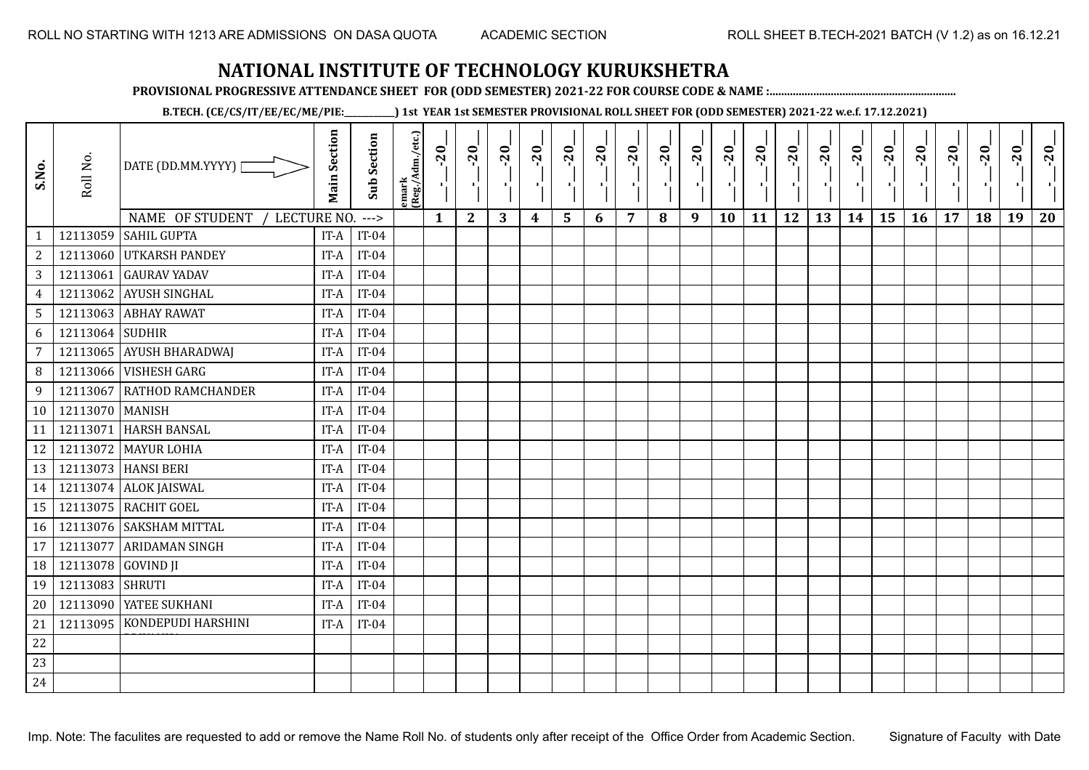**PROVISIONAL PROGRESSIVE ATTENDANCE SHEET FOR (ODD SEMESTER) 2021-22 FOR COURSE CODE & NAME :................................................................**

**B.TECH. (CE/CS/IT/EE/EC/ME/PIE:\_\_\_\_\_\_\_\_\_\_\_\_) 1st YEAR 1st SEMESTER PROVISIONAL ROLL SHEET FOR (ODD SEMESTER) 2021-22 w.e.f. 17.12.2021)**

| S.No.            | Roll No.             | DATE (DD.MM.YYYY) [                                  | <b>Main Section</b> | <b>Sub Section</b> | emark<br> (Reg./Adm./etc.) | $-20$<br>π÷  | $-20$<br>٠j  | $-20$<br>π÷ | $-20$ | $-20$ | $-20$<br>×, | $-20$<br>×,    | $-20$<br>шĵ | $-20$<br>п÷ | $-20$ | $-20$<br>$\mathbf{I}$ | $-20$<br>$\mathbf{r}$ | $-20$ | $-20$<br>пf, | $-20$<br>÷, | $-20$<br>×. | $-20$<br>$\mathbf{I}$ | $-20$ | $-20$ | $-20$ |
|------------------|----------------------|------------------------------------------------------|---------------------|--------------------|----------------------------|--------------|--------------|-------------|-------|-------|-------------|----------------|-------------|-------------|-------|-----------------------|-----------------------|-------|--------------|-------------|-------------|-----------------------|-------|-------|-------|
|                  |                      | NAME OF STUDENT<br>LECTURE NO.<br><b>SAHIL GUPTA</b> |                     | $--->$             |                            | $\mathbf{1}$ | $\mathbf{2}$ | 3           | 4     | 5     | 6           | $\overline{7}$ | 8           | 9           | 10    | 11                    | 12                    | 13    | 14           | 15          | 16          | 17                    | 18    | 19    | 20    |
| $\mathbf{1}$     | 12113059<br>12113060 | <b>UTKARSH PANDEY</b>                                | IT-A                | $IT-04$<br>$IT-04$ |                            |              |              |             |       |       |             |                |             |             |       |                       |                       |       |              |             |             |                       |       |       |       |
| $\boldsymbol{2}$ |                      |                                                      | IT-A                |                    |                            |              |              |             |       |       |             |                |             |             |       |                       |                       |       |              |             |             |                       |       |       |       |
| $\sqrt{3}$       | 12113061             | <b>GAURAV YADAV</b>                                  | IT-A                | $IT-04$            |                            |              |              |             |       |       |             |                |             |             |       |                       |                       |       |              |             |             |                       |       |       |       |
| $\overline{4}$   | 12113062             | AYUSH SINGHAL                                        | IT-A                | $IT-04$            |                            |              |              |             |       |       |             |                |             |             |       |                       |                       |       |              |             |             |                       |       |       |       |
| $\sqrt{5}$       | 12113063             | <b>ABHAY RAWAT</b>                                   | IT-A                | $IT-04$            |                            |              |              |             |       |       |             |                |             |             |       |                       |                       |       |              |             |             |                       |       |       |       |
| 6                | 12113064             | <b>SUDHIR</b>                                        | IT-A                | $IT-04$            |                            |              |              |             |       |       |             |                |             |             |       |                       |                       |       |              |             |             |                       |       |       |       |
| $\overline{7}$   | 12113065             | <b>AYUSH BHARADWAJ</b>                               | IT-A                | $IT-04$            |                            |              |              |             |       |       |             |                |             |             |       |                       |                       |       |              |             |             |                       |       |       |       |
| 8                | 12113066             | <b>VISHESH GARG</b>                                  | IT-A                | $IT-04$            |                            |              |              |             |       |       |             |                |             |             |       |                       |                       |       |              |             |             |                       |       |       |       |
| 9                | 12113067             | <b>RATHOD RAMCHANDER</b>                             | IT-A                | $IT-04$            |                            |              |              |             |       |       |             |                |             |             |       |                       |                       |       |              |             |             |                       |       |       |       |
|                  | 10   12113070        | <b>MANISH</b>                                        | IT-A                | $IT-04$            |                            |              |              |             |       |       |             |                |             |             |       |                       |                       |       |              |             |             |                       |       |       |       |
| 11               | 12113071             | <b>HARSH BANSAL</b>                                  | IT-A                | $IT-04$            |                            |              |              |             |       |       |             |                |             |             |       |                       |                       |       |              |             |             |                       |       |       |       |
| 12               |                      | 12113072 MAYUR LOHIA                                 | IT-A                | $IT-04$            |                            |              |              |             |       |       |             |                |             |             |       |                       |                       |       |              |             |             |                       |       |       |       |
| 13               |                      | 12113073 HANSI BERI                                  | IT-A                | $IT-04$            |                            |              |              |             |       |       |             |                |             |             |       |                       |                       |       |              |             |             |                       |       |       |       |
| 14               |                      | 12113074 ALOK JAISWAL                                | IT-A                | $IT-04$            |                            |              |              |             |       |       |             |                |             |             |       |                       |                       |       |              |             |             |                       |       |       |       |
| 15               | 12113075             | <b>RACHIT GOEL</b>                                   | IT-A                | $IT-04$            |                            |              |              |             |       |       |             |                |             |             |       |                       |                       |       |              |             |             |                       |       |       |       |
| 16               | 12113076             | <b>SAKSHAM MITTAL</b>                                | IT-A                | $IT-04$            |                            |              |              |             |       |       |             |                |             |             |       |                       |                       |       |              |             |             |                       |       |       |       |
| 17               | 12113077             | <b>ARIDAMAN SINGH</b>                                | IT-A                | $IT-04$            |                            |              |              |             |       |       |             |                |             |             |       |                       |                       |       |              |             |             |                       |       |       |       |
| 18               | 12113078             | <b>GOVIND JI</b>                                     | IT-A                | $IT-04$            |                            |              |              |             |       |       |             |                |             |             |       |                       |                       |       |              |             |             |                       |       |       |       |
| 19               | 12113083             | <b>SHRUTI</b>                                        | IT-A                | $IT-04$            |                            |              |              |             |       |       |             |                |             |             |       |                       |                       |       |              |             |             |                       |       |       |       |
| 20               | 12113090             | YATEE SUKHANI                                        | IT-A                | $IT-04$            |                            |              |              |             |       |       |             |                |             |             |       |                       |                       |       |              |             |             |                       |       |       |       |
| 21               | 12113095             | KONDEPUDI HARSHINI                                   | IT-A                | $IT-04$            |                            |              |              |             |       |       |             |                |             |             |       |                       |                       |       |              |             |             |                       |       |       |       |
| 22               |                      |                                                      |                     |                    |                            |              |              |             |       |       |             |                |             |             |       |                       |                       |       |              |             |             |                       |       |       |       |
| 23               |                      |                                                      |                     |                    |                            |              |              |             |       |       |             |                |             |             |       |                       |                       |       |              |             |             |                       |       |       |       |
| 24               |                      |                                                      |                     |                    |                            |              |              |             |       |       |             |                |             |             |       |                       |                       |       |              |             |             |                       |       |       |       |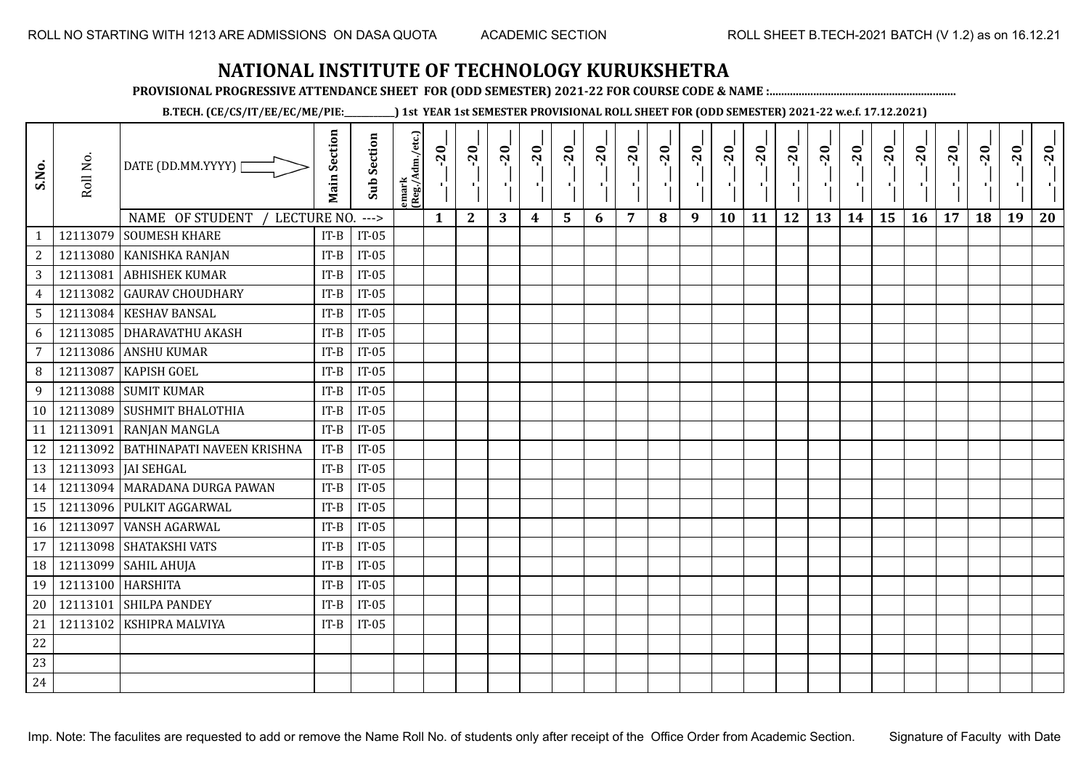**PROVISIONAL PROGRESSIVE ATTENDANCE SHEET FOR (ODD SEMESTER) 2021-22 FOR COURSE CODE & NAME :................................................................**

**B.TECH. (CE/CS/IT/EE/EC/ME/PIE:\_\_\_\_\_\_\_\_\_\_\_\_) 1st YEAR 1st SEMESTER PROVISIONAL ROLL SHEET FOR (ODD SEMESTER) 2021-22 w.e.f. 17.12.2021)**

| S.No.           | Roll No. | DATE (DD.MM.YYYY) [<br>NAME OF STUDENT<br>LECTURE NO. | <b>Main Section</b> | <b>Sub Section</b><br>$---$ | emark<br> (Reg./Adm./etc.) | 20<br>Ч.<br>$\mathbf{1}$ | $-20$<br>×.<br>$\mathbf{2}$ | $-20$<br>шJ.<br>3 | $-20$<br>п.<br>$\boldsymbol{4}$ | $-20$<br>Ч<br>5 | $-20$<br>$\mathbf{I}$<br>6 | $-20$<br>7 | $-20$<br>8 | $-20$<br>л÷<br>9 | $-20$<br>×,<br>10 | $-20$<br>п,<br>11 | $-20$<br>п.<br>12 | $-20$<br>Æ,<br>13 | $-20$<br>$\blacksquare$<br>14 | $-20$<br>٠¦<br>15 | $-20$<br>-96<br>16 | $-20$<br>17 | $-20$<br>18 | $-20$<br>×.<br>19 | $-20$<br>20 |
|-----------------|----------|-------------------------------------------------------|---------------------|-----------------------------|----------------------------|--------------------------|-----------------------------|-------------------|---------------------------------|-----------------|----------------------------|------------|------------|------------------|-------------------|-------------------|-------------------|-------------------|-------------------------------|-------------------|--------------------|-------------|-------------|-------------------|-------------|
| $\mathbf{1}$    | 12113079 | <b>SOUMESH KHARE</b>                                  | $IT-B$              | $IT-05$                     |                            |                          |                             |                   |                                 |                 |                            |            |            |                  |                   |                   |                   |                   |                               |                   |                    |             |             |                   |             |
| $\sqrt{2}$      | 12113080 | KANISHKA RANJAN                                       | $IT-B$              | $IT-05$                     |                            |                          |                             |                   |                                 |                 |                            |            |            |                  |                   |                   |                   |                   |                               |                   |                    |             |             |                   |             |
| 3               | 12113081 | <b>ABHISHEK KUMAR</b>                                 | $IT-B$              | $IT-05$                     |                            |                          |                             |                   |                                 |                 |                            |            |            |                  |                   |                   |                   |                   |                               |                   |                    |             |             |                   |             |
| $\overline{4}$  | 12113082 | <b>GAURAV CHOUDHARY</b>                               | $IT-B$              | $IT-05$                     |                            |                          |                             |                   |                                 |                 |                            |            |            |                  |                   |                   |                   |                   |                               |                   |                    |             |             |                   |             |
| $5\phantom{.0}$ |          | 12113084 KESHAV BANSAL                                | $IT-B$              | $IT-05$                     |                            |                          |                             |                   |                                 |                 |                            |            |            |                  |                   |                   |                   |                   |                               |                   |                    |             |             |                   |             |
| 6               | 12113085 | <b>DHARAVATHU AKASH</b>                               | $IT-B$              | $IT-05$                     |                            |                          |                             |                   |                                 |                 |                            |            |            |                  |                   |                   |                   |                   |                               |                   |                    |             |             |                   |             |
| 7               | 12113086 | <b>ANSHU KUMAR</b>                                    | $IT-B$              | $IT-05$                     |                            |                          |                             |                   |                                 |                 |                            |            |            |                  |                   |                   |                   |                   |                               |                   |                    |             |             |                   |             |
| 8               | 12113087 | <b>KAPISH GOEL</b>                                    | $IT-B$              | $IT-05$                     |                            |                          |                             |                   |                                 |                 |                            |            |            |                  |                   |                   |                   |                   |                               |                   |                    |             |             |                   |             |
| 9               |          | 12113088 SUMIT KUMAR                                  | $IT-B$              | $IT-05$                     |                            |                          |                             |                   |                                 |                 |                            |            |            |                  |                   |                   |                   |                   |                               |                   |                    |             |             |                   |             |
| 10              | 12113089 | <b>SUSHMIT BHALOTHIA</b>                              | $IT-B$              | $IT-05$                     |                            |                          |                             |                   |                                 |                 |                            |            |            |                  |                   |                   |                   |                   |                               |                   |                    |             |             |                   |             |
| 11              | 12113091 | <b>RANJAN MANGLA</b>                                  | $IT-B$              | $IT-05$                     |                            |                          |                             |                   |                                 |                 |                            |            |            |                  |                   |                   |                   |                   |                               |                   |                    |             |             |                   |             |
| 12              |          | 12113092 BATHINAPATI NAVEEN KRISHNA                   | $IT-B$              | $IT-05$                     |                            |                          |                             |                   |                                 |                 |                            |            |            |                  |                   |                   |                   |                   |                               |                   |                    |             |             |                   |             |
| 13              |          | 12113093   JAI SEHGAL                                 | $IT-B$              | $IT-05$                     |                            |                          |                             |                   |                                 |                 |                            |            |            |                  |                   |                   |                   |                   |                               |                   |                    |             |             |                   |             |
| 14              |          | 12113094 MARADANA DURGA PAWAN                         | $IT-B$              | $IT-05$                     |                            |                          |                             |                   |                                 |                 |                            |            |            |                  |                   |                   |                   |                   |                               |                   |                    |             |             |                   |             |
| 15              | 12113096 | <b>PULKIT AGGARWAL</b>                                | $IT-B$              | $IT-05$                     |                            |                          |                             |                   |                                 |                 |                            |            |            |                  |                   |                   |                   |                   |                               |                   |                    |             |             |                   |             |
| 16              | 12113097 | <b>VANSH AGARWAL</b>                                  | $IT-B$              | $IT-05$                     |                            |                          |                             |                   |                                 |                 |                            |            |            |                  |                   |                   |                   |                   |                               |                   |                    |             |             |                   |             |
| 17              | 12113098 | SHATAKSHI VATS                                        | $IT-B$              | $IT-05$                     |                            |                          |                             |                   |                                 |                 |                            |            |            |                  |                   |                   |                   |                   |                               |                   |                    |             |             |                   |             |
| 18              | 12113099 | <b>SAHIL AHUJA</b>                                    | $IT-B$              | $IT-05$                     |                            |                          |                             |                   |                                 |                 |                            |            |            |                  |                   |                   |                   |                   |                               |                   |                    |             |             |                   |             |
| 19              | 12113100 | <b>HARSHITA</b>                                       | $IT-B$              | $IT-05$                     |                            |                          |                             |                   |                                 |                 |                            |            |            |                  |                   |                   |                   |                   |                               |                   |                    |             |             |                   |             |
| 20              | 12113101 | <b>SHILPA PANDEY</b>                                  | $IT-B$              | $IT-05$                     |                            |                          |                             |                   |                                 |                 |                            |            |            |                  |                   |                   |                   |                   |                               |                   |                    |             |             |                   |             |
| 21              | 12113102 | KSHIPRA MALVIYA                                       | $IT-B$              | $IT-05$                     |                            |                          |                             |                   |                                 |                 |                            |            |            |                  |                   |                   |                   |                   |                               |                   |                    |             |             |                   |             |
| 22              |          |                                                       |                     |                             |                            |                          |                             |                   |                                 |                 |                            |            |            |                  |                   |                   |                   |                   |                               |                   |                    |             |             |                   |             |
| 23              |          |                                                       |                     |                             |                            |                          |                             |                   |                                 |                 |                            |            |            |                  |                   |                   |                   |                   |                               |                   |                    |             |             |                   |             |
| 24              |          |                                                       |                     |                             |                            |                          |                             |                   |                                 |                 |                            |            |            |                  |                   |                   |                   |                   |                               |                   |                    |             |             |                   |             |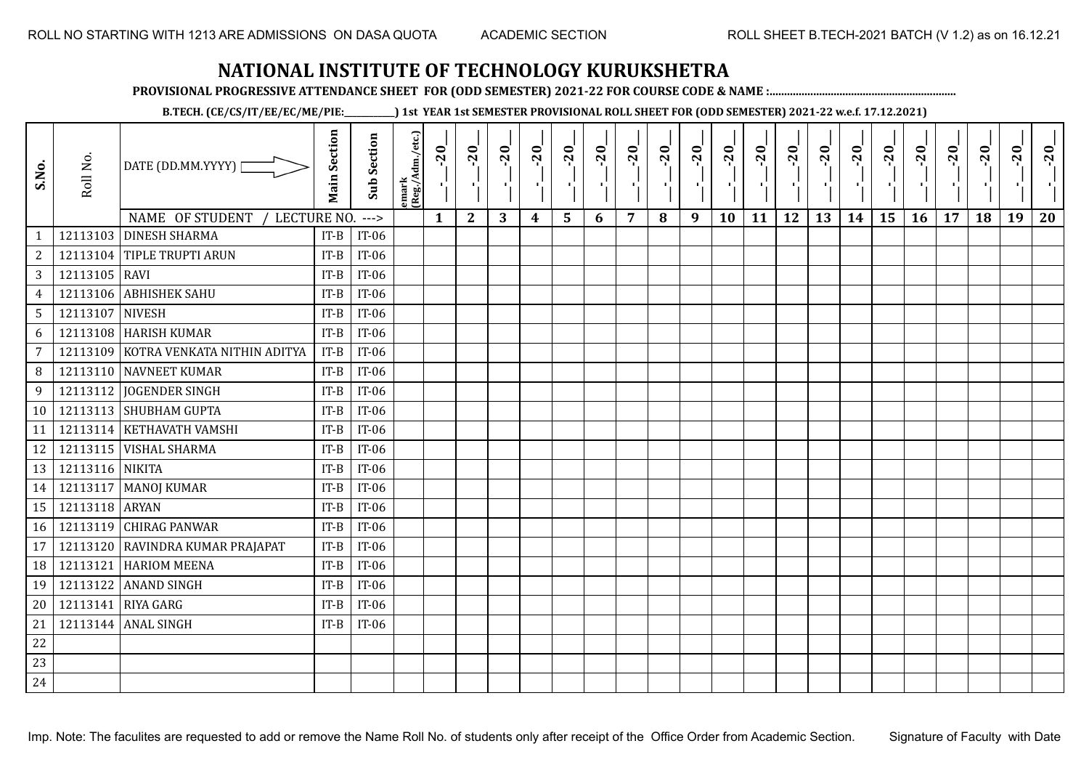**PROVISIONAL PROGRESSIVE ATTENDANCE SHEET FOR (ODD SEMESTER) 2021-22 FOR COURSE CODE & NAME :................................................................**

**B.TECH. (CE/CS/IT/EE/EC/ME/PIE:\_\_\_\_\_\_\_\_\_\_\_\_) 1st YEAR 1st SEMESTER PROVISIONAL ROLL SHEET FOR (ODD SEMESTER) 2021-22 w.e.f. 17.12.2021)**

| S.No.           | Roll No.        | DATE (DD.MM.YYYY) [<br>NAME OF STUDENT<br>LECTURE NO. | <b>Main Section</b> | <b>Sub Section</b><br>$---$ | emark<br> (Reg./Adm./etc.) | $-20$<br>片<br>$\mathbf{1}$ | $-20$<br>х÷<br>$\mathbf{2}$ | $-20$<br>-10<br>3 | $-20$<br>π÷<br>$\boldsymbol{4}$ | $-20$<br>٠,<br>5 | $-20$<br>п.<br>6 | $-20$<br>п,<br>$\overline{7}$ | $-20$<br>8 | $-20$<br>лĵ<br>9 | $-20$<br>л,<br>10 | $-20$<br>п÷<br>11 | $-20$<br>ΠŮ<br>12 | $-20$<br>Æ,<br>13 | $-20$<br>H)<br>14 | $-20$<br>۱,<br>15 | $-20$<br>л.,<br>16 | $-20$<br>17 | $-20$<br>18 | $-20$<br>×.<br>19 | $-20$<br>20 |
|-----------------|-----------------|-------------------------------------------------------|---------------------|-----------------------------|----------------------------|----------------------------|-----------------------------|-------------------|---------------------------------|------------------|------------------|-------------------------------|------------|------------------|-------------------|-------------------|-------------------|-------------------|-------------------|-------------------|--------------------|-------------|-------------|-------------------|-------------|
| $\mathbf{1}$    |                 | 12113103 DINESH SHARMA                                | $IT-B$              | IT-06                       |                            |                            |                             |                   |                                 |                  |                  |                               |            |                  |                   |                   |                   |                   |                   |                   |                    |             |             |                   |             |
| $\sqrt{2}$      |                 | 12113104 TIPLE TRUPTI ARUN                            | $IT-B$              | IT-06                       |                            |                            |                             |                   |                                 |                  |                  |                               |            |                  |                   |                   |                   |                   |                   |                   |                    |             |             |                   |             |
| 3               | 12113105 RAVI   |                                                       | $IT-B$              | $IT-06$                     |                            |                            |                             |                   |                                 |                  |                  |                               |            |                  |                   |                   |                   |                   |                   |                   |                    |             |             |                   |             |
| $\overline{4}$  | 12113106        | <b>ABHISHEK SAHU</b>                                  | $IT-B$              | $IT-06$                     |                            |                            |                             |                   |                                 |                  |                  |                               |            |                  |                   |                   |                   |                   |                   |                   |                    |             |             |                   |             |
| $5\phantom{.0}$ | 12113107 NIVESH |                                                       | $IT-B$              | $IT-06$                     |                            |                            |                             |                   |                                 |                  |                  |                               |            |                  |                   |                   |                   |                   |                   |                   |                    |             |             |                   |             |
| 6               | 12113108        | <b>HARISH KUMAR</b>                                   | $IT-B$              | IT-06                       |                            |                            |                             |                   |                                 |                  |                  |                               |            |                  |                   |                   |                   |                   |                   |                   |                    |             |             |                   |             |
| 7               | 12113109        | KOTRA VENKATA NITHIN ADITYA                           | $IT-B$              | $IT-06$                     |                            |                            |                             |                   |                                 |                  |                  |                               |            |                  |                   |                   |                   |                   |                   |                   |                    |             |             |                   |             |
| 8               |                 | 12113110 NAVNEET KUMAR                                | $IT-B$              | $IT-06$                     |                            |                            |                             |                   |                                 |                  |                  |                               |            |                  |                   |                   |                   |                   |                   |                   |                    |             |             |                   |             |
| 9               | 12113112        | <b>JOGENDER SINGH</b>                                 | $IT-B$              | $IT-06$                     |                            |                            |                             |                   |                                 |                  |                  |                               |            |                  |                   |                   |                   |                   |                   |                   |                    |             |             |                   |             |
| 10              |                 | 12113113 SHUBHAM GUPTA                                | $IT-B$              | $IT-06$                     |                            |                            |                             |                   |                                 |                  |                  |                               |            |                  |                   |                   |                   |                   |                   |                   |                    |             |             |                   |             |
| 11              |                 | 12113114 KETHAVATH VAMSHI                             | $IT-B$              | $IT-06$                     |                            |                            |                             |                   |                                 |                  |                  |                               |            |                  |                   |                   |                   |                   |                   |                   |                    |             |             |                   |             |
| 12              |                 | 12113115   VISHAL SHARMA                              | $IT-B$              | $IT-06$                     |                            |                            |                             |                   |                                 |                  |                  |                               |            |                  |                   |                   |                   |                   |                   |                   |                    |             |             |                   |             |
| 13              | 12113116 NIKITA |                                                       | $IT-B$              | $IT-06$                     |                            |                            |                             |                   |                                 |                  |                  |                               |            |                  |                   |                   |                   |                   |                   |                   |                    |             |             |                   |             |
| 14              |                 | 12113117   MANOJ KUMAR                                | $IT-B$              | $IT-06$                     |                            |                            |                             |                   |                                 |                  |                  |                               |            |                  |                   |                   |                   |                   |                   |                   |                    |             |             |                   |             |
| 15              | 12113118 ARYAN  |                                                       | $IT-B$              | IT-06                       |                            |                            |                             |                   |                                 |                  |                  |                               |            |                  |                   |                   |                   |                   |                   |                   |                    |             |             |                   |             |
| 16              |                 | 12113119 CHIRAG PANWAR                                | $IT-B$              | $IT-06$                     |                            |                            |                             |                   |                                 |                  |                  |                               |            |                  |                   |                   |                   |                   |                   |                   |                    |             |             |                   |             |
| 17              | 12113120        | RAVINDRA KUMAR PRAJAPAT                               | $IT-B$              | $IT-06$                     |                            |                            |                             |                   |                                 |                  |                  |                               |            |                  |                   |                   |                   |                   |                   |                   |                    |             |             |                   |             |
| 18              | 12113121        | <b>HARIOM MEENA</b>                                   | $IT-B$              | $IT-06$                     |                            |                            |                             |                   |                                 |                  |                  |                               |            |                  |                   |                   |                   |                   |                   |                   |                    |             |             |                   |             |
| 19              | 12113122        | <b>ANAND SINGH</b>                                    | $IT-B$              | $IT-06$                     |                            |                            |                             |                   |                                 |                  |                  |                               |            |                  |                   |                   |                   |                   |                   |                   |                    |             |             |                   |             |
| 20              | 12113141        | <b>RIYA GARG</b>                                      | $IT-B$              | $IT-06$                     |                            |                            |                             |                   |                                 |                  |                  |                               |            |                  |                   |                   |                   |                   |                   |                   |                    |             |             |                   |             |
| 21              |                 | 12113144 ANAL SINGH                                   | $IT-B$              | $IT-06$                     |                            |                            |                             |                   |                                 |                  |                  |                               |            |                  |                   |                   |                   |                   |                   |                   |                    |             |             |                   |             |
| 22              |                 |                                                       |                     |                             |                            |                            |                             |                   |                                 |                  |                  |                               |            |                  |                   |                   |                   |                   |                   |                   |                    |             |             |                   |             |
| 23              |                 |                                                       |                     |                             |                            |                            |                             |                   |                                 |                  |                  |                               |            |                  |                   |                   |                   |                   |                   |                   |                    |             |             |                   |             |
| 24              |                 |                                                       |                     |                             |                            |                            |                             |                   |                                 |                  |                  |                               |            |                  |                   |                   |                   |                   |                   |                   |                    |             |             |                   |             |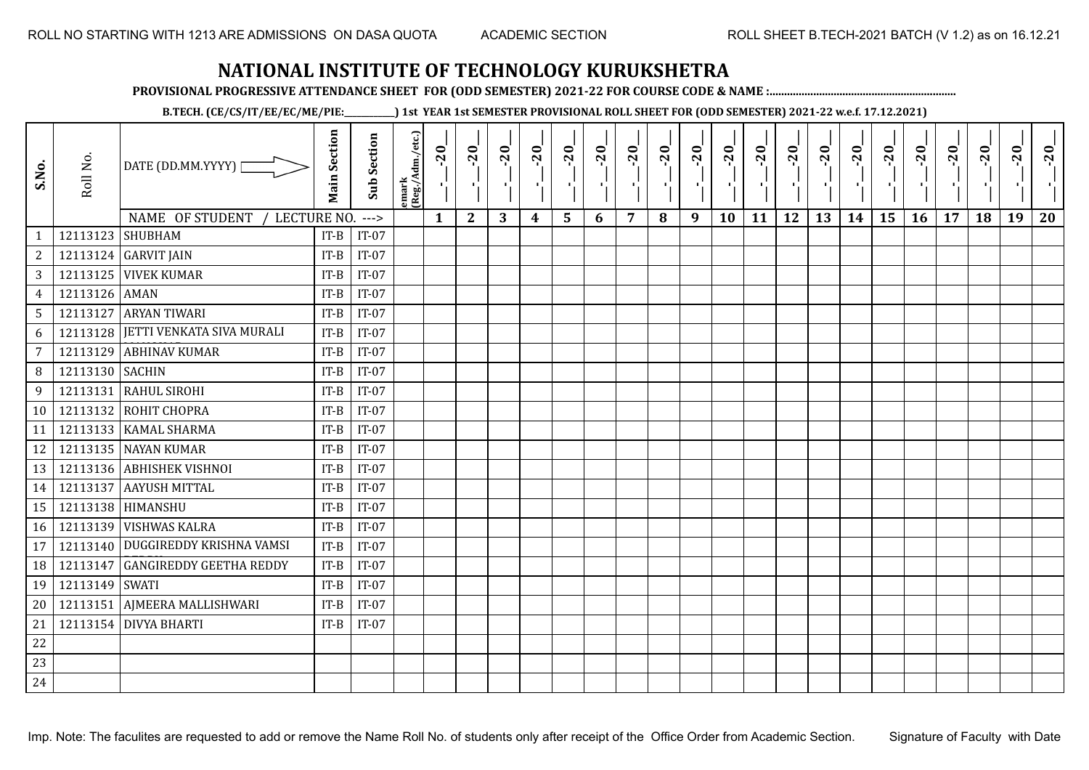**PROVISIONAL PROGRESSIVE ATTENDANCE SHEET FOR (ODD SEMESTER) 2021-22 FOR COURSE CODE & NAME :................................................................**

**B.TECH. (CE/CS/IT/EE/EC/ME/PIE:\_\_\_\_\_\_\_\_\_\_\_\_) 1st YEAR 1st SEMESTER PROVISIONAL ROLL SHEET FOR (ODD SEMESTER) 2021-22 w.e.f. 17.12.2021)**

| S.No.                          | Roll No.         | DATE (DD.MM.YYYY)                  | <b>Main Section</b> | Sub Section       | emark<br>(Reg./Adm./etc.) | $-20$        | $-20$<br>π÷  | $-20$<br>л÷. | $-20$<br>π÷      | $-20$<br>лj | $-20$ | $-20$          | $-20$ | $-20$<br>$\mathbf{r}$ | $-20$<br>л, | $-20$<br>шj | $-20$<br>π÷ | $-20$<br>Æ, | $-20$<br>$\blacksquare$ | $-20$<br>ا .<br>ا | $-20$<br>-96 | $-20$ | $-20$ | $-20$<br>×. | $-20$ |
|--------------------------------|------------------|------------------------------------|---------------------|-------------------|---------------------------|--------------|--------------|--------------|------------------|-------------|-------|----------------|-------|-----------------------|-------------|-------------|-------------|-------------|-------------------------|-------------------|--------------|-------|-------|-------------|-------|
|                                | 12113123 SHUBHAM | NAME OF STUDENT<br>LECTURE NO.     | $IT-B$              | $--->$<br>$IT-07$ |                           | $\mathbf{1}$ | $\mathbf{2}$ | 3            | $\boldsymbol{4}$ | 5           | 6     | $\overline{7}$ | 8     | 9                     | 10          | 11          | 12          | 13          | 14                      | 15                | 16           | 17    | 18    | 19          | 20    |
| $\mathbf{1}$<br>$\overline{c}$ |                  | 12113124 GARVIT JAIN               | $IT-B$              | $IT-07$           |                           |              |              |              |                  |             |       |                |       |                       |             |             |             |             |                         |                   |              |       |       |             |       |
| 3                              |                  | <b>12113125 VIVEK KUMAR</b>        | $IT-B$              | $IT-07$           |                           |              |              |              |                  |             |       |                |       |                       |             |             |             |             |                         |                   |              |       |       |             |       |
| $\overline{4}$                 | 12113126 AMAN    |                                    | $IT-B$              | $IT-07$           |                           |              |              |              |                  |             |       |                |       |                       |             |             |             |             |                         |                   |              |       |       |             |       |
| 5                              |                  | 12113127 ARYAN TIWARI              | $IT-B$              | $IT-07$           |                           |              |              |              |                  |             |       |                |       |                       |             |             |             |             |                         |                   |              |       |       |             |       |
| 6                              |                  | 12113128 JETTI VENKATA SIVA MURALI | $IT-B$              | $IT-07$           |                           |              |              |              |                  |             |       |                |       |                       |             |             |             |             |                         |                   |              |       |       |             |       |
| $\overline{7}$                 | 12113129         | <b>ABHINAV KUMAR</b>               | $IT-B$              | $IT-07$           |                           |              |              |              |                  |             |       |                |       |                       |             |             |             |             |                         |                   |              |       |       |             |       |
| 8                              | 12113130 SACHIN  |                                    | $IT-B$              | $IT-07$           |                           |              |              |              |                  |             |       |                |       |                       |             |             |             |             |                         |                   |              |       |       |             |       |
| 9                              | 12113131         | <b>RAHUL SIROHI</b>                | $IT-B$              | $IT-07$           |                           |              |              |              |                  |             |       |                |       |                       |             |             |             |             |                         |                   |              |       |       |             |       |
|                                |                  | 12113132 ROHIT CHOPRA              | $IT-B$              | $IT-07$           |                           |              |              |              |                  |             |       |                |       |                       |             |             |             |             |                         |                   |              |       |       |             |       |
| 10                             |                  |                                    |                     |                   |                           |              |              |              |                  |             |       |                |       |                       |             |             |             |             |                         |                   |              |       |       |             |       |
| 11                             |                  | 12113133   KAMAL SHARMA            | $IT-B$              | $IT-07$           |                           |              |              |              |                  |             |       |                |       |                       |             |             |             |             |                         |                   |              |       |       |             |       |
| 12                             |                  | 12113135 NAYAN KUMAR               | $IT-B$              | $IT-07$           |                           |              |              |              |                  |             |       |                |       |                       |             |             |             |             |                         |                   |              |       |       |             |       |
| 13                             |                  | 12113136 ABHISHEK VISHNOI          | $IT-B$              | $IT-07$           |                           |              |              |              |                  |             |       |                |       |                       |             |             |             |             |                         |                   |              |       |       |             |       |
| 14                             |                  | 12113137 AAYUSH MITTAL             | $IT-B$              | $IT-07$           |                           |              |              |              |                  |             |       |                |       |                       |             |             |             |             |                         |                   |              |       |       |             |       |
| 15                             |                  | 12113138 HIMANSHU                  | $IT-B$              | $IT-07$           |                           |              |              |              |                  |             |       |                |       |                       |             |             |             |             |                         |                   |              |       |       |             |       |
| 16                             |                  | 12113139 VISHWAS KALRA             | $IT-B$              | $IT-07$           |                           |              |              |              |                  |             |       |                |       |                       |             |             |             |             |                         |                   |              |       |       |             |       |
| 17                             |                  | 12113140 DUGGIREDDY KRISHNA VAMSI  | $IT-B$              | $IT-07$           |                           |              |              |              |                  |             |       |                |       |                       |             |             |             |             |                         |                   |              |       |       |             |       |
| 18                             | 12113147         | <b>GANGIREDDY GEETHA REDDY</b>     | $IT-B$              | $IT-07$           |                           |              |              |              |                  |             |       |                |       |                       |             |             |             |             |                         |                   |              |       |       |             |       |
| 19                             | 12113149 SWATI   |                                    | $IT-B$              | $IT-07$           |                           |              |              |              |                  |             |       |                |       |                       |             |             |             |             |                         |                   |              |       |       |             |       |
| 20                             | 12113151         | AJMEERA MALLISHWARI                | $IT-B$              | $IT-07$           |                           |              |              |              |                  |             |       |                |       |                       |             |             |             |             |                         |                   |              |       |       |             |       |
| 21                             |                  | 12113154 DIVYA BHARTI              | $IT-B$              | $IT-07$           |                           |              |              |              |                  |             |       |                |       |                       |             |             |             |             |                         |                   |              |       |       |             |       |
| 22                             |                  |                                    |                     |                   |                           |              |              |              |                  |             |       |                |       |                       |             |             |             |             |                         |                   |              |       |       |             |       |
| 23                             |                  |                                    |                     |                   |                           |              |              |              |                  |             |       |                |       |                       |             |             |             |             |                         |                   |              |       |       |             |       |
| 24                             |                  |                                    |                     |                   |                           |              |              |              |                  |             |       |                |       |                       |             |             |             |             |                         |                   |              |       |       |             |       |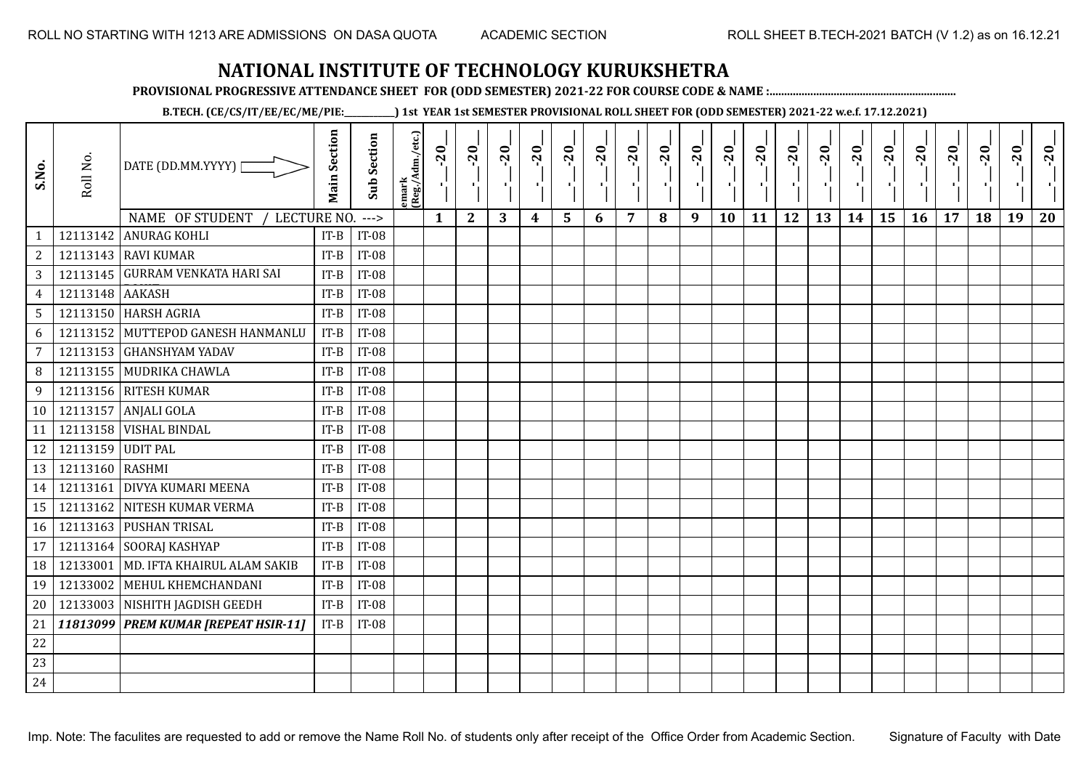**PROVISIONAL PROGRESSIVE ATTENDANCE SHEET FOR (ODD SEMESTER) 2021-22 FOR COURSE CODE & NAME :................................................................**

**B.TECH. (CE/CS/IT/EE/EC/ME/PIE:\_\_\_\_\_\_\_\_\_\_\_\_) 1st YEAR 1st SEMESTER PROVISIONAL ROLL SHEET FOR (ODD SEMESTER) 2021-22 w.e.f. 17.12.2021)**

| S.No.          | Roll No.          | DATE (DD.MM.YYYY) [                                     | <b>Main Section</b> | <b>Sub Section</b> | emark<br> (Reg./Adm./etc.) | $-20$<br>- C 1 | $-20$        | $-20$ | $-20$ | $-20$          | $-20$<br>$\mathbf{r}$ | $-20$ | $-20$ | $-20$<br>π÷ | $-20$<br>л, | $-20$ | $-20$<br>$\blacksquare$ | $-20$ | $-20$<br>$\blacksquare$ | $-20$<br>÷, | $-20$<br>шJ. | $-20$ | $-20$ | $-20$<br>×. | $-20$ |
|----------------|-------------------|---------------------------------------------------------|---------------------|--------------------|----------------------------|----------------|--------------|-------|-------|----------------|-----------------------|-------|-------|-------------|-------------|-------|-------------------------|-------|-------------------------|-------------|--------------|-------|-------|-------------|-------|
|                | 12113142          | NAME OF STUDENT<br>LECTURE NO.<br><b>ANURAG KOHLI</b>   |                     | $--->$             |                            | $\mathbf{1}$   | $\mathbf{2}$ | 3     | 4     | $5\phantom{1}$ | 6                     | 7     | 8     | 9           | 10          | 11    | 12                      | 13    | 14                      | 15          | 16           | 17    | 18    | 19          | 20    |
| $\mathbf{1}$   |                   |                                                         | $IT-B$              | <b>IT-08</b>       |                            |                |              |       |       |                |                       |       |       |             |             |       |                         |       |                         |             |              |       |       |             |       |
| $\sqrt{2}$     |                   | 12113143 RAVI KUMAR<br>12113145 GURRAM VENKATA HARI SAI | $IT-B$              | <b>IT-08</b>       |                            |                |              |       |       |                |                       |       |       |             |             |       |                         |       |                         |             |              |       |       |             |       |
| $\sqrt{3}$     |                   |                                                         | $IT-B$              | <b>IT-08</b>       |                            |                |              |       |       |                |                       |       |       |             |             |       |                         |       |                         |             |              |       |       |             |       |
| $\overline{4}$ | 12113148          | <b>AAKASH</b>                                           | $IT-B$              | <b>IT-08</b>       |                            |                |              |       |       |                |                       |       |       |             |             |       |                         |       |                         |             |              |       |       |             |       |
| $\sqrt{5}$     |                   | 12113150 HARSH AGRIA                                    | $IT-B$              | <b>IT-08</b>       |                            |                |              |       |       |                |                       |       |       |             |             |       |                         |       |                         |             |              |       |       |             |       |
| 6              | 12113152          | MUTTEPOD GANESH HANMANLU                                | $IT-B$              | <b>IT-08</b>       |                            |                |              |       |       |                |                       |       |       |             |             |       |                         |       |                         |             |              |       |       |             |       |
| $\overline{7}$ | 12113153          | <b>GHANSHYAM YADAV</b>                                  | $IT-B$              | $IT-08$            |                            |                |              |       |       |                |                       |       |       |             |             |       |                         |       |                         |             |              |       |       |             |       |
| 8              | 12113155          | MUDRIKA CHAWLA                                          | $IT-B$              | <b>IT-08</b>       |                            |                |              |       |       |                |                       |       |       |             |             |       |                         |       |                         |             |              |       |       |             |       |
| 9              |                   | 12113156 RITESH KUMAR                                   | $IT-B$              | <b>IT-08</b>       |                            |                |              |       |       |                |                       |       |       |             |             |       |                         |       |                         |             |              |       |       |             |       |
|                | 10 12113157       | <b>ANJALI GOLA</b>                                      | $IT-B$              | <b>IT-08</b>       |                            |                |              |       |       |                |                       |       |       |             |             |       |                         |       |                         |             |              |       |       |             |       |
| 11             | 12113158          | <b>VISHAL BINDAL</b>                                    | $IT-B$              | <b>IT-08</b>       |                            |                |              |       |       |                |                       |       |       |             |             |       |                         |       |                         |             |              |       |       |             |       |
| 12             | 12113159 UDIT PAL |                                                         | $IT-B$              | <b>IT-08</b>       |                            |                |              |       |       |                |                       |       |       |             |             |       |                         |       |                         |             |              |       |       |             |       |
| 13             | 12113160 RASHMI   |                                                         | $IT-B$              | $IT-08$            |                            |                |              |       |       |                |                       |       |       |             |             |       |                         |       |                         |             |              |       |       |             |       |
| 14             |                   | 12113161 DIVYA KUMARI MEENA                             | $IT-B$              | <b>IT-08</b>       |                            |                |              |       |       |                |                       |       |       |             |             |       |                         |       |                         |             |              |       |       |             |       |
| 15             | 12113162          | NITESH KUMAR VERMA                                      | $IT-B$              | <b>IT-08</b>       |                            |                |              |       |       |                |                       |       |       |             |             |       |                         |       |                         |             |              |       |       |             |       |
| 16             |                   | 12113163 PUSHAN TRISAL                                  | $IT-B$              | <b>IT-08</b>       |                            |                |              |       |       |                |                       |       |       |             |             |       |                         |       |                         |             |              |       |       |             |       |
| 17             | 12113164          | SOORAJ KASHYAP                                          | $IT-B$              | <b>IT-08</b>       |                            |                |              |       |       |                |                       |       |       |             |             |       |                         |       |                         |             |              |       |       |             |       |
| 18             | 12133001          | MD. IFTA KHAIRUL ALAM SAKIB                             | $IT-B$              | <b>IT-08</b>       |                            |                |              |       |       |                |                       |       |       |             |             |       |                         |       |                         |             |              |       |       |             |       |
| 19             | 12133002          | MEHUL KHEMCHANDANI                                      | $IT-B$              | <b>IT-08</b>       |                            |                |              |       |       |                |                       |       |       |             |             |       |                         |       |                         |             |              |       |       |             |       |
| 20             |                   | 12133003 NISHITH JAGDISH GEEDH                          | $IT-B$              | <b>IT-08</b>       |                            |                |              |       |       |                |                       |       |       |             |             |       |                         |       |                         |             |              |       |       |             |       |
|                | 21 11813099       | <b>PREM KUMAR [REPEAT HSIR-11]</b>                      | $IT-B$              | <b>IT-08</b>       |                            |                |              |       |       |                |                       |       |       |             |             |       |                         |       |                         |             |              |       |       |             |       |
| 22             |                   |                                                         |                     |                    |                            |                |              |       |       |                |                       |       |       |             |             |       |                         |       |                         |             |              |       |       |             |       |
| 23             |                   |                                                         |                     |                    |                            |                |              |       |       |                |                       |       |       |             |             |       |                         |       |                         |             |              |       |       |             |       |
| 24             |                   |                                                         |                     |                    |                            |                |              |       |       |                |                       |       |       |             |             |       |                         |       |                         |             |              |       |       |             |       |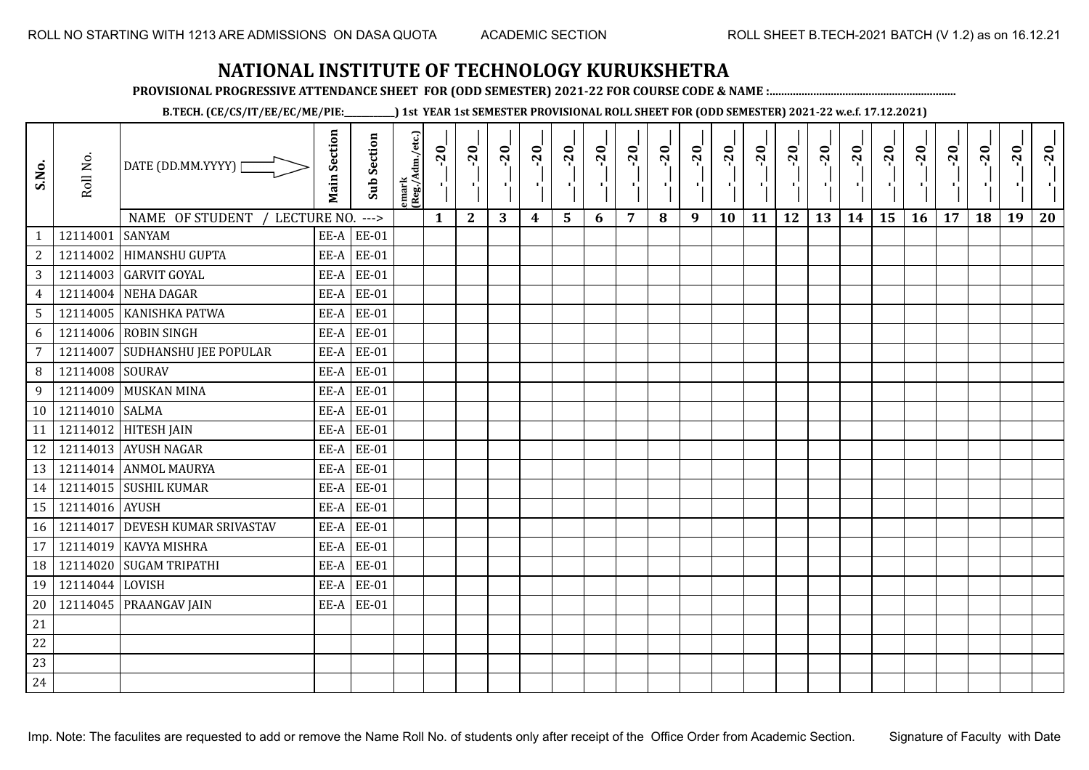**PROVISIONAL PROGRESSIVE ATTENDANCE SHEET FOR (ODD SEMESTER) 2021-22 FOR COURSE CODE & NAME :................................................................**

**B.TECH. (CE/CS/IT/EE/EC/ME/PIE:\_\_\_\_\_\_\_\_\_\_\_\_) 1st YEAR 1st SEMESTER PROVISIONAL ROLL SHEET FOR (ODD SEMESTER) 2021-22 w.e.f. 17.12.2021)**

| S.No.           | Roll No.        | DATE (DD.MM.YYYY)  <br>NAME OF STUDENT<br>LECTURE NO. ---> | <b>Main Section</b> | <b>Sub Section</b> | emark<br> (Reg./Adm./etc.) | $-20$<br>ΠŢ.<br>$\mathbf{1}$ | $-20$<br>$\mathbf{2}$ | $-20$<br>3 | $-20$<br>4 | $-20$<br>$5\phantom{1}$ | $-20$<br>×.<br>6 | $-20$<br>7 | $-20$<br>л.<br>8 | $-20$<br>пJ.<br>9 | $-20$<br>10 | $-20$<br>11 | $-20$<br>12 | $-20$<br>13 | $-20$<br>шj<br>14 | $-20$<br>÷.<br>15 | $-20$<br>16 | $-20$<br>п.<br>17 | $-20$<br>18 | $-20$<br>19 | $-20$<br>20 |
|-----------------|-----------------|------------------------------------------------------------|---------------------|--------------------|----------------------------|------------------------------|-----------------------|------------|------------|-------------------------|------------------|------------|------------------|-------------------|-------------|-------------|-------------|-------------|-------------------|-------------------|-------------|-------------------|-------------|-------------|-------------|
| $\mathbf{1}$    | 12114001        | <b>SANYAM</b>                                              | EE-A                | <b>EE-01</b>       |                            |                              |                       |            |            |                         |                  |            |                  |                   |             |             |             |             |                   |                   |             |                   |             |             |             |
| $\overline{2}$  | 12114002        | <b>HIMANSHU GUPTA</b>                                      | EE-A                | <b>EE-01</b>       |                            |                              |                       |            |            |                         |                  |            |                  |                   |             |             |             |             |                   |                   |             |                   |             |             |             |
| 3               |                 | 12114003 GARVIT GOYAL                                      | EE-A                | <b>EE-01</b>       |                            |                              |                       |            |            |                         |                  |            |                  |                   |             |             |             |             |                   |                   |             |                   |             |             |             |
| $\overline{4}$  | 12114004        | NEHA DAGAR                                                 | EE-A                | <b>EE-01</b>       |                            |                              |                       |            |            |                         |                  |            |                  |                   |             |             |             |             |                   |                   |             |                   |             |             |             |
| $5\phantom{.0}$ |                 | 12114005   KANISHKA PATWA                                  | EE-A                | <b>EE-01</b>       |                            |                              |                       |            |            |                         |                  |            |                  |                   |             |             |             |             |                   |                   |             |                   |             |             |             |
| 6               | 12114006        | <b>ROBIN SINGH</b>                                         | EE-A                | <b>EE-01</b>       |                            |                              |                       |            |            |                         |                  |            |                  |                   |             |             |             |             |                   |                   |             |                   |             |             |             |
| $\overline{7}$  | 12114007        | <b>SUDHANSHU JEE POPULAR</b>                               | EE-A                | <b>EE-01</b>       |                            |                              |                       |            |            |                         |                  |            |                  |                   |             |             |             |             |                   |                   |             |                   |             |             |             |
| 8               | 12114008        | <b>SOURAV</b>                                              | EE-A                | <b>EE-01</b>       |                            |                              |                       |            |            |                         |                  |            |                  |                   |             |             |             |             |                   |                   |             |                   |             |             |             |
| 9               | 12114009        | <b>MUSKAN MINA</b>                                         | EE-A                | <b>EE-01</b>       |                            |                              |                       |            |            |                         |                  |            |                  |                   |             |             |             |             |                   |                   |             |                   |             |             |             |
| 10              | 12114010 SALMA  |                                                            | EE-A                | <b>EE-01</b>       |                            |                              |                       |            |            |                         |                  |            |                  |                   |             |             |             |             |                   |                   |             |                   |             |             |             |
| 11              | 12114012        | <b>HITESH JAIN</b>                                         | EE-A                | <b>EE-01</b>       |                            |                              |                       |            |            |                         |                  |            |                  |                   |             |             |             |             |                   |                   |             |                   |             |             |             |
| 12              |                 | 12114013 AYUSH NAGAR                                       | EE-A                | <b>EE-01</b>       |                            |                              |                       |            |            |                         |                  |            |                  |                   |             |             |             |             |                   |                   |             |                   |             |             |             |
| 13              |                 | 12114014 ANMOL MAURYA                                      | EE-A                | <b>EE-01</b>       |                            |                              |                       |            |            |                         |                  |            |                  |                   |             |             |             |             |                   |                   |             |                   |             |             |             |
| 14              |                 | 12114015 SUSHIL KUMAR                                      | EE-A                | <b>EE-01</b>       |                            |                              |                       |            |            |                         |                  |            |                  |                   |             |             |             |             |                   |                   |             |                   |             |             |             |
| 15              | 12114016 AYUSH  |                                                            | EE-A                | <b>EE-01</b>       |                            |                              |                       |            |            |                         |                  |            |                  |                   |             |             |             |             |                   |                   |             |                   |             |             |             |
| 16              |                 | 12114017 DEVESH KUMAR SRIVASTAV                            | EE-A                | <b>EE-01</b>       |                            |                              |                       |            |            |                         |                  |            |                  |                   |             |             |             |             |                   |                   |             |                   |             |             |             |
| 17              | 12114019        | KAVYA MISHRA                                               | EE-A                | <b>EE-01</b>       |                            |                              |                       |            |            |                         |                  |            |                  |                   |             |             |             |             |                   |                   |             |                   |             |             |             |
| 18              | 12114020        | <b>SUGAM TRIPATHI</b>                                      | EE-A                | <b>EE-01</b>       |                            |                              |                       |            |            |                         |                  |            |                  |                   |             |             |             |             |                   |                   |             |                   |             |             |             |
| 19              | 12114044 LOVISH |                                                            | EE-A                | <b>EE-01</b>       |                            |                              |                       |            |            |                         |                  |            |                  |                   |             |             |             |             |                   |                   |             |                   |             |             |             |
| 20              |                 | 12114045 PRAANGAV JAIN                                     | EE-A                | <b>EE-01</b>       |                            |                              |                       |            |            |                         |                  |            |                  |                   |             |             |             |             |                   |                   |             |                   |             |             |             |
| 21              |                 |                                                            |                     |                    |                            |                              |                       |            |            |                         |                  |            |                  |                   |             |             |             |             |                   |                   |             |                   |             |             |             |
| 22              |                 |                                                            |                     |                    |                            |                              |                       |            |            |                         |                  |            |                  |                   |             |             |             |             |                   |                   |             |                   |             |             |             |
| 23              |                 |                                                            |                     |                    |                            |                              |                       |            |            |                         |                  |            |                  |                   |             |             |             |             |                   |                   |             |                   |             |             |             |
| 24              |                 |                                                            |                     |                    |                            |                              |                       |            |            |                         |                  |            |                  |                   |             |             |             |             |                   |                   |             |                   |             |             |             |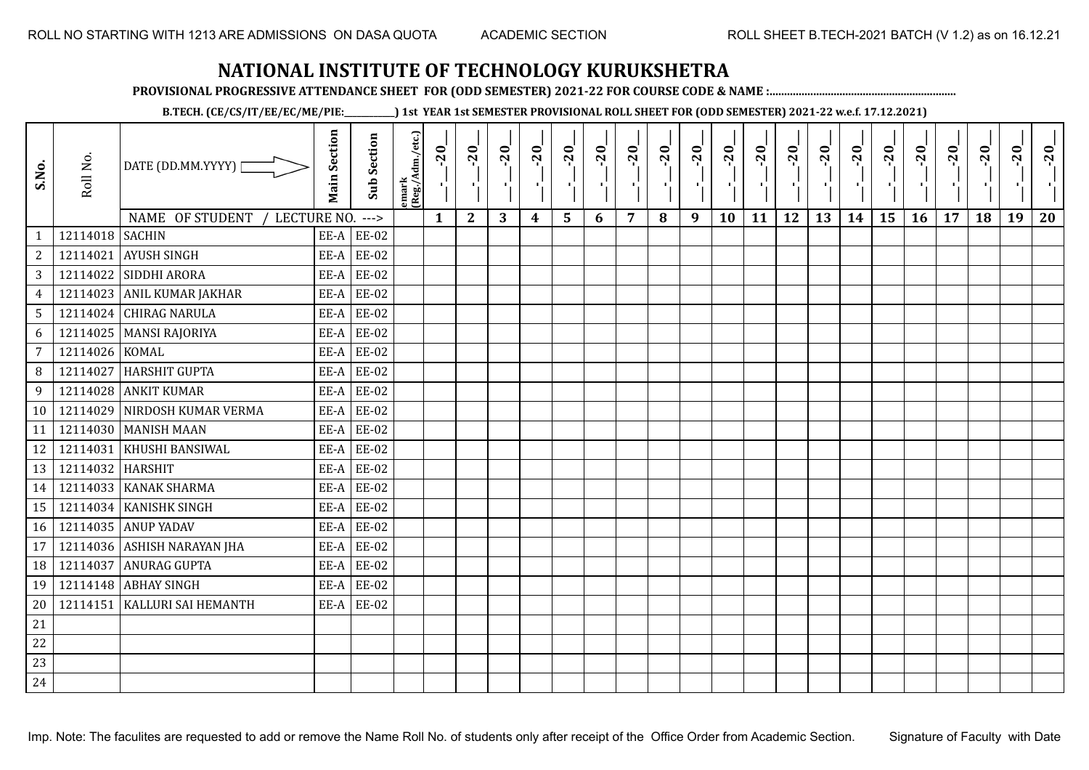**PROVISIONAL PROGRESSIVE ATTENDANCE SHEET FOR (ODD SEMESTER) 2021-22 FOR COURSE CODE & NAME :................................................................**

**B.TECH. (CE/CS/IT/EE/EC/ME/PIE:\_\_\_\_\_\_\_\_\_\_\_\_) 1st YEAR 1st SEMESTER PROVISIONAL ROLL SHEET FOR (ODD SEMESTER) 2021-22 w.e.f. 17.12.2021)**

| S.No.          | Roll No.         | DATE (DD.MM.YYYY) [              | <b>Main Section</b> | <b>Sub Section</b> | emark<br> (Reg./Adm./etc.) | $-20$        | $-20$<br>P,  | $-20$ | $-20$<br>п,      | $-20$<br>국 | $-20$<br>-9 | $-20$<br>- 1 | $-20$ | $-20$<br>- 10 | $-20$<br>л, | $-20$ | $-20$<br>шj | $-20$<br>로 | $-20$<br>$\blacksquare$ | $-20$ | $-20$<br>л., | $-20$ | $-20$ | $-20$<br>ч, | $-20$ |
|----------------|------------------|----------------------------------|---------------------|--------------------|----------------------------|--------------|--------------|-------|------------------|------------|-------------|--------------|-------|---------------|-------------|-------|-------------|------------|-------------------------|-------|--------------|-------|-------|-------------|-------|
|                |                  | NAME OF STUDENT /<br>LECTURE NO. |                     | $--->$             |                            | $\mathbf{1}$ | $\mathbf{2}$ | 3     | $\boldsymbol{4}$ | 5          | 6           | 7            | 8     | 9             | 10          | 11    | 12          | 13         | 14                      | 15    | 16           | 17    | 18    | 19          | 20    |
| $\mathbf{1}$   | 12114018 SACHIN  |                                  |                     | $EE-A$ $EE-02$     |                            |              |              |       |                  |            |             |              |       |               |             |       |             |            |                         |       |              |       |       |             |       |
| $\sqrt{2}$     |                  | 12114021 AYUSH SINGH             |                     | $EE-A$ $EE-02$     |                            |              |              |       |                  |            |             |              |       |               |             |       |             |            |                         |       |              |       |       |             |       |
| 3              |                  | 12114022 SIDDHI ARORA            |                     | $EE-A$ $EE-02$     |                            |              |              |       |                  |            |             |              |       |               |             |       |             |            |                         |       |              |       |       |             |       |
| $\overline{4}$ |                  | 12114023 ANIL KUMAR JAKHAR       | EE-A                | <b>EE-02</b>       |                            |              |              |       |                  |            |             |              |       |               |             |       |             |            |                         |       |              |       |       |             |       |
| 5              |                  | 12114024 CHIRAG NARULA           | EE-A                | <b>EE-02</b>       |                            |              |              |       |                  |            |             |              |       |               |             |       |             |            |                         |       |              |       |       |             |       |
| 6              |                  | 12114025   MANSI RAJORIYA        | EE-A                | <b>EE-02</b>       |                            |              |              |       |                  |            |             |              |       |               |             |       |             |            |                         |       |              |       |       |             |       |
| $\overline{7}$ | 12114026 KOMAL   |                                  |                     | $EE-A$ $EE-02$     |                            |              |              |       |                  |            |             |              |       |               |             |       |             |            |                         |       |              |       |       |             |       |
| 8 <sup>°</sup> | 12114027         | HARSHIT GUPTA                    | EE-A                | <b>EE-02</b>       |                            |              |              |       |                  |            |             |              |       |               |             |       |             |            |                         |       |              |       |       |             |       |
| 9              |                  | 12114028 ANKIT KUMAR             |                     | $EE-A$ $EE-02$     |                            |              |              |       |                  |            |             |              |       |               |             |       |             |            |                         |       |              |       |       |             |       |
| 10             |                  | 12114029 NIRDOSH KUMAR VERMA     |                     | $EE-A$ $EE-02$     |                            |              |              |       |                  |            |             |              |       |               |             |       |             |            |                         |       |              |       |       |             |       |
| 11             |                  | 12114030 MANISH MAAN             |                     | $EE-A$ $EE-02$     |                            |              |              |       |                  |            |             |              |       |               |             |       |             |            |                         |       |              |       |       |             |       |
| 12             |                  | 12114031 KHUSHI BANSIWAL         |                     | $EE-A$ $EE-02$     |                            |              |              |       |                  |            |             |              |       |               |             |       |             |            |                         |       |              |       |       |             |       |
| 13             | 12114032 HARSHIT |                                  | EE-A                | <b>EE-02</b>       |                            |              |              |       |                  |            |             |              |       |               |             |       |             |            |                         |       |              |       |       |             |       |
| 14             |                  | 12114033 KANAK SHARMA            |                     | $EE-A$ $EE-02$     |                            |              |              |       |                  |            |             |              |       |               |             |       |             |            |                         |       |              |       |       |             |       |
| 15             |                  | 12114034 KANISHK SINGH           | EE-A                | <b>EE-02</b>       |                            |              |              |       |                  |            |             |              |       |               |             |       |             |            |                         |       |              |       |       |             |       |
| 16             |                  | 12114035 ANUP YADAV              | EE-A                | <b>EE-02</b>       |                            |              |              |       |                  |            |             |              |       |               |             |       |             |            |                         |       |              |       |       |             |       |
| 17             |                  | 12114036 ASHISH NARAYAN JHA      | EE-A                | <b>EE-02</b>       |                            |              |              |       |                  |            |             |              |       |               |             |       |             |            |                         |       |              |       |       |             |       |
| 18             | 12114037         | <b>ANURAG GUPTA</b>              |                     | $EE-A$ $EE-02$     |                            |              |              |       |                  |            |             |              |       |               |             |       |             |            |                         |       |              |       |       |             |       |
| 19             |                  | 12114148 ABHAY SINGH             | EE-A                | <b>EE-02</b>       |                            |              |              |       |                  |            |             |              |       |               |             |       |             |            |                         |       |              |       |       |             |       |
| 20             |                  | 12114151   KALLURI SAI HEMANTH   |                     | $EE-A$ $EE-02$     |                            |              |              |       |                  |            |             |              |       |               |             |       |             |            |                         |       |              |       |       |             |       |
| 21             |                  |                                  |                     |                    |                            |              |              |       |                  |            |             |              |       |               |             |       |             |            |                         |       |              |       |       |             |       |
| 22             |                  |                                  |                     |                    |                            |              |              |       |                  |            |             |              |       |               |             |       |             |            |                         |       |              |       |       |             |       |
| 23             |                  |                                  |                     |                    |                            |              |              |       |                  |            |             |              |       |               |             |       |             |            |                         |       |              |       |       |             |       |
| 24             |                  |                                  |                     |                    |                            |              |              |       |                  |            |             |              |       |               |             |       |             |            |                         |       |              |       |       |             |       |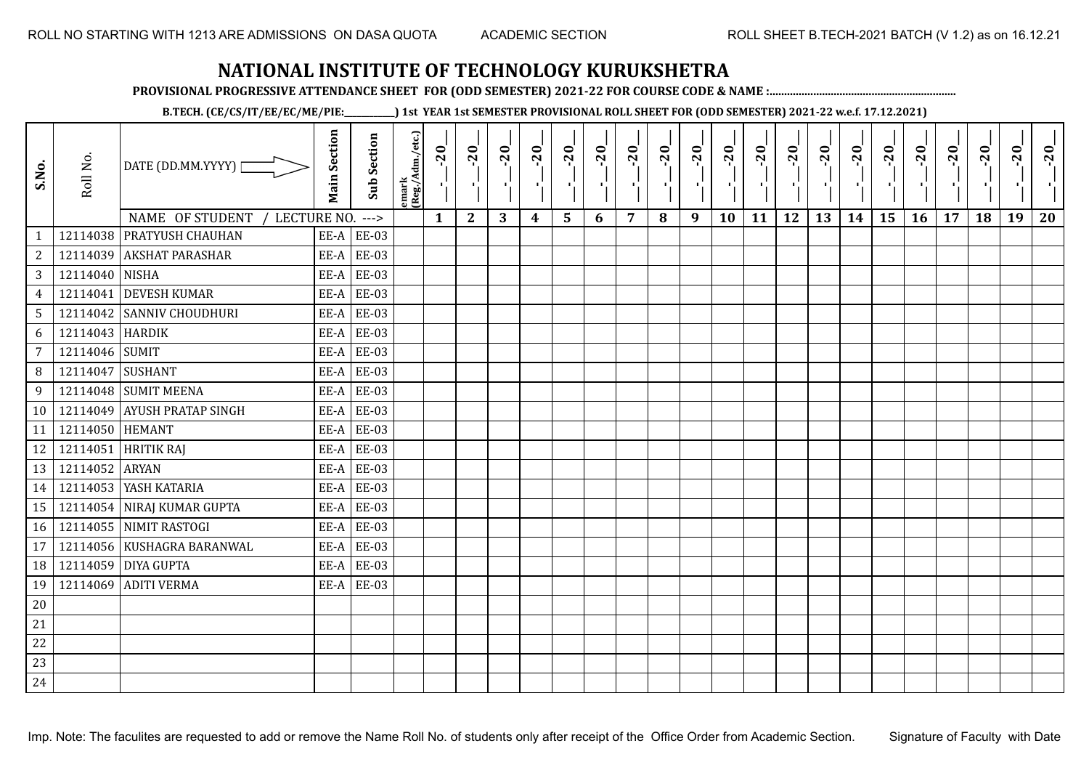**PROVISIONAL PROGRESSIVE ATTENDANCE SHEET FOR (ODD SEMESTER) 2021-22 FOR COURSE CODE & NAME :................................................................**

**B.TECH. (CE/CS/IT/EE/EC/ME/PIE:\_\_\_\_\_\_\_\_\_\_\_\_) 1st YEAR 1st SEMESTER PROVISIONAL ROLL SHEET FOR (ODD SEMESTER) 2021-22 w.e.f. 17.12.2021)**

| S.No.           | Roll No.        | DATE (DD.MM.YYYY) [<br>NAME OF STUDENT<br>LECTURE NO. | <b>Main Section</b> | <b>Sub Section</b><br>$---$ | emark<br> (Reg./Adm./etc.) | $-20$<br>$\mathcal{F}_1$ .<br>$\mathbf{1}$ | $-20$<br>×.<br>$\mathbf{2}$ | $-20$<br>л.,<br>3 | $-20$<br>т.<br>$\boldsymbol{4}$ | $-20$<br>٠,<br>5 | $-20$<br>т÷<br>6 | $-20$<br>п,<br>$\overline{7}$ | $-20$<br>8 | $-20$<br>чŀ,<br>9 | $-20$<br>÷,<br>10 | $-20$<br>πt<br>11 | $-20$<br>шļ<br>12 | $-20$<br>로<br>13 | $-20$<br>шj<br>14 | $-20$<br>국<br>15 | $-20$<br>У.<br>16 | $-20$<br>. L.<br>17 | $-20$<br>18 | $-20$<br>×,<br>19 | $-20$<br>20 |
|-----------------|-----------------|-------------------------------------------------------|---------------------|-----------------------------|----------------------------|--------------------------------------------|-----------------------------|-------------------|---------------------------------|------------------|------------------|-------------------------------|------------|-------------------|-------------------|-------------------|-------------------|------------------|-------------------|------------------|-------------------|---------------------|-------------|-------------------|-------------|
| $\mathbf{1}$    |                 | 12114038 PRATYUSH CHAUHAN                             |                     | $EE-A$ $EE-03$              |                            |                                            |                             |                   |                                 |                  |                  |                               |            |                   |                   |                   |                   |                  |                   |                  |                   |                     |             |                   |             |
| $\sqrt{2}$      |                 | 12114039 AKSHAT PARASHAR                              | EE-A                | <b>EE-03</b>                |                            |                                            |                             |                   |                                 |                  |                  |                               |            |                   |                   |                   |                   |                  |                   |                  |                   |                     |             |                   |             |
| $\mathbf{3}$    | 12114040 NISHA  |                                                       | EE-A                | <b>EE-03</b>                |                            |                                            |                             |                   |                                 |                  |                  |                               |            |                   |                   |                   |                   |                  |                   |                  |                   |                     |             |                   |             |
| $\overline{4}$  | 12114041        | <b>DEVESH KUMAR</b>                                   | EE-A                | <b>EE-03</b>                |                            |                                            |                             |                   |                                 |                  |                  |                               |            |                   |                   |                   |                   |                  |                   |                  |                   |                     |             |                   |             |
| $5\overline{)}$ |                 | 12114042 SANNIV CHOUDHURI                             | EE-A                | <b>EE-03</b>                |                            |                                            |                             |                   |                                 |                  |                  |                               |            |                   |                   |                   |                   |                  |                   |                  |                   |                     |             |                   |             |
| 6               | 12114043 HARDIK |                                                       | EE-A                | <b>EE-03</b>                |                            |                                            |                             |                   |                                 |                  |                  |                               |            |                   |                   |                   |                   |                  |                   |                  |                   |                     |             |                   |             |
| $\overline{7}$  | 12114046 SUMIT  |                                                       | EE-A                | <b>EE-03</b>                |                            |                                            |                             |                   |                                 |                  |                  |                               |            |                   |                   |                   |                   |                  |                   |                  |                   |                     |             |                   |             |
| 8               | 12114047        | SUSHANT                                               | EE-A                | <b>EE-03</b>                |                            |                                            |                             |                   |                                 |                  |                  |                               |            |                   |                   |                   |                   |                  |                   |                  |                   |                     |             |                   |             |
| 9               |                 | 12114048 SUMIT MEENA                                  | EE-A                | <b>EE-03</b>                |                            |                                            |                             |                   |                                 |                  |                  |                               |            |                   |                   |                   |                   |                  |                   |                  |                   |                     |             |                   |             |
| 10              |                 | 12114049 AYUSH PRATAP SINGH                           | EE-A                | <b>EE-03</b>                |                            |                                            |                             |                   |                                 |                  |                  |                               |            |                   |                   |                   |                   |                  |                   |                  |                   |                     |             |                   |             |
| 11              | 12114050 HEMANT |                                                       | EE-A                | <b>EE-03</b>                |                            |                                            |                             |                   |                                 |                  |                  |                               |            |                   |                   |                   |                   |                  |                   |                  |                   |                     |             |                   |             |
| 12              |                 | 12114051 HRITIK RAJ                                   | EE-A                | <b>EE-03</b>                |                            |                                            |                             |                   |                                 |                  |                  |                               |            |                   |                   |                   |                   |                  |                   |                  |                   |                     |             |                   |             |
| 13              | 12114052 ARYAN  |                                                       | EE-A                | <b>EE-03</b>                |                            |                                            |                             |                   |                                 |                  |                  |                               |            |                   |                   |                   |                   |                  |                   |                  |                   |                     |             |                   |             |
| 14              |                 | 12114053 YASH KATARIA                                 | EE-A                | <b>EE-03</b>                |                            |                                            |                             |                   |                                 |                  |                  |                               |            |                   |                   |                   |                   |                  |                   |                  |                   |                     |             |                   |             |
| 15              |                 | 12114054 NIRAJ KUMAR GUPTA                            | EE-A                | <b>EE-03</b>                |                            |                                            |                             |                   |                                 |                  |                  |                               |            |                   |                   |                   |                   |                  |                   |                  |                   |                     |             |                   |             |
| 16              |                 | 12114055 NIMIT RASTOGI                                | EE-A                | <b>EE-03</b>                |                            |                                            |                             |                   |                                 |                  |                  |                               |            |                   |                   |                   |                   |                  |                   |                  |                   |                     |             |                   |             |
| 17              |                 | 12114056 KUSHAGRA BARANWAL                            | EE-A                | EE-03                       |                            |                                            |                             |                   |                                 |                  |                  |                               |            |                   |                   |                   |                   |                  |                   |                  |                   |                     |             |                   |             |
| 18              |                 | 12114059 DIYA GUPTA                                   | EE-A                | <b>EE-03</b>                |                            |                                            |                             |                   |                                 |                  |                  |                               |            |                   |                   |                   |                   |                  |                   |                  |                   |                     |             |                   |             |
| 19              | 12114069        | <b>ADITI VERMA</b>                                    | EE-A                | <b>EE-03</b>                |                            |                                            |                             |                   |                                 |                  |                  |                               |            |                   |                   |                   |                   |                  |                   |                  |                   |                     |             |                   |             |
| 20              |                 |                                                       |                     |                             |                            |                                            |                             |                   |                                 |                  |                  |                               |            |                   |                   |                   |                   |                  |                   |                  |                   |                     |             |                   |             |
| 21              |                 |                                                       |                     |                             |                            |                                            |                             |                   |                                 |                  |                  |                               |            |                   |                   |                   |                   |                  |                   |                  |                   |                     |             |                   |             |
| 22              |                 |                                                       |                     |                             |                            |                                            |                             |                   |                                 |                  |                  |                               |            |                   |                   |                   |                   |                  |                   |                  |                   |                     |             |                   |             |
| 23              |                 |                                                       |                     |                             |                            |                                            |                             |                   |                                 |                  |                  |                               |            |                   |                   |                   |                   |                  |                   |                  |                   |                     |             |                   |             |
| 24              |                 |                                                       |                     |                             |                            |                                            |                             |                   |                                 |                  |                  |                               |            |                   |                   |                   |                   |                  |                   |                  |                   |                     |             |                   |             |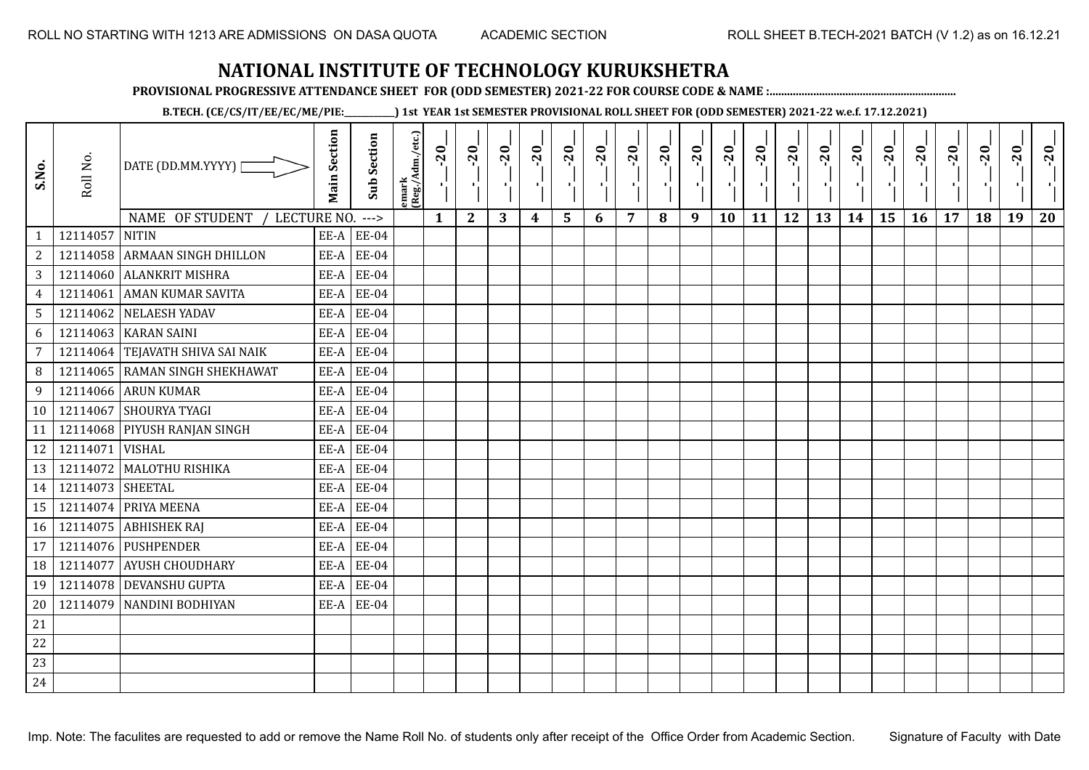**PROVISIONAL PROGRESSIVE ATTENDANCE SHEET FOR (ODD SEMESTER) 2021-22 FOR COURSE CODE & NAME :................................................................**

**B.TECH. (CE/CS/IT/EE/EC/ME/PIE:\_\_\_\_\_\_\_\_\_\_\_\_) 1st YEAR 1st SEMESTER PROVISIONAL ROLL SHEET FOR (ODD SEMESTER) 2021-22 w.e.f. 17.12.2021)**

| S.No.                            | Roll No.         | DATE (DD.MM.YYYY)                                | <b>Main Section</b> | <b>Sub Section</b>       | emark<br> (Reg./Adm./etc.) | $-20$        | $-20$<br>- 1 | $-20$ | $-20$<br>п, | $-20$<br>٠, | $-20$<br>π÷ | $-20$<br>- 1 | $-20$ | $-20$<br>- 10 | $-20$<br>٠ | $-20$ | $-20$<br>пf, | $-20$<br>로 | $-20$<br>$\blacksquare$ | $-20$ | $-20$<br>$\mathcal{F}_{\mathbf{r}}$ | $-20$ | $-20$ | $-20$<br>×. | $-20$ |
|----------------------------------|------------------|--------------------------------------------------|---------------------|--------------------------|----------------------------|--------------|--------------|-------|-------------|-------------|-------------|--------------|-------|---------------|------------|-------|--------------|------------|-------------------------|-------|-------------------------------------|-------|-------|-------------|-------|
|                                  | 12114057         | NAME OF STUDENT /<br>LECTURE NO.<br><b>NITIN</b> |                     | $--->$<br>$EE-A$ $EE-04$ |                            | $\mathbf{1}$ | $\mathbf{2}$ | 3     | 4           | 5           | 6           | 7            | 8     | 9             | 10         | 11    | 12           | 13         | 14                      | 15    | 16                                  | 17    | 18    | 19          | 20    |
| $\mathbf{1}$<br>$\sqrt{2}$       |                  | 12114058 ARMAAN SINGH DHILLON                    |                     | $EE-A$ $EE-04$           |                            |              |              |       |             |             |             |              |       |               |            |       |              |            |                         |       |                                     |       |       |             |       |
| 3                                |                  | 12114060 ALANKRIT MISHRA                         |                     | $EE-A$ $EE-04$           |                            |              |              |       |             |             |             |              |       |               |            |       |              |            |                         |       |                                     |       |       |             |       |
|                                  |                  | 12114061 AMAN KUMAR SAVITA                       | EE-A                | <b>EE-04</b>             |                            |              |              |       |             |             |             |              |       |               |            |       |              |            |                         |       |                                     |       |       |             |       |
| $\overline{4}$<br>$5\phantom{.}$ |                  | 12114062 NELAESH YADAV                           | EE-A                | <b>EE-04</b>             |                            |              |              |       |             |             |             |              |       |               |            |       |              |            |                         |       |                                     |       |       |             |       |
|                                  |                  | 12114063 KARAN SAINI                             | EE-A                | <b>EE-04</b>             |                            |              |              |       |             |             |             |              |       |               |            |       |              |            |                         |       |                                     |       |       |             |       |
| 6                                |                  | 12114064 TEJAVATH SHIVA SAI NAIK                 |                     | $EE-A$ $EE-04$           |                            |              |              |       |             |             |             |              |       |               |            |       |              |            |                         |       |                                     |       |       |             |       |
| $\overline{7}$                   |                  | 12114065 RAMAN SINGH SHEKHAWAT                   |                     | <b>EE-04</b>             |                            |              |              |       |             |             |             |              |       |               |            |       |              |            |                         |       |                                     |       |       |             |       |
| 8 <sup>°</sup>                   |                  |                                                  | EE-A                |                          |                            |              |              |       |             |             |             |              |       |               |            |       |              |            |                         |       |                                     |       |       |             |       |
| 9                                |                  | 12114066 ARUN KUMAR                              |                     | $EE-A$ $EE-04$           |                            |              |              |       |             |             |             |              |       |               |            |       |              |            |                         |       |                                     |       |       |             |       |
| 10 <sup>1</sup>                  |                  | 12114067 SHOURYA TYAGI                           |                     | $EE-A$ $EE-04$           |                            |              |              |       |             |             |             |              |       |               |            |       |              |            |                         |       |                                     |       |       |             |       |
| 11                               |                  | 12114068 PIYUSH RANJAN SINGH                     | EE-A                | <b>EE-04</b>             |                            |              |              |       |             |             |             |              |       |               |            |       |              |            |                         |       |                                     |       |       |             |       |
| 12                               | 12114071 VISHAL  |                                                  |                     | $EE-A$ $EE-04$           |                            |              |              |       |             |             |             |              |       |               |            |       |              |            |                         |       |                                     |       |       |             |       |
| 13                               |                  | 12114072 MALOTHU RISHIKA                         | EE-A                | <b>EE-04</b>             |                            |              |              |       |             |             |             |              |       |               |            |       |              |            |                         |       |                                     |       |       |             |       |
| 14                               | 12114073 SHEETAL |                                                  | EE-A                | <b>EE-04</b>             |                            |              |              |       |             |             |             |              |       |               |            |       |              |            |                         |       |                                     |       |       |             |       |
| 15                               |                  | 12114074 PRIYA MEENA                             | EE-A                | <b>EE-04</b>             |                            |              |              |       |             |             |             |              |       |               |            |       |              |            |                         |       |                                     |       |       |             |       |
| 16                               |                  | 12114075 ABHISHEK RAJ                            |                     | $EE-A$ $EE-04$           |                            |              |              |       |             |             |             |              |       |               |            |       |              |            |                         |       |                                     |       |       |             |       |
| 17                               |                  | 12114076 PUSHPENDER                              | EE-A                | <b>EE-04</b>             |                            |              |              |       |             |             |             |              |       |               |            |       |              |            |                         |       |                                     |       |       |             |       |
| 18                               | 12114077         | <b>AYUSH CHOUDHARY</b>                           |                     | $EE-A$ $EE-04$           |                            |              |              |       |             |             |             |              |       |               |            |       |              |            |                         |       |                                     |       |       |             |       |
| 19                               |                  | 12114078 DEVANSHU GUPTA                          | EE-A                | <b>EE-04</b>             |                            |              |              |       |             |             |             |              |       |               |            |       |              |            |                         |       |                                     |       |       |             |       |
| 20                               |                  | 12114079 NANDINI BODHIYAN                        |                     | $EE-A$ $EE-04$           |                            |              |              |       |             |             |             |              |       |               |            |       |              |            |                         |       |                                     |       |       |             |       |
| 21                               |                  |                                                  |                     |                          |                            |              |              |       |             |             |             |              |       |               |            |       |              |            |                         |       |                                     |       |       |             |       |
| 22                               |                  |                                                  |                     |                          |                            |              |              |       |             |             |             |              |       |               |            |       |              |            |                         |       |                                     |       |       |             |       |
| 23                               |                  |                                                  |                     |                          |                            |              |              |       |             |             |             |              |       |               |            |       |              |            |                         |       |                                     |       |       |             |       |
| 24                               |                  |                                                  |                     |                          |                            |              |              |       |             |             |             |              |       |               |            |       |              |            |                         |       |                                     |       |       |             |       |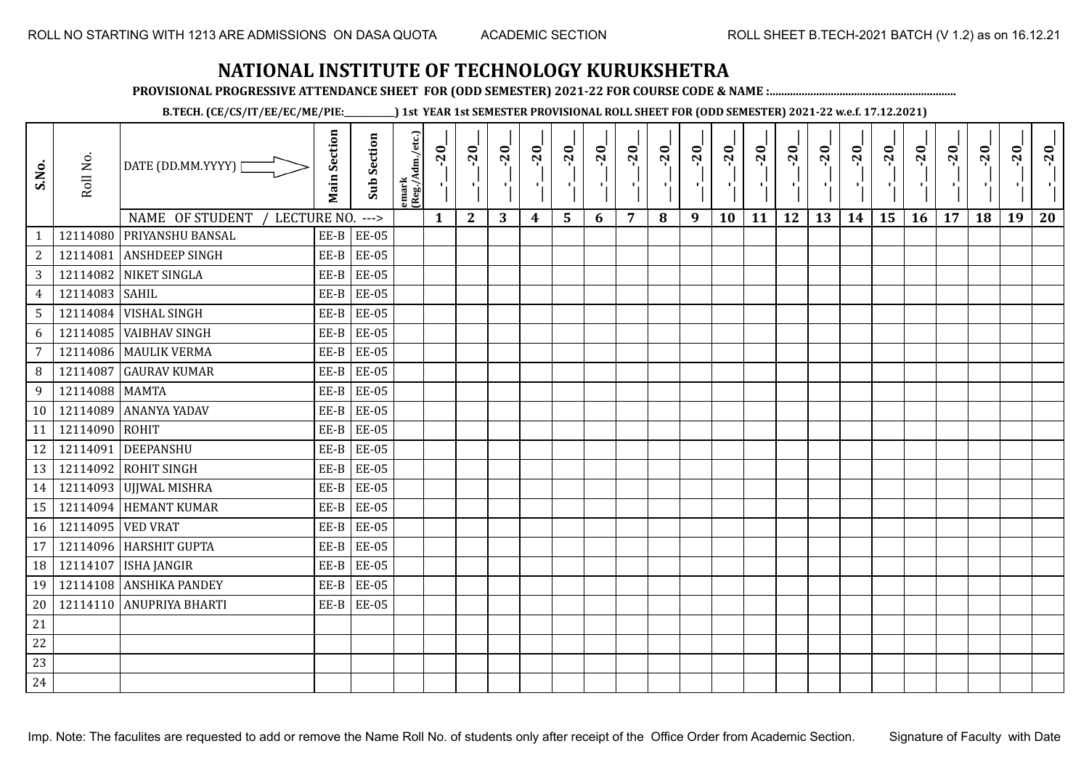**PROVISIONAL PROGRESSIVE ATTENDANCE SHEET FOR (ODD SEMESTER) 2021-22 FOR COURSE CODE & NAME :................................................................**

**B.TECH. (CE/CS/IT/EE/EC/ME/PIE:\_\_\_\_\_\_\_\_\_\_\_\_) 1st YEAR 1st SEMESTER PROVISIONAL ROLL SHEET FOR (ODD SEMESTER) 2021-22 w.e.f. 17.12.2021)**

| S.No.           | Roll No.          | DATE (DD.MM.YYYY) [            | <b>Main Section</b> | <b>Sub Section</b> | emark<br> (Reg./Adm./etc.) | $-20$        | $-20$<br>Δ.      | $-20$<br>пD. | $-20$<br>п,      | $-20$<br>۱, | $-20$<br>л., | $-20$<br>- 1 | $-20$ | $-20$<br>л. | $-20$<br>٠ | $-20$<br>п, | $-20$<br>п, | $-20$<br>로 | $-20$<br>$\blacksquare$ | $-20$<br>۰¦ | $-20$<br>$\mathcal{F}_1$ . | $-20$ | $-20$ | $-20$<br>×. | $-20$ |
|-----------------|-------------------|--------------------------------|---------------------|--------------------|----------------------------|--------------|------------------|--------------|------------------|-------------|--------------|--------------|-------|-------------|------------|-------------|-------------|------------|-------------------------|-------------|----------------------------|-------|-------|-------------|-------|
|                 |                   | NAME OF STUDENT<br>LECTURE NO. |                     | $--->$             |                            | $\mathbf{1}$ | $\boldsymbol{2}$ | 3            | $\boldsymbol{4}$ | 5           | 6            | 7            | 8     | 9           | 10         | 11          | 12          | 13         | 14                      | 15          | 16                         | 17    | 18    | 19          | 20    |
| $\mathbf{1}$    |                   | 12114080 PRIYANSHU BANSAL      |                     | $EE-B$ $EE-05$     |                            |              |                  |              |                  |             |              |              |       |             |            |             |             |            |                         |             |                            |       |       |             |       |
| $\sqrt{2}$      |                   | 12114081 ANSHDEEP SINGH        | $EE-B$              | <b>EE-05</b>       |                            |              |                  |              |                  |             |              |              |       |             |            |             |             |            |                         |             |                            |       |       |             |       |
| $\overline{3}$  |                   | 12114082 NIKET SINGLA          | $EE-B$              | <b>EE-05</b>       |                            |              |                  |              |                  |             |              |              |       |             |            |             |             |            |                         |             |                            |       |       |             |       |
| $\overline{4}$  | 12114083 SAHIL    |                                | EE-B                | <b>EE-05</b>       |                            |              |                  |              |                  |             |              |              |       |             |            |             |             |            |                         |             |                            |       |       |             |       |
| 5 <sub>1</sub>  |                   | 12114084 VISHAL SINGH          | EE-B                | <b>EE-05</b>       |                            |              |                  |              |                  |             |              |              |       |             |            |             |             |            |                         |             |                            |       |       |             |       |
| 6               |                   | 12114085 VAIBHAV SINGH         | $EE-B$              | <b>EE-05</b>       |                            |              |                  |              |                  |             |              |              |       |             |            |             |             |            |                         |             |                            |       |       |             |       |
| $\overline{7}$  |                   | 12114086 MAULIK VERMA          | EE-B                | <b>EE-05</b>       |                            |              |                  |              |                  |             |              |              |       |             |            |             |             |            |                         |             |                            |       |       |             |       |
| 8               |                   | 12114087 GAURAV KUMAR          | $EE-B$              | <b>EE-05</b>       |                            |              |                  |              |                  |             |              |              |       |             |            |             |             |            |                         |             |                            |       |       |             |       |
| 9               | 12114088 MAMTA    |                                | EE-B                | <b>EE-05</b>       |                            |              |                  |              |                  |             |              |              |       |             |            |             |             |            |                         |             |                            |       |       |             |       |
| 10 <sup>1</sup> |                   | 12114089 ANANYA YADAV          | EE-B                | <b>EE-05</b>       |                            |              |                  |              |                  |             |              |              |       |             |            |             |             |            |                         |             |                            |       |       |             |       |
| 11              | 12114090 ROHIT    |                                | EE-B                | <b>EE-05</b>       |                            |              |                  |              |                  |             |              |              |       |             |            |             |             |            |                         |             |                            |       |       |             |       |
| 12              |                   | 12114091 DEEPANSHU             | EE-B                | <b>EE-05</b>       |                            |              |                  |              |                  |             |              |              |       |             |            |             |             |            |                         |             |                            |       |       |             |       |
| 13              |                   | 12114092 ROHIT SINGH           | EE-B                | <b>EE-05</b>       |                            |              |                  |              |                  |             |              |              |       |             |            |             |             |            |                         |             |                            |       |       |             |       |
| 14              |                   | 12114093 UJJWAL MISHRA         | EE-B                | <b>EE-05</b>       |                            |              |                  |              |                  |             |              |              |       |             |            |             |             |            |                         |             |                            |       |       |             |       |
| 15              |                   | 12114094 HEMANT KUMAR          | EE-B                | <b>EE-05</b>       |                            |              |                  |              |                  |             |              |              |       |             |            |             |             |            |                         |             |                            |       |       |             |       |
| 16              | 12114095 VED VRAT |                                | EE-B                | <b>EE-05</b>       |                            |              |                  |              |                  |             |              |              |       |             |            |             |             |            |                         |             |                            |       |       |             |       |
| 17              |                   | 12114096 HARSHIT GUPTA         | EE-B                | <b>EE-05</b>       |                            |              |                  |              |                  |             |              |              |       |             |            |             |             |            |                         |             |                            |       |       |             |       |
| 18              |                   | 12114107   ISHA JANGIR         | EE-B                | <b>EE-05</b>       |                            |              |                  |              |                  |             |              |              |       |             |            |             |             |            |                         |             |                            |       |       |             |       |
| 19              |                   | 12114108 ANSHIKA PANDEY        | $EE-B$              | <b>EE-05</b>       |                            |              |                  |              |                  |             |              |              |       |             |            |             |             |            |                         |             |                            |       |       |             |       |
| 20              |                   | 12114110 ANUPRIYA BHARTI       |                     | $EE-B$ $EE-05$     |                            |              |                  |              |                  |             |              |              |       |             |            |             |             |            |                         |             |                            |       |       |             |       |
| $21\,$          |                   |                                |                     |                    |                            |              |                  |              |                  |             |              |              |       |             |            |             |             |            |                         |             |                            |       |       |             |       |
| 22              |                   |                                |                     |                    |                            |              |                  |              |                  |             |              |              |       |             |            |             |             |            |                         |             |                            |       |       |             |       |
| 23              |                   |                                |                     |                    |                            |              |                  |              |                  |             |              |              |       |             |            |             |             |            |                         |             |                            |       |       |             |       |
| 24              |                   |                                |                     |                    |                            |              |                  |              |                  |             |              |              |       |             |            |             |             |            |                         |             |                            |       |       |             |       |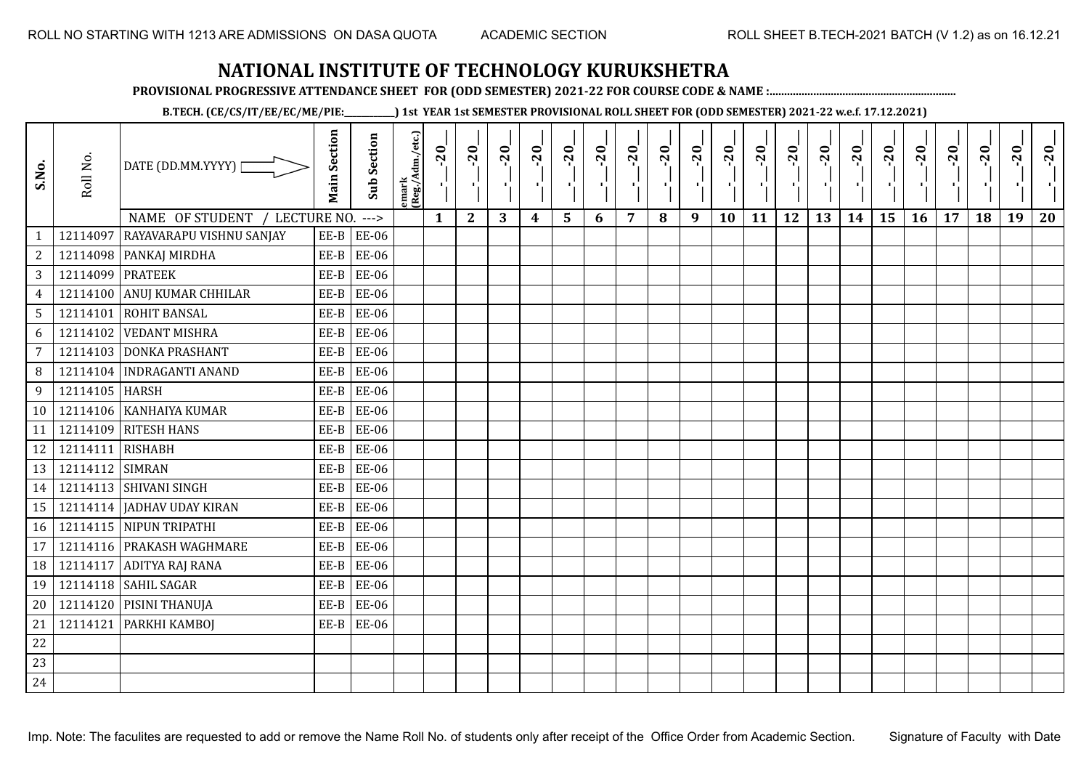**PROVISIONAL PROGRESSIVE ATTENDANCE SHEET FOR (ODD SEMESTER) 2021-22 FOR COURSE CODE & NAME :................................................................**

**B.TECH. (CE/CS/IT/EE/EC/ME/PIE:\_\_\_\_\_\_\_\_\_\_\_\_) 1st YEAR 1st SEMESTER PROVISIONAL ROLL SHEET FOR (ODD SEMESTER) 2021-22 w.e.f. 17.12.2021)**

| S.No.          | Roll No.         | DATE (DD.MM.YYYY) [<br>NAME OF STUDENT<br>LECTURE NO. | <b>Main Section</b> | <b>Sub Section</b><br>$---$ | emark<br> (Reg./Adm./etc.) | $-20$<br>$\mathbf{1}$ | $-20$<br>π÷<br>$\overline{2}$ | $-20$<br>-10<br>3 | $-20$<br>π÷<br>$\boldsymbol{4}$ | $-20$<br>r,<br>5 | $-20$<br>п.<br>6 | $-20$<br>п,<br>$\overline{7}$ | $-20$<br>8 | $-20$<br>л.<br>9 | $-20$<br>л,<br>10 | $-20$<br>π÷<br>11 | $-20$<br>п.<br>12 | $-20$<br>로<br>13 | $-20$<br>$\blacksquare$<br>14 | $-20$<br>÷,<br>15 | $-20$<br>л.<br>16 | $-20$<br>17 | $-20$<br>18 | $-20$<br>л,<br>19 | $-20$<br>20 |
|----------------|------------------|-------------------------------------------------------|---------------------|-----------------------------|----------------------------|-----------------------|-------------------------------|-------------------|---------------------------------|------------------|------------------|-------------------------------|------------|------------------|-------------------|-------------------|-------------------|------------------|-------------------------------|-------------------|-------------------|-------------|-------------|-------------------|-------------|
| $\mathbf{1}$   | 12114097         | <b>RAYAVARAPU VISHNU SANJAY</b>                       | EE-B                | <b>EE-06</b>                |                            |                       |                               |                   |                                 |                  |                  |                               |            |                  |                   |                   |                   |                  |                               |                   |                   |             |             |                   |             |
| $\overline{2}$ |                  | 12114098 PANKAJ MIRDHA                                | $EE-B$              | <b>EE-06</b>                |                            |                       |                               |                   |                                 |                  |                  |                               |            |                  |                   |                   |                   |                  |                               |                   |                   |             |             |                   |             |
| 3              | 12114099 PRATEEK |                                                       | EE-B                | <b>EE-06</b>                |                            |                       |                               |                   |                                 |                  |                  |                               |            |                  |                   |                   |                   |                  |                               |                   |                   |             |             |                   |             |
| $\overline{4}$ | 12114100         | <b>ANUJ KUMAR CHHILAR</b>                             | $EE-B$              | <b>EE-06</b>                |                            |                       |                               |                   |                                 |                  |                  |                               |            |                  |                   |                   |                   |                  |                               |                   |                   |             |             |                   |             |
| 5              |                  | 12114101 ROHIT BANSAL                                 | $EE-B$              | <b>EE-06</b>                |                            |                       |                               |                   |                                 |                  |                  |                               |            |                  |                   |                   |                   |                  |                               |                   |                   |             |             |                   |             |
| 6              | 12114102         | <b>VEDANT MISHRA</b>                                  | EE-B                | <b>EE-06</b>                |                            |                       |                               |                   |                                 |                  |                  |                               |            |                  |                   |                   |                   |                  |                               |                   |                   |             |             |                   |             |
| 7              |                  | 12114103 DONKA PRASHANT                               | $EE-B$              | <b>EE-06</b>                |                            |                       |                               |                   |                                 |                  |                  |                               |            |                  |                   |                   |                   |                  |                               |                   |                   |             |             |                   |             |
| 8              |                  | 12114104 INDRAGANTI ANAND                             | $EE-B$              | <b>EE-06</b>                |                            |                       |                               |                   |                                 |                  |                  |                               |            |                  |                   |                   |                   |                  |                               |                   |                   |             |             |                   |             |
| 9              | 12114105 HARSH   |                                                       | EE-B                | <b>EE-06</b>                |                            |                       |                               |                   |                                 |                  |                  |                               |            |                  |                   |                   |                   |                  |                               |                   |                   |             |             |                   |             |
| 10             |                  | 12114106 KANHAIYA KUMAR                               | EE-B                | <b>EE-06</b>                |                            |                       |                               |                   |                                 |                  |                  |                               |            |                  |                   |                   |                   |                  |                               |                   |                   |             |             |                   |             |
| 11             |                  | 12114109 RITESH HANS                                  | $EE-B$              | <b>EE-06</b>                |                            |                       |                               |                   |                                 |                  |                  |                               |            |                  |                   |                   |                   |                  |                               |                   |                   |             |             |                   |             |
| 12             | 12114111 RISHABH |                                                       | EE-B                | <b>EE-06</b>                |                            |                       |                               |                   |                                 |                  |                  |                               |            |                  |                   |                   |                   |                  |                               |                   |                   |             |             |                   |             |
| 13             | 12114112 SIMRAN  |                                                       | $EE-B$              | EE-06                       |                            |                       |                               |                   |                                 |                  |                  |                               |            |                  |                   |                   |                   |                  |                               |                   |                   |             |             |                   |             |
| 14             |                  | 12114113 SHIVANI SINGH                                | $EE-B$              | <b>EE-06</b>                |                            |                       |                               |                   |                                 |                  |                  |                               |            |                  |                   |                   |                   |                  |                               |                   |                   |             |             |                   |             |
| 15             |                  | 12114114 JADHAV UDAY KIRAN                            | $EE-B$              | <b>EE-06</b>                |                            |                       |                               |                   |                                 |                  |                  |                               |            |                  |                   |                   |                   |                  |                               |                   |                   |             |             |                   |             |
| 16             |                  | 12114115 NIPUN TRIPATHI                               | $EE-B$              | <b>EE-06</b>                |                            |                       |                               |                   |                                 |                  |                  |                               |            |                  |                   |                   |                   |                  |                               |                   |                   |             |             |                   |             |
| 17             |                  | 12114116 PRAKASH WAGHMARE                             | EE-B                | <b>EE-06</b>                |                            |                       |                               |                   |                                 |                  |                  |                               |            |                  |                   |                   |                   |                  |                               |                   |                   |             |             |                   |             |
| 18             | 12114117         | ADITYA RAJ RANA                                       | $EE-B$              | <b>EE-06</b>                |                            |                       |                               |                   |                                 |                  |                  |                               |            |                  |                   |                   |                   |                  |                               |                   |                   |             |             |                   |             |
| 19             |                  | 12114118 SAHIL SAGAR                                  | $EE-B$              | <b>EE-06</b>                |                            |                       |                               |                   |                                 |                  |                  |                               |            |                  |                   |                   |                   |                  |                               |                   |                   |             |             |                   |             |
| 20             |                  | 12114120 PISINI THANUJA                               | $EE-B$              | <b>EE-06</b>                |                            |                       |                               |                   |                                 |                  |                  |                               |            |                  |                   |                   |                   |                  |                               |                   |                   |             |             |                   |             |
| 21             | 12114121         | <b>PARKHI KAMBOJ</b>                                  | $EE-B$              | <b>EE-06</b>                |                            |                       |                               |                   |                                 |                  |                  |                               |            |                  |                   |                   |                   |                  |                               |                   |                   |             |             |                   |             |
| 22             |                  |                                                       |                     |                             |                            |                       |                               |                   |                                 |                  |                  |                               |            |                  |                   |                   |                   |                  |                               |                   |                   |             |             |                   |             |
| 23             |                  |                                                       |                     |                             |                            |                       |                               |                   |                                 |                  |                  |                               |            |                  |                   |                   |                   |                  |                               |                   |                   |             |             |                   |             |
| 24             |                  |                                                       |                     |                             |                            |                       |                               |                   |                                 |                  |                  |                               |            |                  |                   |                   |                   |                  |                               |                   |                   |             |             |                   |             |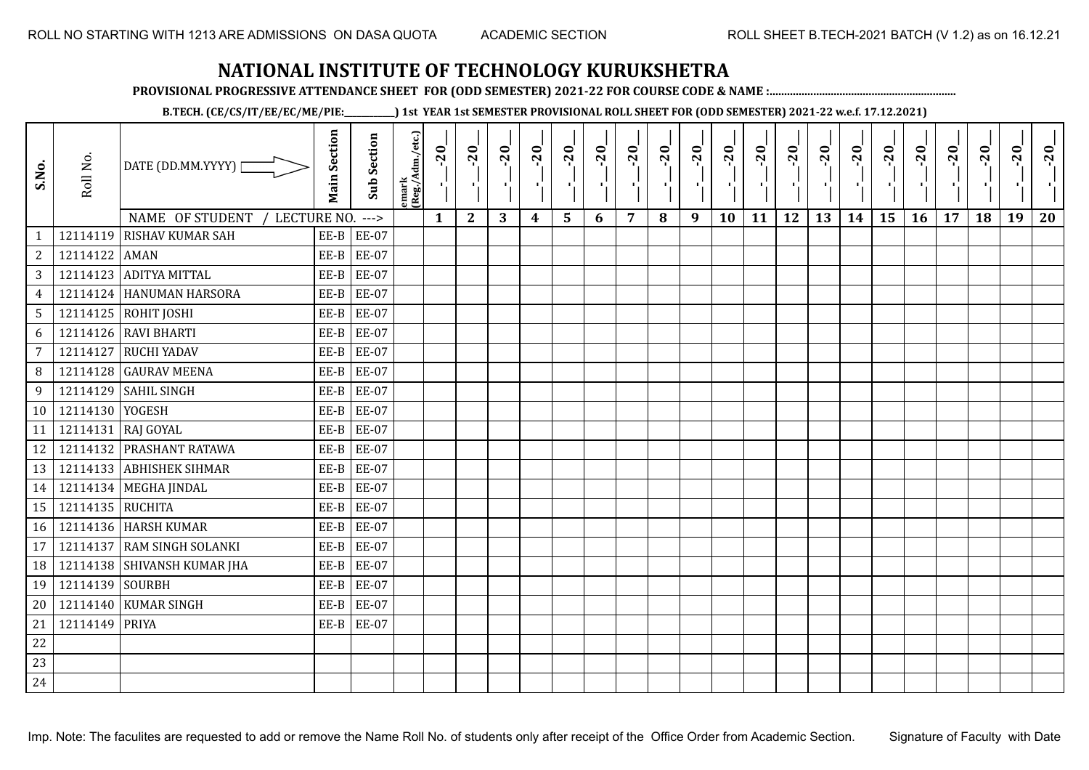**PROVISIONAL PROGRESSIVE ATTENDANCE SHEET FOR (ODD SEMESTER) 2021-22 FOR COURSE CODE & NAME :................................................................**

**B.TECH. (CE/CS/IT/EE/EC/ME/PIE:\_\_\_\_\_\_\_\_\_\_\_\_) 1st YEAR 1st SEMESTER PROVISIONAL ROLL SHEET FOR (ODD SEMESTER) 2021-22 w.e.f. 17.12.2021)**

| S.No.           | Roll No.         | DATE (DD.MM.YYYY) [<br>NAME OF STUDENT<br>LECTURE NO. | <b>Main Section</b> | <b>Sub Section</b><br>$--->$ | emark<br> (Reg./Adm./etc.) | $-20$<br>Ч.<br>$\mathbf{1}$ | $-20$<br>×.<br>$\mathbf{2}$ | $-20$<br>п.<br>3 | $-20$<br>т.<br>$\boldsymbol{4}$ | $-20$<br>٠,<br>5 | $-20$<br>п.<br>6 | $-20$<br>п,<br>7 | $-20$<br>8 | $-20$<br>лj<br>9 | $-20$<br>л,<br>10 | $-20$<br>πt<br>11 | $-20$<br>п.<br>12 | $-20$<br>로<br>13 | $-20$<br>H)<br>14 | $-20$<br>÷,<br>15 | $-20$<br>л.,<br>16 | $-20$<br>17 | $-20$<br>18 | $-20$<br>×.<br>19 | $-20$<br>20 |
|-----------------|------------------|-------------------------------------------------------|---------------------|------------------------------|----------------------------|-----------------------------|-----------------------------|------------------|---------------------------------|------------------|------------------|------------------|------------|------------------|-------------------|-------------------|-------------------|------------------|-------------------|-------------------|--------------------|-------------|-------------|-------------------|-------------|
| $\mathbf{1}$    |                  | 12114119 RISHAV KUMAR SAH                             | EE-B                | <b>EE-07</b>                 |                            |                             |                             |                  |                                 |                  |                  |                  |            |                  |                   |                   |                   |                  |                   |                   |                    |             |             |                   |             |
| $\sqrt{2}$      | 12114122 AMAN    |                                                       | $EE-B$              | <b>EE-07</b>                 |                            |                             |                             |                  |                                 |                  |                  |                  |            |                  |                   |                   |                   |                  |                   |                   |                    |             |             |                   |             |
| 3               |                  | 12114123 ADITYA MITTAL                                | $EE-B$              | <b>EE-07</b>                 |                            |                             |                             |                  |                                 |                  |                  |                  |            |                  |                   |                   |                   |                  |                   |                   |                    |             |             |                   |             |
| $\overline{4}$  |                  | 12114124 HANUMAN HARSORA                              | $EE-B$              | <b>EE-07</b>                 |                            |                             |                             |                  |                                 |                  |                  |                  |            |                  |                   |                   |                   |                  |                   |                   |                    |             |             |                   |             |
| $5\phantom{.0}$ |                  | 12114125 ROHIT JOSHI                                  | $EE-B$              | <b>EE-07</b>                 |                            |                             |                             |                  |                                 |                  |                  |                  |            |                  |                   |                   |                   |                  |                   |                   |                    |             |             |                   |             |
| 6               |                  | 12114126 RAVI BHARTI                                  | $EE-B$              | <b>EE-07</b>                 |                            |                             |                             |                  |                                 |                  |                  |                  |            |                  |                   |                   |                   |                  |                   |                   |                    |             |             |                   |             |
| $\overline{7}$  | 12114127         | <b>RUCHI YADAV</b>                                    | $EE-B$              | <b>EE-07</b>                 |                            |                             |                             |                  |                                 |                  |                  |                  |            |                  |                   |                   |                   |                  |                   |                   |                    |             |             |                   |             |
| 8               |                  | 12114128 GAURAV MEENA                                 | $EE-B$              | <b>EE-07</b>                 |                            |                             |                             |                  |                                 |                  |                  |                  |            |                  |                   |                   |                   |                  |                   |                   |                    |             |             |                   |             |
| 9               |                  | 12114129 SAHIL SINGH                                  | $EE-B$              | <b>EE-07</b>                 |                            |                             |                             |                  |                                 |                  |                  |                  |            |                  |                   |                   |                   |                  |                   |                   |                    |             |             |                   |             |
| 10              | 12114130 YOGESH  |                                                       | EE-B                | <b>EE-07</b>                 |                            |                             |                             |                  |                                 |                  |                  |                  |            |                  |                   |                   |                   |                  |                   |                   |                    |             |             |                   |             |
| 11              | 12114131         | RAJ GOYAL                                             | $EE-B$              | <b>EE-07</b>                 |                            |                             |                             |                  |                                 |                  |                  |                  |            |                  |                   |                   |                   |                  |                   |                   |                    |             |             |                   |             |
| 12              |                  | 12114132 PRASHANT RATAWA                              | $EE-B$              | <b>EE-07</b>                 |                            |                             |                             |                  |                                 |                  |                  |                  |            |                  |                   |                   |                   |                  |                   |                   |                    |             |             |                   |             |
| 13              |                  | 12114133 ABHISHEK SIHMAR                              | EE-B                | <b>EE-07</b>                 |                            |                             |                             |                  |                                 |                  |                  |                  |            |                  |                   |                   |                   |                  |                   |                   |                    |             |             |                   |             |
| 14              |                  | 12114134 MEGHA JINDAL                                 | $EE-B$              | <b>EE-07</b>                 |                            |                             |                             |                  |                                 |                  |                  |                  |            |                  |                   |                   |                   |                  |                   |                   |                    |             |             |                   |             |
| 15              | 12114135 RUCHITA |                                                       | $EE-B$              | <b>EE-07</b>                 |                            |                             |                             |                  |                                 |                  |                  |                  |            |                  |                   |                   |                   |                  |                   |                   |                    |             |             |                   |             |
| 16              |                  | 12114136 HARSH KUMAR                                  | EE-B                | <b>EE-07</b>                 |                            |                             |                             |                  |                                 |                  |                  |                  |            |                  |                   |                   |                   |                  |                   |                   |                    |             |             |                   |             |
| 17              | 12114137         | <b>RAM SINGH SOLANKI</b>                              | EE-B                | <b>EE-07</b>                 |                            |                             |                             |                  |                                 |                  |                  |                  |            |                  |                   |                   |                   |                  |                   |                   |                    |             |             |                   |             |
| 18              |                  | 12114138 SHIVANSH KUMAR JHA                           | $EE-B$              | <b>EE-07</b>                 |                            |                             |                             |                  |                                 |                  |                  |                  |            |                  |                   |                   |                   |                  |                   |                   |                    |             |             |                   |             |
| 19              | 12114139 SOURBH  |                                                       | $EE-B$              | <b>EE-07</b>                 |                            |                             |                             |                  |                                 |                  |                  |                  |            |                  |                   |                   |                   |                  |                   |                   |                    |             |             |                   |             |
| 20              |                  | 12114140 KUMAR SINGH                                  | EE-B                | <b>EE-07</b>                 |                            |                             |                             |                  |                                 |                  |                  |                  |            |                  |                   |                   |                   |                  |                   |                   |                    |             |             |                   |             |
| 21              | 12114149         | <b>PRIYA</b>                                          | $EE-B$              | <b>EE-07</b>                 |                            |                             |                             |                  |                                 |                  |                  |                  |            |                  |                   |                   |                   |                  |                   |                   |                    |             |             |                   |             |
| 22              |                  |                                                       |                     |                              |                            |                             |                             |                  |                                 |                  |                  |                  |            |                  |                   |                   |                   |                  |                   |                   |                    |             |             |                   |             |
| 23              |                  |                                                       |                     |                              |                            |                             |                             |                  |                                 |                  |                  |                  |            |                  |                   |                   |                   |                  |                   |                   |                    |             |             |                   |             |
| 24              |                  |                                                       |                     |                              |                            |                             |                             |                  |                                 |                  |                  |                  |            |                  |                   |                   |                   |                  |                   |                   |                    |             |             |                   |             |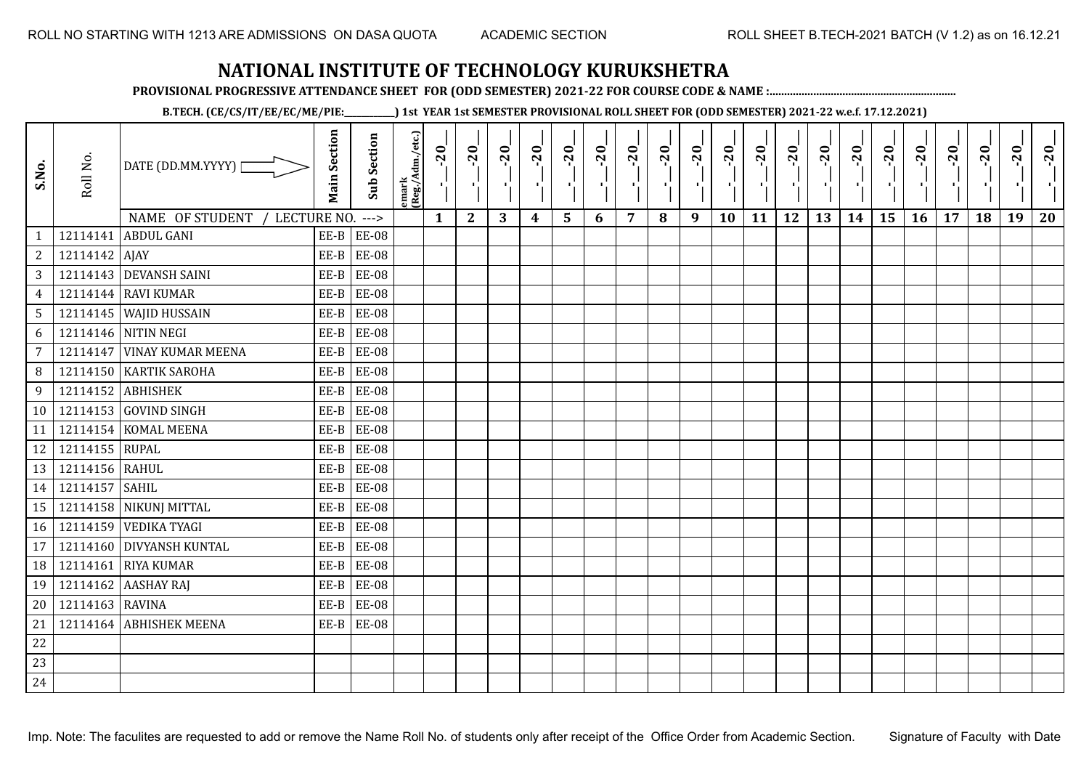**PROVISIONAL PROGRESSIVE ATTENDANCE SHEET FOR (ODD SEMESTER) 2021-22 FOR COURSE CODE & NAME :................................................................**

**B.TECH. (CE/CS/IT/EE/EC/ME/PIE:\_\_\_\_\_\_\_\_\_\_\_\_) 1st YEAR 1st SEMESTER PROVISIONAL ROLL SHEET FOR (ODD SEMESTER) 2021-22 w.e.f. 17.12.2021)**

| S.No.           | Roll No.        | DATE (DD.MM.YYYY)  <br>NAME OF STUDENT<br>LECTURE NO. | <b>Main Section</b> | <b>Sub Section</b><br>$---$ | emark<br> (Reg./Adm./etc.) | $-20$<br>$\mathbf{1}$ | $-20$<br>ч.<br>$\mathbf{2}$ | $-20$<br>л.<br>3 | $-20$<br>$\boldsymbol{4}$ | $-20$<br>×.<br>5 | $-20$<br>6 | $-20$<br>7 | $-20$<br>8 | $-20$<br>π÷<br>9 | $-20$<br>л,<br>10 | $-20$<br>11 | $-20$<br>пJ.<br>12 | $-20$<br>13 | $-20$<br>14 | $-20$<br>15 | $-20$<br>16 | $-20$<br>17 | $-20$<br>18 | $-20$<br>$\mathcal{F}_{\mathcal{F}}$<br>19 | $-20$<br>20 |
|-----------------|-----------------|-------------------------------------------------------|---------------------|-----------------------------|----------------------------|-----------------------|-----------------------------|------------------|---------------------------|------------------|------------|------------|------------|------------------|-------------------|-------------|--------------------|-------------|-------------|-------------|-------------|-------------|-------------|--------------------------------------------|-------------|
| $\mathbf{1}$    | 12114141        | <b>ABDUL GANI</b>                                     | $EE-B$              | <b>EE-08</b>                |                            |                       |                             |                  |                           |                  |            |            |            |                  |                   |             |                    |             |             |             |             |             |             |                                            |             |
| 2               | 12114142 AJAY   |                                                       | EE-B                | <b>EE-08</b>                |                            |                       |                             |                  |                           |                  |            |            |            |                  |                   |             |                    |             |             |             |             |             |             |                                            |             |
| 3               |                 | 12114143 DEVANSH SAINI                                | EE-B                | <b>EE-08</b>                |                            |                       |                             |                  |                           |                  |            |            |            |                  |                   |             |                    |             |             |             |             |             |             |                                            |             |
| $\overline{4}$  |                 | 12114144 RAVI KUMAR                                   | $EE-B$              | <b>EE-08</b>                |                            |                       |                             |                  |                           |                  |            |            |            |                  |                   |             |                    |             |             |             |             |             |             |                                            |             |
| $5\phantom{.0}$ |                 | 12114145 WAJID HUSSAIN                                | EE-B                | <b>EE-08</b>                |                            |                       |                             |                  |                           |                  |            |            |            |                  |                   |             |                    |             |             |             |             |             |             |                                            |             |
| 6               |                 | 12114146 NITIN NEGI                                   | $EE-B$              | <b>EE-08</b>                |                            |                       |                             |                  |                           |                  |            |            |            |                  |                   |             |                    |             |             |             |             |             |             |                                            |             |
| $\overline{7}$  |                 | 12114147 VINAY KUMAR MEENA                            | EE-B                | <b>EE-08</b>                |                            |                       |                             |                  |                           |                  |            |            |            |                  |                   |             |                    |             |             |             |             |             |             |                                            |             |
| 8               |                 | 12114150 KARTIK SAROHA                                | $EE-B$              | <b>EE-08</b>                |                            |                       |                             |                  |                           |                  |            |            |            |                  |                   |             |                    |             |             |             |             |             |             |                                            |             |
| 9               |                 | 12114152 ABHISHEK                                     | $EE-B$              | <b>EE-08</b>                |                            |                       |                             |                  |                           |                  |            |            |            |                  |                   |             |                    |             |             |             |             |             |             |                                            |             |
| 10              |                 | 12114153 GOVIND SINGH                                 | EE-B                | <b>EE-08</b>                |                            |                       |                             |                  |                           |                  |            |            |            |                  |                   |             |                    |             |             |             |             |             |             |                                            |             |
| 11              |                 | 12114154 KOMAL MEENA                                  | EE-B                | <b>EE-08</b>                |                            |                       |                             |                  |                           |                  |            |            |            |                  |                   |             |                    |             |             |             |             |             |             |                                            |             |
| 12              | 12114155 RUPAL  |                                                       | $EE-B$              | <b>EE-08</b>                |                            |                       |                             |                  |                           |                  |            |            |            |                  |                   |             |                    |             |             |             |             |             |             |                                            |             |
| 13              | 12114156 RAHUL  |                                                       | EE-B                | <b>EE-08</b>                |                            |                       |                             |                  |                           |                  |            |            |            |                  |                   |             |                    |             |             |             |             |             |             |                                            |             |
| 14              | 12114157        | <b>SAHIL</b>                                          | EE-B                | <b>EE-08</b>                |                            |                       |                             |                  |                           |                  |            |            |            |                  |                   |             |                    |             |             |             |             |             |             |                                            |             |
| 15              |                 | 12114158 NIKUNJ MITTAL                                | EE-B                | <b>EE-08</b>                |                            |                       |                             |                  |                           |                  |            |            |            |                  |                   |             |                    |             |             |             |             |             |             |                                            |             |
| 16              |                 | 12114159 VEDIKA TYAGI                                 | $EE-B$              | <b>EE-08</b>                |                            |                       |                             |                  |                           |                  |            |            |            |                  |                   |             |                    |             |             |             |             |             |             |                                            |             |
| 17              |                 | 12114160 DIVYANSH KUNTAL                              | $EE-B$              | <b>EE-08</b>                |                            |                       |                             |                  |                           |                  |            |            |            |                  |                   |             |                    |             |             |             |             |             |             |                                            |             |
| 18              | 12114161        | <b>RIYA KUMAR</b>                                     | $EE-B$              | <b>EE-08</b>                |                            |                       |                             |                  |                           |                  |            |            |            |                  |                   |             |                    |             |             |             |             |             |             |                                            |             |
| 19              | 12114162        | <b>AASHAY RAJ</b>                                     | EE-B                | <b>EE-08</b>                |                            |                       |                             |                  |                           |                  |            |            |            |                  |                   |             |                    |             |             |             |             |             |             |                                            |             |
| 20              | 12114163 RAVINA |                                                       | $EE-B$              | <b>EE-08</b>                |                            |                       |                             |                  |                           |                  |            |            |            |                  |                   |             |                    |             |             |             |             |             |             |                                            |             |
| 21              |                 | 12114164 ABHISHEK MEENA                               | EE-B                | <b>EE-08</b>                |                            |                       |                             |                  |                           |                  |            |            |            |                  |                   |             |                    |             |             |             |             |             |             |                                            |             |
| 22              |                 |                                                       |                     |                             |                            |                       |                             |                  |                           |                  |            |            |            |                  |                   |             |                    |             |             |             |             |             |             |                                            |             |
| 23              |                 |                                                       |                     |                             |                            |                       |                             |                  |                           |                  |            |            |            |                  |                   |             |                    |             |             |             |             |             |             |                                            |             |
| 24              |                 |                                                       |                     |                             |                            |                       |                             |                  |                           |                  |            |            |            |                  |                   |             |                    |             |             |             |             |             |             |                                            |             |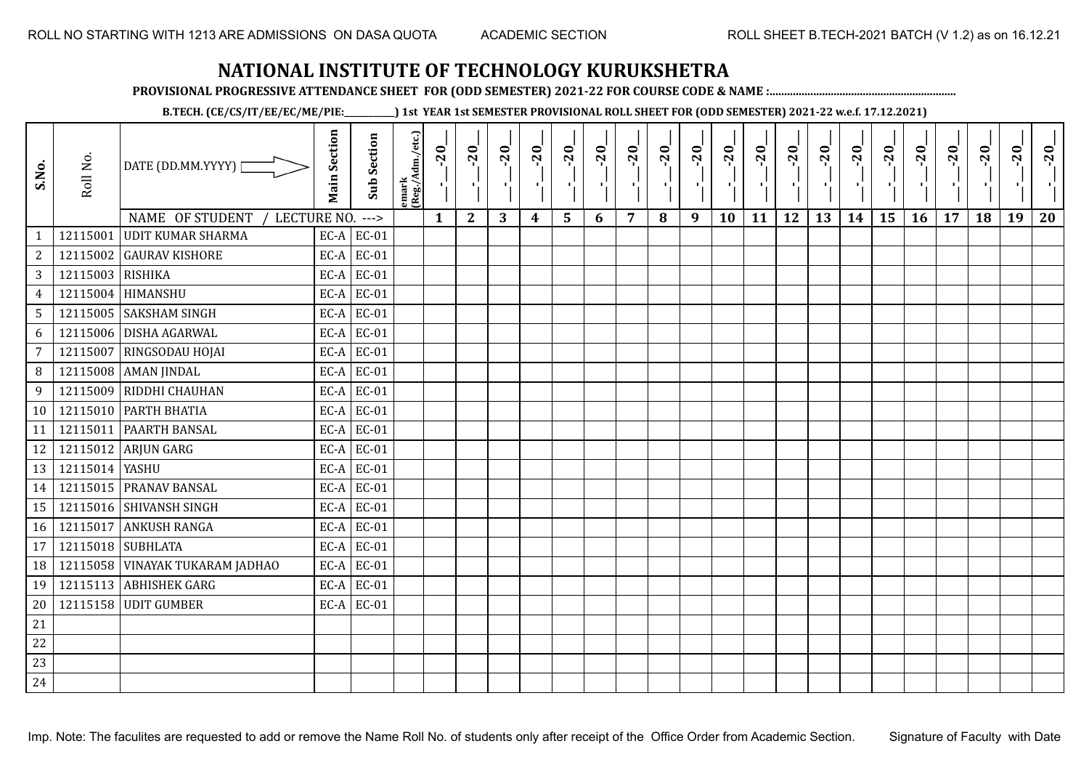**PROVISIONAL PROGRESSIVE ATTENDANCE SHEET FOR (ODD SEMESTER) 2021-22 FOR COURSE CODE & NAME :................................................................**

**B.TECH. (CE/CS/IT/EE/EC/ME/PIE:\_\_\_\_\_\_\_\_\_\_\_\_) 1st YEAR 1st SEMESTER PROVISIONAL ROLL SHEET FOR (ODD SEMESTER) 2021-22 w.e.f. 17.12.2021)**

| S.No.           | Roll No.         | DATE (DD.MM.YYYY)               | <b>Main Section</b> | <b>Sub Section</b> | emark<br> (Reg./Adm./etc.) | $-20$        | $-20$<br>- 1 | $-20$ | $-20$<br>п,      | $-20$<br>۱, | $-20$<br>π÷ | $-20$<br>- 1 | $-20$ | $-20$<br>- 10 | $-20$<br>٠ | $-20$ | $-20$<br>шj | $-20$<br>로 | $-20$<br>$\blacksquare$ | $-20$ | $-20$<br>л., | $-20$ | $-20$ | $-20$<br>×. | $-20$ |
|-----------------|------------------|---------------------------------|---------------------|--------------------|----------------------------|--------------|--------------|-------|------------------|-------------|-------------|--------------|-------|---------------|------------|-------|-------------|------------|-------------------------|-------|--------------|-------|-------|-------------|-------|
|                 |                  | NAME OF STUDENT<br>LECTURE NO.  |                     | $--->$             |                            | $\mathbf{1}$ | $\mathbf{2}$ | 3     | $\boldsymbol{4}$ | 5           | 6           | 7            | 8     | 9             | 10         | 11    | 12          | 13         | 14                      | 15    | 16           | 17    | 18    | 19          | 20    |
| $\mathbf{1}$    | 12115001         | <b>UDIT KUMAR SHARMA</b>        |                     | $EC-A$ $EC-01$     |                            |              |              |       |                  |             |             |              |       |               |            |       |             |            |                         |       |              |       |       |             |       |
| $\sqrt{2}$      |                  | 12115002 GAURAV KISHORE         |                     | $EC-A$ EC-01       |                            |              |              |       |                  |             |             |              |       |               |            |       |             |            |                         |       |              |       |       |             |       |
| $\overline{3}$  | 12115003 RISHIKA |                                 |                     | $EC-A$ EC-01       |                            |              |              |       |                  |             |             |              |       |               |            |       |             |            |                         |       |              |       |       |             |       |
| $\overline{4}$  |                  | 12115004 HIMANSHU               | EC-A                | EC-01              |                            |              |              |       |                  |             |             |              |       |               |            |       |             |            |                         |       |              |       |       |             |       |
| 5               |                  | 12115005 SAKSHAM SINGH          | EC-A                | EC-01              |                            |              |              |       |                  |             |             |              |       |               |            |       |             |            |                         |       |              |       |       |             |       |
| 6               |                  | 12115006 DISHA AGARWAL          | EC-A                | EC-01              |                            |              |              |       |                  |             |             |              |       |               |            |       |             |            |                         |       |              |       |       |             |       |
| $\overline{7}$  | 12115007         | RINGSODAU HOJAI                 |                     | $EC-A$ EC-01       |                            |              |              |       |                  |             |             |              |       |               |            |       |             |            |                         |       |              |       |       |             |       |
| 8               |                  | 12115008 AMAN JINDAL            | EC-A                | EC-01              |                            |              |              |       |                  |             |             |              |       |               |            |       |             |            |                         |       |              |       |       |             |       |
| 9               |                  | 12115009 RIDDHI CHAUHAN         |                     | $EC-A$ EC-01       |                            |              |              |       |                  |             |             |              |       |               |            |       |             |            |                         |       |              |       |       |             |       |
| 10 <sup>1</sup> |                  | 12115010 PARTH BHATIA           |                     | $EC-A$ EC-01       |                            |              |              |       |                  |             |             |              |       |               |            |       |             |            |                         |       |              |       |       |             |       |
| 11              | 12115011         | <b>PAARTH BANSAL</b>            | EC-A                | EC-01              |                            |              |              |       |                  |             |             |              |       |               |            |       |             |            |                         |       |              |       |       |             |       |
| 12              |                  | 12115012 ARJUN GARG             |                     | $EC-A$ EC-01       |                            |              |              |       |                  |             |             |              |       |               |            |       |             |            |                         |       |              |       |       |             |       |
| 13              | 12115014 YASHU   |                                 | EC-A                | EC-01              |                            |              |              |       |                  |             |             |              |       |               |            |       |             |            |                         |       |              |       |       |             |       |
| 14              |                  | 12115015 PRANAV BANSAL          | EC-A                | EC-01              |                            |              |              |       |                  |             |             |              |       |               |            |       |             |            |                         |       |              |       |       |             |       |
| 15              |                  | 12115016 SHIVANSH SINGH         | EC-A                | EC-01              |                            |              |              |       |                  |             |             |              |       |               |            |       |             |            |                         |       |              |       |       |             |       |
| 16              |                  | 12115017 ANKUSH RANGA           | $EC-A$              | EC-01              |                            |              |              |       |                  |             |             |              |       |               |            |       |             |            |                         |       |              |       |       |             |       |
| 17              |                  | 12115018 SUBHLATA               | EC-A                | EC-01              |                            |              |              |       |                  |             |             |              |       |               |            |       |             |            |                         |       |              |       |       |             |       |
| 18              |                  | 12115058 VINAYAK TUKARAM JADHAO |                     | $EC-A$ EC-01       |                            |              |              |       |                  |             |             |              |       |               |            |       |             |            |                         |       |              |       |       |             |       |
| 19              |                  | 12115113 ABHISHEK GARG          | EC-A                | EC-01              |                            |              |              |       |                  |             |             |              |       |               |            |       |             |            |                         |       |              |       |       |             |       |
| 20              |                  | 12115158 UDIT GUMBER            |                     | $EC-A$ $EC-01$     |                            |              |              |       |                  |             |             |              |       |               |            |       |             |            |                         |       |              |       |       |             |       |
| 21              |                  |                                 |                     |                    |                            |              |              |       |                  |             |             |              |       |               |            |       |             |            |                         |       |              |       |       |             |       |
| $22\,$          |                  |                                 |                     |                    |                            |              |              |       |                  |             |             |              |       |               |            |       |             |            |                         |       |              |       |       |             |       |
| 23              |                  |                                 |                     |                    |                            |              |              |       |                  |             |             |              |       |               |            |       |             |            |                         |       |              |       |       |             |       |
| 24              |                  |                                 |                     |                    |                            |              |              |       |                  |             |             |              |       |               |            |       |             |            |                         |       |              |       |       |             |       |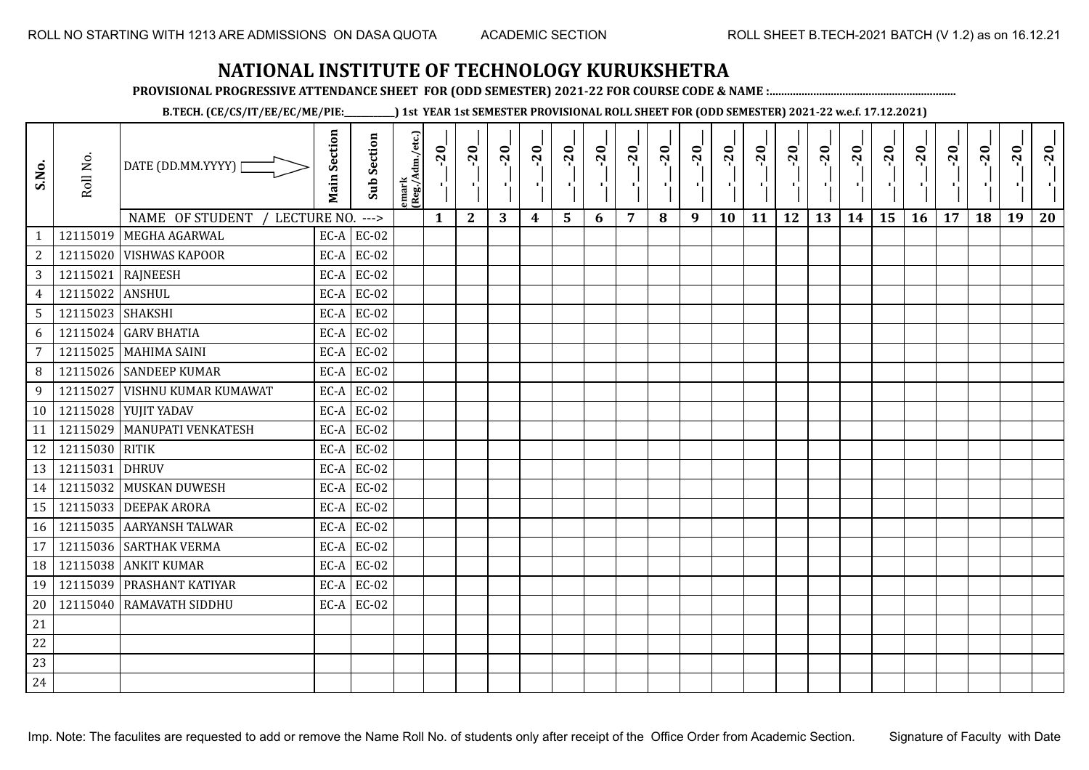**PROVISIONAL PROGRESSIVE ATTENDANCE SHEET FOR (ODD SEMESTER) 2021-22 FOR COURSE CODE & NAME :................................................................**

**B.TECH. (CE/CS/IT/EE/EC/ME/PIE:\_\_\_\_\_\_\_\_\_\_\_\_) 1st YEAR 1st SEMESTER PROVISIONAL ROLL SHEET FOR (ODD SEMESTER) 2021-22 w.e.f. 17.12.2021)**

| S.No.           | Roll No.         | DATE (DD.MM.YYYY) [              | <b>Main Section</b> | <b>Sub Section</b> | emark<br> (Reg./Adm./etc.) | $-20$ | $-20$<br>×.  | $-20$ | $-20$<br>п, | $-20$<br>٠, | $-20$<br>π÷ | $-20$<br>- 1 | $-20$ | $-20$<br>- 10 | $-20$<br>л, | $-20$ | $-20$<br>πt | $-20$<br>로 | $-20$<br>$\blacksquare$ | $-20$ | $-20$<br>$\mathcal{F}_{\mathbf{r}}$ . | $-20$ | $-20$ | $-20$<br>$\mathcal{F}_\mathbf{r}$ | $-20$ |
|-----------------|------------------|----------------------------------|---------------------|--------------------|----------------------------|-------|--------------|-------|-------------|-------------|-------------|--------------|-------|---------------|-------------|-------|-------------|------------|-------------------------|-------|---------------------------------------|-------|-------|-----------------------------------|-------|
|                 |                  | NAME OF STUDENT /<br>LECTURE NO. |                     | $--->$             |                            | 1     | $\mathbf{2}$ | 3     | 4           | 5           | 6           | 7            | 8     | 9             | 10          | 11    | 12          | 13         | 14                      | 15    | 16                                    | 17    | 18    | 19                                | 20    |
| $\mathbf{1}$    |                  | 12115019 MEGHA AGARWAL           |                     | $EC-A$ $EC-02$     |                            |       |              |       |             |             |             |              |       |               |             |       |             |            |                         |       |                                       |       |       |                                   |       |
| $\sqrt{2}$      |                  | 12115020 VISHWAS KAPOOR          |                     | $EC-A$ EC-02       |                            |       |              |       |             |             |             |              |       |               |             |       |             |            |                         |       |                                       |       |       |                                   |       |
| $\overline{3}$  |                  | 12115021 RAJNEESH                |                     | $EC-A$ EC-02       |                            |       |              |       |             |             |             |              |       |               |             |       |             |            |                         |       |                                       |       |       |                                   |       |
| $\overline{4}$  | 12115022 ANSHUL  |                                  | EC-A                | EC-02              |                            |       |              |       |             |             |             |              |       |               |             |       |             |            |                         |       |                                       |       |       |                                   |       |
| 5               | 12115023 SHAKSHI |                                  |                     | $EC-A$ EC-02       |                            |       |              |       |             |             |             |              |       |               |             |       |             |            |                         |       |                                       |       |       |                                   |       |
| 6               |                  | 12115024 GARV BHATIA             |                     | $EC-A$ EC-02       |                            |       |              |       |             |             |             |              |       |               |             |       |             |            |                         |       |                                       |       |       |                                   |       |
| $7\overline{ }$ |                  | 12115025 MAHIMA SAINI            |                     | $EC-A$ EC-02       |                            |       |              |       |             |             |             |              |       |               |             |       |             |            |                         |       |                                       |       |       |                                   |       |
| 8               |                  | 12115026 SANDEEP KUMAR           |                     | $EC-A$ EC-02       |                            |       |              |       |             |             |             |              |       |               |             |       |             |            |                         |       |                                       |       |       |                                   |       |
| 9               | 12115027         | <b>VISHNU KUMAR KUMAWAT</b>      |                     | $EC-A$ EC-02       |                            |       |              |       |             |             |             |              |       |               |             |       |             |            |                         |       |                                       |       |       |                                   |       |
| 10 <sup>1</sup> |                  | 12115028 YUJIT YADAV             |                     | $EC-A$ EC-02       |                            |       |              |       |             |             |             |              |       |               |             |       |             |            |                         |       |                                       |       |       |                                   |       |
| 11              |                  | 12115029   MANUPATI VENKATESH    |                     | $EC-A$ $EC-02$     |                            |       |              |       |             |             |             |              |       |               |             |       |             |            |                         |       |                                       |       |       |                                   |       |
| 12              | 12115030 RITIK   |                                  |                     | $EC-A$ EC-02       |                            |       |              |       |             |             |             |              |       |               |             |       |             |            |                         |       |                                       |       |       |                                   |       |
| 13              | 12115031         | <b>DHRUV</b>                     | EC-A                | EC-02              |                            |       |              |       |             |             |             |              |       |               |             |       |             |            |                         |       |                                       |       |       |                                   |       |
| 14              |                  | 12115032 MUSKAN DUWESH           |                     | $EC-A$ EC-02       |                            |       |              |       |             |             |             |              |       |               |             |       |             |            |                         |       |                                       |       |       |                                   |       |
| 15              |                  | 12115033 DEEPAK ARORA            | EC-A                | EC-02              |                            |       |              |       |             |             |             |              |       |               |             |       |             |            |                         |       |                                       |       |       |                                   |       |
| 16              |                  | 12115035 AARYANSH TALWAR         |                     | $EC-A$ EC-02       |                            |       |              |       |             |             |             |              |       |               |             |       |             |            |                         |       |                                       |       |       |                                   |       |
| 17              |                  | 12115036 SARTHAK VERMA           |                     | $EC-A$ EC-02       |                            |       |              |       |             |             |             |              |       |               |             |       |             |            |                         |       |                                       |       |       |                                   |       |
| 18              |                  | 12115038 ANKIT KUMAR             |                     | $EC-A$ EC-02       |                            |       |              |       |             |             |             |              |       |               |             |       |             |            |                         |       |                                       |       |       |                                   |       |
| 19              |                  | 12115039 PRASHANT KATIYAR        |                     | $EC-A$ EC-02       |                            |       |              |       |             |             |             |              |       |               |             |       |             |            |                         |       |                                       |       |       |                                   |       |
| 20              |                  | 12115040 RAMAVATH SIDDHU         |                     | $EC-A$ EC-02       |                            |       |              |       |             |             |             |              |       |               |             |       |             |            |                         |       |                                       |       |       |                                   |       |
| 21              |                  |                                  |                     |                    |                            |       |              |       |             |             |             |              |       |               |             |       |             |            |                         |       |                                       |       |       |                                   |       |
| 22              |                  |                                  |                     |                    |                            |       |              |       |             |             |             |              |       |               |             |       |             |            |                         |       |                                       |       |       |                                   |       |
| 23              |                  |                                  |                     |                    |                            |       |              |       |             |             |             |              |       |               |             |       |             |            |                         |       |                                       |       |       |                                   |       |
| 24              |                  |                                  |                     |                    |                            |       |              |       |             |             |             |              |       |               |             |       |             |            |                         |       |                                       |       |       |                                   |       |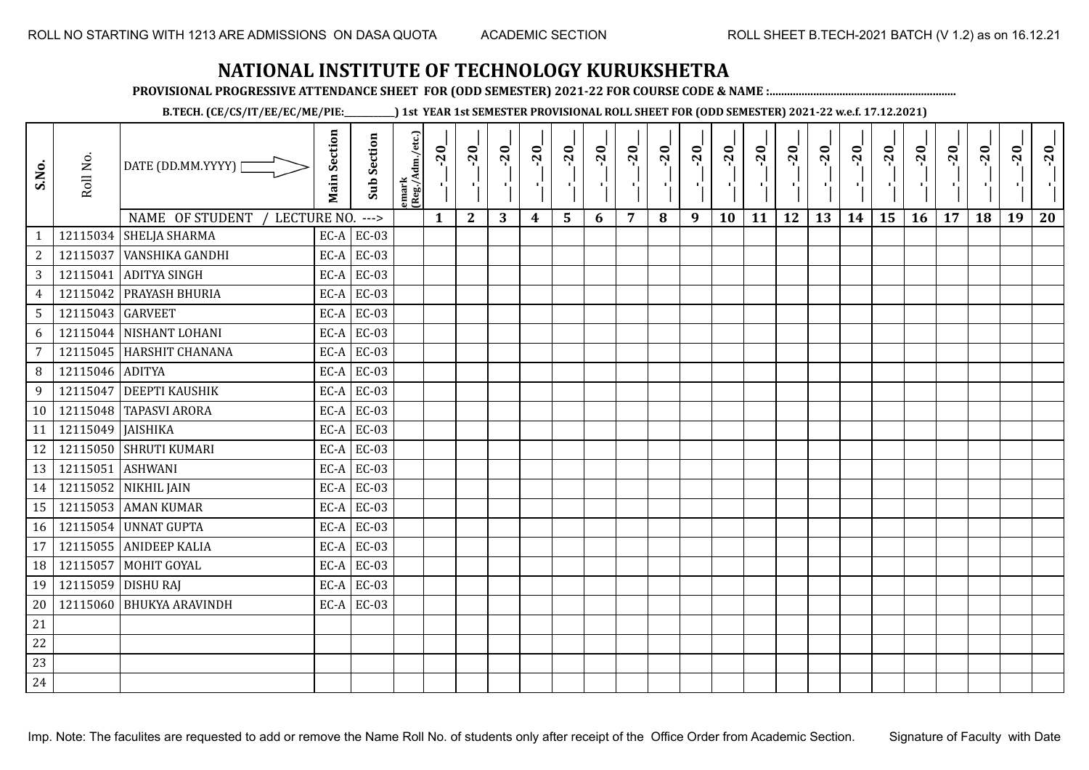**PROVISIONAL PROGRESSIVE ATTENDANCE SHEET FOR (ODD SEMESTER) 2021-22 FOR COURSE CODE & NAME :................................................................**

**B.TECH. (CE/CS/IT/EE/EC/ME/PIE:\_\_\_\_\_\_\_\_\_\_\_\_) 1st YEAR 1st SEMESTER PROVISIONAL ROLL SHEET FOR (ODD SEMESTER) 2021-22 w.e.f. 17.12.2021)**

| S.No.          | Roll No.         | DATE (DD.MM.YYYY) [                 | <b>Main Section</b> | <b>Sub Section</b> | emark<br> (Reg./Adm./etc.) | $-20$<br>Ч.  | $-20$<br>л.  | $-20$ | $-20$ | $-20$          | $-20$<br>×. | $-20$ | $-20$ | $-20$<br>π÷ | $-20$<br>л, | $-20$ | $-20$<br>п, | $-20$ | $-20$<br>$\mathbf{L}$ | $-20$<br>$\frac{1}{1}$ | $-20$<br>п÷ | $-20$ | $-20$ | $-20$<br>×í. | $-20$ |
|----------------|------------------|-------------------------------------|---------------------|--------------------|----------------------------|--------------|--------------|-------|-------|----------------|-------------|-------|-------|-------------|-------------|-------|-------------|-------|-----------------------|------------------------|-------------|-------|-------|--------------|-------|
|                |                  | NAME OF STUDENT<br>LECTURE NO. ---> |                     |                    |                            | $\mathbf{1}$ | $\mathbf{2}$ | 3     | 4     | $5\phantom{1}$ | 6           | 7     | 8     | 9           | 10          | 11    | 12          | 13    | 14                    | 15                     | 16          | 17    | 18    | 19           | 20    |
| $\mathbf{1}$   | 12115034         | <b>SHELJA SHARMA</b>                |                     | $EC-A$ $EC-03$     |                            |              |              |       |       |                |             |       |       |             |             |       |             |       |                       |                        |             |       |       |              |       |
| $\sqrt{2}$     | 12115037         | VANSHIKA GANDHI                     | $EC-A$              | <b>EC-03</b>       |                            |              |              |       |       |                |             |       |       |             |             |       |             |       |                       |                        |             |       |       |              |       |
| $\sqrt{3}$     | 12115041         | <b>ADITYA SINGH</b>                 |                     | $EC-A$ EC-03       |                            |              |              |       |       |                |             |       |       |             |             |       |             |       |                       |                        |             |       |       |              |       |
| $\overline{4}$ | 12115042         | <b>PRAYASH BHURIA</b>               | EC-A                | EC-03              |                            |              |              |       |       |                |             |       |       |             |             |       |             |       |                       |                        |             |       |       |              |       |
| $\sqrt{5}$     | 12115043 GARVEET |                                     | $EC-A$              | EC-03              |                            |              |              |       |       |                |             |       |       |             |             |       |             |       |                       |                        |             |       |       |              |       |
| 6              | 12115044         | NISHANT LOHANI                      | EC-A                | EC-03              |                            |              |              |       |       |                |             |       |       |             |             |       |             |       |                       |                        |             |       |       |              |       |
| $\overline{7}$ | 12115045         | <b>HARSHIT CHANANA</b>              | $EC-A$              | EC-03              |                            |              |              |       |       |                |             |       |       |             |             |       |             |       |                       |                        |             |       |       |              |       |
| 8              | 12115046 ADITYA  |                                     | EC-A                | EC-03              |                            |              |              |       |       |                |             |       |       |             |             |       |             |       |                       |                        |             |       |       |              |       |
| 9              | 12115047         | <b>DEEPTI KAUSHIK</b>               |                     | $EC-A$ EC-03       |                            |              |              |       |       |                |             |       |       |             |             |       |             |       |                       |                        |             |       |       |              |       |
|                |                  | 10   12115048   TAPASVI ARORA       |                     | $EC-A$ EC-03       |                            |              |              |       |       |                |             |       |       |             |             |       |             |       |                       |                        |             |       |       |              |       |
| 11             | 12115049         | <b>JAISHIKA</b>                     |                     | $EC-A$ EC-03       |                            |              |              |       |       |                |             |       |       |             |             |       |             |       |                       |                        |             |       |       |              |       |
| 12             |                  | 12115050 SHRUTI KUMARI              |                     | $EC-A$ EC-03       |                            |              |              |       |       |                |             |       |       |             |             |       |             |       |                       |                        |             |       |       |              |       |
| 13             | 12115051         | <b>ASHWANI</b>                      | $EC-A$              | <b>EC-03</b>       |                            |              |              |       |       |                |             |       |       |             |             |       |             |       |                       |                        |             |       |       |              |       |
| 14             |                  | 12115052 NIKHIL JAIN                |                     | $EC-A$ EC-03       |                            |              |              |       |       |                |             |       |       |             |             |       |             |       |                       |                        |             |       |       |              |       |
| 15             | 12115053         | <b>AMAN KUMAR</b>                   | EC-A                | $EC-03$            |                            |              |              |       |       |                |             |       |       |             |             |       |             |       |                       |                        |             |       |       |              |       |
| 16             | 12115054         | <b>UNNAT GUPTA</b>                  | $EC-A$              | EC-03              |                            |              |              |       |       |                |             |       |       |             |             |       |             |       |                       |                        |             |       |       |              |       |
| 17             | 12115055         | <b>ANIDEEP KALIA</b>                | EC-A                | EC-03              |                            |              |              |       |       |                |             |       |       |             |             |       |             |       |                       |                        |             |       |       |              |       |
| 18             | 12115057         | MOHIT GOYAL                         | $EC-A$              | EC-03              |                            |              |              |       |       |                |             |       |       |             |             |       |             |       |                       |                        |             |       |       |              |       |
| 19             | 12115059         | <b>DISHU RAJ</b>                    | EC-A                | EC-03              |                            |              |              |       |       |                |             |       |       |             |             |       |             |       |                       |                        |             |       |       |              |       |
| 20             | 12115060         | <b>BHUKYA ARAVINDH</b>              |                     | $EC-A$ EC-03       |                            |              |              |       |       |                |             |       |       |             |             |       |             |       |                       |                        |             |       |       |              |       |
| 21             |                  |                                     |                     |                    |                            |              |              |       |       |                |             |       |       |             |             |       |             |       |                       |                        |             |       |       |              |       |
| 22             |                  |                                     |                     |                    |                            |              |              |       |       |                |             |       |       |             |             |       |             |       |                       |                        |             |       |       |              |       |
| 23             |                  |                                     |                     |                    |                            |              |              |       |       |                |             |       |       |             |             |       |             |       |                       |                        |             |       |       |              |       |
| 24             |                  |                                     |                     |                    |                            |              |              |       |       |                |             |       |       |             |             |       |             |       |                       |                        |             |       |       |              |       |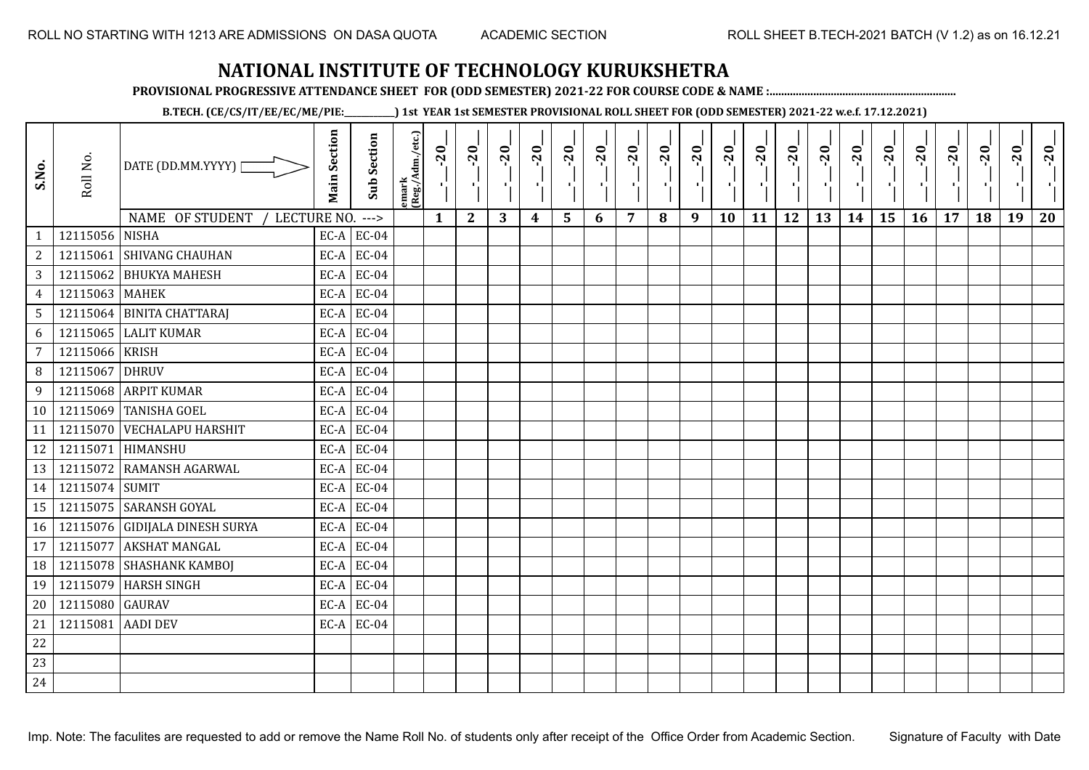**PROVISIONAL PROGRESSIVE ATTENDANCE SHEET FOR (ODD SEMESTER) 2021-22 FOR COURSE CODE & NAME :................................................................**

**B.TECH. (CE/CS/IT/EE/EC/ME/PIE:\_\_\_\_\_\_\_\_\_\_\_\_) 1st YEAR 1st SEMESTER PROVISIONAL ROLL SHEET FOR (ODD SEMESTER) 2021-22 w.e.f. 17.12.2021)**

| S.No.          | Roll No.        | DATE (DD.MM.YYYY) [<br>NAME OF STUDENT<br>LECTURE NO. | <b>Main Section</b> | Sub Section<br>$--->$ | emark<br>(Reg./Adm./etc.) | $-20$<br>$\mathcal{F}_{\mathbf{L}}^{\mathbf{L}}$<br>$\mathbf{1}$ | $-20$<br>×.<br>$\mathbf{2}$ | $-20$<br>п.,<br>3 | $-20$<br>п.<br>$\boldsymbol{4}$ | $-20$<br>٠,<br>5 | $-20$<br>п.<br>6 | $-20$<br>×.<br>$\overline{7}$ | $-20$<br>8 | $-20$<br>- 1<br>9 | $-20$<br>٠,<br>10 | $-20$<br>тļ<br>11 | $-20$<br>- 10<br>12 | $-20$<br>чŀ<br>13 | $-20$<br>$\mathbf{L}$<br>14 | $-20$<br>٠,<br>15 | $-20$<br>л÷.<br>16 | $-20$<br>$\blacksquare$<br>17 | $-20$<br>18 | $-20$<br>×.<br>19 | $-20$<br>20 |
|----------------|-----------------|-------------------------------------------------------|---------------------|-----------------------|---------------------------|------------------------------------------------------------------|-----------------------------|-------------------|---------------------------------|------------------|------------------|-------------------------------|------------|-------------------|-------------------|-------------------|---------------------|-------------------|-----------------------------|-------------------|--------------------|-------------------------------|-------------|-------------------|-------------|
| $\mathbf{1}$   | 12115056 NISHA  |                                                       |                     | $EC-A$ $EC-04$        |                           |                                                                  |                             |                   |                                 |                  |                  |                               |            |                   |                   |                   |                     |                   |                             |                   |                    |                               |             |                   |             |
| $\overline{a}$ | 12115061        | <b>SHIVANG CHAUHAN</b>                                | EC-A                | <b>EC-04</b>          |                           |                                                                  |                             |                   |                                 |                  |                  |                               |            |                   |                   |                   |                     |                   |                             |                   |                    |                               |             |                   |             |
| $\mathbf{3}$   | 12115062        | <b>BHUKYA MAHESH</b>                                  | EC-A                | <b>EC-04</b>          |                           |                                                                  |                             |                   |                                 |                  |                  |                               |            |                   |                   |                   |                     |                   |                             |                   |                    |                               |             |                   |             |
| $\overline{4}$ | 12115063        | <b>MAHEK</b>                                          | EC-A                | <b>EC-04</b>          |                           |                                                                  |                             |                   |                                 |                  |                  |                               |            |                   |                   |                   |                     |                   |                             |                   |                    |                               |             |                   |             |
| 5              | 12115064        | <b>BINITA CHATTARAJ</b>                               | $EC-A$              | <b>EC-04</b>          |                           |                                                                  |                             |                   |                                 |                  |                  |                               |            |                   |                   |                   |                     |                   |                             |                   |                    |                               |             |                   |             |
| 6              | 12115065        | <b>LALIT KUMAR</b>                                    |                     | $EC-A$ EC-04          |                           |                                                                  |                             |                   |                                 |                  |                  |                               |            |                   |                   |                   |                     |                   |                             |                   |                    |                               |             |                   |             |
| $\overline{7}$ | 12115066        | <b>KRISH</b>                                          |                     | $EC-A$ EC-04          |                           |                                                                  |                             |                   |                                 |                  |                  |                               |            |                   |                   |                   |                     |                   |                             |                   |                    |                               |             |                   |             |
| 8              | 12115067        | <b>DHRUV</b>                                          |                     | $EC-A$ EC-04          |                           |                                                                  |                             |                   |                                 |                  |                  |                               |            |                   |                   |                   |                     |                   |                             |                   |                    |                               |             |                   |             |
| 9              |                 | 12115068 ARPIT KUMAR                                  |                     | $EC-A$ EC-04          |                           |                                                                  |                             |                   |                                 |                  |                  |                               |            |                   |                   |                   |                     |                   |                             |                   |                    |                               |             |                   |             |
| 10             | 12115069        | <b>TANISHA GOEL</b>                                   |                     | $EC-A$ EC-04          |                           |                                                                  |                             |                   |                                 |                  |                  |                               |            |                   |                   |                   |                     |                   |                             |                   |                    |                               |             |                   |             |
| 11             | 12115070        | <b>VECHALAPU HARSHIT</b>                              | EC-A                | <b>EC-04</b>          |                           |                                                                  |                             |                   |                                 |                  |                  |                               |            |                   |                   |                   |                     |                   |                             |                   |                    |                               |             |                   |             |
| 12             |                 | 12115071 HIMANSHU                                     | EC-A                | <b>EC-04</b>          |                           |                                                                  |                             |                   |                                 |                  |                  |                               |            |                   |                   |                   |                     |                   |                             |                   |                    |                               |             |                   |             |
| 13             | 12115072        | <b>RAMANSH AGARWAL</b>                                | EC-A                | <b>EC-04</b>          |                           |                                                                  |                             |                   |                                 |                  |                  |                               |            |                   |                   |                   |                     |                   |                             |                   |                    |                               |             |                   |             |
| 14             | 12115074 SUMIT  |                                                       | EC-A                | <b>EC-04</b>          |                           |                                                                  |                             |                   |                                 |                  |                  |                               |            |                   |                   |                   |                     |                   |                             |                   |                    |                               |             |                   |             |
| 15             |                 | 12115075 SARANSH GOYAL                                | EC-A                | <b>EC-04</b>          |                           |                                                                  |                             |                   |                                 |                  |                  |                               |            |                   |                   |                   |                     |                   |                             |                   |                    |                               |             |                   |             |
| 16             |                 | 12115076 GIDIJALA DINESH SURYA                        | EC-A                | <b>EC-04</b>          |                           |                                                                  |                             |                   |                                 |                  |                  |                               |            |                   |                   |                   |                     |                   |                             |                   |                    |                               |             |                   |             |
| 17             | 12115077        | <b>AKSHAT MANGAL</b>                                  | EC-A                | <b>EC-04</b>          |                           |                                                                  |                             |                   |                                 |                  |                  |                               |            |                   |                   |                   |                     |                   |                             |                   |                    |                               |             |                   |             |
| 18             |                 | 12115078 SHASHANK KAMBOJ                              |                     | $EC-A$ EC-04          |                           |                                                                  |                             |                   |                                 |                  |                  |                               |            |                   |                   |                   |                     |                   |                             |                   |                    |                               |             |                   |             |
| 19             | 12115079        | <b>HARSH SINGH</b>                                    | EC-A                | <b>EC-04</b>          |                           |                                                                  |                             |                   |                                 |                  |                  |                               |            |                   |                   |                   |                     |                   |                             |                   |                    |                               |             |                   |             |
| 20             | 12115080 GAURAV |                                                       |                     | $EC-A$ EC-04          |                           |                                                                  |                             |                   |                                 |                  |                  |                               |            |                   |                   |                   |                     |                   |                             |                   |                    |                               |             |                   |             |
| 21             | 12115081        | <b>AADI DEV</b>                                       |                     | $EC-A$ EC-04          |                           |                                                                  |                             |                   |                                 |                  |                  |                               |            |                   |                   |                   |                     |                   |                             |                   |                    |                               |             |                   |             |
| 22             |                 |                                                       |                     |                       |                           |                                                                  |                             |                   |                                 |                  |                  |                               |            |                   |                   |                   |                     |                   |                             |                   |                    |                               |             |                   |             |
| 23             |                 |                                                       |                     |                       |                           |                                                                  |                             |                   |                                 |                  |                  |                               |            |                   |                   |                   |                     |                   |                             |                   |                    |                               |             |                   |             |
| 24             |                 |                                                       |                     |                       |                           |                                                                  |                             |                   |                                 |                  |                  |                               |            |                   |                   |                   |                     |                   |                             |                   |                    |                               |             |                   |             |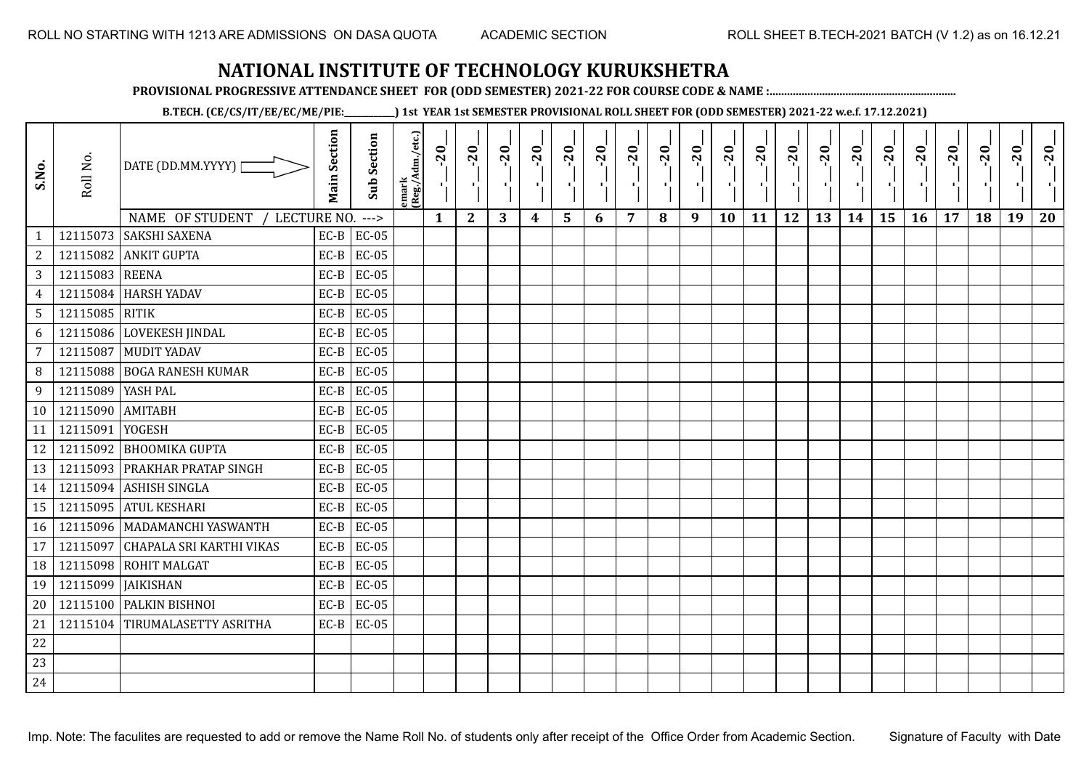**PROVISIONAL PROGRESSIVE ATTENDANCE SHEET FOR (ODD SEMESTER) 2021-22 FOR COURSE CODE & NAME :................................................................**

**B.TECH. (CE/CS/IT/EE/EC/ME/PIE:\_\_\_\_\_\_\_\_\_\_\_\_) 1st YEAR 1st SEMESTER PROVISIONAL ROLL SHEET FOR (ODD SEMESTER) 2021-22 w.e.f. 17.12.2021)**

| S.No.           | Roll No.       | DATE (DD.MM.YYYY)<br>NAME OF STUDENT<br>LECTURE NO. | <b>Main Section</b> | <b>Sub Section</b><br>$---$ | emark<br> (Reg./Adm./etc.) | $-20$<br>$\mathbf{1}$ | $-20$<br>π÷<br>$\mathbf{2}$ | $-20$<br>πt<br>3 | $-20$<br>π÷<br>$\boldsymbol{4}$ | $-20$<br>- 1<br>5 | $-20$<br>п.<br>6 | $-20$<br>$\overline{7}$ | $-20$<br>8 | $-20$<br>π÷<br>9 | $-20$<br>л,<br>10 | $-20$<br>шj<br>11 | $-20$<br>π÷<br>12 | $-20$<br>Æ,<br>13 | $-20$<br>$\blacksquare$<br>14 | $-20$<br>۱,<br>15 | $-20$<br>л÷,<br>16 | $-20$<br>17 | $-20$<br>18 | $-20$<br>×.<br>19 | $-20$<br>20 |
|-----------------|----------------|-----------------------------------------------------|---------------------|-----------------------------|----------------------------|-----------------------|-----------------------------|------------------|---------------------------------|-------------------|------------------|-------------------------|------------|------------------|-------------------|-------------------|-------------------|-------------------|-------------------------------|-------------------|--------------------|-------------|-------------|-------------------|-------------|
| $\mathbf{1}$    |                | 12115073 SAKSHI SAXENA                              | $EC-B$              | <b>EC-05</b>                |                            |                       |                             |                  |                                 |                   |                  |                         |            |                  |                   |                   |                   |                   |                               |                   |                    |             |             |                   |             |
| $\overline{c}$  | 12115082       | <b>ANKIT GUPTA</b>                                  | $EC-B$              | <b>EC-05</b>                |                            |                       |                             |                  |                                 |                   |                  |                         |            |                  |                   |                   |                   |                   |                               |                   |                    |             |             |                   |             |
| 3               | 12115083 REENA |                                                     | $EC-B$              | <b>EC-05</b>                |                            |                       |                             |                  |                                 |                   |                  |                         |            |                  |                   |                   |                   |                   |                               |                   |                    |             |             |                   |             |
| $\overline{4}$  | 12115084       | <b>HARSH YADAV</b>                                  | $EC-B$              | EC-05                       |                            |                       |                             |                  |                                 |                   |                  |                         |            |                  |                   |                   |                   |                   |                               |                   |                    |             |             |                   |             |
| $5\phantom{.0}$ | 12115085 RITIK |                                                     | $EC-B$              | EC-05                       |                            |                       |                             |                  |                                 |                   |                  |                         |            |                  |                   |                   |                   |                   |                               |                   |                    |             |             |                   |             |
| 6               | 12115086       | LOVEKESH JINDAL                                     | $EC-B$              | $EC-05$                     |                            |                       |                             |                  |                                 |                   |                  |                         |            |                  |                   |                   |                   |                   |                               |                   |                    |             |             |                   |             |
| 7               | 12115087       | <b>MUDIT YADAV</b>                                  | $EC-B$              | EC-05                       |                            |                       |                             |                  |                                 |                   |                  |                         |            |                  |                   |                   |                   |                   |                               |                   |                    |             |             |                   |             |
| 8               | 12115088       | <b>BOGA RANESH KUMAR</b>                            | $EC-B$              | $EC-05$                     |                            |                       |                             |                  |                                 |                   |                  |                         |            |                  |                   |                   |                   |                   |                               |                   |                    |             |             |                   |             |
| 9               | 12115089       | YASH PAL                                            | $EC-B$              | EC-05                       |                            |                       |                             |                  |                                 |                   |                  |                         |            |                  |                   |                   |                   |                   |                               |                   |                    |             |             |                   |             |
| 10              | 12115090       | AMITABH                                             | $EC-B$              | <b>EC-05</b>                |                            |                       |                             |                  |                                 |                   |                  |                         |            |                  |                   |                   |                   |                   |                               |                   |                    |             |             |                   |             |
| 11              | 12115091       | YOGESH                                              | $EC-B$              | <b>EC-05</b>                |                            |                       |                             |                  |                                 |                   |                  |                         |            |                  |                   |                   |                   |                   |                               |                   |                    |             |             |                   |             |
| 12              |                | 12115092 BHOOMIKA GUPTA                             | $EC-B$              | <b>EC-05</b>                |                            |                       |                             |                  |                                 |                   |                  |                         |            |                  |                   |                   |                   |                   |                               |                   |                    |             |             |                   |             |
| 13              |                | 12115093 PRAKHAR PRATAP SINGH                       | $EC-B$              | <b>EC-05</b>                |                            |                       |                             |                  |                                 |                   |                  |                         |            |                  |                   |                   |                   |                   |                               |                   |                    |             |             |                   |             |
| 14              |                | 12115094 ASHISH SINGLA                              | $EC-B$              | <b>EC-05</b>                |                            |                       |                             |                  |                                 |                   |                  |                         |            |                  |                   |                   |                   |                   |                               |                   |                    |             |             |                   |             |
| 15              | 12115095       | <b>ATUL KESHARI</b>                                 | $EC-B$              | $EC-05$                     |                            |                       |                             |                  |                                 |                   |                  |                         |            |                  |                   |                   |                   |                   |                               |                   |                    |             |             |                   |             |
| 16              |                | 12115096   MADAMANCHI YASWANTH                      | $EC-B$              | EC-05                       |                            |                       |                             |                  |                                 |                   |                  |                         |            |                  |                   |                   |                   |                   |                               |                   |                    |             |             |                   |             |
| 17              | 12115097       | CHAPALA SRI KARTHI VIKAS                            | $EC-B$              | $EC-05$                     |                            |                       |                             |                  |                                 |                   |                  |                         |            |                  |                   |                   |                   |                   |                               |                   |                    |             |             |                   |             |
| 18              | 12115098       | <b>ROHIT MALGAT</b>                                 | $EC-B$              | <b>EC-05</b>                |                            |                       |                             |                  |                                 |                   |                  |                         |            |                  |                   |                   |                   |                   |                               |                   |                    |             |             |                   |             |
| 19              | 12115099       | <b>JAIKISHAN</b>                                    | $EC-B$              | $EC-05$                     |                            |                       |                             |                  |                                 |                   |                  |                         |            |                  |                   |                   |                   |                   |                               |                   |                    |             |             |                   |             |
| 20              |                | 12115100 PALKIN BISHNOI                             | $EC-B$              | <b>EC-05</b>                |                            |                       |                             |                  |                                 |                   |                  |                         |            |                  |                   |                   |                   |                   |                               |                   |                    |             |             |                   |             |
| 21              |                | 12115104 TIRUMALASETTY ASRITHA                      | $EC-B$              | <b>EC-05</b>                |                            |                       |                             |                  |                                 |                   |                  |                         |            |                  |                   |                   |                   |                   |                               |                   |                    |             |             |                   |             |
| 22              |                |                                                     |                     |                             |                            |                       |                             |                  |                                 |                   |                  |                         |            |                  |                   |                   |                   |                   |                               |                   |                    |             |             |                   |             |
| 23              |                |                                                     |                     |                             |                            |                       |                             |                  |                                 |                   |                  |                         |            |                  |                   |                   |                   |                   |                               |                   |                    |             |             |                   |             |
| 24              |                |                                                     |                     |                             |                            |                       |                             |                  |                                 |                   |                  |                         |            |                  |                   |                   |                   |                   |                               |                   |                    |             |             |                   |             |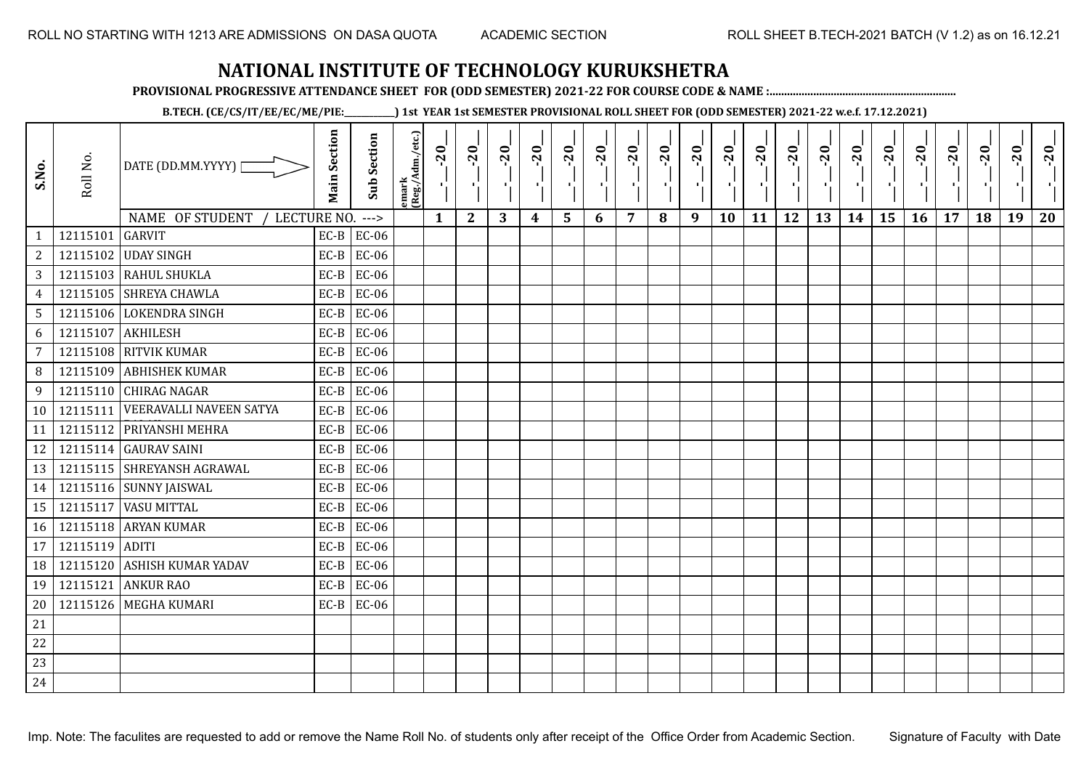**PROVISIONAL PROGRESSIVE ATTENDANCE SHEET FOR (ODD SEMESTER) 2021-22 FOR COURSE CODE & NAME :................................................................**

**B.TECH. (CE/CS/IT/EE/EC/ME/PIE:\_\_\_\_\_\_\_\_\_\_\_\_) 1st YEAR 1st SEMESTER PROVISIONAL ROLL SHEET FOR (ODD SEMESTER) 2021-22 w.e.f. 17.12.2021)**

| S.No.           | Roll No.       | DATE (DD.MM.YYYY)                | <b>Main Section</b> | <b>Sub Section</b> | emark<br>(Reg./Adm./etc.) | $-20$        | $-20$<br>×.  | $-20$ | $-20$            | $-20$<br>л, | $-20$ | $-20$<br>п.    | $-20$ | $-20$<br>$\blacksquare$ | $-20$<br>л, | $-20$ | $-20$<br>H. | $-20$ | $-20$ | $-20$ | $-20$ | $-20$ | $-20$ | $-20$<br>$\mathcal{F}_{\mathcal{F}}$ | $-20$ |
|-----------------|----------------|----------------------------------|---------------------|--------------------|---------------------------|--------------|--------------|-------|------------------|-------------|-------|----------------|-------|-------------------------|-------------|-------|-------------|-------|-------|-------|-------|-------|-------|--------------------------------------|-------|
|                 |                | NAME OF STUDENT<br>LECTURE NO.   |                     | $--->$             |                           | $\mathbf{1}$ | $\mathbf{2}$ | 3     | $\boldsymbol{4}$ | 5           | 6     | $\overline{7}$ | 8     | 9                       | 10          | 11    | 12          | 13    | 14    | 15    | 16    | 17    | 18    | 19                                   | 20    |
| 1               | 12115101       | <b>GARVIT</b>                    | $EC-B$              | <b>EC-06</b>       |                           |              |              |       |                  |             |       |                |       |                         |             |       |             |       |       |       |       |       |       |                                      |       |
| 2               |                | 12115102 UDAY SINGH              | $EC-B$              | EC-06              |                           |              |              |       |                  |             |       |                |       |                         |             |       |             |       |       |       |       |       |       |                                      |       |
| $\overline{3}$  |                | 12115103 RAHUL SHUKLA            | $EC-B$              | EC-06              |                           |              |              |       |                  |             |       |                |       |                         |             |       |             |       |       |       |       |       |       |                                      |       |
| $\overline{4}$  |                | 12115105 SHREYA CHAWLA           | $EC-B$              | EC-06              |                           |              |              |       |                  |             |       |                |       |                         |             |       |             |       |       |       |       |       |       |                                      |       |
| $5\phantom{.0}$ |                | 12115106 LOKENDRA SINGH          | $EC-B$              | EC-06              |                           |              |              |       |                  |             |       |                |       |                         |             |       |             |       |       |       |       |       |       |                                      |       |
| 6               |                | 12115107 AKHILESH                | $EC-B$              | <b>EC-06</b>       |                           |              |              |       |                  |             |       |                |       |                         |             |       |             |       |       |       |       |       |       |                                      |       |
| $\overline{7}$  |                | 12115108 RITVIK KUMAR            | $EC-B$              | EC-06              |                           |              |              |       |                  |             |       |                |       |                         |             |       |             |       |       |       |       |       |       |                                      |       |
| 8               |                | 12115109 ABHISHEK KUMAR          | $EC-B$              | <b>EC-06</b>       |                           |              |              |       |                  |             |       |                |       |                         |             |       |             |       |       |       |       |       |       |                                      |       |
| 9               |                | 12115110 CHIRAG NAGAR            | $EC-B$              | <b>EC-06</b>       |                           |              |              |       |                  |             |       |                |       |                         |             |       |             |       |       |       |       |       |       |                                      |       |
| 10              |                | 12115111 VEERAVALLI NAVEEN SATYA | $EC-B$              | EC-06              |                           |              |              |       |                  |             |       |                |       |                         |             |       |             |       |       |       |       |       |       |                                      |       |
| 11              |                | 12115112 PRIYANSHI MEHRA         | $EC-B$              | EC-06              |                           |              |              |       |                  |             |       |                |       |                         |             |       |             |       |       |       |       |       |       |                                      |       |
| 12              |                | 12115114 GAURAV SAINI            | $EC-B$              | EC-06              |                           |              |              |       |                  |             |       |                |       |                         |             |       |             |       |       |       |       |       |       |                                      |       |
| 13              |                | 12115115 SHREYANSH AGRAWAL       | $EC-B$              | EC-06              |                           |              |              |       |                  |             |       |                |       |                         |             |       |             |       |       |       |       |       |       |                                      |       |
| 14              |                | 12115116 SUNNY JAISWAL           | $EC-B$              | EC-06              |                           |              |              |       |                  |             |       |                |       |                         |             |       |             |       |       |       |       |       |       |                                      |       |
| 15              |                | 12115117 VASU MITTAL             | $EC-B$              | EC-06              |                           |              |              |       |                  |             |       |                |       |                         |             |       |             |       |       |       |       |       |       |                                      |       |
| 16              |                | 12115118 ARYAN KUMAR             | $EC-B$              | EC-06              |                           |              |              |       |                  |             |       |                |       |                         |             |       |             |       |       |       |       |       |       |                                      |       |
| 17              | 12115119 ADITI |                                  | $EC-B$              | EC-06              |                           |              |              |       |                  |             |       |                |       |                         |             |       |             |       |       |       |       |       |       |                                      |       |
| 18              | 12115120       | <b>ASHISH KUMAR YADAV</b>        | $EC-B$              | EC-06              |                           |              |              |       |                  |             |       |                |       |                         |             |       |             |       |       |       |       |       |       |                                      |       |
| 19              |                | 12115121 ANKUR RAO               | $EC-B$              | EC-06              |                           |              |              |       |                  |             |       |                |       |                         |             |       |             |       |       |       |       |       |       |                                      |       |
| 20              |                | 12115126 MEGHA KUMARI            |                     | $EC-B$ EC-06       |                           |              |              |       |                  |             |       |                |       |                         |             |       |             |       |       |       |       |       |       |                                      |       |
| 21              |                |                                  |                     |                    |                           |              |              |       |                  |             |       |                |       |                         |             |       |             |       |       |       |       |       |       |                                      |       |
| 22              |                |                                  |                     |                    |                           |              |              |       |                  |             |       |                |       |                         |             |       |             |       |       |       |       |       |       |                                      |       |
| 23              |                |                                  |                     |                    |                           |              |              |       |                  |             |       |                |       |                         |             |       |             |       |       |       |       |       |       |                                      |       |
| 24              |                |                                  |                     |                    |                           |              |              |       |                  |             |       |                |       |                         |             |       |             |       |       |       |       |       |       |                                      |       |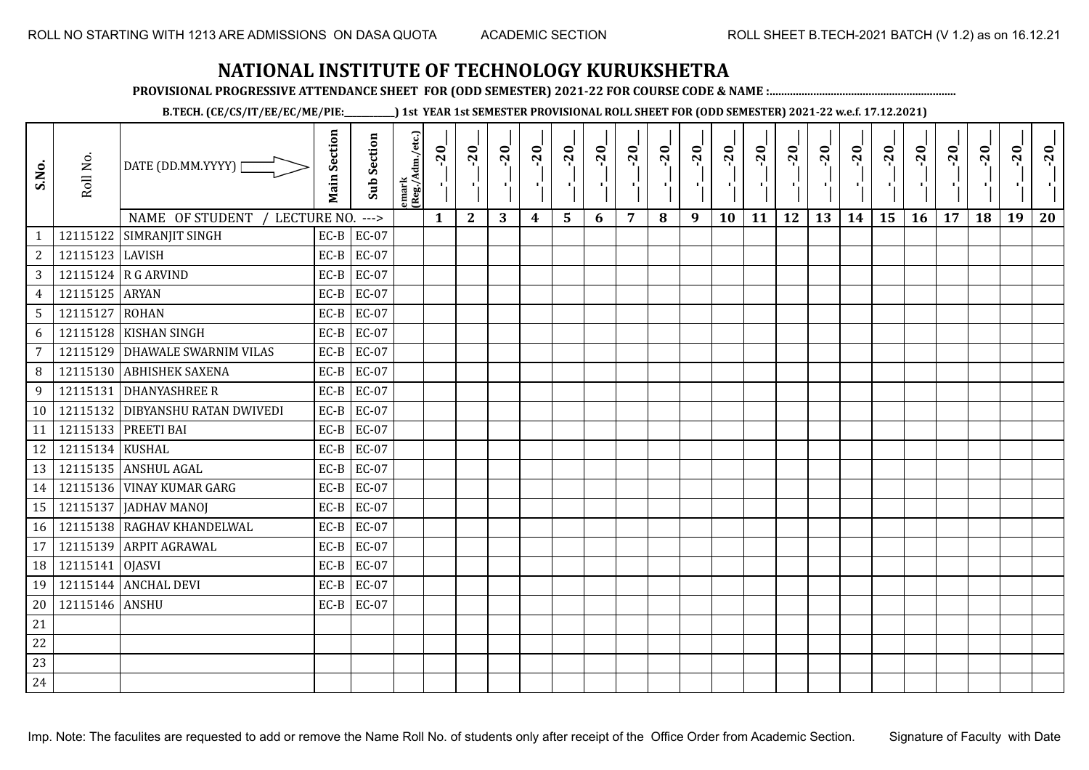**PROVISIONAL PROGRESSIVE ATTENDANCE SHEET FOR (ODD SEMESTER) 2021-22 FOR COURSE CODE & NAME :................................................................**

**B.TECH. (CE/CS/IT/EE/EC/ME/PIE:\_\_\_\_\_\_\_\_\_\_\_\_) 1st YEAR 1st SEMESTER PROVISIONAL ROLL SHEET FOR (ODD SEMESTER) 2021-22 w.e.f. 17.12.2021)**

| S.No.           | Roll No.        | DATE (DD.MM.YYYY)              | <b>Main Section</b> | <b>Sub Section</b> | emark<br> (Reg./Adm./etc.) | $-20$<br>$\mathcal{F}_1$ . | $-20$<br>×.  | $-20$<br>л. | $-20$ | $-20$<br>-96 | $-20$<br>тJ. | $-20$ | $-20$ | $-20$<br>-90 | $-20$<br>$\mathbf{F}_{\mathbf{F}}$ | $-20$ | $-20$<br>пJ. | $-20$ | $-20$<br>$\blacksquare$ | $-20$<br>۱, | $-20$ | $-20$ | $-20$ | $-20$<br>$\mathcal{F}_{\mathcal{F}}$ | $-20$ |
|-----------------|-----------------|--------------------------------|---------------------|--------------------|----------------------------|----------------------------|--------------|-------------|-------|--------------|--------------|-------|-------|--------------|------------------------------------|-------|--------------|-------|-------------------------|-------------|-------|-------|-------|--------------------------------------|-------|
|                 |                 | NAME OF STUDENT<br>LECTURE NO. |                     | $--->$             |                            | $\mathbf{1}$               | $\mathbf{2}$ | 3           | 4     | 5            | 6            | 7     | 8     | 9            | 10                                 | 11    | 12           | 13    | 14                      | 15          | 16    | 17    | 18    | 19                                   | 20    |
| $\mathbf{1}$    | 12115122        | <b>SIMRANJIT SINGH</b>         | $EC-B$              | <b>EC-07</b>       |                            |                            |              |             |       |              |              |       |       |              |                                    |       |              |       |                         |             |       |       |       |                                      |       |
| $\mathbf{2}$    | 12115123 LAVISH |                                | $EC-B$              | <b>EC-07</b>       |                            |                            |              |             |       |              |              |       |       |              |                                    |       |              |       |                         |             |       |       |       |                                      |       |
| 3               |                 | 12115124 R G ARVIND            | $EC-B$              | EC-07              |                            |                            |              |             |       |              |              |       |       |              |                                    |       |              |       |                         |             |       |       |       |                                      |       |
| $\overline{4}$  | 12115125 ARYAN  |                                | $EC-B$              | EC-07              |                            |                            |              |             |       |              |              |       |       |              |                                    |       |              |       |                         |             |       |       |       |                                      |       |
| $5\overline{)}$ | 12115127 ROHAN  |                                | $EC-B$              | EC-07              |                            |                            |              |             |       |              |              |       |       |              |                                    |       |              |       |                         |             |       |       |       |                                      |       |
| 6               |                 | 12115128 KISHAN SINGH          | $EC-B$              | <b>EC-07</b>       |                            |                            |              |             |       |              |              |       |       |              |                                    |       |              |       |                         |             |       |       |       |                                      |       |
| $7\overline{ }$ | 12115129        | <b>DHAWALE SWARNIM VILAS</b>   | $EC-B$              | <b>EC-07</b>       |                            |                            |              |             |       |              |              |       |       |              |                                    |       |              |       |                         |             |       |       |       |                                      |       |
| 8               | 12115130        | <b>ABHISHEK SAXENA</b>         | $EC-B$              | EC-07              |                            |                            |              |             |       |              |              |       |       |              |                                    |       |              |       |                         |             |       |       |       |                                      |       |
| 9               |                 | 12115131 DHANYASHREE R         | $EC-B$              | EC-07              |                            |                            |              |             |       |              |              |       |       |              |                                    |       |              |       |                         |             |       |       |       |                                      |       |
| 10              | 12115132        | <b>DIBYANSHU RATAN DWIVEDI</b> | $EC-B$              | <b>EC-07</b>       |                            |                            |              |             |       |              |              |       |       |              |                                    |       |              |       |                         |             |       |       |       |                                      |       |
| 11              |                 | 12115133 PREETI BAI            | $EC-B$              | EC-07              |                            |                            |              |             |       |              |              |       |       |              |                                    |       |              |       |                         |             |       |       |       |                                      |       |
| 12              | 12115134 KUSHAL |                                | $EC-B$              | <b>EC-07</b>       |                            |                            |              |             |       |              |              |       |       |              |                                    |       |              |       |                         |             |       |       |       |                                      |       |
| 13              |                 | 12115135 ANSHUL AGAL           | $EC-B$              | <b>EC-07</b>       |                            |                            |              |             |       |              |              |       |       |              |                                    |       |              |       |                         |             |       |       |       |                                      |       |
| 14              |                 | 12115136 VINAY KUMAR GARG      | $EC-B$              | <b>EC-07</b>       |                            |                            |              |             |       |              |              |       |       |              |                                    |       |              |       |                         |             |       |       |       |                                      |       |
| 15              | 12115137        | JADHAV MANOJ                   | $EC-B$              | EC-07              |                            |                            |              |             |       |              |              |       |       |              |                                    |       |              |       |                         |             |       |       |       |                                      |       |
| 16              |                 | 12115138 RAGHAV KHANDELWAL     | $EC-B$              | EC-07              |                            |                            |              |             |       |              |              |       |       |              |                                    |       |              |       |                         |             |       |       |       |                                      |       |
| 17              | 12115139        | <b>ARPIT AGRAWAL</b>           | $EC-B$              | <b>EC-07</b>       |                            |                            |              |             |       |              |              |       |       |              |                                    |       |              |       |                         |             |       |       |       |                                      |       |
| 18              | 12115141 OJASVI |                                | $EC-B$              | EC-07              |                            |                            |              |             |       |              |              |       |       |              |                                    |       |              |       |                         |             |       |       |       |                                      |       |
| 19              |                 | 12115144 ANCHAL DEVI           | $EC-B$              | EC-07              |                            |                            |              |             |       |              |              |       |       |              |                                    |       |              |       |                         |             |       |       |       |                                      |       |
| 20              | 12115146 ANSHU  |                                | $EC-B$              | <b>EC-07</b>       |                            |                            |              |             |       |              |              |       |       |              |                                    |       |              |       |                         |             |       |       |       |                                      |       |
| 21              |                 |                                |                     |                    |                            |                            |              |             |       |              |              |       |       |              |                                    |       |              |       |                         |             |       |       |       |                                      |       |
| 22              |                 |                                |                     |                    |                            |                            |              |             |       |              |              |       |       |              |                                    |       |              |       |                         |             |       |       |       |                                      |       |
| 23              |                 |                                |                     |                    |                            |                            |              |             |       |              |              |       |       |              |                                    |       |              |       |                         |             |       |       |       |                                      |       |
| 24              |                 |                                |                     |                    |                            |                            |              |             |       |              |              |       |       |              |                                    |       |              |       |                         |             |       |       |       |                                      |       |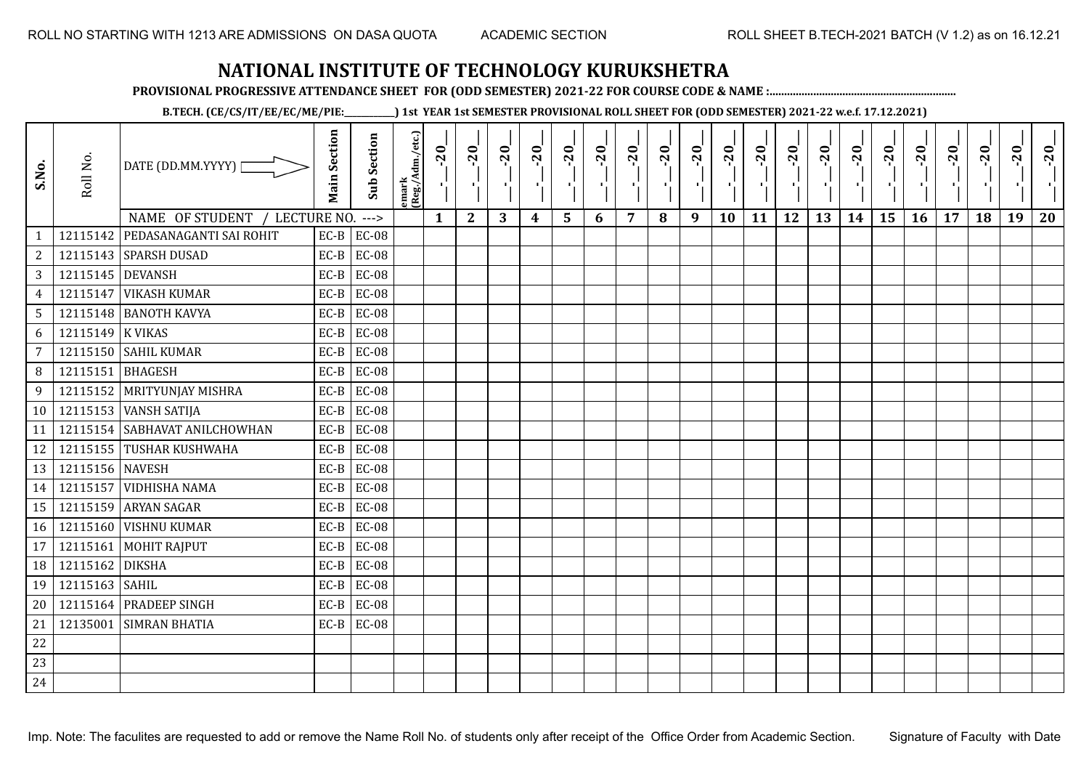**PROVISIONAL PROGRESSIVE ATTENDANCE SHEET FOR (ODD SEMESTER) 2021-22 FOR COURSE CODE & NAME :................................................................**

**B.TECH. (CE/CS/IT/EE/EC/ME/PIE:\_\_\_\_\_\_\_\_\_\_\_\_) 1st YEAR 1st SEMESTER PROVISIONAL ROLL SHEET FOR (ODD SEMESTER) 2021-22 w.e.f. 17.12.2021)**

| S.No.           | Roll No.         | DATE (DD.MM.YYYY)  <br>NAME OF STUDENT<br>/ LECTURE NO. | <b>Main Section</b> | <b>Sub Section</b><br>$---$ | emark<br>(Reg./Adm./etc.) | $-20$<br>$\mathbf{1}$ | $-20$<br>π÷<br>$\mathbf{2}$ | $-20$<br>л÷.<br>3 | $-20$<br>π÷<br>4 | $-20$<br>тj<br>5 | $-20$<br>×,<br>6 | $-20$<br>$\overline{7}$ | $-20$<br>8 | $-20$<br>пļ<br>9 | $-20$<br>л,<br>10 | $-20$<br>πt<br>11 | $-20$<br>πt<br>12 | $-20$<br>로<br>13 | $-20$<br>$\blacksquare$<br>14 | $-20$<br>ا.<br>ا<br>15 | $-20$<br>л.<br>16 | $-20$<br>17 | $-20$<br>18 | $-20$<br>×.<br>19 | $-20$<br>20 |
|-----------------|------------------|---------------------------------------------------------|---------------------|-----------------------------|---------------------------|-----------------------|-----------------------------|-------------------|------------------|------------------|------------------|-------------------------|------------|------------------|-------------------|-------------------|-------------------|------------------|-------------------------------|------------------------|-------------------|-------------|-------------|-------------------|-------------|
| $\mathbf{1}$    | 12115142         | PEDASANAGANTI SAI ROHIT                                 | $EC-B$              | <b>EC-08</b>                |                           |                       |                             |                   |                  |                  |                  |                         |            |                  |                   |                   |                   |                  |                               |                        |                   |             |             |                   |             |
| $\overline{c}$  |                  | 12115143 SPARSH DUSAD                                   | $EC-B$              | <b>EC-08</b>                |                           |                       |                             |                   |                  |                  |                  |                         |            |                  |                   |                   |                   |                  |                               |                        |                   |             |             |                   |             |
| 3               | 12115145 DEVANSH |                                                         | $EC-B$              | <b>EC-08</b>                |                           |                       |                             |                   |                  |                  |                  |                         |            |                  |                   |                   |                   |                  |                               |                        |                   |             |             |                   |             |
| $\overline{4}$  | 12115147         | <b>VIKASH KUMAR</b>                                     | $EC-B$              | <b>EC-08</b>                |                           |                       |                             |                   |                  |                  |                  |                         |            |                  |                   |                   |                   |                  |                               |                        |                   |             |             |                   |             |
| $5\overline{)}$ |                  | 12115148 BANOTH KAVYA                                   | $EC-B$              | <b>EC-08</b>                |                           |                       |                             |                   |                  |                  |                  |                         |            |                  |                   |                   |                   |                  |                               |                        |                   |             |             |                   |             |
| 6               | 12115149 K VIKAS |                                                         | $EC-B$              | <b>EC-08</b>                |                           |                       |                             |                   |                  |                  |                  |                         |            |                  |                   |                   |                   |                  |                               |                        |                   |             |             |                   |             |
| 7               |                  | 12115150 SAHIL KUMAR                                    | $EC-B$              | <b>EC-08</b>                |                           |                       |                             |                   |                  |                  |                  |                         |            |                  |                   |                   |                   |                  |                               |                        |                   |             |             |                   |             |
| 8               | 12115151         | BHAGESH                                                 | $EC-B$              | <b>EC-08</b>                |                           |                       |                             |                   |                  |                  |                  |                         |            |                  |                   |                   |                   |                  |                               |                        |                   |             |             |                   |             |
| 9               |                  | 12115152 MRITYUNJAY MISHRA                              | $EC-B$              | <b>EC-08</b>                |                           |                       |                             |                   |                  |                  |                  |                         |            |                  |                   |                   |                   |                  |                               |                        |                   |             |             |                   |             |
| 10              |                  | 12115153 VANSH SATIJA                                   | $EC-B$              | <b>EC-08</b>                |                           |                       |                             |                   |                  |                  |                  |                         |            |                  |                   |                   |                   |                  |                               |                        |                   |             |             |                   |             |
| 11              |                  | 12115154 SABHAVAT ANILCHOWHAN                           | $EC-B$              | <b>EC-08</b>                |                           |                       |                             |                   |                  |                  |                  |                         |            |                  |                   |                   |                   |                  |                               |                        |                   |             |             |                   |             |
| 12              |                  | 12115155 TUSHAR KUSHWAHA                                | $EC-B$              | <b>EC-08</b>                |                           |                       |                             |                   |                  |                  |                  |                         |            |                  |                   |                   |                   |                  |                               |                        |                   |             |             |                   |             |
| 13              | 12115156 NAVESH  |                                                         | $EC-B$              | <b>EC-08</b>                |                           |                       |                             |                   |                  |                  |                  |                         |            |                  |                   |                   |                   |                  |                               |                        |                   |             |             |                   |             |
| 14              |                  | 12115157 VIDHISHA NAMA                                  | $EC-B$              | <b>EC-08</b>                |                           |                       |                             |                   |                  |                  |                  |                         |            |                  |                   |                   |                   |                  |                               |                        |                   |             |             |                   |             |
| 15              |                  | 12115159 ARYAN SAGAR                                    | $EC-B$              | <b>EC-08</b>                |                           |                       |                             |                   |                  |                  |                  |                         |            |                  |                   |                   |                   |                  |                               |                        |                   |             |             |                   |             |
| 16              |                  | 12115160 VISHNU KUMAR                                   | $EC-B$              | <b>EC-08</b>                |                           |                       |                             |                   |                  |                  |                  |                         |            |                  |                   |                   |                   |                  |                               |                        |                   |             |             |                   |             |
| 17              | 12115161         | <b>MOHIT RAJPUT</b>                                     | $EC-B$              | <b>EC-08</b>                |                           |                       |                             |                   |                  |                  |                  |                         |            |                  |                   |                   |                   |                  |                               |                        |                   |             |             |                   |             |
| 18              | 12115162         | <b>DIKSHA</b>                                           | $EC-B$              | <b>EC-08</b>                |                           |                       |                             |                   |                  |                  |                  |                         |            |                  |                   |                   |                   |                  |                               |                        |                   |             |             |                   |             |
| 19              | 12115163 SAHIL   |                                                         | $EC-B$              | <b>EC-08</b>                |                           |                       |                             |                   |                  |                  |                  |                         |            |                  |                   |                   |                   |                  |                               |                        |                   |             |             |                   |             |
| 20              |                  | 12115164 PRADEEP SINGH                                  | $EC-B$              | <b>EC-08</b>                |                           |                       |                             |                   |                  |                  |                  |                         |            |                  |                   |                   |                   |                  |                               |                        |                   |             |             |                   |             |
| 21              | 12135001         | <b>SIMRAN BHATIA</b>                                    | $EC-B$              | <b>EC-08</b>                |                           |                       |                             |                   |                  |                  |                  |                         |            |                  |                   |                   |                   |                  |                               |                        |                   |             |             |                   |             |
| 22              |                  |                                                         |                     |                             |                           |                       |                             |                   |                  |                  |                  |                         |            |                  |                   |                   |                   |                  |                               |                        |                   |             |             |                   |             |
| 23              |                  |                                                         |                     |                             |                           |                       |                             |                   |                  |                  |                  |                         |            |                  |                   |                   |                   |                  |                               |                        |                   |             |             |                   |             |
| 24              |                  |                                                         |                     |                             |                           |                       |                             |                   |                  |                  |                  |                         |            |                  |                   |                   |                   |                  |                               |                        |                   |             |             |                   |             |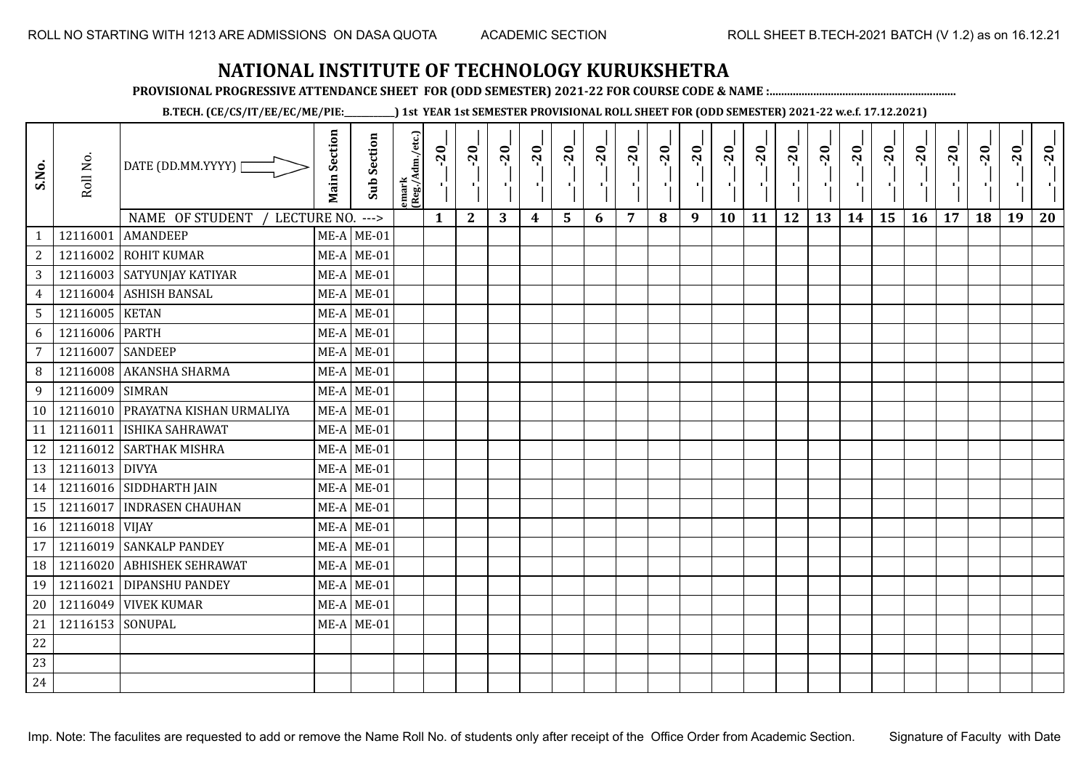**PROVISIONAL PROGRESSIVE ATTENDANCE SHEET FOR (ODD SEMESTER) 2021-22 FOR COURSE CODE & NAME :................................................................**

**B.TECH. (CE/CS/IT/EE/EC/ME/PIE:\_\_\_\_\_\_\_\_\_\_\_\_) 1st YEAR 1st SEMESTER PROVISIONAL ROLL SHEET FOR (ODD SEMESTER) 2021-22 w.e.f. 17.12.2021)**

| S.No.          | Roll No.         | DATE (DD.MM.YYYY) [<br>NAME OF STUDENT<br>LECTURE NO. | <b>Main Section</b> | <b>Sub Section</b><br>$---$ | emark<br> (Reg./Adm./etc.) | $-20$<br>Ч.<br>$\mathbf{1}$ | $-20$<br>×.<br>$\mathbf{2}$ | $-20$<br>-91<br>3 | $-20$<br>π÷<br>$\boldsymbol{4}$ | $-20$<br>٠,<br>5 | $-20$<br>п.<br>6 | $-20$<br>п,<br>$\overline{7}$ | $-20$<br>8 | $-20$<br>лĵ<br>9 | $-20$<br>л,<br>10 | $-20$<br>п÷<br>11 | $-20$<br>ΠŮ<br>12 | $-20$<br>로<br>13 | $-20$<br>H)<br>14 | $-20$<br>÷,<br>15 | $-20$<br>л.,<br>16 | $-20$<br>17 | $-20$<br>18 | $-20$<br>л,<br>19 | $-20$<br>20 |
|----------------|------------------|-------------------------------------------------------|---------------------|-----------------------------|----------------------------|-----------------------------|-----------------------------|-------------------|---------------------------------|------------------|------------------|-------------------------------|------------|------------------|-------------------|-------------------|-------------------|------------------|-------------------|-------------------|--------------------|-------------|-------------|-------------------|-------------|
| $\mathbf{1}$   | 12116001         | <b>AMANDEEP</b>                                       |                     | $ME-A$ ME-01                |                            |                             |                             |                   |                                 |                  |                  |                               |            |                  |                   |                   |                   |                  |                   |                   |                    |             |             |                   |             |
| $\sqrt{2}$     | 12116002         | <b>ROHIT KUMAR</b>                                    |                     | $ME-A$ ME-01                |                            |                             |                             |                   |                                 |                  |                  |                               |            |                  |                   |                   |                   |                  |                   |                   |                    |             |             |                   |             |
| $\mathbf{3}$   |                  | 12116003 SATYUNJAY KATIYAR                            |                     | $ME-A$ ME-01                |                            |                             |                             |                   |                                 |                  |                  |                               |            |                  |                   |                   |                   |                  |                   |                   |                    |             |             |                   |             |
| $\overline{4}$ | 12116004         | <b>ASHISH BANSAL</b>                                  |                     | $ME-A$ ME-01                |                            |                             |                             |                   |                                 |                  |                  |                               |            |                  |                   |                   |                   |                  |                   |                   |                    |             |             |                   |             |
| 5              | 12116005 KETAN   |                                                       |                     | $ME-A$ ME-01                |                            |                             |                             |                   |                                 |                  |                  |                               |            |                  |                   |                   |                   |                  |                   |                   |                    |             |             |                   |             |
| 6              | 12116006         | <b>PARTH</b>                                          |                     | $ME-A$ ME-01                |                            |                             |                             |                   |                                 |                  |                  |                               |            |                  |                   |                   |                   |                  |                   |                   |                    |             |             |                   |             |
| $\overline{7}$ | 12116007         | <b>SANDEEP</b>                                        |                     | $ME-A$ ME-01                |                            |                             |                             |                   |                                 |                  |                  |                               |            |                  |                   |                   |                   |                  |                   |                   |                    |             |             |                   |             |
| 8              | 12116008         | <b>AKANSHA SHARMA</b>                                 |                     | $ME-A$ ME-01                |                            |                             |                             |                   |                                 |                  |                  |                               |            |                  |                   |                   |                   |                  |                   |                   |                    |             |             |                   |             |
| 9              | 12116009 SIMRAN  |                                                       |                     | $ME-A$ ME-01                |                            |                             |                             |                   |                                 |                  |                  |                               |            |                  |                   |                   |                   |                  |                   |                   |                    |             |             |                   |             |
| 10             |                  | 12116010 PRAYATNA KISHAN URMALIYA                     |                     | $ME-A$ ME-01                |                            |                             |                             |                   |                                 |                  |                  |                               |            |                  |                   |                   |                   |                  |                   |                   |                    |             |             |                   |             |
| 11             | 12116011         | <b>ISHIKA SAHRAWAT</b>                                |                     | $ME-A$ ME-01                |                            |                             |                             |                   |                                 |                  |                  |                               |            |                  |                   |                   |                   |                  |                   |                   |                    |             |             |                   |             |
| 12             |                  | 12116012 SARTHAK MISHRA                               |                     | $ME-A$ ME-01                |                            |                             |                             |                   |                                 |                  |                  |                               |            |                  |                   |                   |                   |                  |                   |                   |                    |             |             |                   |             |
| 13             | 12116013 DIVYA   |                                                       |                     | $ME-A$ ME-01                |                            |                             |                             |                   |                                 |                  |                  |                               |            |                  |                   |                   |                   |                  |                   |                   |                    |             |             |                   |             |
| 14             |                  | 12116016 SIDDHARTH JAIN                               |                     | $ME-A$ ME-01                |                            |                             |                             |                   |                                 |                  |                  |                               |            |                  |                   |                   |                   |                  |                   |                   |                    |             |             |                   |             |
| 15             | 12116017         | <b>INDRASEN CHAUHAN</b>                               |                     | $ME-A$ ME-01                |                            |                             |                             |                   |                                 |                  |                  |                               |            |                  |                   |                   |                   |                  |                   |                   |                    |             |             |                   |             |
| 16             | 12116018 VIJAY   |                                                       |                     | $ME-A$ ME-01                |                            |                             |                             |                   |                                 |                  |                  |                               |            |                  |                   |                   |                   |                  |                   |                   |                    |             |             |                   |             |
| 17             | 12116019         | <b>SANKALP PANDEY</b>                                 |                     | $ME-A$ ME-01                |                            |                             |                             |                   |                                 |                  |                  |                               |            |                  |                   |                   |                   |                  |                   |                   |                    |             |             |                   |             |
| 18             | 12116020         | <b>ABHISHEK SEHRAWAT</b>                              |                     | $ME-A$ ME-01                |                            |                             |                             |                   |                                 |                  |                  |                               |            |                  |                   |                   |                   |                  |                   |                   |                    |             |             |                   |             |
| 19             | 12116021         | <b>DIPANSHU PANDEY</b>                                |                     | $ME-A$ ME-01                |                            |                             |                             |                   |                                 |                  |                  |                               |            |                  |                   |                   |                   |                  |                   |                   |                    |             |             |                   |             |
| 20             | 12116049         | <b>VIVEK KUMAR</b>                                    |                     | $ME-A$ ME-01                |                            |                             |                             |                   |                                 |                  |                  |                               |            |                  |                   |                   |                   |                  |                   |                   |                    |             |             |                   |             |
| 21             | 12116153 SONUPAL |                                                       |                     | $ME-A$ ME-01                |                            |                             |                             |                   |                                 |                  |                  |                               |            |                  |                   |                   |                   |                  |                   |                   |                    |             |             |                   |             |
| 22             |                  |                                                       |                     |                             |                            |                             |                             |                   |                                 |                  |                  |                               |            |                  |                   |                   |                   |                  |                   |                   |                    |             |             |                   |             |
| 23             |                  |                                                       |                     |                             |                            |                             |                             |                   |                                 |                  |                  |                               |            |                  |                   |                   |                   |                  |                   |                   |                    |             |             |                   |             |
| 24             |                  |                                                       |                     |                             |                            |                             |                             |                   |                                 |                  |                  |                               |            |                  |                   |                   |                   |                  |                   |                   |                    |             |             |                   |             |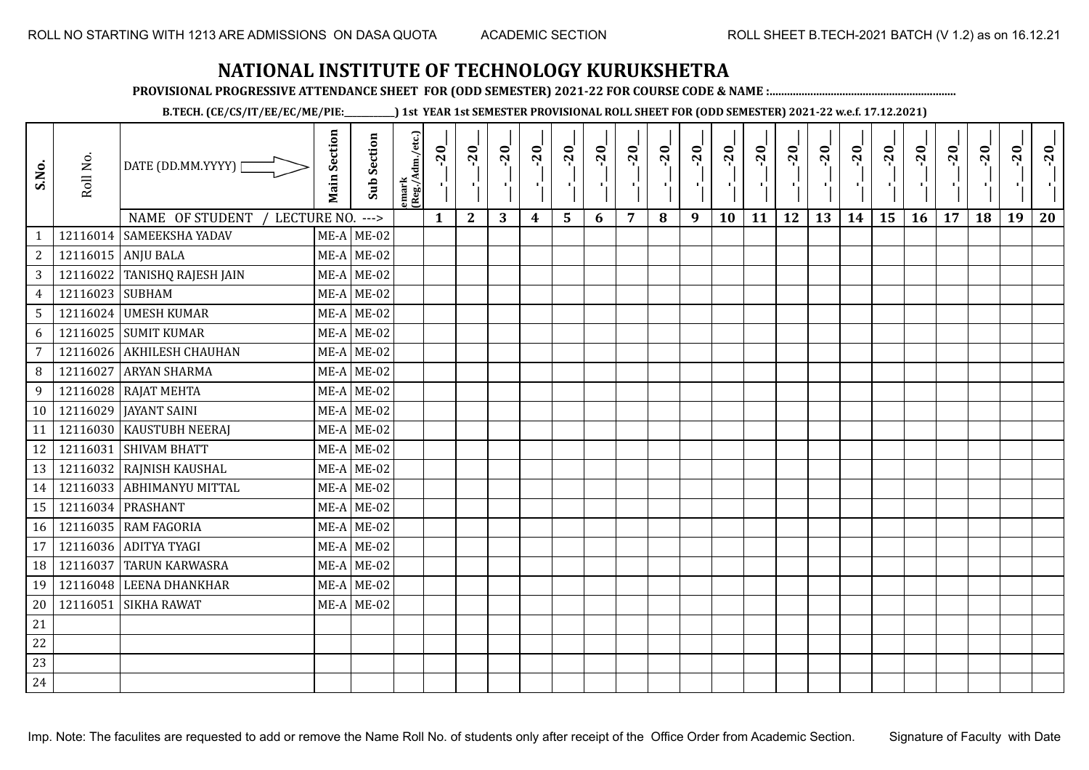**PROVISIONAL PROGRESSIVE ATTENDANCE SHEET FOR (ODD SEMESTER) 2021-22 FOR COURSE CODE & NAME :................................................................**

**B.TECH. (CE/CS/IT/EE/EC/ME/PIE:\_\_\_\_\_\_\_\_\_\_\_\_) 1st YEAR 1st SEMESTER PROVISIONAL ROLL SHEET FOR (ODD SEMESTER) 2021-22 w.e.f. 17.12.2021)**

| S.No.          | Roll No.        | DATE (DD.MM.YYYY)              | <b>Main Section</b> | Sub Section  | emark<br> (Reg./Adm./etc.) | $-20$        | $-20$        | $-20$<br>л. | $-20$ | $-20$<br>чj | $-20$<br>ТĒ. | $-20$ | $-20$ | $-20$<br>π÷ | $-20$<br>$\mathbf{F}_{\mathbf{F}}$ | $-20$ | $-20$<br>пJ. | $-20$ | $-20$ | $-20$ | $-20$ | $-20$ | $-20$ | $-20$<br>$\mathcal{F}_\mathcal{A}$ | $-20$ |
|----------------|-----------------|--------------------------------|---------------------|--------------|----------------------------|--------------|--------------|-------------|-------|-------------|--------------|-------|-------|-------------|------------------------------------|-------|--------------|-------|-------|-------|-------|-------|-------|------------------------------------|-------|
|                |                 | NAME OF STUDENT<br>LECTURE NO. |                     | $--->$       |                            | $\mathbf{1}$ | $\mathbf{2}$ | 3           | 4     | 5           | 6            | 7     | 8     | 9           | 10                                 | 11    | 12           | 13    | 14    | 15    | 16    | 17    | 18    | 19                                 | 20    |
| $\mathbf{1}$   |                 | 12116014 SAMEEKSHA YADAV       |                     | $ME-A$ ME-02 |                            |              |              |             |       |             |              |       |       |             |                                    |       |              |       |       |       |       |       |       |                                    |       |
| $\mathbf{2}$   |                 | 12116015 ANJU BALA             |                     | $ME-A$ ME-02 |                            |              |              |             |       |             |              |       |       |             |                                    |       |              |       |       |       |       |       |       |                                    |       |
| 3              |                 | 12116022 TANISHQ RAJESH JAIN   |                     | $ME-A$ ME-02 |                            |              |              |             |       |             |              |       |       |             |                                    |       |              |       |       |       |       |       |       |                                    |       |
| $\overline{4}$ | 12116023 SUBHAM |                                |                     | $ME-A$ ME-02 |                            |              |              |             |       |             |              |       |       |             |                                    |       |              |       |       |       |       |       |       |                                    |       |
| 5              |                 | 12116024 UMESH KUMAR           |                     | $ME-A$ ME-02 |                            |              |              |             |       |             |              |       |       |             |                                    |       |              |       |       |       |       |       |       |                                    |       |
| 6              |                 | 12116025 SUMIT KUMAR           |                     | $ME-A$ ME-02 |                            |              |              |             |       |             |              |       |       |             |                                    |       |              |       |       |       |       |       |       |                                    |       |
| $\overline{7}$ |                 | 12116026 AKHILESH CHAUHAN      |                     | $ME-A$ ME-02 |                            |              |              |             |       |             |              |       |       |             |                                    |       |              |       |       |       |       |       |       |                                    |       |
| 8              | 12116027        | <b>ARYAN SHARMA</b>            |                     | $ME-A$ ME-02 |                            |              |              |             |       |             |              |       |       |             |                                    |       |              |       |       |       |       |       |       |                                    |       |
| 9              |                 | 12116028 RAJAT MEHTA           |                     | $ME-A$ ME-02 |                            |              |              |             |       |             |              |       |       |             |                                    |       |              |       |       |       |       |       |       |                                    |       |
| 10             | 12116029        | <b>JAYANT SAINI</b>            |                     | $ME-A$ ME-02 |                            |              |              |             |       |             |              |       |       |             |                                    |       |              |       |       |       |       |       |       |                                    |       |
| 11             |                 | 12116030 KAUSTUBH NEERAJ       |                     | $ME-A$ ME-02 |                            |              |              |             |       |             |              |       |       |             |                                    |       |              |       |       |       |       |       |       |                                    |       |
| 12             |                 | 12116031 SHIVAM BHATT          |                     | $ME-A$ ME-02 |                            |              |              |             |       |             |              |       |       |             |                                    |       |              |       |       |       |       |       |       |                                    |       |
| 13             |                 | 12116032 RAJNISH KAUSHAL       |                     | $ME-A$ ME-02 |                            |              |              |             |       |             |              |       |       |             |                                    |       |              |       |       |       |       |       |       |                                    |       |
| 14             |                 | 12116033 ABHIMANYU MITTAL      |                     | $ME-A$ ME-02 |                            |              |              |             |       |             |              |       |       |             |                                    |       |              |       |       |       |       |       |       |                                    |       |
| 15             |                 | 12116034 PRASHANT              |                     | $ME-A$ ME-02 |                            |              |              |             |       |             |              |       |       |             |                                    |       |              |       |       |       |       |       |       |                                    |       |
| 16             |                 | 12116035 RAM FAGORIA           |                     | $ME-A$ ME-02 |                            |              |              |             |       |             |              |       |       |             |                                    |       |              |       |       |       |       |       |       |                                    |       |
| 17             |                 | 12116036 ADITYA TYAGI          |                     | $ME-A$ ME-02 |                            |              |              |             |       |             |              |       |       |             |                                    |       |              |       |       |       |       |       |       |                                    |       |
| 18             | 12116037        | TARUN KARWASRA                 |                     | $ME-A$ ME-02 |                            |              |              |             |       |             |              |       |       |             |                                    |       |              |       |       |       |       |       |       |                                    |       |
| 19             | 12116048        | <b>LEENA DHANKHAR</b>          |                     | $ME-A$ ME-02 |                            |              |              |             |       |             |              |       |       |             |                                    |       |              |       |       |       |       |       |       |                                    |       |
| 20             | 12116051        | <b>SIKHA RAWAT</b>             |                     | $ME-A$ ME-02 |                            |              |              |             |       |             |              |       |       |             |                                    |       |              |       |       |       |       |       |       |                                    |       |
| 21             |                 |                                |                     |              |                            |              |              |             |       |             |              |       |       |             |                                    |       |              |       |       |       |       |       |       |                                    |       |
| 22             |                 |                                |                     |              |                            |              |              |             |       |             |              |       |       |             |                                    |       |              |       |       |       |       |       |       |                                    |       |
| 23             |                 |                                |                     |              |                            |              |              |             |       |             |              |       |       |             |                                    |       |              |       |       |       |       |       |       |                                    |       |
| 24             |                 |                                |                     |              |                            |              |              |             |       |             |              |       |       |             |                                    |       |              |       |       |       |       |       |       |                                    |       |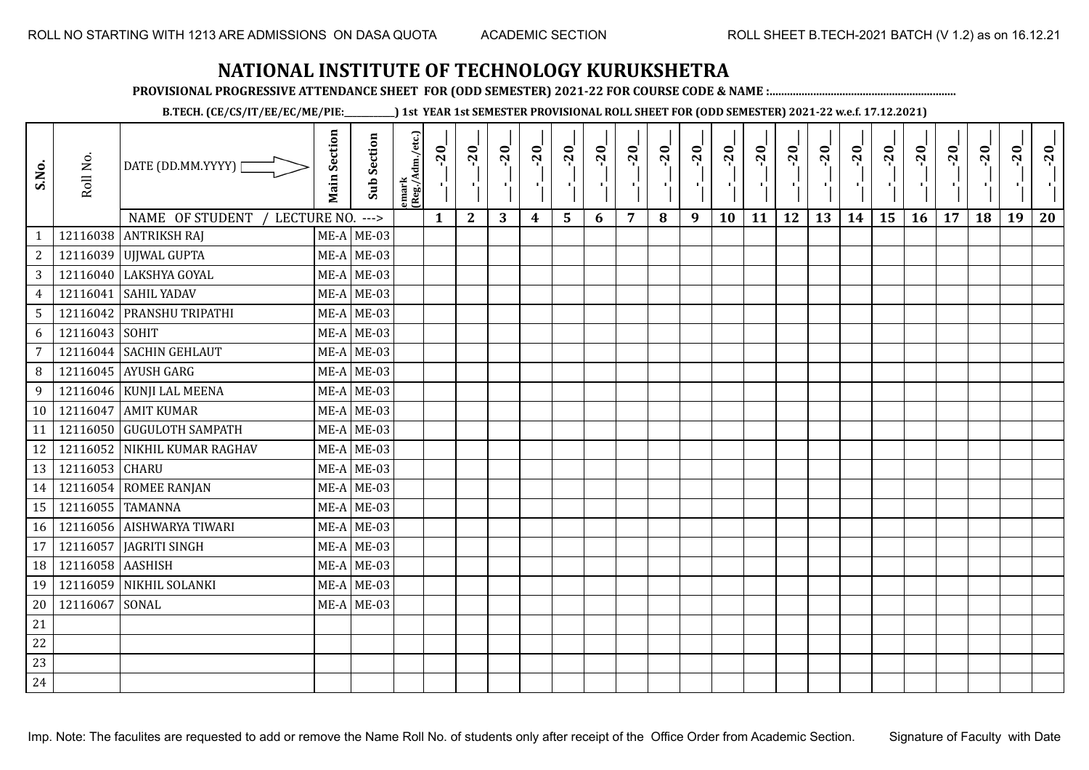**PROVISIONAL PROGRESSIVE ATTENDANCE SHEET FOR (ODD SEMESTER) 2021-22 FOR COURSE CODE & NAME :................................................................**

**B.TECH. (CE/CS/IT/EE/EC/ME/PIE:\_\_\_\_\_\_\_\_\_\_\_\_) 1st YEAR 1st SEMESTER PROVISIONAL ROLL SHEET FOR (ODD SEMESTER) 2021-22 w.e.f. 17.12.2021)**

| S.No.          | Roll No.         | DATE (DD.MM.YYYY) [<br>NAME OF STUDENT<br>LECTURE NO. | <b>Main Section</b> | <b>Sub Section</b><br>$---$ | emark<br> (Reg./Adm./etc.) | $-20$<br>精。<br>$\mathbf{1}$ | $-20$<br>×.<br>$\mathbf{2}$ | $-20$<br>л.,<br>3 | $-20$<br>×.<br>$\boldsymbol{4}$ | $-20$<br>٠,<br>5 | $-20$<br>ТÌ. | $-20$<br>п,<br>$\overline{7}$ | $-20$<br>8 | $-20$<br>лj<br>9 | $-20$<br>÷,<br>10 | $-20$<br>тļ<br>11 | $-20$<br>п.<br>12 | $-20$<br>로<br>13 | $-20$<br>шj<br>14 | $-20$<br>국<br>15 | $-20$<br>л÷.<br>16 | $-20$<br>17 | $-20$<br>18 | $-20$<br>×.<br>19 | $-20$<br>20 |
|----------------|------------------|-------------------------------------------------------|---------------------|-----------------------------|----------------------------|-----------------------------|-----------------------------|-------------------|---------------------------------|------------------|--------------|-------------------------------|------------|------------------|-------------------|-------------------|-------------------|------------------|-------------------|------------------|--------------------|-------------|-------------|-------------------|-------------|
| $\mathbf{1}$   |                  | 12116038 ANTRIKSH RAJ                                 |                     | $ME-A$ ME-03                |                            |                             |                             |                   |                                 |                  | 6            |                               |            |                  |                   |                   |                   |                  |                   |                  |                    |             |             |                   |             |
| 2              |                  | 12116039 UJJWAL GUPTA                                 |                     | $ME-A$ ME-03                |                            |                             |                             |                   |                                 |                  |              |                               |            |                  |                   |                   |                   |                  |                   |                  |                    |             |             |                   |             |
| 3              |                  | 12116040 LAKSHYA GOYAL                                |                     | $ME-A$ ME-03                |                            |                             |                             |                   |                                 |                  |              |                               |            |                  |                   |                   |                   |                  |                   |                  |                    |             |             |                   |             |
| $\overline{4}$ | 12116041         | <b>SAHIL YADAV</b>                                    |                     | $ME-A$ ME-03                |                            |                             |                             |                   |                                 |                  |              |                               |            |                  |                   |                   |                   |                  |                   |                  |                    |             |             |                   |             |
| 5              |                  | 12116042 PRANSHU TRIPATHI                             |                     | $ME-A$ ME-03                |                            |                             |                             |                   |                                 |                  |              |                               |            |                  |                   |                   |                   |                  |                   |                  |                    |             |             |                   |             |
| 6              | 12116043         | SOHIT                                                 |                     | $ME-A$ ME-03                |                            |                             |                             |                   |                                 |                  |              |                               |            |                  |                   |                   |                   |                  |                   |                  |                    |             |             |                   |             |
| 7              |                  | 12116044 SACHIN GEHLAUT                               |                     | $ME-A$ ME-03                |                            |                             |                             |                   |                                 |                  |              |                               |            |                  |                   |                   |                   |                  |                   |                  |                    |             |             |                   |             |
| 8              |                  | 12116045 AYUSH GARG                                   |                     | $ME-A$ ME-03                |                            |                             |                             |                   |                                 |                  |              |                               |            |                  |                   |                   |                   |                  |                   |                  |                    |             |             |                   |             |
| 9              |                  | 12116046 KUNJI LAL MEENA                              |                     | $ME-A$ ME-03                |                            |                             |                             |                   |                                 |                  |              |                               |            |                  |                   |                   |                   |                  |                   |                  |                    |             |             |                   |             |
| 10             |                  | 12116047 AMIT KUMAR                                   |                     | $ME-A$ ME-03                |                            |                             |                             |                   |                                 |                  |              |                               |            |                  |                   |                   |                   |                  |                   |                  |                    |             |             |                   |             |
| 11             |                  | 12116050 GUGULOTH SAMPATH                             |                     | $ME-A$ ME-03                |                            |                             |                             |                   |                                 |                  |              |                               |            |                  |                   |                   |                   |                  |                   |                  |                    |             |             |                   |             |
| 12             |                  | 12116052 NIKHIL KUMAR RAGHAV                          |                     | $ME-A$ ME-03                |                            |                             |                             |                   |                                 |                  |              |                               |            |                  |                   |                   |                   |                  |                   |                  |                    |             |             |                   |             |
| 13             | 12116053 CHARU   |                                                       |                     | $ME-A$ ME-03                |                            |                             |                             |                   |                                 |                  |              |                               |            |                  |                   |                   |                   |                  |                   |                  |                    |             |             |                   |             |
| 14             |                  | 12116054 ROMEE RANJAN                                 |                     | $ME-A$ ME-03                |                            |                             |                             |                   |                                 |                  |              |                               |            |                  |                   |                   |                   |                  |                   |                  |                    |             |             |                   |             |
| 15             | 12116055 TAMANNA |                                                       |                     | $ME-A$ ME-03                |                            |                             |                             |                   |                                 |                  |              |                               |            |                  |                   |                   |                   |                  |                   |                  |                    |             |             |                   |             |
| 16             |                  | 12116056 AISHWARYA TIWARI                             |                     | $ME-A$ ME-03                |                            |                             |                             |                   |                                 |                  |              |                               |            |                  |                   |                   |                   |                  |                   |                  |                    |             |             |                   |             |
| 17             | 12116057         | <b>JAGRITI SINGH</b>                                  |                     | $ME-A$ ME-03                |                            |                             |                             |                   |                                 |                  |              |                               |            |                  |                   |                   |                   |                  |                   |                  |                    |             |             |                   |             |
| 18             | 12116058 AASHISH |                                                       |                     | $ME-A$ ME-03                |                            |                             |                             |                   |                                 |                  |              |                               |            |                  |                   |                   |                   |                  |                   |                  |                    |             |             |                   |             |
| 19             |                  | 12116059 NIKHIL SOLANKI                               |                     | $ME-A$ ME-03                |                            |                             |                             |                   |                                 |                  |              |                               |            |                  |                   |                   |                   |                  |                   |                  |                    |             |             |                   |             |
| 20             | 12116067         | SONAL                                                 |                     | $ME-A$ ME-03                |                            |                             |                             |                   |                                 |                  |              |                               |            |                  |                   |                   |                   |                  |                   |                  |                    |             |             |                   |             |
| 21             |                  |                                                       |                     |                             |                            |                             |                             |                   |                                 |                  |              |                               |            |                  |                   |                   |                   |                  |                   |                  |                    |             |             |                   |             |
| 22             |                  |                                                       |                     |                             |                            |                             |                             |                   |                                 |                  |              |                               |            |                  |                   |                   |                   |                  |                   |                  |                    |             |             |                   |             |
| 23             |                  |                                                       |                     |                             |                            |                             |                             |                   |                                 |                  |              |                               |            |                  |                   |                   |                   |                  |                   |                  |                    |             |             |                   |             |
| 24             |                  |                                                       |                     |                             |                            |                             |                             |                   |                                 |                  |              |                               |            |                  |                   |                   |                   |                  |                   |                  |                    |             |             |                   |             |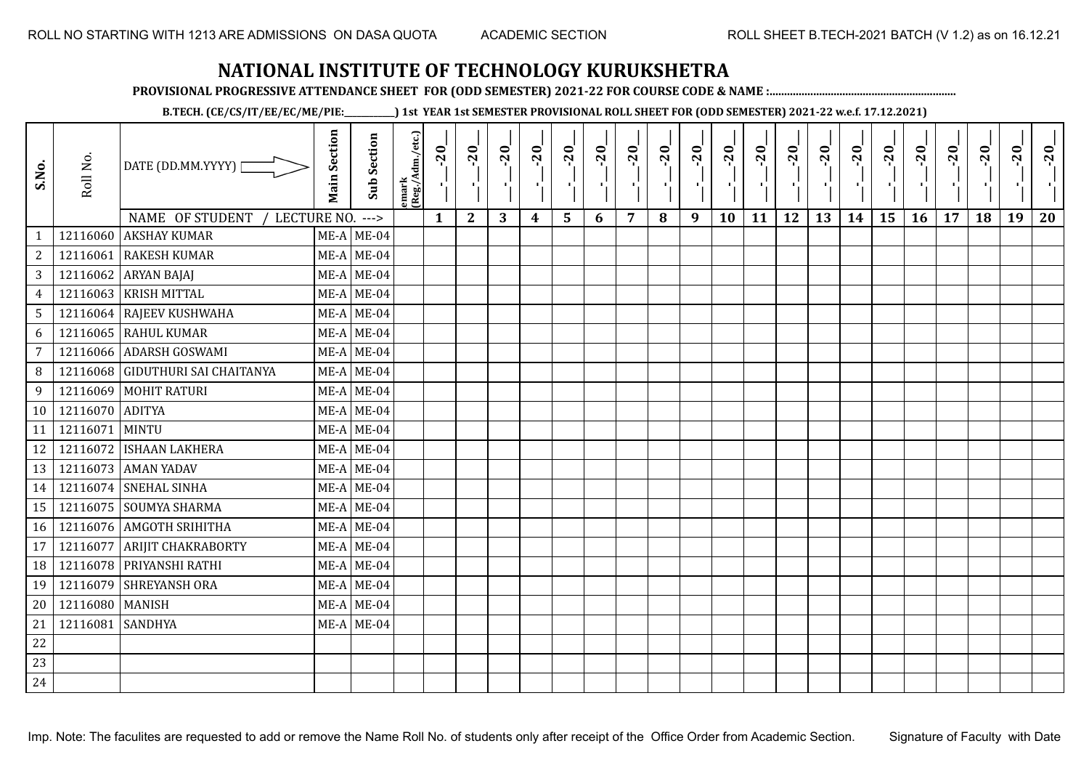**PROVISIONAL PROGRESSIVE ATTENDANCE SHEET FOR (ODD SEMESTER) 2021-22 FOR COURSE CODE & NAME :................................................................**

**B.TECH. (CE/CS/IT/EE/EC/ME/PIE:\_\_\_\_\_\_\_\_\_\_\_\_) 1st YEAR 1st SEMESTER PROVISIONAL ROLL SHEET FOR (ODD SEMESTER) 2021-22 w.e.f. 17.12.2021)**

| S.No.           | Roll No.         | DATE (DD.MM.YYYY) [<br>NAME OF STUDENT<br>LECTURE NO. | <b>Main Section</b> | <b>Sub Section</b><br>$--->$ | emark<br>(Reg./Adm./etc.) | $-20$<br>4<br>$\mathbf{1}$ | $-20$<br>- 1<br>$\boldsymbol{2}$ | $-20$<br>로<br>3 | $-20$<br>H)<br>4 | $-20$<br>ا.<br>ا<br>5 | $-20$<br>로<br>6 | $-20$<br>ΠJ<br>7 | $-20$<br>8 | $-20$<br>$\mathcal{F}_{\mathbf{L}}$<br>9 | $-20$<br>т.<br>10 | $-20$<br>чļ.<br>11 | $-20$<br>ч÷<br>12 | $-20$<br>٠,<br>13 | $-20$<br>τĻ.<br>14 | $-20$<br>л.,<br>15 | $-20$<br>16 | $-20$<br>$\mathbf{r}$<br>17 | $-20$<br>J,<br>18 | $-20$<br>$\blacksquare$<br>19 | $-20$<br>20 |
|-----------------|------------------|-------------------------------------------------------|---------------------|------------------------------|---------------------------|----------------------------|----------------------------------|-----------------|------------------|-----------------------|-----------------|------------------|------------|------------------------------------------|-------------------|--------------------|-------------------|-------------------|--------------------|--------------------|-------------|-----------------------------|-------------------|-------------------------------|-------------|
| $\mathbf{1}$    | 12116060         | <b>AKSHAY KUMAR</b>                                   |                     | $ME-A$ ME-04                 |                           |                            |                                  |                 |                  |                       |                 |                  |            |                                          |                   |                    |                   |                   |                    |                    |             |                             |                   |                               |             |
| $\overline{2}$  | 12116061         | <b>RAKESH KUMAR</b>                                   |                     | $ME-A$ ME-04                 |                           |                            |                                  |                 |                  |                       |                 |                  |            |                                          |                   |                    |                   |                   |                    |                    |             |                             |                   |                               |             |
| $\overline{3}$  |                  | 12116062 ARYAN BAJAJ                                  |                     | $ME-A$ ME-04                 |                           |                            |                                  |                 |                  |                       |                 |                  |            |                                          |                   |                    |                   |                   |                    |                    |             |                             |                   |                               |             |
| $\overline{4}$  | 12116063         | <b>KRISH MITTAL</b>                                   |                     | $ME-A$ ME-04                 |                           |                            |                                  |                 |                  |                       |                 |                  |            |                                          |                   |                    |                   |                   |                    |                    |             |                             |                   |                               |             |
| 5 <sup>5</sup>  |                  | 12116064 RAJEEV KUSHWAHA                              |                     | $ME-A$ ME-04                 |                           |                            |                                  |                 |                  |                       |                 |                  |            |                                          |                   |                    |                   |                   |                    |                    |             |                             |                   |                               |             |
| 6               |                  | 12116065 RAHUL KUMAR                                  |                     | $ME-A$ ME-04                 |                           |                            |                                  |                 |                  |                       |                 |                  |            |                                          |                   |                    |                   |                   |                    |                    |             |                             |                   |                               |             |
| $\overline{7}$  |                  | 12116066 ADARSH GOSWAMI                               |                     | $ME-A$ ME-04                 |                           |                            |                                  |                 |                  |                       |                 |                  |            |                                          |                   |                    |                   |                   |                    |                    |             |                             |                   |                               |             |
| 8               |                  | 12116068 GIDUTHURI SAI CHAITANYA                      |                     | $ME-A$ ME-04                 |                           |                            |                                  |                 |                  |                       |                 |                  |            |                                          |                   |                    |                   |                   |                    |                    |             |                             |                   |                               |             |
| 9               |                  | 12116069 MOHIT RATURI                                 |                     | $ME-A$ ME-04                 |                           |                            |                                  |                 |                  |                       |                 |                  |            |                                          |                   |                    |                   |                   |                    |                    |             |                             |                   |                               |             |
| 10 <sup>1</sup> | 12116070 ADITYA  |                                                       |                     | $ME-A$ ME-04                 |                           |                            |                                  |                 |                  |                       |                 |                  |            |                                          |                   |                    |                   |                   |                    |                    |             |                             |                   |                               |             |
| 11              | 12116071 MINTU   |                                                       |                     | $ME-A$ ME-04                 |                           |                            |                                  |                 |                  |                       |                 |                  |            |                                          |                   |                    |                   |                   |                    |                    |             |                             |                   |                               |             |
| 12              |                  | 12116072 ISHAAN LAKHERA                               |                     | $ME-A$ ME-04                 |                           |                            |                                  |                 |                  |                       |                 |                  |            |                                          |                   |                    |                   |                   |                    |                    |             |                             |                   |                               |             |
| 13              |                  | 12116073 AMAN YADAV                                   |                     | $ME-A$ ME-04                 |                           |                            |                                  |                 |                  |                       |                 |                  |            |                                          |                   |                    |                   |                   |                    |                    |             |                             |                   |                               |             |
| 14              |                  | 12116074 SNEHAL SINHA                                 |                     | $ME-A$ ME-04                 |                           |                            |                                  |                 |                  |                       |                 |                  |            |                                          |                   |                    |                   |                   |                    |                    |             |                             |                   |                               |             |
| 15              |                  | 12116075 SOUMYA SHARMA                                |                     | $ME-A$ ME-04                 |                           |                            |                                  |                 |                  |                       |                 |                  |            |                                          |                   |                    |                   |                   |                    |                    |             |                             |                   |                               |             |
| 16              |                  | 12116076 AMGOTH SRIHITHA                              |                     | $ME-A$ ME-04                 |                           |                            |                                  |                 |                  |                       |                 |                  |            |                                          |                   |                    |                   |                   |                    |                    |             |                             |                   |                               |             |
| 17              |                  | 12116077 ARIJIT CHAKRABORTY                           |                     | $ME-A$ ME-04                 |                           |                            |                                  |                 |                  |                       |                 |                  |            |                                          |                   |                    |                   |                   |                    |                    |             |                             |                   |                               |             |
| 18              |                  | 12116078 PRIYANSHI RATHI                              |                     | $ME-A$ ME-04                 |                           |                            |                                  |                 |                  |                       |                 |                  |            |                                          |                   |                    |                   |                   |                    |                    |             |                             |                   |                               |             |
| 19              |                  | 12116079 SHREYANSH ORA                                |                     | $ME-A$ ME-04                 |                           |                            |                                  |                 |                  |                       |                 |                  |            |                                          |                   |                    |                   |                   |                    |                    |             |                             |                   |                               |             |
| $20\,$          | 12116080 MANISH  |                                                       |                     | $ME-A$ ME-04                 |                           |                            |                                  |                 |                  |                       |                 |                  |            |                                          |                   |                    |                   |                   |                    |                    |             |                             |                   |                               |             |
| 21              | 12116081 SANDHYA |                                                       |                     | $ME-A$ ME-04                 |                           |                            |                                  |                 |                  |                       |                 |                  |            |                                          |                   |                    |                   |                   |                    |                    |             |                             |                   |                               |             |
| $22\,$          |                  |                                                       |                     |                              |                           |                            |                                  |                 |                  |                       |                 |                  |            |                                          |                   |                    |                   |                   |                    |                    |             |                             |                   |                               |             |
| 23              |                  |                                                       |                     |                              |                           |                            |                                  |                 |                  |                       |                 |                  |            |                                          |                   |                    |                   |                   |                    |                    |             |                             |                   |                               |             |
| 24              |                  |                                                       |                     |                              |                           |                            |                                  |                 |                  |                       |                 |                  |            |                                          |                   |                    |                   |                   |                    |                    |             |                             |                   |                               |             |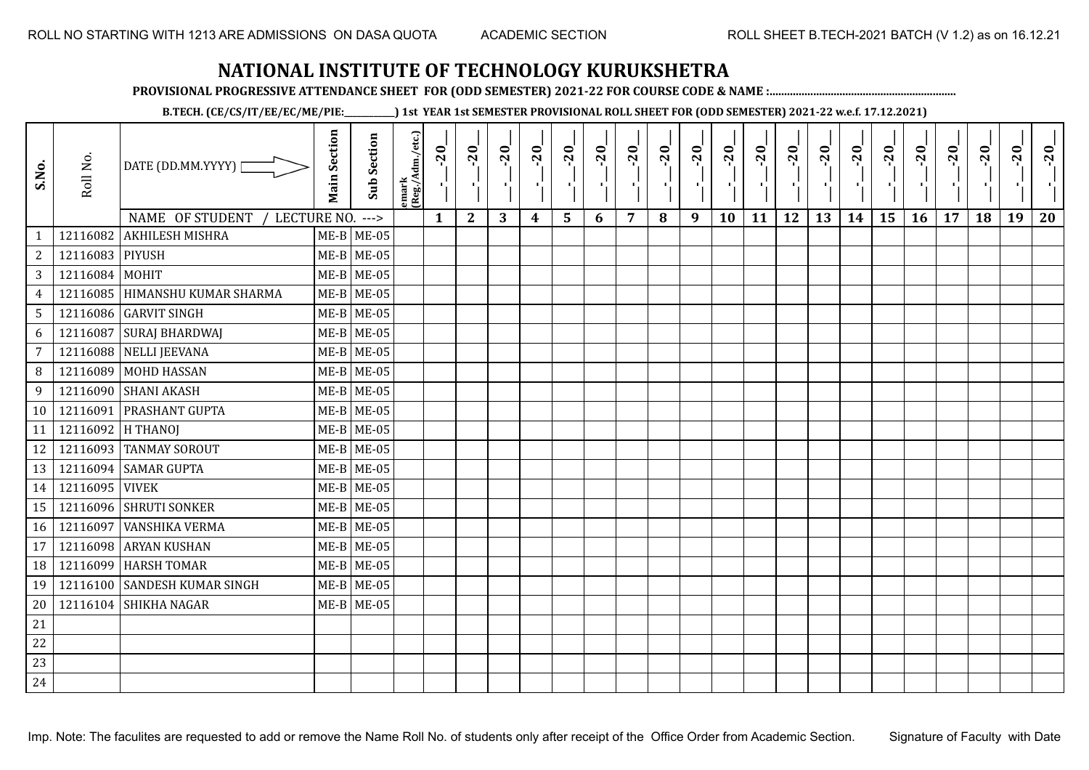**PROVISIONAL PROGRESSIVE ATTENDANCE SHEET FOR (ODD SEMESTER) 2021-22 FOR COURSE CODE & NAME :................................................................**

**B.TECH. (CE/CS/IT/EE/EC/ME/PIE:\_\_\_\_\_\_\_\_\_\_\_\_) 1st YEAR 1st SEMESTER PROVISIONAL ROLL SHEET FOR (ODD SEMESTER) 2021-22 w.e.f. 17.12.2021)**

| S.No.           | Roll No.          | DATE (DD.MM.YYYY) [                                          | <b>Main Section</b> | <b>Sub Section</b>           | emark<br> (Reg./Adm./etc.) | $-20$        | $-20$<br>×.  | $-20$ | $-20$<br>п, | $-20$<br>۱, | $-20$<br>π÷ | $-20$<br>- 1 | $-20$ | $-20$<br>- 10 | $-20$<br>л, | $-20$ | $-20$<br>пf, | $-20$<br>로 | $-20$<br>$\blacksquare$ | $-20$ | $-20$<br>л., | $-20$ | $-20$ | $-20$<br>×. | $-20$ |
|-----------------|-------------------|--------------------------------------------------------------|---------------------|------------------------------|----------------------------|--------------|--------------|-------|-------------|-------------|-------------|--------------|-------|---------------|-------------|-------|--------------|------------|-------------------------|-------|--------------|-------|-------|-------------|-------|
|                 |                   | NAME OF STUDENT /<br>LECTURE NO.<br>12116082 AKHILESH MISHRA |                     | $--->$                       |                            | $\mathbf{1}$ | $\mathbf{2}$ | 3     | 4           | 5           | 6           | 7            | 8     | 9             | 10          | 11    | 12           | 13         | 14                      | 15    | 16           | 17    | 18    | 19          | 20    |
| $\sqrt{2}$      | 12116083 PIYUSH   |                                                              |                     | $ME-B$ ME-05<br>$ME-B$ ME-05 |                            |              |              |       |             |             |             |              |       |               |             |       |              |            |                         |       |              |       |       |             |       |
| 3               | 12116084 MOHIT    |                                                              |                     | $ME-B$ ME-05                 |                            |              |              |       |             |             |             |              |       |               |             |       |              |            |                         |       |              |       |       |             |       |
| $\overline{4}$  |                   | 12116085 HIMANSHU KUMAR SHARMA                               |                     | $ME-B$ ME-05                 |                            |              |              |       |             |             |             |              |       |               |             |       |              |            |                         |       |              |       |       |             |       |
| $5\phantom{.0}$ |                   | 12116086 GARVIT SINGH                                        |                     | $ME-B$ ME-05                 |                            |              |              |       |             |             |             |              |       |               |             |       |              |            |                         |       |              |       |       |             |       |
| 6               |                   | 12116087 SURAJ BHARDWAJ                                      |                     | $ME-B$ ME-05                 |                            |              |              |       |             |             |             |              |       |               |             |       |              |            |                         |       |              |       |       |             |       |
| $\overline{7}$  |                   | 12116088 NELLI JEEVANA                                       |                     | $ME-B$ ME-05                 |                            |              |              |       |             |             |             |              |       |               |             |       |              |            |                         |       |              |       |       |             |       |
| 8               |                   | 12116089 MOHD HASSAN                                         |                     | $ME-B$ ME-05                 |                            |              |              |       |             |             |             |              |       |               |             |       |              |            |                         |       |              |       |       |             |       |
| 9               |                   | 12116090 SHANI AKASH                                         |                     | $ME-B$ ME-05                 |                            |              |              |       |             |             |             |              |       |               |             |       |              |            |                         |       |              |       |       |             |       |
| 10 <sup>1</sup> | 12116091          | <b>PRASHANT GUPTA</b>                                        |                     | $ME-B$ ME-05                 |                            |              |              |       |             |             |             |              |       |               |             |       |              |            |                         |       |              |       |       |             |       |
|                 |                   |                                                              |                     |                              |                            |              |              |       |             |             |             |              |       |               |             |       |              |            |                         |       |              |       |       |             |       |
| 11              | 12116092 H THANOJ |                                                              |                     | $ME-B$ ME-05                 |                            |              |              |       |             |             |             |              |       |               |             |       |              |            |                         |       |              |       |       |             |       |
| 12              |                   | 12116093 TANMAY SOROUT                                       |                     | $ME-B$ ME-05                 |                            |              |              |       |             |             |             |              |       |               |             |       |              |            |                         |       |              |       |       |             |       |
| 13              |                   | 12116094 SAMAR GUPTA                                         |                     | $ME-B$ ME-05                 |                            |              |              |       |             |             |             |              |       |               |             |       |              |            |                         |       |              |       |       |             |       |
| 14              | 12116095 VIVEK    |                                                              |                     | $ME-B$ ME-05                 |                            |              |              |       |             |             |             |              |       |               |             |       |              |            |                         |       |              |       |       |             |       |
| 15              |                   | 12116096 SHRUTI SONKER                                       |                     | $ME-B$ ME-05                 |                            |              |              |       |             |             |             |              |       |               |             |       |              |            |                         |       |              |       |       |             |       |
| 16              |                   | 12116097 VANSHIKA VERMA                                      |                     | $ME-B$ ME-05                 |                            |              |              |       |             |             |             |              |       |               |             |       |              |            |                         |       |              |       |       |             |       |
| 17              |                   | 12116098 ARYAN KUSHAN                                        |                     | $ME-B$ ME-05                 |                            |              |              |       |             |             |             |              |       |               |             |       |              |            |                         |       |              |       |       |             |       |
| 18              |                   | 12116099 HARSH TOMAR                                         |                     | $ME-B$ ME-05                 |                            |              |              |       |             |             |             |              |       |               |             |       |              |            |                         |       |              |       |       |             |       |
| 19              |                   | 12116100 SANDESH KUMAR SINGH                                 |                     | $ME-B$ ME-05                 |                            |              |              |       |             |             |             |              |       |               |             |       |              |            |                         |       |              |       |       |             |       |
| 20              |                   | 12116104 SHIKHA NAGAR                                        |                     | $ME-B$ ME-05                 |                            |              |              |       |             |             |             |              |       |               |             |       |              |            |                         |       |              |       |       |             |       |
| 21              |                   |                                                              |                     |                              |                            |              |              |       |             |             |             |              |       |               |             |       |              |            |                         |       |              |       |       |             |       |
| 22              |                   |                                                              |                     |                              |                            |              |              |       |             |             |             |              |       |               |             |       |              |            |                         |       |              |       |       |             |       |
| 23              |                   |                                                              |                     |                              |                            |              |              |       |             |             |             |              |       |               |             |       |              |            |                         |       |              |       |       |             |       |
| 24              |                   |                                                              |                     |                              |                            |              |              |       |             |             |             |              |       |               |             |       |              |            |                         |       |              |       |       |             |       |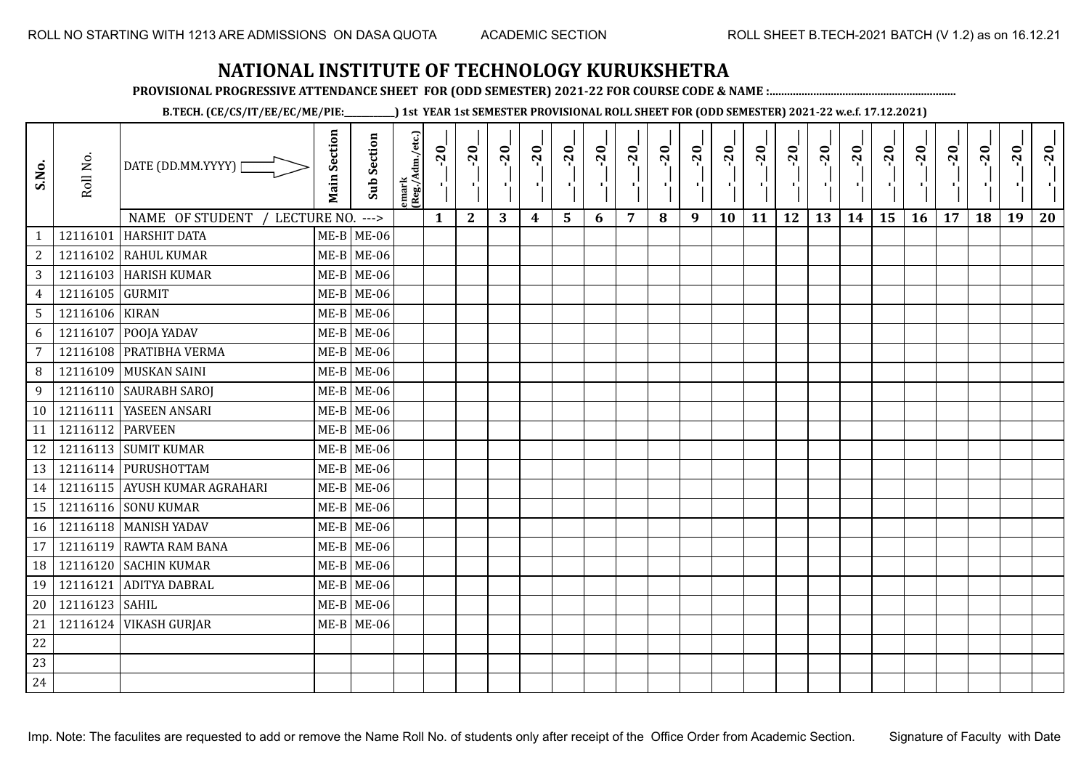**PROVISIONAL PROGRESSIVE ATTENDANCE SHEET FOR (ODD SEMESTER) 2021-22 FOR COURSE CODE & NAME :................................................................**

**B.TECH. (CE/CS/IT/EE/EC/ME/PIE:\_\_\_\_\_\_\_\_\_\_\_\_) 1st YEAR 1st SEMESTER PROVISIONAL ROLL SHEET FOR (ODD SEMESTER) 2021-22 w.e.f. 17.12.2021)**

| S.No.           | Roll No.        | DATE (DD.MM.YYYY) [                                   | <b>Main Section</b> | <b>Sub Section</b>     | emark<br> (Reg./Adm./etc.) | $-20$<br>Ч.  | $-20$<br>×.  | $-20$<br>-10 | $-20$<br>π÷      | $-20$<br>r, | $-20$<br>п. | $-20$<br>п,    | $-20$ | $-20$<br>лj | $-20$<br>л, | $-20$<br>п÷ | $-20$<br>π÷ | $-20$<br>чŀ. | $-20$<br>H) | $-20$<br>÷, | $-20$<br>л., | $-20$ | $-20$ | $-20$<br>л, | $-20$ |
|-----------------|-----------------|-------------------------------------------------------|---------------------|------------------------|----------------------------|--------------|--------------|--------------|------------------|-------------|-------------|----------------|-------|-------------|-------------|-------------|-------------|--------------|-------------|-------------|--------------|-------|-------|-------------|-------|
| $\mathbf{1}$    | 12116101        | NAME OF STUDENT<br>LECTURE NO.<br><b>HARSHIT DATA</b> |                     | $--->$<br>$ME-B$ ME-06 |                            | $\mathbf{1}$ | $\mathbf{2}$ | 3            | $\boldsymbol{4}$ | 5           | 6           | $\overline{7}$ | 8     | 9           | 10          | 11          | 12          | 13           | 14          | 15          | 16           | 17    | 18    | 19          | 20    |
| $\sqrt{2}$      | 12116102        | <b>RAHUL KUMAR</b>                                    |                     | $ME-B$ ME-06           |                            |              |              |              |                  |             |             |                |       |             |             |             |             |              |             |             |              |       |       |             |       |
| 3               |                 | 12116103 HARISH KUMAR                                 |                     | $ME-B$ ME-06           |                            |              |              |              |                  |             |             |                |       |             |             |             |             |              |             |             |              |       |       |             |       |
| $\overline{4}$  | 12116105 GURMIT |                                                       |                     | $ME-B$ ME-06           |                            |              |              |              |                  |             |             |                |       |             |             |             |             |              |             |             |              |       |       |             |       |
| $5\phantom{.0}$ | 12116106 KIRAN  |                                                       |                     | $ME-B$ ME-06           |                            |              |              |              |                  |             |             |                |       |             |             |             |             |              |             |             |              |       |       |             |       |
| 6               | 12116107        | POOJA YADAV                                           |                     | $ME-B$ ME-06           |                            |              |              |              |                  |             |             |                |       |             |             |             |             |              |             |             |              |       |       |             |       |
| 7               | 12116108        | PRATIBHA VERMA                                        |                     | $ME-B$ ME-06           |                            |              |              |              |                  |             |             |                |       |             |             |             |             |              |             |             |              |       |       |             |       |
| 8               | 12116109        | MUSKAN SAINI                                          |                     | $ME-B$ ME-06           |                            |              |              |              |                  |             |             |                |       |             |             |             |             |              |             |             |              |       |       |             |       |
| 9               |                 | 12116110 SAURABH SAROJ                                |                     | $ME-B$ ME-06           |                            |              |              |              |                  |             |             |                |       |             |             |             |             |              |             |             |              |       |       |             |       |
| 10              | 12116111        | YASEEN ANSARI                                         |                     | $ME-B$ ME-06           |                            |              |              |              |                  |             |             |                |       |             |             |             |             |              |             |             |              |       |       |             |       |
| 11              | 12116112        | <b>PARVEEN</b>                                        |                     | $ME-B$ ME-06           |                            |              |              |              |                  |             |             |                |       |             |             |             |             |              |             |             |              |       |       |             |       |
| 12              |                 | 12116113 SUMIT KUMAR                                  |                     | $ME-B$ ME-06           |                            |              |              |              |                  |             |             |                |       |             |             |             |             |              |             |             |              |       |       |             |       |
| 13              |                 | 12116114 PURUSHOTTAM                                  |                     | $ME-B$ ME-06           |                            |              |              |              |                  |             |             |                |       |             |             |             |             |              |             |             |              |       |       |             |       |
| 14              |                 | 12116115 AYUSH KUMAR AGRAHARI                         |                     | $ME-B$ ME-06           |                            |              |              |              |                  |             |             |                |       |             |             |             |             |              |             |             |              |       |       |             |       |
| 15              |                 | 12116116 SONU KUMAR                                   |                     | $ME-B$ ME-06           |                            |              |              |              |                  |             |             |                |       |             |             |             |             |              |             |             |              |       |       |             |       |
| 16              |                 | 12116118   MANISH YADAV                               |                     | $ME-B$ ME-06           |                            |              |              |              |                  |             |             |                |       |             |             |             |             |              |             |             |              |       |       |             |       |
| 17              | 12116119        | <b>RAWTA RAM BANA</b>                                 |                     | $ME-B$ ME-06           |                            |              |              |              |                  |             |             |                |       |             |             |             |             |              |             |             |              |       |       |             |       |
| 18              | 12116120        | <b>SACHIN KUMAR</b>                                   |                     | $ME-B$ ME-06           |                            |              |              |              |                  |             |             |                |       |             |             |             |             |              |             |             |              |       |       |             |       |
| 19              | 12116121        | <b>ADITYA DABRAL</b>                                  |                     | $ME-B$ ME-06           |                            |              |              |              |                  |             |             |                |       |             |             |             |             |              |             |             |              |       |       |             |       |
| 20              | 12116123 SAHIL  |                                                       |                     | $ME-B$ ME-06           |                            |              |              |              |                  |             |             |                |       |             |             |             |             |              |             |             |              |       |       |             |       |
| 21              | 12116124        | <b>VIKASH GURJAR</b>                                  |                     | $ME-B$ ME-06           |                            |              |              |              |                  |             |             |                |       |             |             |             |             |              |             |             |              |       |       |             |       |
| 22              |                 |                                                       |                     |                        |                            |              |              |              |                  |             |             |                |       |             |             |             |             |              |             |             |              |       |       |             |       |
| 23              |                 |                                                       |                     |                        |                            |              |              |              |                  |             |             |                |       |             |             |             |             |              |             |             |              |       |       |             |       |
| 24              |                 |                                                       |                     |                        |                            |              |              |              |                  |             |             |                |       |             |             |             |             |              |             |             |              |       |       |             |       |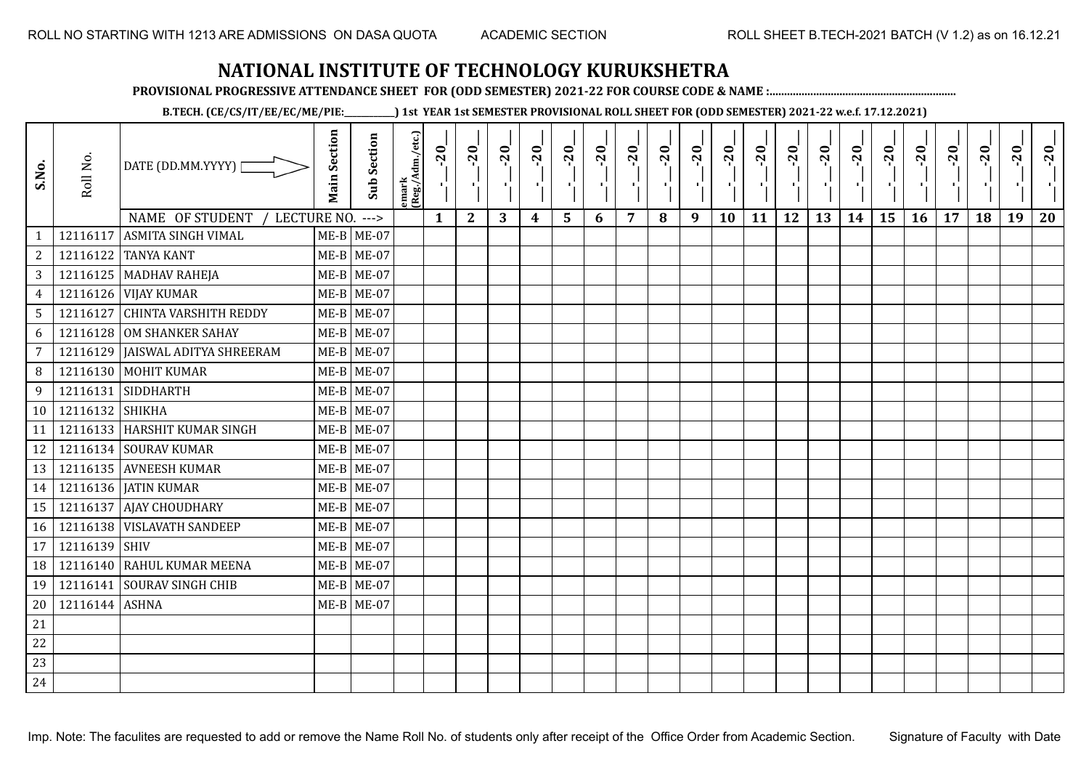**PROVISIONAL PROGRESSIVE ATTENDANCE SHEET FOR (ODD SEMESTER) 2021-22 FOR COURSE CODE & NAME :................................................................**

**B.TECH. (CE/CS/IT/EE/EC/ME/PIE:\_\_\_\_\_\_\_\_\_\_\_\_) 1st YEAR 1st SEMESTER PROVISIONAL ROLL SHEET FOR (ODD SEMESTER) 2021-22 w.e.f. 17.12.2021)**

| S.No.           | Roll No.        | DATE (DD.MM.YYYY)<br>NAME OF STUDENT<br>LECTURE NO. ---> | <b>Main Section</b> | <b>Sub Section</b> | emark<br>(Reg./Adm./etc.) | $-20$<br>$\mathbf{1}$ | $-20$<br>π÷<br>$\mathbf{2}$ | $-20$<br>-10<br>3 | $-20$<br>π÷<br>4 | $-20$<br>чJ<br>5 | $-20$<br>п,<br>6 | $-20$<br>7 | $-20$<br>8 | $-20$<br>пļ<br>9 | $-20$<br>л,<br>10 | $-20$<br>шĵ<br>11 | $-20$<br>шĵ<br>12 | $-20$<br>로<br>13 | $-20$<br>$\blacksquare$<br>14 | $-20$<br>ا.<br>ا<br>15 | $-20$<br>л.<br>16 | $-20$<br>17 | $-20$<br>18 | $-20$<br>×.<br>19 | $-20$<br>20 |
|-----------------|-----------------|----------------------------------------------------------|---------------------|--------------------|---------------------------|-----------------------|-----------------------------|-------------------|------------------|------------------|------------------|------------|------------|------------------|-------------------|-------------------|-------------------|------------------|-------------------------------|------------------------|-------------------|-------------|-------------|-------------------|-------------|
| $\mathbf{1}$    | 12116117        | <b>ASMITA SINGH VIMAL</b>                                |                     | $ME-B$ ME-07       |                           |                       |                             |                   |                  |                  |                  |            |            |                  |                   |                   |                   |                  |                               |                        |                   |             |             |                   |             |
| $\overline{c}$  |                 | 12116122 TANYA KANT                                      |                     | $ME-B$ ME-07       |                           |                       |                             |                   |                  |                  |                  |            |            |                  |                   |                   |                   |                  |                               |                        |                   |             |             |                   |             |
| 3               |                 | 12116125 MADHAV RAHEJA                                   |                     | $ME-B$ ME-07       |                           |                       |                             |                   |                  |                  |                  |            |            |                  |                   |                   |                   |                  |                               |                        |                   |             |             |                   |             |
| $\overline{4}$  |                 | 12116126 VIJAY KUMAR                                     |                     | $ME-B$ ME-07       |                           |                       |                             |                   |                  |                  |                  |            |            |                  |                   |                   |                   |                  |                               |                        |                   |             |             |                   |             |
| $5\overline{)}$ |                 | 12116127 CHINTA VARSHITH REDDY                           |                     | $ME-B$ ME-07       |                           |                       |                             |                   |                  |                  |                  |            |            |                  |                   |                   |                   |                  |                               |                        |                   |             |             |                   |             |
| 6               |                 | 12116128 OM SHANKER SAHAY                                |                     | $ME-B$ ME-07       |                           |                       |                             |                   |                  |                  |                  |            |            |                  |                   |                   |                   |                  |                               |                        |                   |             |             |                   |             |
| $\overline{7}$  | 12116129        | <b>JAISWAL ADITYA SHREERAM</b>                           |                     | $ME-B$ ME-07       |                           |                       |                             |                   |                  |                  |                  |            |            |                  |                   |                   |                   |                  |                               |                        |                   |             |             |                   |             |
| 8               |                 | 12116130 MOHIT KUMAR                                     |                     | $ME-B$ ME-07       |                           |                       |                             |                   |                  |                  |                  |            |            |                  |                   |                   |                   |                  |                               |                        |                   |             |             |                   |             |
| 9               |                 | 12116131 SIDDHARTH                                       |                     | $ME-B$ ME-07       |                           |                       |                             |                   |                  |                  |                  |            |            |                  |                   |                   |                   |                  |                               |                        |                   |             |             |                   |             |
| 10              | 12116132 SHIKHA |                                                          |                     | $ME-B$ ME-07       |                           |                       |                             |                   |                  |                  |                  |            |            |                  |                   |                   |                   |                  |                               |                        |                   |             |             |                   |             |
| 11              |                 | 12116133 HARSHIT KUMAR SINGH                             |                     | $ME-B$ ME-07       |                           |                       |                             |                   |                  |                  |                  |            |            |                  |                   |                   |                   |                  |                               |                        |                   |             |             |                   |             |
| 12              |                 | 12116134 SOURAV KUMAR                                    |                     | $ME-B$ ME-07       |                           |                       |                             |                   |                  |                  |                  |            |            |                  |                   |                   |                   |                  |                               |                        |                   |             |             |                   |             |
| 13              |                 | 12116135 AVNEESH KUMAR                                   |                     | $ME-B$ ME-07       |                           |                       |                             |                   |                  |                  |                  |            |            |                  |                   |                   |                   |                  |                               |                        |                   |             |             |                   |             |
| 14              |                 | 12116136   JATIN KUMAR                                   |                     | $ME-B$ ME-07       |                           |                       |                             |                   |                  |                  |                  |            |            |                  |                   |                   |                   |                  |                               |                        |                   |             |             |                   |             |
| 15              | 12116137        | <b>AJAY CHOUDHARY</b>                                    |                     | $ME-B$ ME-07       |                           |                       |                             |                   |                  |                  |                  |            |            |                  |                   |                   |                   |                  |                               |                        |                   |             |             |                   |             |
| 16              |                 | 12116138 VISLAVATH SANDEEP                               |                     | $ME-B$ ME-07       |                           |                       |                             |                   |                  |                  |                  |            |            |                  |                   |                   |                   |                  |                               |                        |                   |             |             |                   |             |
| 17              | 12116139        | <b>SHIV</b>                                              |                     | $ME-B$ ME-07       |                           |                       |                             |                   |                  |                  |                  |            |            |                  |                   |                   |                   |                  |                               |                        |                   |             |             |                   |             |
| 18              |                 | 12116140 RAHUL KUMAR MEENA                               |                     | $ME-B$ ME-07       |                           |                       |                             |                   |                  |                  |                  |            |            |                  |                   |                   |                   |                  |                               |                        |                   |             |             |                   |             |
| 19              |                 | 12116141 SOURAV SINGH CHIB                               |                     | $ME-B$ ME-07       |                           |                       |                             |                   |                  |                  |                  |            |            |                  |                   |                   |                   |                  |                               |                        |                   |             |             |                   |             |
| 20              | 12116144 ASHNA  |                                                          |                     | $ME-B$ ME-07       |                           |                       |                             |                   |                  |                  |                  |            |            |                  |                   |                   |                   |                  |                               |                        |                   |             |             |                   |             |
| 21              |                 |                                                          |                     |                    |                           |                       |                             |                   |                  |                  |                  |            |            |                  |                   |                   |                   |                  |                               |                        |                   |             |             |                   |             |
| 22              |                 |                                                          |                     |                    |                           |                       |                             |                   |                  |                  |                  |            |            |                  |                   |                   |                   |                  |                               |                        |                   |             |             |                   |             |
| 23              |                 |                                                          |                     |                    |                           |                       |                             |                   |                  |                  |                  |            |            |                  |                   |                   |                   |                  |                               |                        |                   |             |             |                   |             |
| 24              |                 |                                                          |                     |                    |                           |                       |                             |                   |                  |                  |                  |            |            |                  |                   |                   |                   |                  |                               |                        |                   |             |             |                   |             |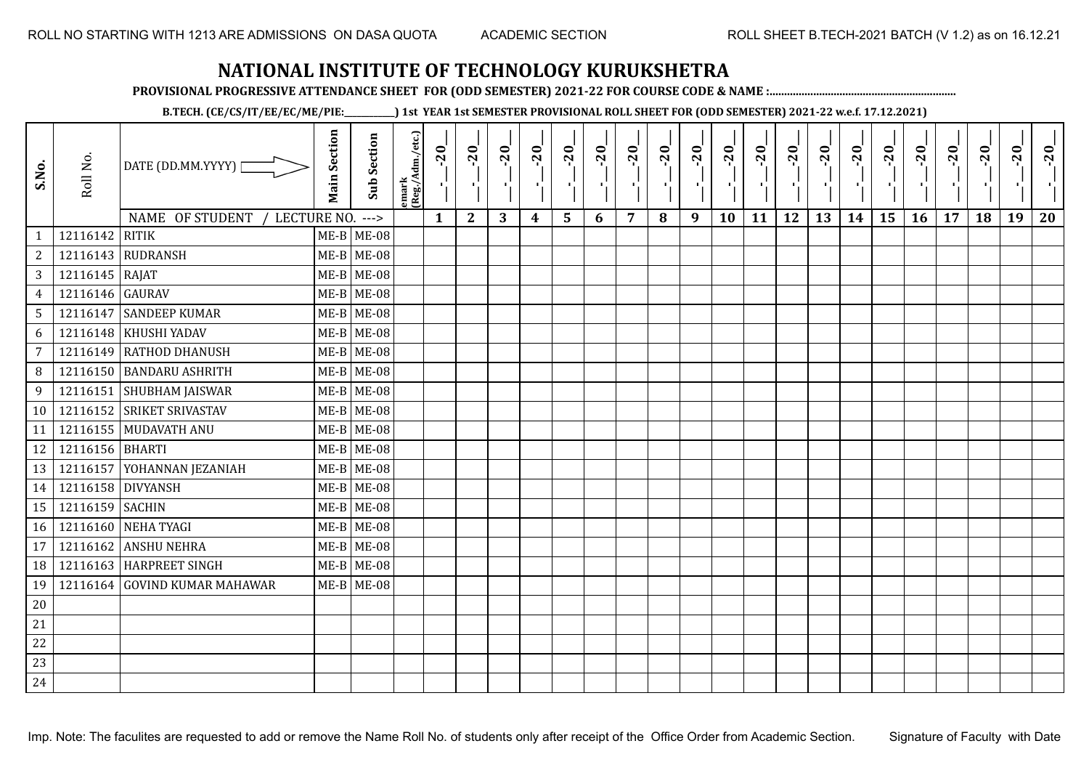**PROVISIONAL PROGRESSIVE ATTENDANCE SHEET FOR (ODD SEMESTER) 2021-22 FOR COURSE CODE & NAME :................................................................**

**B.TECH. (CE/CS/IT/EE/EC/ME/PIE:\_\_\_\_\_\_\_\_\_\_\_\_) 1st YEAR 1st SEMESTER PROVISIONAL ROLL SHEET FOR (ODD SEMESTER) 2021-22 w.e.f. 17.12.2021)**

| S.No.          | Roll No.          | DATE (DD.MM.YYYY)                | <b>Main Section</b> | <b>Sub Section</b> | emark<br>(Reg./Adm./etc.) | $-20$        | $-20$<br><b>A</b> | $-20$ | $-20$<br>л. | $-20$ | $-20$<br>чþ | $-20$ | $-20$<br>$\blacksquare$ | $-20$ | $-20$     | $-20$ | $-20$<br>чļ. | $-20$<br>÷. | $-20$ | $-20$<br>Œ. | $-20$     | $-20$ | $-20$     | $-20$ | $-20$ |
|----------------|-------------------|----------------------------------|---------------------|--------------------|---------------------------|--------------|-------------------|-------|-------------|-------|-------------|-------|-------------------------|-------|-----------|-------|--------------|-------------|-------|-------------|-----------|-------|-----------|-------|-------|
|                |                   | NAME OF STUDENT /<br>LECTURE NO. |                     | $--->$             |                           | $\mathbf{1}$ | $\mathbf{2}$      | 3     | 4           | 5     | 6           | 7     | 8                       | 9     | <b>10</b> | 11    | 12           | 13          | 14    | 15          | <b>16</b> | 17    | <b>18</b> | 19    | 20    |
| 1              | 12116142          | <b>RITIK</b>                     |                     | $ME-B$ ME-08       |                           |              |                   |       |             |       |             |       |                         |       |           |       |              |             |       |             |           |       |           |       |       |
| $\sqrt{2}$     |                   | 12116143 RUDRANSH                |                     | $ME-B$ ME-08       |                           |              |                   |       |             |       |             |       |                         |       |           |       |              |             |       |             |           |       |           |       |       |
| $\overline{3}$ | 12116145 RAJAT    |                                  |                     | $ME-B$ ME-08       |                           |              |                   |       |             |       |             |       |                         |       |           |       |              |             |       |             |           |       |           |       |       |
| $\overline{4}$ | 12116146 GAURAV   |                                  |                     | $ME-B$ ME-08       |                           |              |                   |       |             |       |             |       |                         |       |           |       |              |             |       |             |           |       |           |       |       |
| 5 <sup>5</sup> |                   | 12116147 SANDEEP KUMAR           |                     | $ME-B$ ME-08       |                           |              |                   |       |             |       |             |       |                         |       |           |       |              |             |       |             |           |       |           |       |       |
| 6              |                   | 12116148 KHUSHI YADAV            |                     | $ME-B$ ME-08       |                           |              |                   |       |             |       |             |       |                         |       |           |       |              |             |       |             |           |       |           |       |       |
| $\overline{7}$ |                   | 12116149 RATHOD DHANUSH          |                     | $ME-B$ ME-08       |                           |              |                   |       |             |       |             |       |                         |       |           |       |              |             |       |             |           |       |           |       |       |
| 8              |                   | 12116150 BANDARU ASHRITH         |                     | $ME-B$ ME-08       |                           |              |                   |       |             |       |             |       |                         |       |           |       |              |             |       |             |           |       |           |       |       |
| 9              |                   | 12116151 SHUBHAM JAISWAR         |                     | $ME-B$ ME-08       |                           |              |                   |       |             |       |             |       |                         |       |           |       |              |             |       |             |           |       |           |       |       |
| 10             |                   | 12116152 SRIKET SRIVASTAV        |                     | $ME-B$ ME-08       |                           |              |                   |       |             |       |             |       |                         |       |           |       |              |             |       |             |           |       |           |       |       |
| 11             |                   | 12116155 MUDAVATH ANU            |                     | $ME-B$ ME-08       |                           |              |                   |       |             |       |             |       |                         |       |           |       |              |             |       |             |           |       |           |       |       |
| 12             | 12116156 BHARTI   |                                  |                     | $ME-B$ ME-08       |                           |              |                   |       |             |       |             |       |                         |       |           |       |              |             |       |             |           |       |           |       |       |
| 13             |                   | 12116157 YOHANNAN JEZANIAH       |                     | $ME-B$ ME-08       |                           |              |                   |       |             |       |             |       |                         |       |           |       |              |             |       |             |           |       |           |       |       |
| 14             | 12116158 DIVYANSH |                                  |                     | $ME-B$ ME-08       |                           |              |                   |       |             |       |             |       |                         |       |           |       |              |             |       |             |           |       |           |       |       |
| 15             | 12116159 SACHIN   |                                  |                     | $ME-B$ ME-08       |                           |              |                   |       |             |       |             |       |                         |       |           |       |              |             |       |             |           |       |           |       |       |
| 16             |                   | 12116160 NEHA TYAGI              |                     | $ME-B$ ME-08       |                           |              |                   |       |             |       |             |       |                         |       |           |       |              |             |       |             |           |       |           |       |       |
| 17             |                   | 12116162 ANSHU NEHRA             |                     | $ME-B$ ME-08       |                           |              |                   |       |             |       |             |       |                         |       |           |       |              |             |       |             |           |       |           |       |       |
| 18             |                   | 12116163 HARPREET SINGH          |                     | $ME-B$ ME-08       |                           |              |                   |       |             |       |             |       |                         |       |           |       |              |             |       |             |           |       |           |       |       |
| 19             |                   | 12116164 GOVIND KUMAR MAHAWAR    |                     | $ME-B$ ME-08       |                           |              |                   |       |             |       |             |       |                         |       |           |       |              |             |       |             |           |       |           |       |       |
| 20             |                   |                                  |                     |                    |                           |              |                   |       |             |       |             |       |                         |       |           |       |              |             |       |             |           |       |           |       |       |
| 21             |                   |                                  |                     |                    |                           |              |                   |       |             |       |             |       |                         |       |           |       |              |             |       |             |           |       |           |       |       |
| 22             |                   |                                  |                     |                    |                           |              |                   |       |             |       |             |       |                         |       |           |       |              |             |       |             |           |       |           |       |       |
| 23             |                   |                                  |                     |                    |                           |              |                   |       |             |       |             |       |                         |       |           |       |              |             |       |             |           |       |           |       |       |
| 24             |                   |                                  |                     |                    |                           |              |                   |       |             |       |             |       |                         |       |           |       |              |             |       |             |           |       |           |       |       |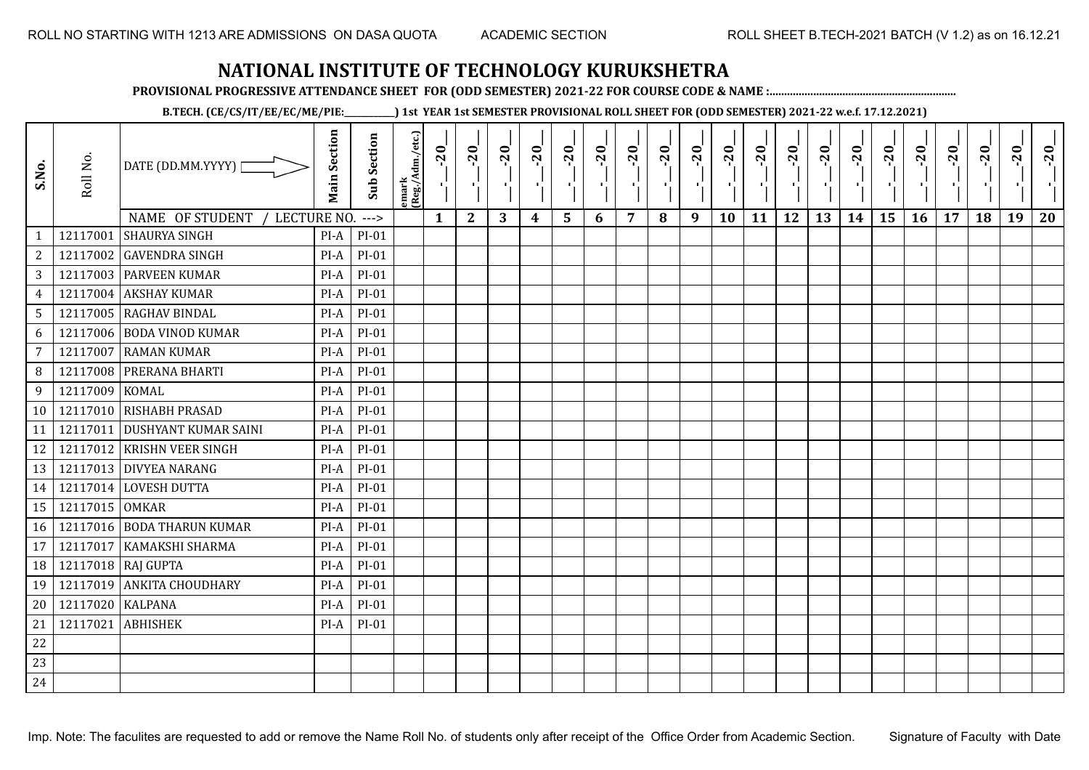**PROVISIONAL PROGRESSIVE ATTENDANCE SHEET FOR (ODD SEMESTER) 2021-22 FOR COURSE CODE & NAME :................................................................**

**B.TECH. (CE/CS/IT/EE/EC/ME/PIE:\_\_\_\_\_\_\_\_\_\_\_\_) 1st YEAR 1st SEMESTER PROVISIONAL ROLL SHEET FOR (ODD SEMESTER) 2021-22 w.e.f. 17.12.2021)**

| S.No.           | Roll No.       | DATE (DD.MM.YYYY) [<br>NAME OF STUDENT<br>LECTURE NO. | <b>Main Section</b> | <b>Sub Section</b><br>$---$ | emark<br> (Reg./Adm./etc.) | 20<br>Ч.<br>$\mathbf{1}$ | $-20$<br>л÷,<br>$\mathbf{2}$ | $-20$<br>шJ.<br>3 | $-20$<br>π÷<br>$\boldsymbol{4}$ | $-20$<br>л,<br>5 | $-20$<br>п,<br>6 | $-20$<br>п.<br>7 | $-20$<br>8 | $-20$<br>л÷,<br>9 | $-20$<br>×,<br>10 | $-20$<br>п,<br>11 | $-20$<br>ΠŮ<br>12 | $-20$<br>Æ,<br>13 | $-20$<br>$\blacksquare$<br>14 | $-20$<br>P,<br>15 | $-20$<br>-96<br>16 | $-20$<br>п,<br>17 | $-20$<br>18 | $-20$<br>л,<br>19 | $-20$<br>20 |
|-----------------|----------------|-------------------------------------------------------|---------------------|-----------------------------|----------------------------|--------------------------|------------------------------|-------------------|---------------------------------|------------------|------------------|------------------|------------|-------------------|-------------------|-------------------|-------------------|-------------------|-------------------------------|-------------------|--------------------|-------------------|-------------|-------------------|-------------|
| $\mathbf{1}$    | 12117001       | <b>SHAURYA SINGH</b>                                  | $PI-A$              | $PI-01$                     |                            |                          |                              |                   |                                 |                  |                  |                  |            |                   |                   |                   |                   |                   |                               |                   |                    |                   |             |                   |             |
| $\overline{2}$  | 12117002       | <b>GAVENDRA SINGH</b>                                 | PI-A                | $PI-01$                     |                            |                          |                              |                   |                                 |                  |                  |                  |            |                   |                   |                   |                   |                   |                               |                   |                    |                   |             |                   |             |
| 3               |                | 12117003 PARVEEN KUMAR                                | PI-A                | $PI-01$                     |                            |                          |                              |                   |                                 |                  |                  |                  |            |                   |                   |                   |                   |                   |                               |                   |                    |                   |             |                   |             |
| 4               | 12117004       | <b>AKSHAY KUMAR</b>                                   | $PI-A$              | $PI-01$                     |                            |                          |                              |                   |                                 |                  |                  |                  |            |                   |                   |                   |                   |                   |                               |                   |                    |                   |             |                   |             |
| $5\phantom{.0}$ |                | 12117005 RAGHAV BINDAL                                | PI-A                | $PI-01$                     |                            |                          |                              |                   |                                 |                  |                  |                  |            |                   |                   |                   |                   |                   |                               |                   |                    |                   |             |                   |             |
| 6               | 12117006       | <b>BODA VINOD KUMAR</b>                               | PI-A                | $PI-01$                     |                            |                          |                              |                   |                                 |                  |                  |                  |            |                   |                   |                   |                   |                   |                               |                   |                    |                   |             |                   |             |
| $\overline{7}$  | 12117007       | <b>RAMAN KUMAR</b>                                    | PI-A                | $PI-01$                     |                            |                          |                              |                   |                                 |                  |                  |                  |            |                   |                   |                   |                   |                   |                               |                   |                    |                   |             |                   |             |
| 8               | 12117008       | PRERANA BHARTI                                        | PI-A                | $PI-01$                     |                            |                          |                              |                   |                                 |                  |                  |                  |            |                   |                   |                   |                   |                   |                               |                   |                    |                   |             |                   |             |
| 9               | 12117009       | <b>KOMAL</b>                                          | $PI-A$              | $PI-01$                     |                            |                          |                              |                   |                                 |                  |                  |                  |            |                   |                   |                   |                   |                   |                               |                   |                    |                   |             |                   |             |
| 10              |                | 12117010 RISHABH PRASAD                               | $PI-A$              | $PI-01$                     |                            |                          |                              |                   |                                 |                  |                  |                  |            |                   |                   |                   |                   |                   |                               |                   |                    |                   |             |                   |             |
| 11              | 12117011       | <b>DUSHYANT KUMAR SAINI</b>                           | $PI-A$              | $PI-01$                     |                            |                          |                              |                   |                                 |                  |                  |                  |            |                   |                   |                   |                   |                   |                               |                   |                    |                   |             |                   |             |
| 12              |                | 12117012 KRISHN VEER SINGH                            | PI-A                | $PI-01$                     |                            |                          |                              |                   |                                 |                  |                  |                  |            |                   |                   |                   |                   |                   |                               |                   |                    |                   |             |                   |             |
| 13              |                | 12117013 DIVYEA NARANG                                | $PI-A$              | $PI-01$                     |                            |                          |                              |                   |                                 |                  |                  |                  |            |                   |                   |                   |                   |                   |                               |                   |                    |                   |             |                   |             |
| 14              |                | 12117014 LOVESH DUTTA                                 | PI-A                | $PI-01$                     |                            |                          |                              |                   |                                 |                  |                  |                  |            |                   |                   |                   |                   |                   |                               |                   |                    |                   |             |                   |             |
| 15              | 12117015 OMKAR |                                                       | PI-A                | $PI-01$                     |                            |                          |                              |                   |                                 |                  |                  |                  |            |                   |                   |                   |                   |                   |                               |                   |                    |                   |             |                   |             |
| 16              |                | 12117016 BODA THARUN KUMAR                            | $PI-A$              | $PI-01$                     |                            |                          |                              |                   |                                 |                  |                  |                  |            |                   |                   |                   |                   |                   |                               |                   |                    |                   |             |                   |             |
| 17              | 12117017       | KAMAKSHI SHARMA                                       | $PI-A$              | $PI-01$                     |                            |                          |                              |                   |                                 |                  |                  |                  |            |                   |                   |                   |                   |                   |                               |                   |                    |                   |             |                   |             |
| 18              | 12117018       | <b>RAJ GUPTA</b>                                      | PI-A                | $PI-01$                     |                            |                          |                              |                   |                                 |                  |                  |                  |            |                   |                   |                   |                   |                   |                               |                   |                    |                   |             |                   |             |
| 19              |                | 12117019 ANKITA CHOUDHARY                             | $PI-A$              | PI-01                       |                            |                          |                              |                   |                                 |                  |                  |                  |            |                   |                   |                   |                   |                   |                               |                   |                    |                   |             |                   |             |
| 20              | 12117020       | <b>KALPANA</b>                                        | $PI-A$              | $PI-01$                     |                            |                          |                              |                   |                                 |                  |                  |                  |            |                   |                   |                   |                   |                   |                               |                   |                    |                   |             |                   |             |
| 21              | 12117021       | <b>ABHISHEK</b>                                       | $PI-A$              | $PI-01$                     |                            |                          |                              |                   |                                 |                  |                  |                  |            |                   |                   |                   |                   |                   |                               |                   |                    |                   |             |                   |             |
| 22              |                |                                                       |                     |                             |                            |                          |                              |                   |                                 |                  |                  |                  |            |                   |                   |                   |                   |                   |                               |                   |                    |                   |             |                   |             |
| 23              |                |                                                       |                     |                             |                            |                          |                              |                   |                                 |                  |                  |                  |            |                   |                   |                   |                   |                   |                               |                   |                    |                   |             |                   |             |
| 24              |                |                                                       |                     |                             |                            |                          |                              |                   |                                 |                  |                  |                  |            |                   |                   |                   |                   |                   |                               |                   |                    |                   |             |                   |             |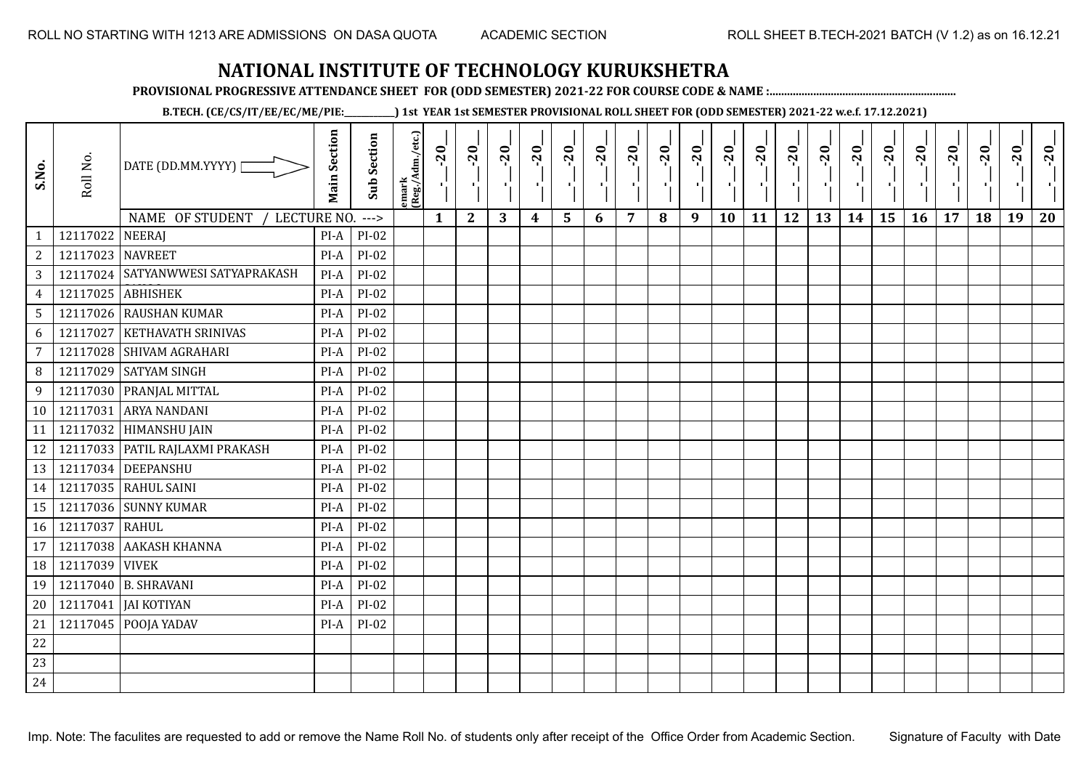**PROVISIONAL PROGRESSIVE ATTENDANCE SHEET FOR (ODD SEMESTER) 2021-22 FOR COURSE CODE & NAME :................................................................**

**B.TECH. (CE/CS/IT/EE/EC/ME/PIE:\_\_\_\_\_\_\_\_\_\_\_\_) 1st YEAR 1st SEMESTER PROVISIONAL ROLL SHEET FOR (ODD SEMESTER) 2021-22 w.e.f. 17.12.2021)**

| S.No.            | Roll No. | DATE (DD.MM.YYYY) [                             | <b>Main Section</b> | <b>Sub Section</b> | emark<br>(Reg./Adm./etc.) | $-20$<br>$\mathcal{F}_1$ . | $-20$<br>×.  | $-20$<br>л. | $-20$ | $-20$          | $-20$<br>$\blacksquare$ | $-20$ | $-20$ | $-20$<br>×. | $-20$<br>л, | $-20$<br>п. | $-20$<br>п, | $-20$<br>чļ. | $-20$<br>$\blacksquare$ | $-20$<br>٠, | $-20$<br>пD. | $-20$ | $-20$ | $-20$<br>л, | $-20$ |
|------------------|----------|-------------------------------------------------|---------------------|--------------------|---------------------------|----------------------------|--------------|-------------|-------|----------------|-------------------------|-------|-------|-------------|-------------|-------------|-------------|--------------|-------------------------|-------------|--------------|-------|-------|-------------|-------|
| $\mathbf{1}$     | 12117022 | NAME OF STUDENT<br>LECTURE NO.<br><b>NEERAJ</b> | $PI-A$              | $--->$<br>$PI-02$  |                           | $\mathbf{1}$               | $\mathbf{2}$ | 3           | 4     | $5\phantom{1}$ | 6                       | 7     | 8     | 9           | 10          | 11          | 12          | 13           | 14                      | 15          | 16           | 17    | 18    | 19          | 20    |
| $\boldsymbol{2}$ | 12117023 | <b>NAVREET</b>                                  | PI-A                | $PI-02$            |                           |                            |              |             |       |                |                         |       |       |             |             |             |             |              |                         |             |              |       |       |             |       |
| $\sqrt{3}$       | 12117024 | SATYANWWESI SATYAPRAKASH                        | $PI-A$              | PI-02              |                           |                            |              |             |       |                |                         |       |       |             |             |             |             |              |                         |             |              |       |       |             |       |
| $\overline{4}$   | 12117025 | <b>ABHISHEK</b>                                 | $PI-A$              | $PI-02$            |                           |                            |              |             |       |                |                         |       |       |             |             |             |             |              |                         |             |              |       |       |             |       |
| $\sqrt{5}$       |          | 12117026 RAUSHAN KUMAR                          | PI-A                | $PI-02$            |                           |                            |              |             |       |                |                         |       |       |             |             |             |             |              |                         |             |              |       |       |             |       |
| 6                | 12117027 | <b>KETHAVATH SRINIVAS</b>                       | PI-A                | $PI-02$            |                           |                            |              |             |       |                |                         |       |       |             |             |             |             |              |                         |             |              |       |       |             |       |
| $\overline{7}$   | 12117028 | <b>SHIVAM AGRAHARI</b>                          | $PI-A$              | PI-02              |                           |                            |              |             |       |                |                         |       |       |             |             |             |             |              |                         |             |              |       |       |             |       |
| 8                | 12117029 | <b>SATYAM SINGH</b>                             | PI-A                | $PI-02$            |                           |                            |              |             |       |                |                         |       |       |             |             |             |             |              |                         |             |              |       |       |             |       |
| 9                |          | 12117030 PRANJAL MITTAL                         | $PI-A$              | PI-02              |                           |                            |              |             |       |                |                         |       |       |             |             |             |             |              |                         |             |              |       |       |             |       |
| 10               | 12117031 | <b>ARYA NANDANI</b>                             | PI-A                | PI-02              |                           |                            |              |             |       |                |                         |       |       |             |             |             |             |              |                         |             |              |       |       |             |       |
| 11               |          | 12117032 HIMANSHU JAIN                          | PI-A                | $PI-02$            |                           |                            |              |             |       |                |                         |       |       |             |             |             |             |              |                         |             |              |       |       |             |       |
| 12               |          | 12117033 PATIL RAJLAXMI PRAKASH                 | PI-A                | $PI-02$            |                           |                            |              |             |       |                |                         |       |       |             |             |             |             |              |                         |             |              |       |       |             |       |
| 13               |          | 12117034 DEEPANSHU                              | PI-A                | $PI-02$            |                           |                            |              |             |       |                |                         |       |       |             |             |             |             |              |                         |             |              |       |       |             |       |
| 14               |          | 12117035 RAHUL SAINI                            | PI-A                | PI-02              |                           |                            |              |             |       |                |                         |       |       |             |             |             |             |              |                         |             |              |       |       |             |       |
| 15               | 12117036 | <b>SUNNY KUMAR</b>                              | PI-A                | PI-02              |                           |                            |              |             |       |                |                         |       |       |             |             |             |             |              |                         |             |              |       |       |             |       |
| 16               | 12117037 | <b>RAHUL</b>                                    | PI-A                | $PI-02$            |                           |                            |              |             |       |                |                         |       |       |             |             |             |             |              |                         |             |              |       |       |             |       |
| 17               | 12117038 | <b>AAKASH KHANNA</b>                            | PI-A                | PI-02              |                           |                            |              |             |       |                |                         |       |       |             |             |             |             |              |                         |             |              |       |       |             |       |
| 18               | 12117039 | <b>VIVEK</b>                                    | PI-A                | PI-02              |                           |                            |              |             |       |                |                         |       |       |             |             |             |             |              |                         |             |              |       |       |             |       |
| 19               | 12117040 | <b>B. SHRAVANI</b>                              | PI-A                | PI-02              |                           |                            |              |             |       |                |                         |       |       |             |             |             |             |              |                         |             |              |       |       |             |       |
| 20               | 12117041 | <b>JAI KOTIYAN</b>                              | $PI-A$              | PI-02              |                           |                            |              |             |       |                |                         |       |       |             |             |             |             |              |                         |             |              |       |       |             |       |
| 21               | 12117045 | POOJA YADAV                                     | $PI-A$              | $PI-02$            |                           |                            |              |             |       |                |                         |       |       |             |             |             |             |              |                         |             |              |       |       |             |       |
| 22               |          |                                                 |                     |                    |                           |                            |              |             |       |                |                         |       |       |             |             |             |             |              |                         |             |              |       |       |             |       |
|                  |          |                                                 |                     |                    |                           |                            |              |             |       |                |                         |       |       |             |             |             |             |              |                         |             |              |       |       |             |       |
| 23               |          |                                                 |                     |                    |                           |                            |              |             |       |                |                         |       |       |             |             |             |             |              |                         |             |              |       |       |             |       |
| 24               |          |                                                 |                     |                    |                           |                            |              |             |       |                |                         |       |       |             |             |             |             |              |                         |             |              |       |       |             |       |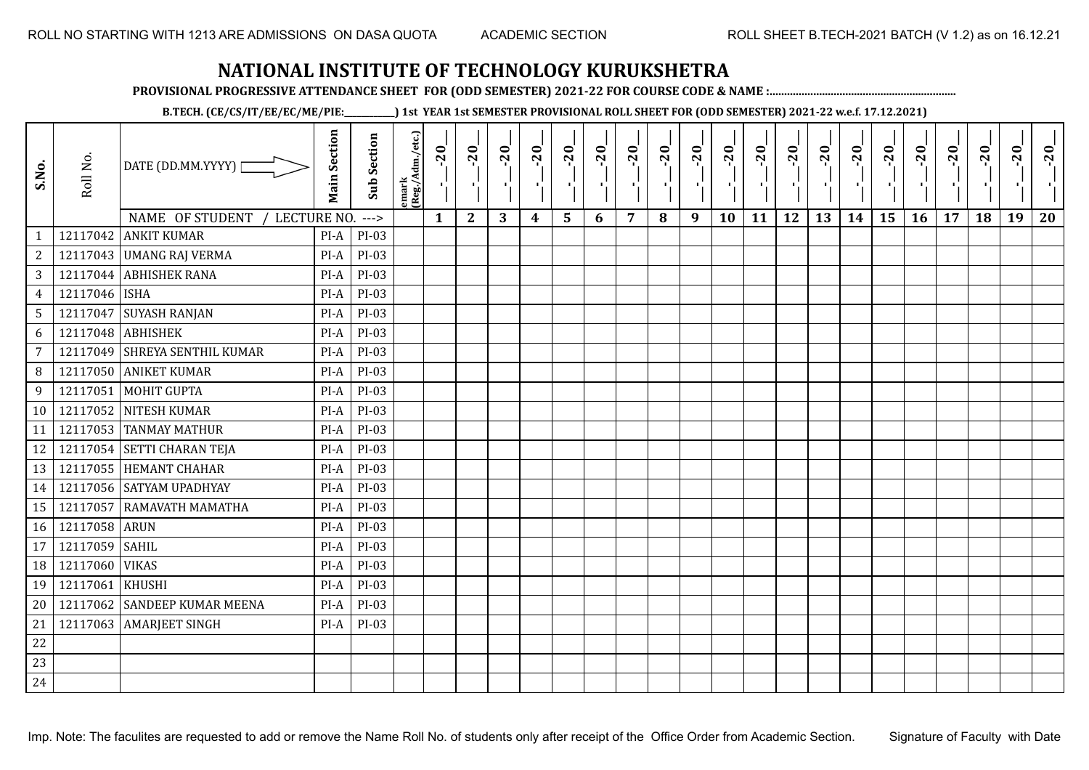**PROVISIONAL PROGRESSIVE ATTENDANCE SHEET FOR (ODD SEMESTER) 2021-22 FOR COURSE CODE & NAME :................................................................**

**B.TECH. (CE/CS/IT/EE/EC/ME/PIE:\_\_\_\_\_\_\_\_\_\_\_\_) 1st YEAR 1st SEMESTER PROVISIONAL ROLL SHEET FOR (ODD SEMESTER) 2021-22 w.e.f. 17.12.2021)**

| S.No.            | Roll No.      | DATE (DD.MM.YYYY) [                   | <b>Main Section</b> | <b>Sub Section</b> | emark<br> (Reg./Adm./etc.) | $-20$<br>$\mathcal{F}_{\mathbf{L}}$ . | $-20$        | $-20$ | $-20$ | $-20$ | $-20$<br>×. | $-20$ | $-20$<br>л. | $-20$<br>π÷ | $-20$<br>л, | $-20$ | $-20$ | $-20$ | $-20$<br>$\blacksquare$ | $-20$<br>٠, | $-20$ | $-20$ | $-20$ | $-20$<br>×ĭ. | $-20$ |
|------------------|---------------|---------------------------------------|---------------------|--------------------|----------------------------|---------------------------------------|--------------|-------|-------|-------|-------------|-------|-------------|-------------|-------------|-------|-------|-------|-------------------------|-------------|-------|-------|-------|--------------|-------|
|                  |               | <b>NAME OF STUDENT</b><br>LECTURE NO. |                     | $--->$             |                            | $\mathbf{1}$                          | $\mathbf{2}$ | 3     | 4     | 5     | 6           | 7     | 8           | 9           | 10          | 11    | 12    | 13    | 14                      | 15          | 16    | 17    | 18    | 19           | 20    |
| 1                | 12117042      | <b>ANKIT KUMAR</b>                    | $PI-A$              | PI-03              |                            |                                       |              |       |       |       |             |       |             |             |             |       |       |       |                         |             |       |       |       |              |       |
| $\boldsymbol{2}$ |               | 12117043 UMANG RAJ VERMA              | $PI-A$              | $PI-03$            |                            |                                       |              |       |       |       |             |       |             |             |             |       |       |       |                         |             |       |       |       |              |       |
| 3                | 12117044      | <b>ABHISHEK RANA</b>                  | $PI-A$              | PI-03              |                            |                                       |              |       |       |       |             |       |             |             |             |       |       |       |                         |             |       |       |       |              |       |
| $\overline{4}$   | 12117046 ISHA |                                       | $PI-A$              | PI-03              |                            |                                       |              |       |       |       |             |       |             |             |             |       |       |       |                         |             |       |       |       |              |       |
| $\sqrt{5}$       | 12117047      | <b>SUYASH RANJAN</b>                  | PI-A                | PI-03              |                            |                                       |              |       |       |       |             |       |             |             |             |       |       |       |                         |             |       |       |       |              |       |
| $\boldsymbol{6}$ | 12117048      | <b>ABHISHEK</b>                       | $PI-A$              | PI-03              |                            |                                       |              |       |       |       |             |       |             |             |             |       |       |       |                         |             |       |       |       |              |       |
| $\overline{7}$   | 12117049      | <b>SHREYA SENTHIL KUMAR</b>           | PI-A                | PI-03              |                            |                                       |              |       |       |       |             |       |             |             |             |       |       |       |                         |             |       |       |       |              |       |
| 8                | 12117050      | <b>ANIKET KUMAR</b>                   | $PI-A$              | $PI-03$            |                            |                                       |              |       |       |       |             |       |             |             |             |       |       |       |                         |             |       |       |       |              |       |
| 9                | 12117051      | <b>MOHIT GUPTA</b>                    | $PI-A$              | PI-03              |                            |                                       |              |       |       |       |             |       |             |             |             |       |       |       |                         |             |       |       |       |              |       |
| 10               | 12117052      | <b>NITESH KUMAR</b>                   | PI-A                | PI-03              |                            |                                       |              |       |       |       |             |       |             |             |             |       |       |       |                         |             |       |       |       |              |       |
| 11               | 12117053      | <b>TANMAY MATHUR</b>                  | $PI-A$              | PI-03              |                            |                                       |              |       |       |       |             |       |             |             |             |       |       |       |                         |             |       |       |       |              |       |
| 12               |               | 12117054 SETTI CHARAN TEJA            | PI-A                | PI-03              |                            |                                       |              |       |       |       |             |       |             |             |             |       |       |       |                         |             |       |       |       |              |       |
| 13               |               | 12117055 HEMANT CHAHAR                | $PI-A$              | PI-03              |                            |                                       |              |       |       |       |             |       |             |             |             |       |       |       |                         |             |       |       |       |              |       |
| 14               |               | 12117056 SATYAM UPADHYAY              | $PI-A$              | $PI-03$            |                            |                                       |              |       |       |       |             |       |             |             |             |       |       |       |                         |             |       |       |       |              |       |
| 15               | 12117057      | RAMAVATH MAMATHA                      | PI-A                | $PI-03$            |                            |                                       |              |       |       |       |             |       |             |             |             |       |       |       |                         |             |       |       |       |              |       |
| 16               | 12117058 ARUN |                                       | $PI-A$              | PI-03              |                            |                                       |              |       |       |       |             |       |             |             |             |       |       |       |                         |             |       |       |       |              |       |
| 17               | 12117059      | <b>SAHIL</b>                          | $PI-A$              | PI-03              |                            |                                       |              |       |       |       |             |       |             |             |             |       |       |       |                         |             |       |       |       |              |       |
| 18               | 12117060      | <b>VIKAS</b>                          | $PI-A$              | PI-03              |                            |                                       |              |       |       |       |             |       |             |             |             |       |       |       |                         |             |       |       |       |              |       |
| 19               | 12117061      | <b>KHUSHI</b>                         | PI-A                | $PI-03$            |                            |                                       |              |       |       |       |             |       |             |             |             |       |       |       |                         |             |       |       |       |              |       |
| 20               | 12117062      | <b>SANDEEP KUMAR MEENA</b>            | $PI-A$              | PI-03              |                            |                                       |              |       |       |       |             |       |             |             |             |       |       |       |                         |             |       |       |       |              |       |
| 21               | 12117063      | <b>AMARJEET SINGH</b>                 | $PI-A$              | PI-03              |                            |                                       |              |       |       |       |             |       |             |             |             |       |       |       |                         |             |       |       |       |              |       |
| 22               |               |                                       |                     |                    |                            |                                       |              |       |       |       |             |       |             |             |             |       |       |       |                         |             |       |       |       |              |       |
| 23               |               |                                       |                     |                    |                            |                                       |              |       |       |       |             |       |             |             |             |       |       |       |                         |             |       |       |       |              |       |
| 24               |               |                                       |                     |                    |                            |                                       |              |       |       |       |             |       |             |             |             |       |       |       |                         |             |       |       |       |              |       |